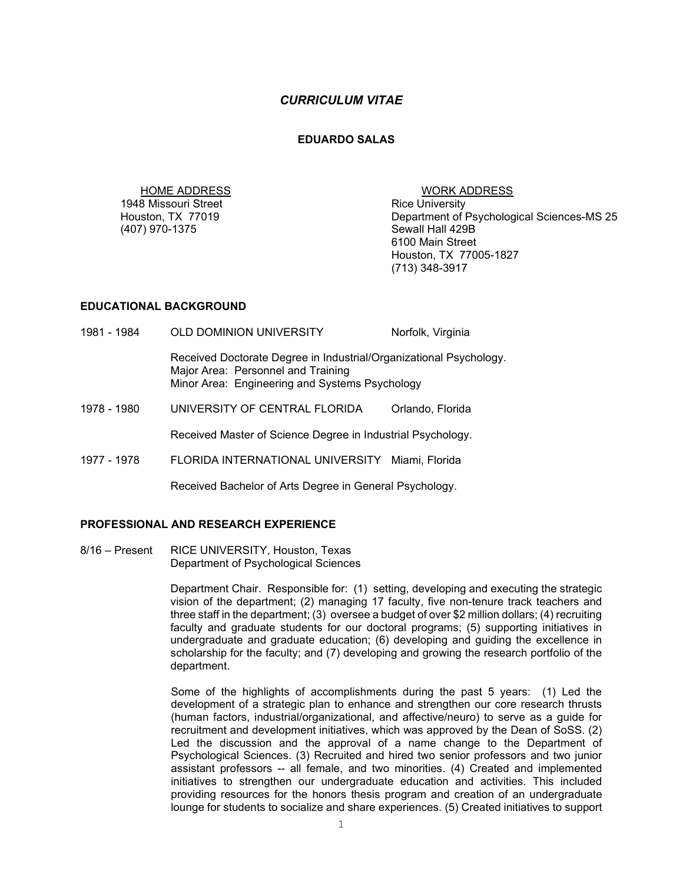## *CURRICULUM VITAE*

### **EDUARDO SALAS**

HOME ADDRESS WORK ADDRESS 1948 Missouri Street<br>Houston, TX 77019 (407) 970-1375

Department of Psychological Sciences-MS 25<br>Sewall Hall 429B 6100 Main Street Houston, TX 77005-1827 (713) 348-3917

### **EDUCATIONAL BACKGROUND**

1981 - 1984 OLD DOMINION UNIVERSITY Norfolk, Virginia Received Doctorate Degree in Industrial/Organizational Psychology. Major Area: Personnel and Training Minor Area: Engineering and Systems Psychology 1978 - 1980 UNIVERSITY OF CENTRAL FLORIDA Orlando, Florida Received Master of Science Degree in Industrial Psychology. 1977 - 1978 FLORIDA INTERNATIONAL UNIVERSITY Miami, Florida Received Bachelor of Arts Degree in General Psychology.

## **PROFESSIONAL AND RESEARCH EXPERIENCE**

8/16 – Present RICE UNIVERSITY, Houston, Texas Department of Psychological Sciences

> Department Chair. Responsible for: (1) setting, developing and executing the strategic vision of the department; (2) managing 17 faculty, five non-tenure track teachers and three staff in the department; (3) oversee a budget of over \$2 million dollars; (4) recruiting faculty and graduate students for our doctoral programs; (5) supporting initiatives in undergraduate and graduate education; (6) developing and guiding the excellence in scholarship for the faculty; and (7) developing and growing the research portfolio of the department.

> Some of the highlights of accomplishments during the past 5 years: (1) Led the development of a strategic plan to enhance and strengthen our core research thrusts (human factors, industrial/organizational, and affective/neuro) to serve as a guide for recruitment and development initiatives, which was approved by the Dean of SoSS. (2) Led the discussion and the approval of a name change to the Department of Psychological Sciences. (3) Recruited and hired two senior professors and two junior assistant professors -- all female, and two minorities. (4) Created and implemented initiatives to strengthen our undergraduate education and activities. This included providing resources for the honors thesis program and creation of an undergraduate lounge for students to socialize and share experiences. (5) Created initiatives to support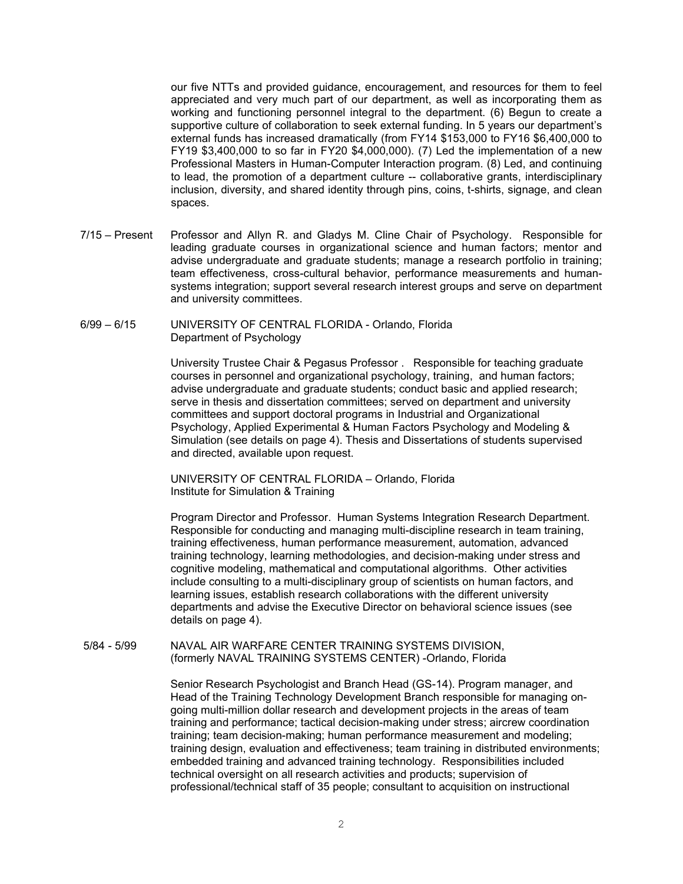our five NTTs and provided guidance, encouragement, and resources for them to feel appreciated and very much part of our department, as well as incorporating them as working and functioning personnel integral to the department. (6) Begun to create a supportive culture of collaboration to seek external funding. In 5 years our department's external funds has increased dramatically (from FY14 \$153,000 to FY16 \$6,400,000 to FY19 \$3,400,000 to so far in FY20 \$4,000,000). (7) Led the implementation of a new Professional Masters in Human-Computer Interaction program. (8) Led, and continuing to lead, the promotion of a department culture -- collaborative grants, interdisciplinary inclusion, diversity, and shared identity through pins, coins, t-shirts, signage, and clean spaces.

7/15 – Present Professor and Allyn R. and Gladys M. Cline Chair of Psychology. Responsible for leading graduate courses in organizational science and human factors; mentor and advise undergraduate and graduate students; manage a research portfolio in training; team effectiveness, cross-cultural behavior, performance measurements and humansystems integration; support several research interest groups and serve on department and university committees.

## 6/99 – 6/15 UNIVERSITY OF CENTRAL FLORIDA - Orlando, Florida Department of Psychology

University Trustee Chair & Pegasus Professor . Responsible for teaching graduate courses in personnel and organizational psychology, training, and human factors; advise undergraduate and graduate students; conduct basic and applied research; serve in thesis and dissertation committees; served on department and university committees and support doctoral programs in Industrial and Organizational Psychology, Applied Experimental & Human Factors Psychology and Modeling & Simulation (see details on page 4). Thesis and Dissertations of students supervised and directed, available upon request.

 UNIVERSITY OF CENTRAL FLORIDA – Orlando, Florida Institute for Simulation & Training

Program Director and Professor. Human Systems Integration Research Department. Responsible for conducting and managing multi-discipline research in team training, training effectiveness, human performance measurement, automation, advanced training technology, learning methodologies, and decision-making under stress and cognitive modeling, mathematical and computational algorithms. Other activities include consulting to a multi-disciplinary group of scientists on human factors, and learning issues, establish research collaborations with the different university departments and advise the Executive Director on behavioral science issues (see details on page 4).

5/84 - 5/99 NAVAL AIR WARFARE CENTER TRAINING SYSTEMS DIVISION, (formerly NAVAL TRAINING SYSTEMS CENTER) -Orlando, Florida

> Senior Research Psychologist and Branch Head (GS-14). Program manager, and Head of the Training Technology Development Branch responsible for managing ongoing multi-million dollar research and development projects in the areas of team training and performance; tactical decision-making under stress; aircrew coordination training; team decision-making; human performance measurement and modeling; training design, evaluation and effectiveness; team training in distributed environments; embedded training and advanced training technology. Responsibilities included technical oversight on all research activities and products; supervision of professional/technical staff of 35 people; consultant to acquisition on instructional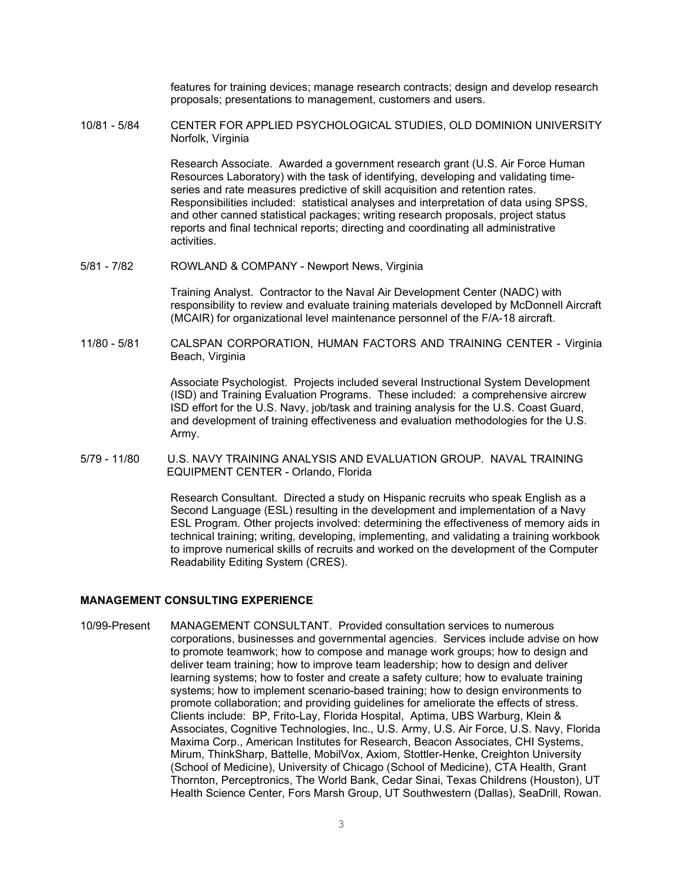features for training devices; manage research contracts; design and develop research proposals; presentations to management, customers and users.

10/81 - 5/84 CENTER FOR APPLIED PSYCHOLOGICAL STUDIES, OLD DOMINION UNIVERSITY Norfolk, Virginia

> Research Associate. Awarded a government research grant (U.S. Air Force Human Resources Laboratory) with the task of identifying, developing and validating timeseries and rate measures predictive of skill acquisition and retention rates. Responsibilities included: statistical analyses and interpretation of data using SPSS, and other canned statistical packages; writing research proposals, project status reports and final technical reports; directing and coordinating all administrative activities.

5/81 - 7/82 ROWLAND & COMPANY - Newport News, Virginia

Training Analyst. Contractor to the Naval Air Development Center (NADC) with responsibility to review and evaluate training materials developed by McDonnell Aircraft (MCAIR) for organizational level maintenance personnel of the F/A-18 aircraft.

11/80 - 5/81 CALSPAN CORPORATION, HUMAN FACTORS AND TRAINING CENTER - Virginia Beach, Virginia

> Associate Psychologist. Projects included several Instructional System Development (ISD) and Training Evaluation Programs. These included: a comprehensive aircrew ISD effort for the U.S. Navy, job/task and training analysis for the U.S. Coast Guard, and development of training effectiveness and evaluation methodologies for the U.S. Army.

5/79 - 11/80 U.S. NAVY TRAINING ANALYSIS AND EVALUATION GROUP. NAVAL TRAINING EQUIPMENT CENTER - Orlando, Florida

> Research Consultant. Directed a study on Hispanic recruits who speak English as a Second Language (ESL) resulting in the development and implementation of a Navy ESL Program. Other projects involved: determining the effectiveness of memory aids in technical training; writing, developing, implementing, and validating a training workbook to improve numerical skills of recruits and worked on the development of the Computer Readability Editing System (CRES).

## **MANAGEMENT CONSULTING EXPERIENCE**

10/99-Present MANAGEMENT CONSULTANT. Provided consultation services to numerous corporations, businesses and governmental agencies. Services include advise on how to promote teamwork; how to compose and manage work groups; how to design and deliver team training; how to improve team leadership; how to design and deliver learning systems; how to foster and create a safety culture; how to evaluate training systems; how to implement scenario-based training; how to design environments to promote collaboration; and providing guidelines for ameliorate the effects of stress. Clients include: BP, Frito-Lay, Florida Hospital, Aptima, UBS Warburg, Klein & Associates, Cognitive Technologies, Inc., U.S. Army, U.S. Air Force, U.S. Navy, Florida Maxima Corp., American Institutes for Research, Beacon Associates, CHI Systems, Mirum, ThinkSharp, Battelle, MobilVox, Axiom, Stottler-Henke, Creighton University (School of Medicine), University of Chicago (School of Medicine), CTA Health, Grant Thornton, Perceptronics, The World Bank, Cedar Sinai, Texas Childrens (Houston), UT Health Science Center, Fors Marsh Group, UT Southwestern (Dallas), SeaDrill, Rowan.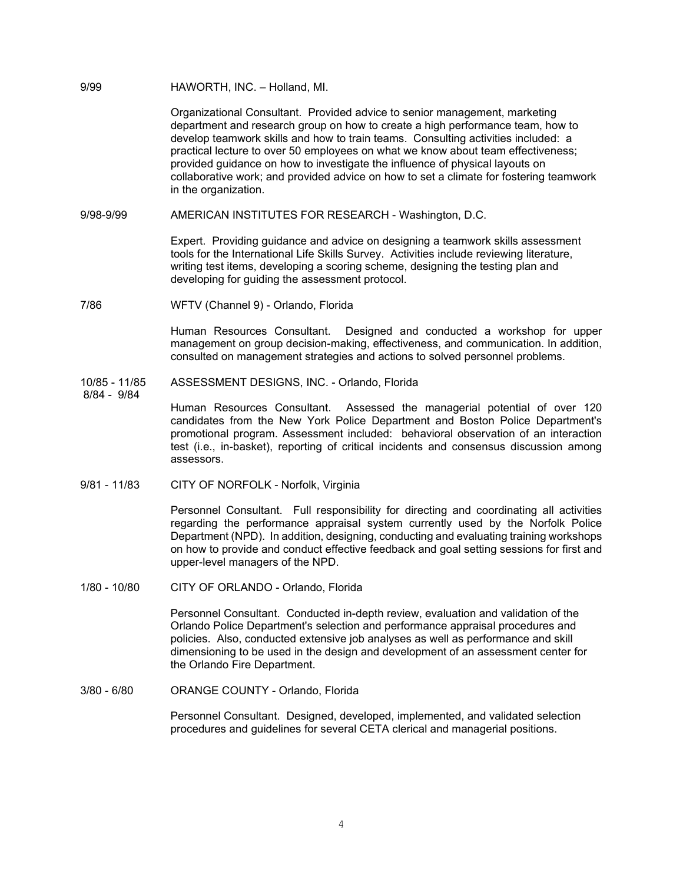#### 9/99 HAWORTH, INC. – Holland, MI.

Organizational Consultant. Provided advice to senior management, marketing department and research group on how to create a high performance team, how to develop teamwork skills and how to train teams. Consulting activities included: a practical lecture to over 50 employees on what we know about team effectiveness; provided guidance on how to investigate the influence of physical layouts on collaborative work; and provided advice on how to set a climate for fostering teamwork in the organization.

9/98-9/99 AMERICAN INSTITUTES FOR RESEARCH - Washington, D.C.

Expert. Providing guidance and advice on designing a teamwork skills assessment tools for the International Life Skills Survey. Activities include reviewing literature, writing test items, developing a scoring scheme, designing the testing plan and developing for guiding the assessment protocol.

7/86 WFTV (Channel 9) - Orlando, Florida

Human Resources Consultant. Designed and conducted a workshop for upper management on group decision-making, effectiveness, and communication. In addition, consulted on management strategies and actions to solved personnel problems.

- 10/85 11/85 ASSESSMENT DESIGNS, INC. Orlando, Florida
- 8/84 9/84

Human Resources Consultant. Assessed the managerial potential of over 120 candidates from the New York Police Department and Boston Police Department's promotional program. Assessment included: behavioral observation of an interaction test (i.e., in-basket), reporting of critical incidents and consensus discussion among assessors.

9/81 - 11/83 CITY OF NORFOLK - Norfolk, Virginia

Personnel Consultant. Full responsibility for directing and coordinating all activities regarding the performance appraisal system currently used by the Norfolk Police Department (NPD). In addition, designing, conducting and evaluating training workshops on how to provide and conduct effective feedback and goal setting sessions for first and upper-level managers of the NPD.

1/80 - 10/80 CITY OF ORLANDO - Orlando, Florida

Personnel Consultant. Conducted in-depth review, evaluation and validation of the Orlando Police Department's selection and performance appraisal procedures and policies. Also, conducted extensive job analyses as well as performance and skill dimensioning to be used in the design and development of an assessment center for the Orlando Fire Department.

3/80 - 6/80 ORANGE COUNTY - Orlando, Florida

Personnel Consultant. Designed, developed, implemented, and validated selection procedures and guidelines for several CETA clerical and managerial positions.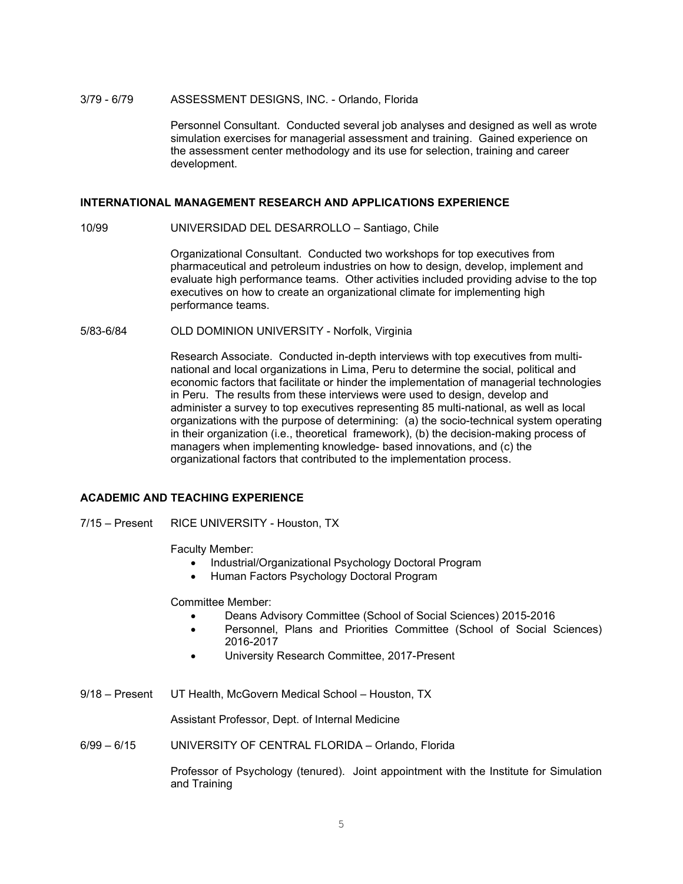#### 3/79 - 6/79 ASSESSMENT DESIGNS, INC. - Orlando, Florida

Personnel Consultant. Conducted several job analyses and designed as well as wrote simulation exercises for managerial assessment and training. Gained experience on the assessment center methodology and its use for selection, training and career development.

## **INTERNATIONAL MANAGEMENT RESEARCH AND APPLICATIONS EXPERIENCE**

10/99 UNIVERSIDAD DEL DESARROLLO – Santiago, Chile

Organizational Consultant. Conducted two workshops for top executives from pharmaceutical and petroleum industries on how to design, develop, implement and evaluate high performance teams. Other activities included providing advise to the top executives on how to create an organizational climate for implementing high performance teams.

5/83-6/84 OLD DOMINION UNIVERSITY - Norfolk, Virginia

Research Associate. Conducted in-depth interviews with top executives from multinational and local organizations in Lima, Peru to determine the social, political and economic factors that facilitate or hinder the implementation of managerial technologies in Peru. The results from these interviews were used to design, develop and administer a survey to top executives representing 85 multi-national, as well as local organizations with the purpose of determining: (a) the socio-technical system operating in their organization (i.e., theoretical framework), (b) the decision-making process of managers when implementing knowledge- based innovations, and (c) the organizational factors that contributed to the implementation process.

## **ACADEMIC AND TEACHING EXPERIENCE**

7/15 – Present RICE UNIVERSITY - Houston, TX

Faculty Member:

- Industrial/Organizational Psychology Doctoral Program
- Human Factors Psychology Doctoral Program

Committee Member:

- Deans Advisory Committee (School of Social Sciences) 2015-2016
- Personnel, Plans and Priorities Committee (School of Social Sciences) 2016-2017
- University Research Committee, 2017-Present
- 9/18 Present UT Health, McGovern Medical School Houston, TX

Assistant Professor, Dept. of Internal Medicine

6/99 – 6/15 UNIVERSITY OF CENTRAL FLORIDA – Orlando, Florida

Professor of Psychology (tenured). Joint appointment with the Institute for Simulation and Training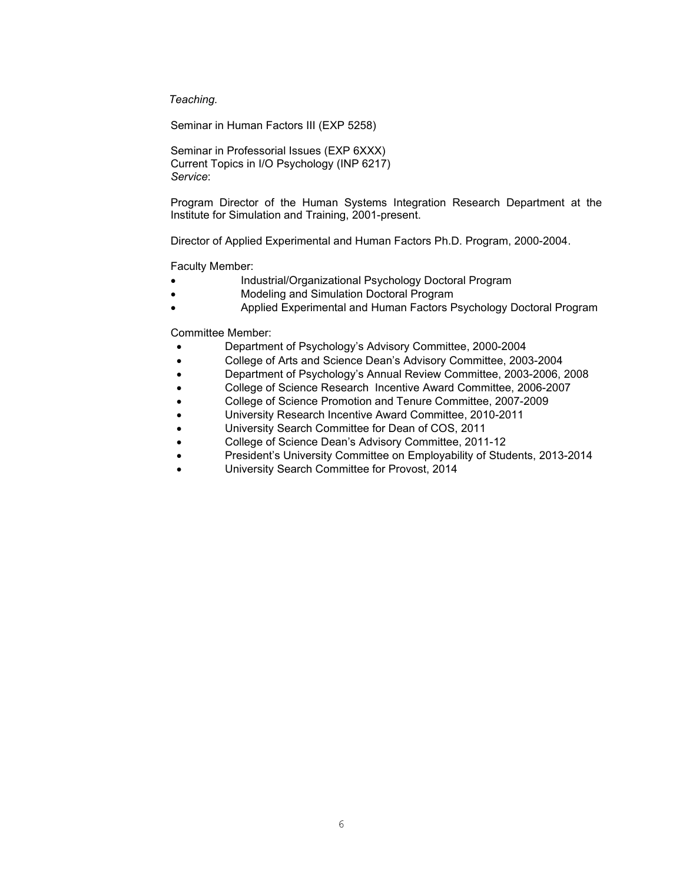*Teaching.*

Seminar in Human Factors III (EXP 5258)

Seminar in Professorial Issues (EXP 6XXX) Current Topics in I/O Psychology (INP 6217) *Service*:

Program Director of the Human Systems Integration Research Department at the Institute for Simulation and Training, 2001-present.

Director of Applied Experimental and Human Factors Ph.D. Program, 2000-2004.

Faculty Member:

- Industrial/Organizational Psychology Doctoral Program
- Modeling and Simulation Doctoral Program
- Applied Experimental and Human Factors Psychology Doctoral Program

Committee Member:

- Department of Psychology's Advisory Committee, 2000-2004
- College of Arts and Science Dean's Advisory Committee, 2003-2004
- Department of Psychology's Annual Review Committee, 2003-2006, 2008
- College of Science Research Incentive Award Committee, 2006-2007
- College of Science Promotion and Tenure Committee, 2007-2009
- University Research Incentive Award Committee, 2010-2011
- University Search Committee for Dean of COS, 2011
- College of Science Dean's Advisory Committee, 2011-12
- President's University Committee on Employability of Students, 2013-2014
- University Search Committee for Provost, 2014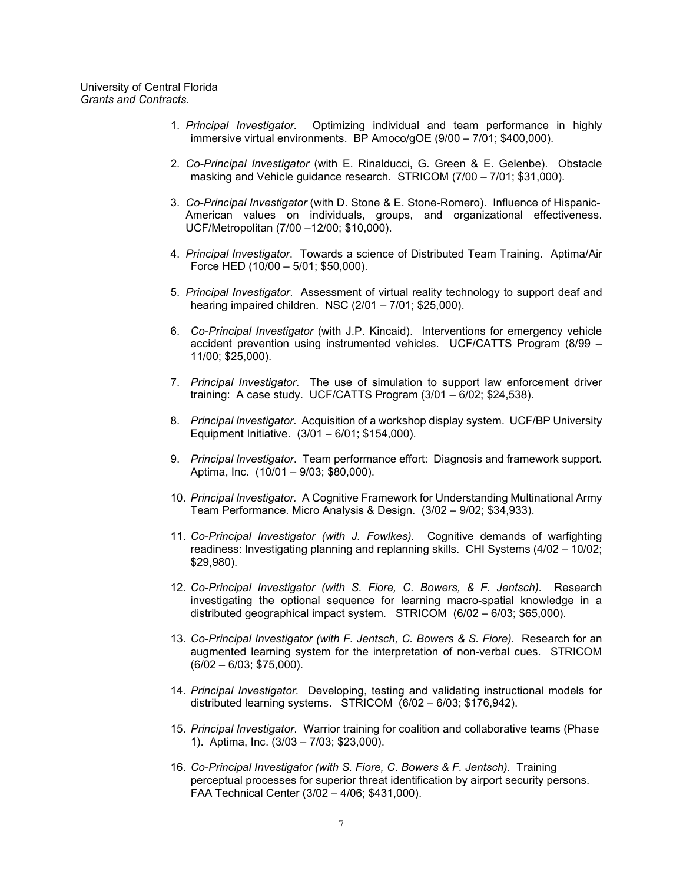University of Central Florida *Grants and Contracts.*

- 1. *Principal Investigator.* Optimizing individual and team performance in highly immersive virtual environments. BP Amoco/gOE (9/00 – 7/01; \$400,000).
- 2. *Co-Principal Investigator* (with E. Rinalducci, G. Green & E. Gelenbe). Obstacle masking and Vehicle guidance research. STRICOM (7/00 – 7/01; \$31,000).
- 3. *Co-Principal Investigator* (with D. Stone & E. Stone-Romero). Influence of Hispanic-American values on individuals, groups, and organizational effectiveness. UCF/Metropolitan (7/00 –12/00; \$10,000).
- 4. *Principal Investigator*. Towards a science of Distributed Team Training. Aptima/Air Force HED (10/00 – 5/01; \$50,000).
- 5. *Principal Investigator*. Assessment of virtual reality technology to support deaf and hearing impaired children. NSC (2/01 – 7/01; \$25,000).
- 6. *Co-Principal Investigator* (with J.P. Kincaid). Interventions for emergency vehicle accident prevention using instrumented vehicles. UCF/CATTS Program (8/99 – 11/00; \$25,000).
- 7. *Principal Investigator*. The use of simulation to support law enforcement driver training: A case study. UCF/CATTS Program (3/01 – 6/02; \$24,538).
- 8. *Principal Investigator*. Acquisition of a workshop display system. UCF/BP University Equipment Initiative. (3/01 – 6/01; \$154,000).
- 9. *Principal Investigator*. Team performance effort: Diagnosis and framework support. Aptima, Inc. (10/01 – 9/03; \$80,000).
- 10. *Principal Investigator.* A Cognitive Framework for Understanding Multinational Army Team Performance. Micro Analysis & Design. (3/02 – 9/02; \$34,933).
- 11. *Co-Principal Investigator (with J. Fowlkes).* Cognitive demands of warfighting readiness: Investigating planning and replanning skills. CHI Systems (4/02 – 10/02; \$29,980).
- 12. *Co-Principal Investigator (with S. Fiore, C. Bowers, & F. Jentsch).* Research investigating the optional sequence for learning macro-spatial knowledge in a distributed geographical impact system. STRICOM (6/02 – 6/03; \$65,000).
- 13. *Co-Principal Investigator (with F. Jentsch, C. Bowers & S. Fiore).* Research for an augmented learning system for the interpretation of non-verbal cues. STRICOM (6/02 – 6/03; \$75,000).
- 14. *Principal Investigator.* Developing, testing and validating instructional models for distributed learning systems. STRICOM (6/02 – 6/03; \$176,942).
- 15. *Principal Investigator*. Warrior training for coalition and collaborative teams (Phase 1). Aptima, Inc. (3/03 – 7/03; \$23,000).
- 16. *Co-Principal Investigator (with S. Fiore, C. Bowers & F. Jentsch).* Training perceptual processes for superior threat identification by airport security persons. FAA Technical Center (3/02 – 4/06; \$431,000).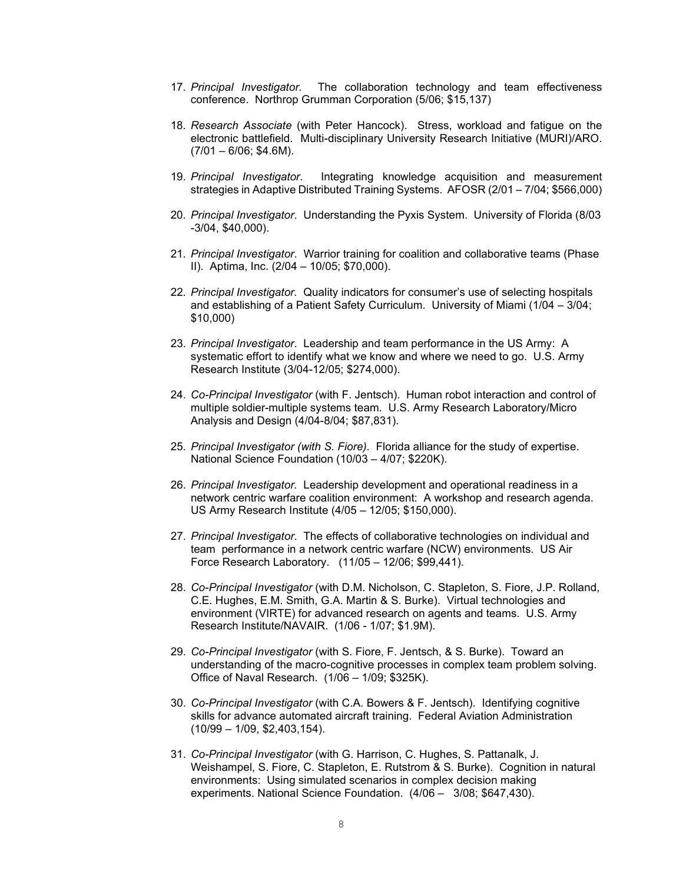- 17. *Principal Investigator.* The collaboration technology and team effectiveness conference. Northrop Grumman Corporation (5/06; \$15,137)
- 18. *Research Associate* (with Peter Hancock). Stress, workload and fatigue on the electronic battlefield. Multi-disciplinary University Research Initiative (MURI)/ARO.  $(7/01 - 6/06; $4.6M)$ .
- 19. *Principal Investigator*. Integrating knowledge acquisition and measurement strategies in Adaptive Distributed Training Systems. AFOSR (2/01 – 7/04; \$566,000)
- 20. *Principal Investigator*. Understanding the Pyxis System. University of Florida (8/03 -3/04, \$40,000).
- 21. *Principal Investigator*. Warrior training for coalition and collaborative teams (Phase II). Aptima, Inc. (2/04 – 10/05; \$70,000).
- 22. *Principal Investigator.* Quality indicators for consumer's use of selecting hospitals and establishing of a Patient Safety Curriculum. University of Miami (1/04 – 3/04; \$10,000)
- 23. *Principal Investigator*. Leadership and team performance in the US Army: A systematic effort to identify what we know and where we need to go. U.S. Army Research Institute (3/04-12/05; \$274,000).
- 24. *Co-Principal Investigator* (with F. Jentsch). Human robot interaction and control of multiple soldier-multiple systems team. U.S. Army Research Laboratory/Micro Analysis and Design (4/04-8/04; \$87,831).
- 25. *Principal Investigator (with S. Fiore).* Florida alliance for the study of expertise. National Science Foundation (10/03 – 4/07; \$220K).
- 26. *Principal Investigator.* Leadership development and operational readiness in a network centric warfare coalition environment: A workshop and research agenda. US Army Research Institute (4/05 – 12/05; \$150,000).
- 27. *Principal Investigator*. The effects of collaborative technologies on individual and team performance in a network centric warfare (NCW) environments. US Air Force Research Laboratory. (11/05 – 12/06; \$99,441).
- 28. *Co-Principal Investigator* (with D.M. Nicholson, C. Stapleton, S. Fiore, J.P. Rolland, C.E. Hughes, E.M. Smith, G.A. Martin & S. Burke). Virtual technologies and environment (VIRTE) for advanced research on agents and teams. U.S. Army Research Institute/NAVAIR. (1/06 - 1/07; \$1.9M).
- 29. *Co-Principal Investigator* (with S. Fiore, F. Jentsch, & S. Burke). Toward an understanding of the macro-cognitive processes in complex team problem solving. Office of Naval Research. (1/06 – 1/09; \$325K).
- 30. *Co-Principal Investigator* (with C.A. Bowers & F. Jentsch)*.* Identifying cognitive skills for advance automated aircraft training. Federal Aviation Administration (10/99 – 1/09, \$2,403,154).
- 31. *Co-Principal Investigator* (with G. Harrison, C. Hughes, S. Pattanalk, J. Weishampel, S. Fiore, C. Stapleton, E. Rutstrom & S. Burke). Cognition in natural environments: Using simulated scenarios in complex decision making experiments. National Science Foundation. (4/06 – 3/08; \$647,430).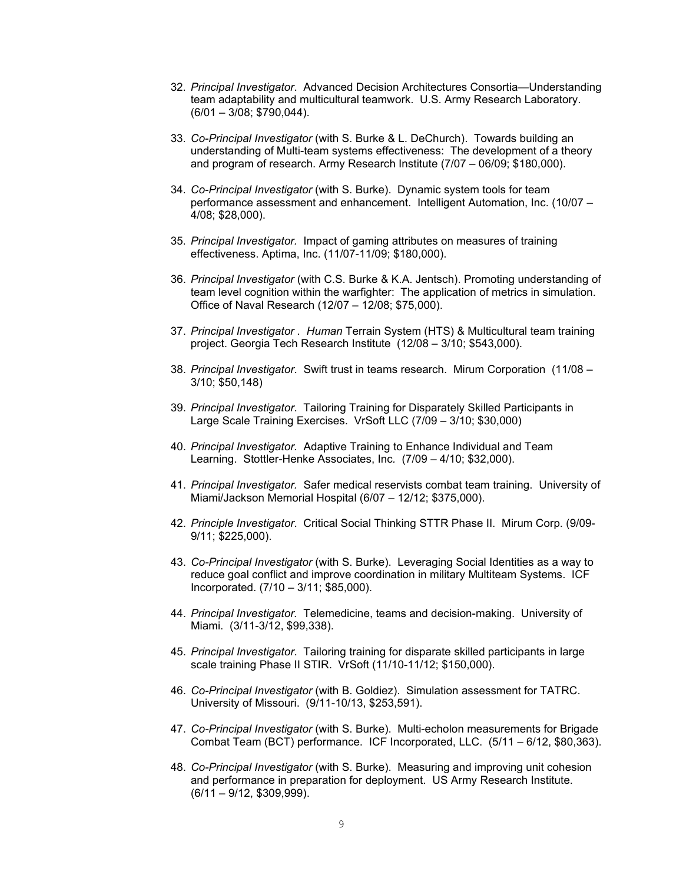- 32. *Principal Investigator*. Advanced Decision Architectures Consortia—Understanding team adaptability and multicultural teamwork. U.S. Army Research Laboratory. (6/01 – 3/08; \$790,044).
- 33. *Co-Principal Investigator* (with S. Burke & L. DeChurch). Towards building an understanding of Multi-team systems effectiveness: The development of a theory and program of research. Army Research Institute (7/07 – 06/09; \$180,000).
- 34. *Co-Principal Investigator* (with S. Burke). Dynamic system tools for team performance assessment and enhancement. Intelligent Automation, Inc. (10/07 – 4/08; \$28,000).
- 35. *Principal Investigator.* Impact of gaming attributes on measures of training effectiveness. Aptima, Inc. (11/07-11/09; \$180,000).
- 36. *Principal Investigator* (with C.S. Burke & K.A. Jentsch). Promoting understanding of team level cognition within the warfighter: The application of metrics in simulation. Office of Naval Research (12/07 – 12/08; \$75,000).
- 37. *Principal Investigator . Human* Terrain System (HTS) & Multicultural team training project. Georgia Tech Research Institute (12/08 – 3/10; \$543,000).
- 38. *Principal Investigator*. Swift trust in teams research. Mirum Corporation (11/08 3/10; \$50,148)
- 39. *Principal Investigator*. Tailoring Training for Disparately Skilled Participants in Large Scale Training Exercises. VrSoft LLC (7/09 – 3/10; \$30,000)
- 40. *Principal Investigator.* Adaptive Training to Enhance Individual and Team Learning. Stottler-Henke Associates, Inc*.* (7/09 – 4/10; \$32,000).
- 41. *Principal Investigator.* Safer medical reservists combat team training. University of Miami/Jackson Memorial Hospital (6/07 – 12/12; \$375,000).
- 42. *Principle Investigator*. Critical Social Thinking STTR Phase II. Mirum Corp. (9/09- 9/11; \$225,000).
- 43. *Co-Principal Investigator* (with S. Burke). Leveraging Social Identities as a way to reduce goal conflict and improve coordination in military Multiteam Systems. ICF Incorporated. (7/10 – 3/11; \$85,000).
- 44. *Principal Investigator.* Telemedicine, teams and decision-making. University of Miami. (3/11-3/12, \$99,338).
- 45. *Principal Investigator*. Tailoring training for disparate skilled participants in large scale training Phase II STIR. VrSoft (11/10-11/12; \$150,000).
- 46. *Co-Principal Investigator* (with B. Goldiez). Simulation assessment for TATRC. University of Missouri. (9/11-10/13, \$253,591).
- 47. *Co-Principal Investigator* (with S. Burke). Multi-echolon measurements for Brigade Combat Team (BCT) performance. ICF Incorporated, LLC. (5/11 – 6/12, \$80,363).
- 48. *Co-Principal Investigator* (with S. Burke). Measuring and improving unit cohesion and performance in preparation for deployment. US Army Research Institute. (6/11 – 9/12, \$309,999).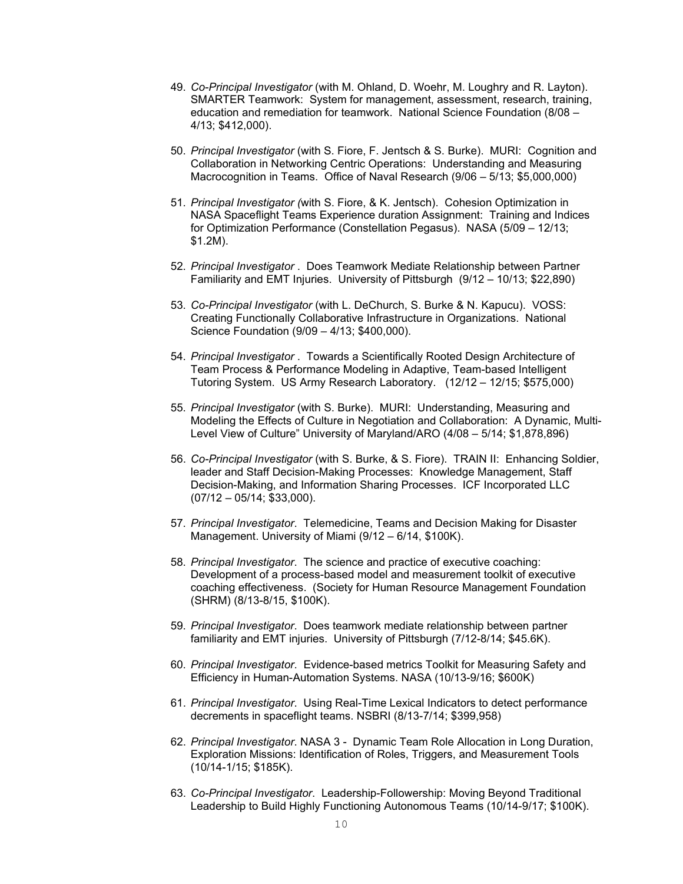- 49. *Co-Principal Investigator* (with M. Ohland, D. Woehr, M. Loughry and R. Layton). SMARTER Teamwork: System for management, assessment, research, training, education and remediation for teamwork. National Science Foundation (8/08 – 4/13; \$412,000).
- 50. *Principal Investigator* (with S. Fiore, F. Jentsch & S. Burke). MURI: Cognition and Collaboration in Networking Centric Operations: Understanding and Measuring Macrocognition in Teams. Office of Naval Research (9/06 – 5/13; \$5,000,000)
- 51. *Principal Investigator (*with S. Fiore, & K. Jentsch). Cohesion Optimization in NASA Spaceflight Teams Experience duration Assignment: Training and Indices for Optimization Performance (Constellation Pegasus). NASA (5/09 – 12/13; \$1.2M).
- 52. *Principal Investigator* . Does Teamwork Mediate Relationship between Partner Familiarity and EMT Injuries. University of Pittsburgh (9/12 – 10/13; \$22,890)
- 53. *Co-Principal Investigator* (with L. DeChurch, S. Burke & N. Kapucu). VOSS: Creating Functionally Collaborative Infrastructure in Organizations. National Science Foundation (9/09 – 4/13; \$400,000).
- 54. *Principal Investigator* . Towards a Scientifically Rooted Design Architecture of Team Process & Performance Modeling in Adaptive, Team-based Intelligent Tutoring System. US Army Research Laboratory. (12/12 – 12/15; \$575,000)
- 55. *Principal Investigator* (with S. Burke). MURI: Understanding, Measuring and Modeling the Effects of Culture in Negotiation and Collaboration: A Dynamic, Multi-Level View of Culture" University of Maryland/ARO (4/08 – 5/14; \$1,878,896)
- 56. *Co-Principal Investigator* (with S. Burke, & S. Fiore). TRAIN II: Enhancing Soldier, leader and Staff Decision-Making Processes: Knowledge Management, Staff Decision-Making, and Information Sharing Processes. ICF Incorporated LLC (07/12 – 05/14; \$33,000).
- 57. *Principal Investigator*. Telemedicine, Teams and Decision Making for Disaster Management. University of Miami (9/12 – 6/14, \$100K).
- 58. *Principal Investigator*. The science and practice of executive coaching: Development of a process-based model and measurement toolkit of executive coaching effectiveness. (Society for Human Resource Management Foundation (SHRM) (8/13-8/15, \$100K).
- 59. *Principal Investigator*. Does teamwork mediate relationship between partner familiarity and EMT injuries. University of Pittsburgh (7/12-8/14; \$45.6K).
- 60. *Principal Investigator*. Evidence-based metrics Toolkit for Measuring Safety and Efficiency in Human-Automation Systems. NASA (10/13-9/16; \$600K)
- 61. *Principal Investigator*. Using Real-Time Lexical Indicators to detect performance decrements in spaceflight teams. NSBRI (8/13-7/14; \$399,958)
- 62. *Principal Investigator*. NASA 3 Dynamic Team Role Allocation in Long Duration, Exploration Missions: Identification of Roles, Triggers, and Measurement Tools (10/14-1/15; \$185K).
- 63. *Co-Principal Investigator*. Leadership-Followership: Moving Beyond Traditional Leadership to Build Highly Functioning Autonomous Teams (10/14-9/17; \$100K).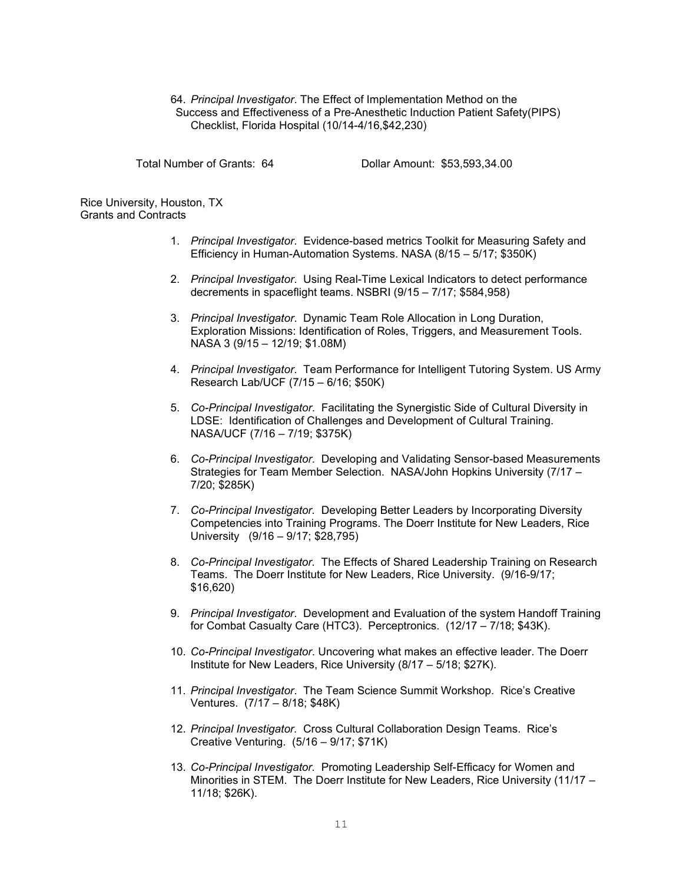## 64. *Principal Investigator*. The Effect of Implementation Method on the Success and Effectiveness of a Pre-Anesthetic Induction Patient Safety(PIPS) Checklist, Florida Hospital (10/14-4/16,\$42,230)

Total Number of Grants: 64 Dollar Amount: \$53,593,34.00

Rice University, Houston, TX Grants and Contracts

- 1. *Principal Investigator*. Evidence-based metrics Toolkit for Measuring Safety and Efficiency in Human-Automation Systems. NASA (8/15 – 5/17; \$350K)
- 2. *Principal Investigator*. Using Real-Time Lexical Indicators to detect performance decrements in spaceflight teams. NSBRI (9/15 – 7/17; \$584,958)
- 3. *Principal Investigator*. Dynamic Team Role Allocation in Long Duration, Exploration Missions: Identification of Roles, Triggers, and Measurement Tools. NASA 3 (9/15 – 12/19; \$1.08M)
- 4. *Principal Investigator*. Team Performance for Intelligent Tutoring System. US Army Research Lab/UCF (7/15 – 6/16; \$50K)
- 5. *Co-Principal Investigator*. Facilitating the Synergistic Side of Cultural Diversity in LDSE: Identification of Challenges and Development of Cultural Training. NASA/UCF (7/16 – 7/19; \$375K)
- 6. *Co-Principal Investigator*. Developing and Validating Sensor-based Measurements Strategies for Team Member Selection. NASA/John Hopkins University (7/17 – 7/20; \$285K)
- 7. *Co-Principal Investigator.* Developing Better Leaders by Incorporating Diversity Competencies into Training Programs. The Doerr Institute for New Leaders, Rice University (9/16 – 9/17; \$28,795)
- 8. *Co-Principal Investigator.* The Effects of Shared Leadership Training on Research Teams. The Doerr Institute for New Leaders, Rice University. (9/16-9/17; \$16,620)
- 9. *Principal Investigator*. Development and Evaluation of the system Handoff Training for Combat Casualty Care (HTC3). Perceptronics. (12/17 – 7/18; \$43K).
- 10. *Co-Principal Investigator*. Uncovering what makes an effective leader. The Doerr Institute for New Leaders, Rice University (8/17 – 5/18; \$27K).
- 11. *Principal Investigator*. The Team Science Summit Workshop. Rice's Creative Ventures. (7/17 – 8/18; \$48K)
- 12. *Principal Investigator.* Cross Cultural Collaboration Design Teams. Rice's Creative Venturing. (5/16 – 9/17; \$71K)
- 13. *Co-Principal Investigator.* Promoting Leadership Self-Efficacy for Women and Minorities in STEM. The Doerr Institute for New Leaders, Rice University (11/17 – 11/18; \$26K).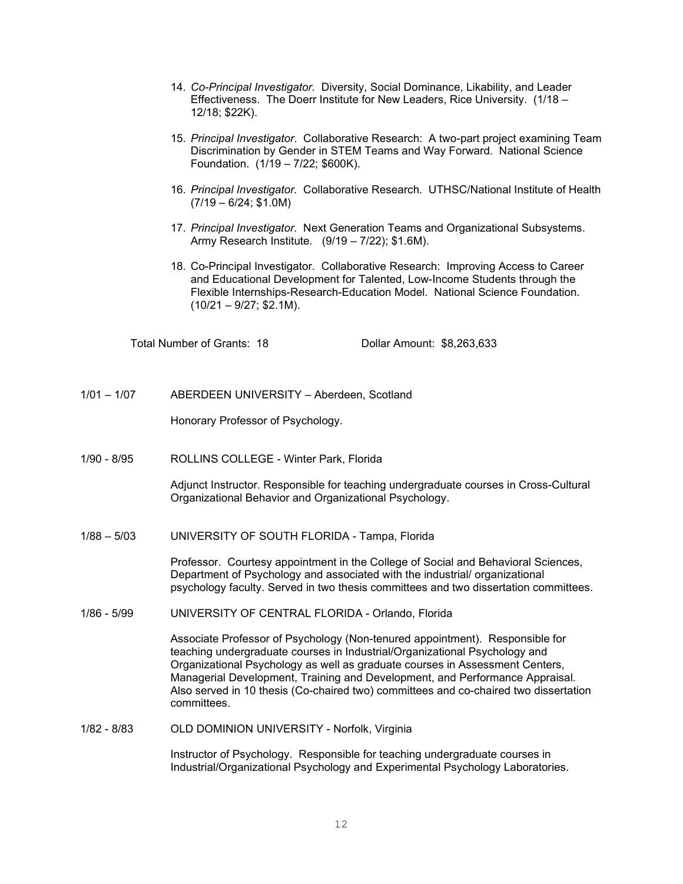- 14. *Co-Principal Investigator.* Diversity, Social Dominance, Likability, and Leader Effectiveness. The Doerr Institute for New Leaders, Rice University. (1/18 – 12/18; \$22K).
- 15. *Principal Investigator*. Collaborative Research: A two-part project examining Team Discrimination by Gender in STEM Teams and Way Forward. National Science Foundation. (1/19 – 7/22; \$600K).
- 16. *Principal Investigator.* Collaborative Research. UTHSC/National Institute of Health  $(7/19 - 6/24; $1.0M)$
- 17. *Principal Investigator.* Next Generation Teams and Organizational Subsystems. Army Research Institute. (9/19 – 7/22); \$1.6M).
- 18. Co-Principal Investigator. Collaborative Research: Improving Access to Career and Educational Development for Talented, Low-Income Students through the Flexible Internships-Research-Education Model. National Science Foundation.  $(10/21 - 9/27; $2.1M)$ .

Total Number of Grants: 18 Dollar Amount: \$8,263,633

1/01 – 1/07 ABERDEEN UNIVERSITY – Aberdeen, Scotland

Honorary Professor of Psychology.

1/90 - 8/95 ROLLINS COLLEGE - Winter Park, Florida

Adjunct Instructor. Responsible for teaching undergraduate courses in Cross-Cultural Organizational Behavior and Organizational Psychology.

1/88 – 5/03 UNIVERSITY OF SOUTH FLORIDA - Tampa, Florida

Professor. Courtesy appointment in the College of Social and Behavioral Sciences, Department of Psychology and associated with the industrial/ organizational psychology faculty. Served in two thesis committees and two dissertation committees.

1/86 - 5/99 UNIVERSITY OF CENTRAL FLORIDA - Orlando, Florida

Associate Professor of Psychology (Non-tenured appointment). Responsible for teaching undergraduate courses in Industrial/Organizational Psychology and Organizational Psychology as well as graduate courses in Assessment Centers, Managerial Development, Training and Development, and Performance Appraisal. Also served in 10 thesis (Co-chaired two) committees and co-chaired two dissertation committees.

1/82 - 8/83 OLD DOMINION UNIVERSITY - Norfolk, Virginia

Instructor of Psychology. Responsible for teaching undergraduate courses in Industrial/Organizational Psychology and Experimental Psychology Laboratories.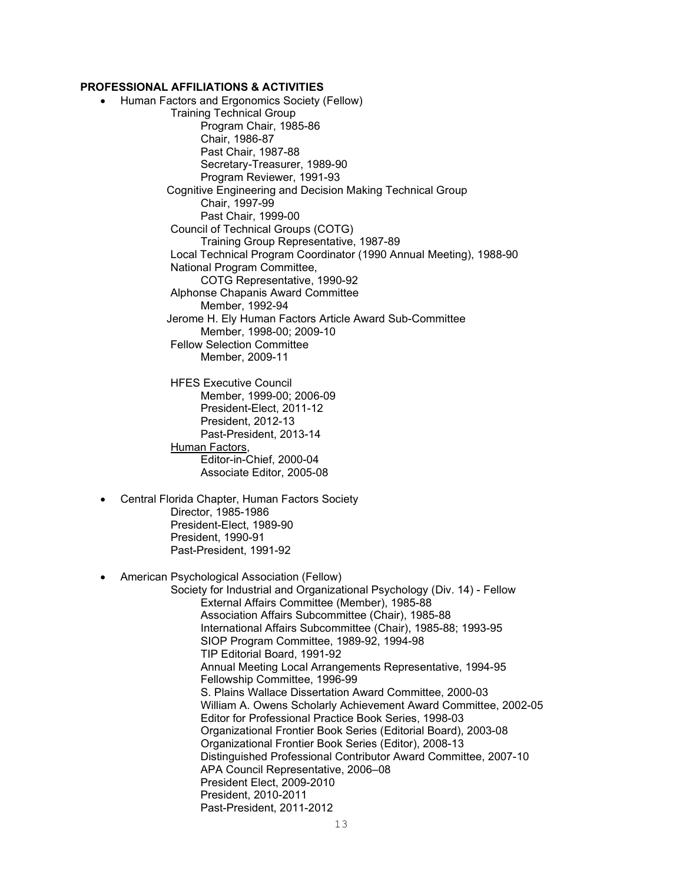### **PROFESSIONAL AFFILIATIONS & ACTIVITIES**

- Human Factors and Ergonomics Society (Fellow) Training Technical Group Program Chair, 1985-86 Chair, 1986-87 Past Chair, 1987-88 Secretary-Treasurer, 1989-90 Program Reviewer, 1991-93 Cognitive Engineering and Decision Making Technical Group Chair, 1997-99 Past Chair, 1999-00 Council of Technical Groups (COTG) Training Group Representative, 1987-89 Local Technical Program Coordinator (1990 Annual Meeting), 1988-90 National Program Committee, COTG Representative, 1990-92 Alphonse Chapanis Award Committee Member, 1992-94 Jerome H. Ely Human Factors Article Award Sub-Committee Member, 1998-00; 2009-10 Fellow Selection Committee Member, 2009-11 HFES Executive Council Member, 1999-00; 2006-09 President-Elect, 2011-12 President, 2012-13 Past-President, 2013-14 Human Factors, Editor-in-Chief, 2000-04 Associate Editor, 2005-08
- Central Florida Chapter, Human Factors Society Director, 1985-1986 President-Elect, 1989-90 President, 1990-91 Past-President, 1991-92
- American Psychological Association (Fellow)

Society for Industrial and Organizational Psychology (Div. 14) - Fellow External Affairs Committee (Member), 1985-88 Association Affairs Subcommittee (Chair), 1985-88 International Affairs Subcommittee (Chair), 1985-88; 1993-95 SIOP Program Committee, 1989-92, 1994-98 TIP Editorial Board, 1991-92 Annual Meeting Local Arrangements Representative, 1994-95 Fellowship Committee, 1996-99 S. Plains Wallace Dissertation Award Committee, 2000-03 William A. Owens Scholarly Achievement Award Committee, 2002-05 Editor for Professional Practice Book Series, 1998-03 Organizational Frontier Book Series (Editorial Board), 2003-08 Organizational Frontier Book Series (Editor), 2008-13 Distinguished Professional Contributor Award Committee, 2007-10 APA Council Representative, 2006–08 President Elect, 2009-2010 President, 2010-2011 Past-President, 2011-2012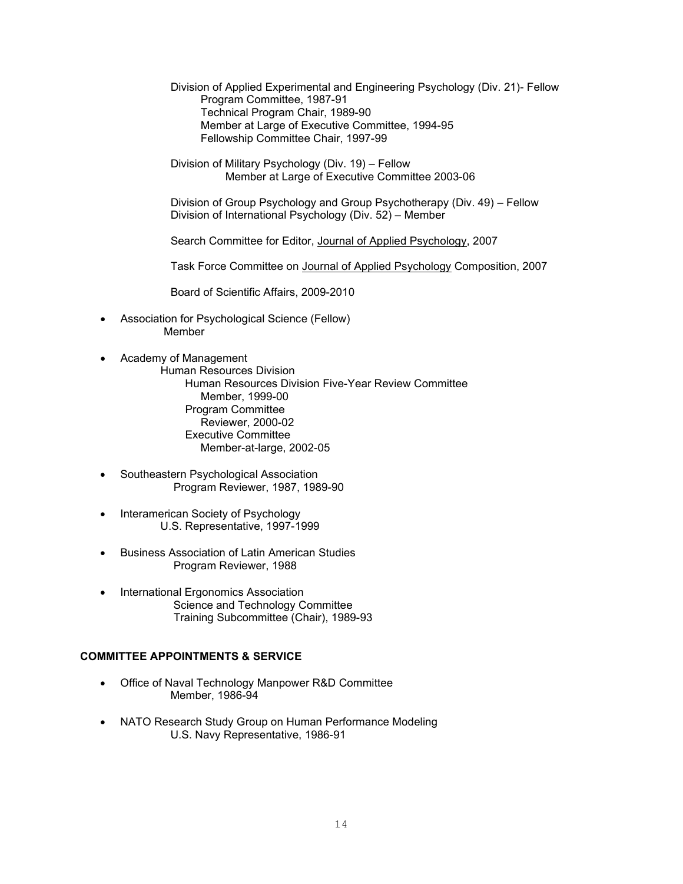Division of Applied Experimental and Engineering Psychology (Div. 21)- Fellow Program Committee, 1987-91 Technical Program Chair, 1989-90 Member at Large of Executive Committee, 1994-95 Fellowship Committee Chair, 1997-99

Division of Military Psychology (Div. 19) – Fellow Member at Large of Executive Committee 2003-06

Division of Group Psychology and Group Psychotherapy (Div. 49) – Fellow Division of International Psychology (Div. 52) – Member

Search Committee for Editor, Journal of Applied Psychology, 2007

Task Force Committee on Journal of Applied Psychology Composition, 2007

Board of Scientific Affairs, 2009-2010

- Association for Psychological Science (Fellow) Member
- Academy of Management Human Resources Division Human Resources Division Five-Year Review Committee Member, 1999-00 Program Committee Reviewer, 2000-02 Executive Committee Member-at-large, 2002-05
- Southeastern Psychological Association Program Reviewer, 1987, 1989-90
- Interamerican Society of Psychology U.S. Representative, 1997-1999
- Business Association of Latin American Studies Program Reviewer, 1988
- International Ergonomics Association Science and Technology Committee Training Subcommittee (Chair), 1989-93

## **COMMITTEE APPOINTMENTS & SERVICE**

- Office of Naval Technology Manpower R&D Committee Member, 1986-94
- NATO Research Study Group on Human Performance Modeling U.S. Navy Representative, 1986-91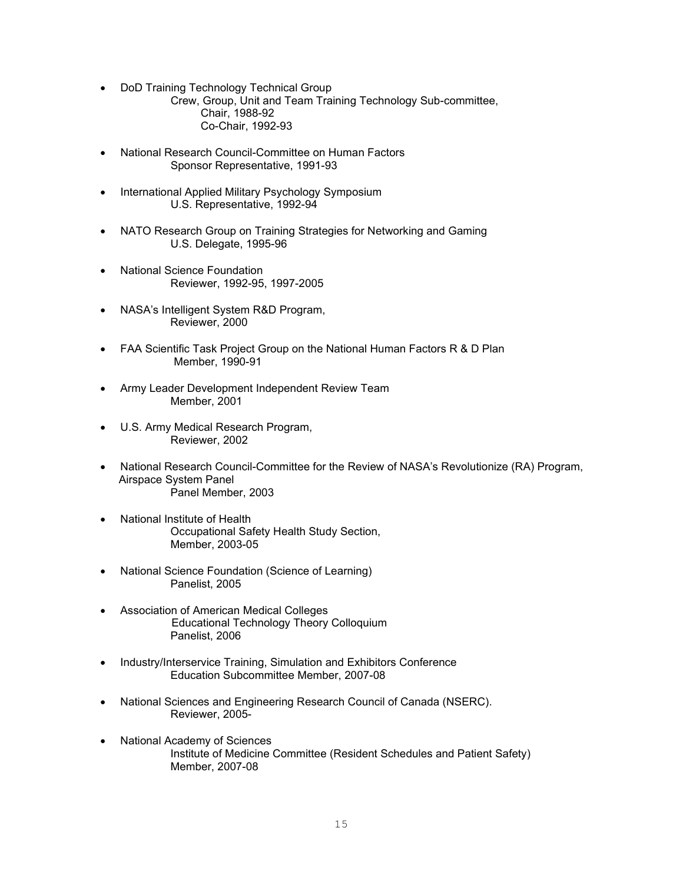• DoD Training Technology Technical Group

Crew, Group, Unit and Team Training Technology Sub-committee, Chair, 1988-92 Co-Chair, 1992-93

- National Research Council-Committee on Human Factors Sponsor Representative, 1991-93
- International Applied Military Psychology Symposium U.S. Representative, 1992-94
- NATO Research Group on Training Strategies for Networking and Gaming U.S. Delegate, 1995-96
- National Science Foundation Reviewer, 1992-95, 1997-2005
- NASA's Intelligent System R&D Program, Reviewer, 2000
- FAA Scientific Task Project Group on the National Human Factors R & D Plan Member, 1990-91
- Army Leader Development Independent Review Team Member, 2001
- U.S. Army Medical Research Program, Reviewer, 2002
- National Research Council-Committee for the Review of NASA's Revolutionize (RA) Program, Airspace System Panel Panel Member, 2003
- National Institute of Health Occupational Safety Health Study Section, Member, 2003-05
- National Science Foundation (Science of Learning) Panelist, 2005
- Association of American Medical Colleges Educational Technology Theory Colloquium Panelist, 2006
- Industry/Interservice Training, Simulation and Exhibitors Conference Education Subcommittee Member, 2007-08
- National Sciences and Engineering Research Council of Canada (NSERC). Reviewer, 2005-
- National Academy of Sciences Institute of Medicine Committee (Resident Schedules and Patient Safety) Member, 2007-08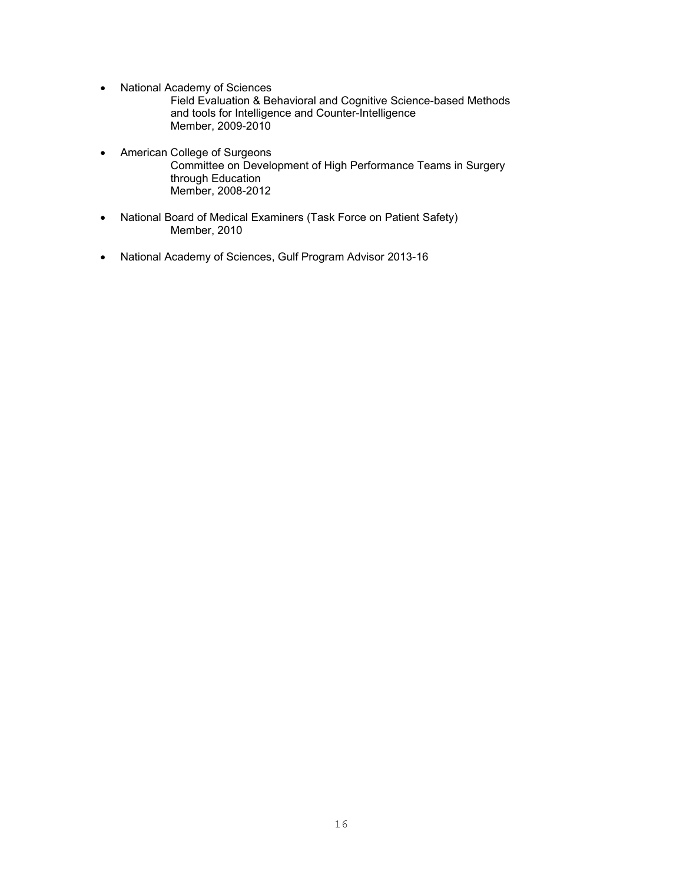• National Academy of Sciences

Field Evaluation & Behavioral and Cognitive Science-based Methods and tools for Intelligence and Counter-Intelligence Member, 2009-2010

- American College of Surgeons Committee on Development of High Performance Teams in Surgery through Education Member, 2008-2012
- National Board of Medical Examiners (Task Force on Patient Safety) Member, 2010
- National Academy of Sciences, Gulf Program Advisor 2013-16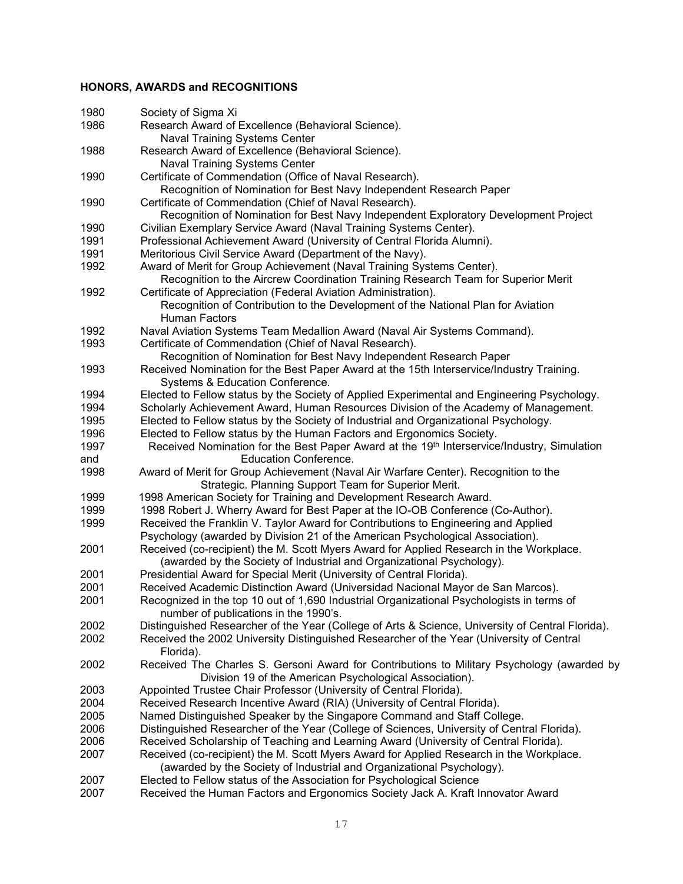# **HONORS, AWARDS and RECOGNITIONS**

| 1980 | Society of Sigma Xi                                                                                                                                   |
|------|-------------------------------------------------------------------------------------------------------------------------------------------------------|
| 1986 | Research Award of Excellence (Behavioral Science).                                                                                                    |
|      | <b>Naval Training Systems Center</b>                                                                                                                  |
| 1988 | Research Award of Excellence (Behavioral Science).                                                                                                    |
|      | <b>Naval Training Systems Center</b>                                                                                                                  |
| 1990 | Certificate of Commendation (Office of Naval Research).                                                                                               |
|      | Recognition of Nomination for Best Navy Independent Research Paper                                                                                    |
| 1990 | Certificate of Commendation (Chief of Naval Research).                                                                                                |
|      | Recognition of Nomination for Best Navy Independent Exploratory Development Project                                                                   |
| 1990 | Civilian Exemplary Service Award (Naval Training Systems Center).                                                                                     |
| 1991 | Professional Achievement Award (University of Central Florida Alumni).                                                                                |
| 1991 | Meritorious Civil Service Award (Department of the Navy).                                                                                             |
| 1992 | Award of Merit for Group Achievement (Naval Training Systems Center).                                                                                 |
|      | Recognition to the Aircrew Coordination Training Research Team for Superior Merit                                                                     |
| 1992 | Certificate of Appreciation (Federal Aviation Administration).                                                                                        |
|      | Recognition of Contribution to the Development of the National Plan for Aviation                                                                      |
|      | <b>Human Factors</b>                                                                                                                                  |
| 1992 | Naval Aviation Systems Team Medallion Award (Naval Air Systems Command).                                                                              |
| 1993 | Certificate of Commendation (Chief of Naval Research).                                                                                                |
|      | Recognition of Nomination for Best Navy Independent Research Paper                                                                                    |
| 1993 | Received Nomination for the Best Paper Award at the 15th Interservice/Industry Training.                                                              |
|      | Systems & Education Conference.                                                                                                                       |
| 1994 | Elected to Fellow status by the Society of Applied Experimental and Engineering Psychology.                                                           |
| 1994 | Scholarly Achievement Award, Human Resources Division of the Academy of Management.                                                                   |
| 1995 | Elected to Fellow status by the Society of Industrial and Organizational Psychology.                                                                  |
| 1996 | Elected to Fellow status by the Human Factors and Ergonomics Society.                                                                                 |
| 1997 | Received Nomination for the Best Paper Award at the 19 <sup>th</sup> Interservice/Industry, Simulation                                                |
| and  | <b>Education Conference.</b>                                                                                                                          |
| 1998 |                                                                                                                                                       |
|      | Award of Merit for Group Achievement (Naval Air Warfare Center). Recognition to the                                                                   |
| 1999 | Strategic. Planning Support Team for Superior Merit.                                                                                                  |
| 1999 | 1998 American Society for Training and Development Research Award.<br>1998 Robert J. Wherry Award for Best Paper at the IO-OB Conference (Co-Author). |
|      |                                                                                                                                                       |
| 1999 | Received the Franklin V. Taylor Award for Contributions to Engineering and Applied                                                                    |
|      | Psychology (awarded by Division 21 of the American Psychological Association).                                                                        |
| 2001 | Received (co-recipient) the M. Scott Myers Award for Applied Research in the Workplace.                                                               |
|      | (awarded by the Society of Industrial and Organizational Psychology).                                                                                 |
| 2001 | Presidential Award for Special Merit (University of Central Florida).                                                                                 |
| 2001 | Received Academic Distinction Award (Universidad Nacional Mayor de San Marcos).                                                                       |
| 2001 | Recognized in the top 10 out of 1,690 Industrial Organizational Psychologists in terms of                                                             |
|      | number of publications in the 1990's.                                                                                                                 |
| 2002 | Distinguished Researcher of the Year (College of Arts & Science, University of Central Florida).                                                      |
| 2002 | Received the 2002 University Distinguished Researcher of the Year (University of Central                                                              |
| 2002 | Florida).<br>Received The Charles S. Gersoni Award for Contributions to Military Psychology (awarded by                                               |
|      | Division 19 of the American Psychological Association).                                                                                               |
| 2003 | Appointed Trustee Chair Professor (University of Central Florida).                                                                                    |
| 2004 | Received Research Incentive Award (RIA) (University of Central Florida).                                                                              |
| 2005 |                                                                                                                                                       |
|      | Named Distinguished Speaker by the Singapore Command and Staff College.                                                                               |
| 2006 | Distinguished Researcher of the Year (College of Sciences, University of Central Florida).                                                            |
| 2006 | Received Scholarship of Teaching and Learning Award (University of Central Florida).                                                                  |
| 2007 | Received (co-recipient) the M. Scott Myers Award for Applied Research in the Workplace.                                                               |
|      | (awarded by the Society of Industrial and Organizational Psychology).                                                                                 |
| 2007 | Elected to Fellow status of the Association for Psychological Science                                                                                 |
| 2007 | Received the Human Factors and Ergonomics Society Jack A. Kraft Innovator Award                                                                       |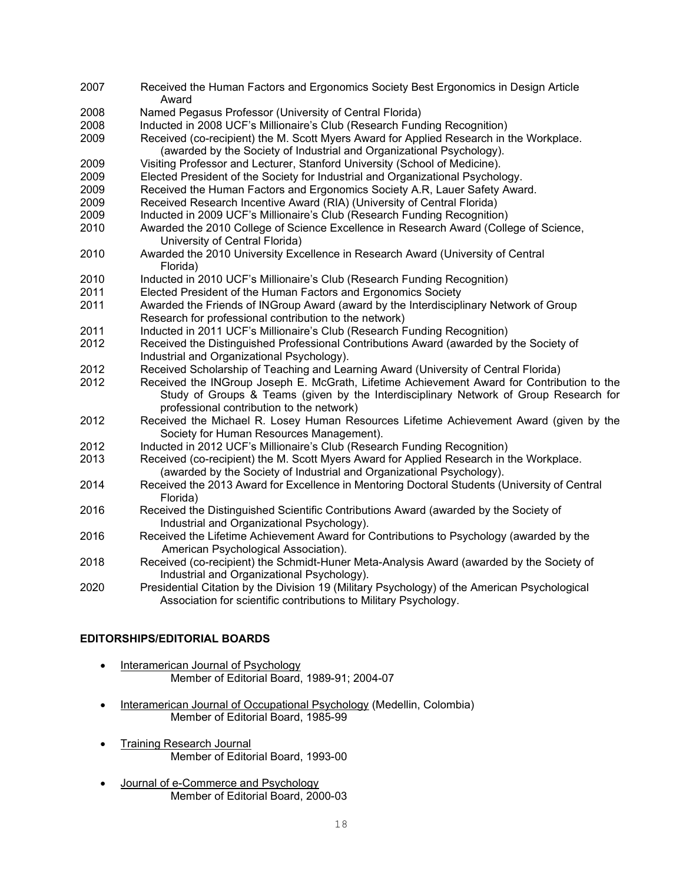| 2007 | Received the Human Factors and Ergonomics Society Best Ergonomics in Design Article<br>Award                                                                     |
|------|------------------------------------------------------------------------------------------------------------------------------------------------------------------|
| 2008 | Named Pegasus Professor (University of Central Florida)                                                                                                          |
| 2008 | Inducted in 2008 UCF's Millionaire's Club (Research Funding Recognition)                                                                                         |
| 2009 | Received (co-recipient) the M. Scott Myers Award for Applied Research in the Workplace.<br>(awarded by the Society of Industrial and Organizational Psychology). |
| 2009 | Visiting Professor and Lecturer, Stanford University (School of Medicine).                                                                                       |
| 2009 | Elected President of the Society for Industrial and Organizational Psychology.                                                                                   |
| 2009 | Received the Human Factors and Ergonomics Society A.R, Lauer Safety Award.                                                                                       |
| 2009 | Received Research Incentive Award (RIA) (University of Central Florida)                                                                                          |
| 2009 | Inducted in 2009 UCF's Millionaire's Club (Research Funding Recognition)                                                                                         |
| 2010 | Awarded the 2010 College of Science Excellence in Research Award (College of Science,<br>University of Central Florida)                                          |
| 2010 | Awarded the 2010 University Excellence in Research Award (University of Central<br>Florida)                                                                      |
| 2010 | Inducted in 2010 UCF's Millionaire's Club (Research Funding Recognition)                                                                                         |
| 2011 | Elected President of the Human Factors and Ergonomics Society                                                                                                    |
| 2011 | Awarded the Friends of INGroup Award (award by the Interdisciplinary Network of Group                                                                            |
|      | Research for professional contribution to the network)                                                                                                           |
| 2011 | Inducted in 2011 UCF's Millionaire's Club (Research Funding Recognition)                                                                                         |
| 2012 | Received the Distinguished Professional Contributions Award (awarded by the Society of                                                                           |
|      | Industrial and Organizational Psychology).                                                                                                                       |
| 2012 | Received Scholarship of Teaching and Learning Award (University of Central Florida)                                                                              |
| 2012 | Received the INGroup Joseph E. McGrath, Lifetime Achievement Award for Contribution to the                                                                       |
|      | Study of Groups & Teams (given by the Interdisciplinary Network of Group Research for                                                                            |
|      | professional contribution to the network)                                                                                                                        |
| 2012 | Received the Michael R. Losey Human Resources Lifetime Achievement Award (given by the<br>Society for Human Resources Management).                               |
| 2012 | Inducted in 2012 UCF's Millionaire's Club (Research Funding Recognition)                                                                                         |
| 2013 | Received (co-recipient) the M. Scott Myers Award for Applied Research in the Workplace.<br>(awarded by the Society of Industrial and Organizational Psychology). |
| 2014 | Received the 2013 Award for Excellence in Mentoring Doctoral Students (University of Central<br>Florida)                                                         |
| 2016 | Received the Distinguished Scientific Contributions Award (awarded by the Society of<br>Industrial and Organizational Psychology).                               |
| 2016 | Received the Lifetime Achievement Award for Contributions to Psychology (awarded by the<br>American Psychological Association).                                  |
| 2018 | Received (co-recipient) the Schmidt-Huner Meta-Analysis Award (awarded by the Society of<br>Industrial and Organizational Psychology).                           |
| 2020 | Presidential Citation by the Division 19 (Military Psychology) of the American Psychological<br>Association for scientific contributions to Military Psychology. |

# **EDITORSHIPS/EDITORIAL BOARDS**

- Interamerican Journal of Psychology Member of Editorial Board, 1989-91; 2004-07
- Interamerican Journal of Occupational Psychology (Medellin, Colombia) Member of Editorial Board, 1985-99
- Training Research Journal Member of Editorial Board, 1993-00
- Journal of e-Commerce and Psychology Member of Editorial Board, 2000-03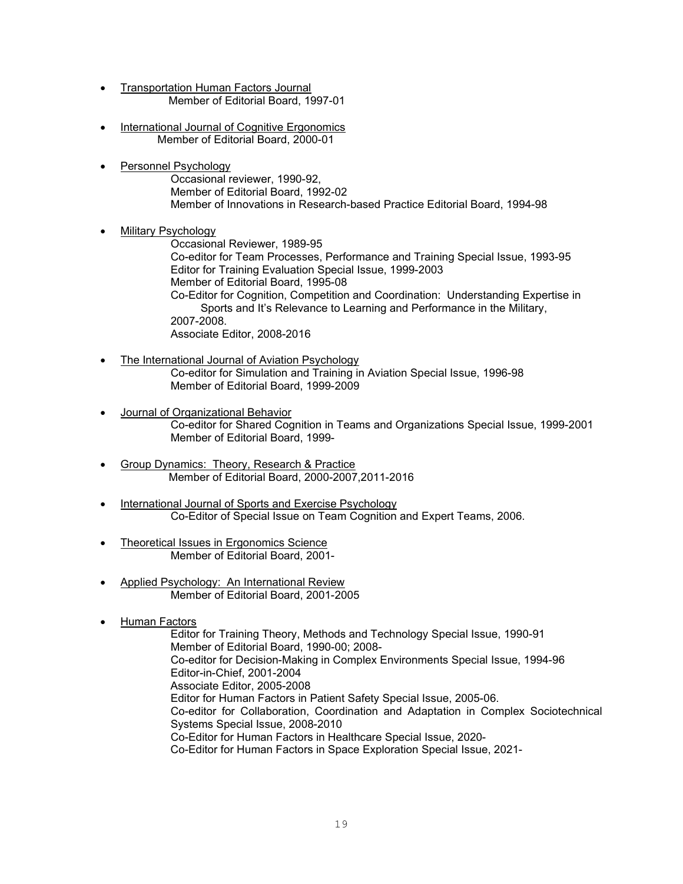- Transportation Human Factors Journal Member of Editorial Board, 1997-01
- International Journal of Cognitive Ergonomics Member of Editorial Board, 2000-01
- Personnel Psychology Occasional reviewer, 1990-92, Member of Editorial Board, 1992-02 Member of Innovations in Research-based Practice Editorial Board, 1994-98

# • Military Psychology

Occasional Reviewer, 1989-95 Co-editor for Team Processes, Performance and Training Special Issue, 1993-95 Editor for Training Evaluation Special Issue, 1999-2003 Member of Editorial Board, 1995-08 Co-Editor for Cognition, Competition and Coordination: Understanding Expertise in Sports and It's Relevance to Learning and Performance in the Military, 2007-2008. Associate Editor, 2008-2016

- The International Journal of Aviation Psychology Co-editor for Simulation and Training in Aviation Special Issue, 1996-98 Member of Editorial Board, 1999-2009
- Journal of Organizational Behavior Co-editor for Shared Cognition in Teams and Organizations Special Issue, 1999-2001 Member of Editorial Board, 1999-
- Group Dynamics: Theory, Research & Practice Member of Editorial Board, 2000-2007,2011-2016
- International Journal of Sports and Exercise Psychology Co-Editor of Special Issue on Team Cognition and Expert Teams, 2006.
- **Theoretical Issues in Ergonomics Science** Member of Editorial Board, 2001-
- Applied Psychology: An International Review Member of Editorial Board, 2001-2005
- Human Factors

Editor for Training Theory, Methods and Technology Special Issue, 1990-91 Member of Editorial Board, 1990-00; 2008- Co-editor for Decision-Making in Complex Environments Special Issue, 1994-96 Editor-in-Chief, 2001-2004 Associate Editor, 2005-2008 Editor for Human Factors in Patient Safety Special Issue, 2005-06. Co-editor for Collaboration, Coordination and Adaptation in Complex Sociotechnical Systems Special Issue, 2008-2010 Co-Editor for Human Factors in Healthcare Special Issue, 2020- Co-Editor for Human Factors in Space Exploration Special Issue, 2021-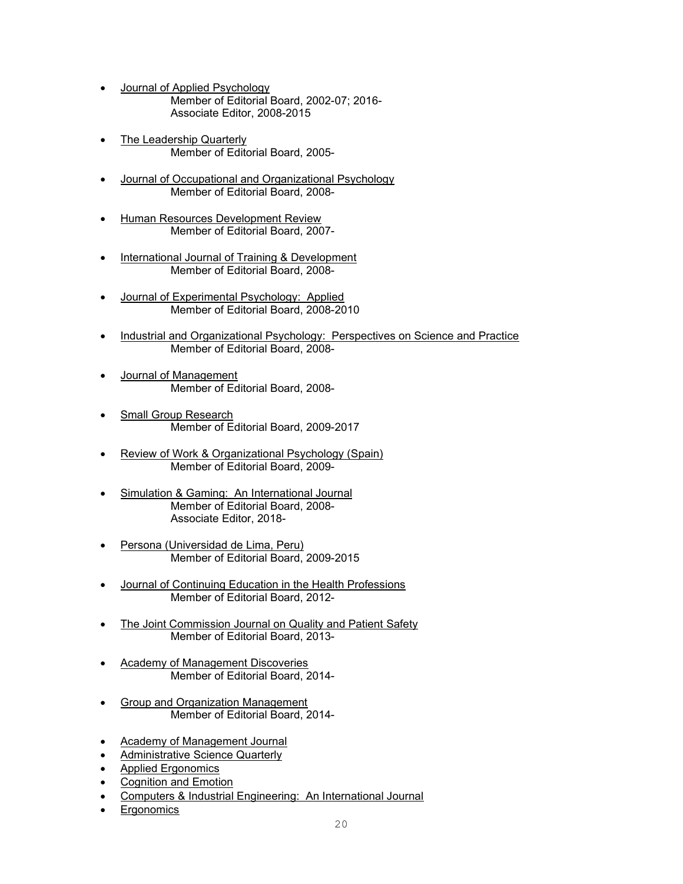- Journal of Applied Psychology Member of Editorial Board, 2002-07; 2016- Associate Editor, 2008-2015
- The Leadership Quarterly Member of Editorial Board, 2005-
- Journal of Occupational and Organizational Psychology Member of Editorial Board, 2008-
- Human Resources Development Review Member of Editorial Board, 2007-
- International Journal of Training & Development Member of Editorial Board, 2008-
- Journal of Experimental Psychology: Applied Member of Editorial Board, 2008-2010
- Industrial and Organizational Psychology: Perspectives on Science and Practice Member of Editorial Board, 2008-
- Journal of Management Member of Editorial Board, 2008-
- Small Group Research Member of Editorial Board, 2009-2017
- Review of Work & Organizational Psychology (Spain) Member of Editorial Board, 2009-
- Simulation & Gaming: An International Journal Member of Editorial Board, 2008- Associate Editor, 2018-
- Persona (Universidad de Lima, Peru) Member of Editorial Board, 2009-2015
- Journal of Continuing Education in the Health Professions Member of Editorial Board, 2012-
- The Joint Commission Journal on Quality and Patient Safety Member of Editorial Board, 2013-
- **Academy of Management Discoveries** Member of Editorial Board, 2014-
- Group and Organization Management Member of Editorial Board, 2014-
- Academy of Management Journal
- **Administrative Science Quarterly**
- Applied Ergonomics
- Cognition and Emotion
- Computers & Industrial Engineering: An International Journal
- **Ergonomics**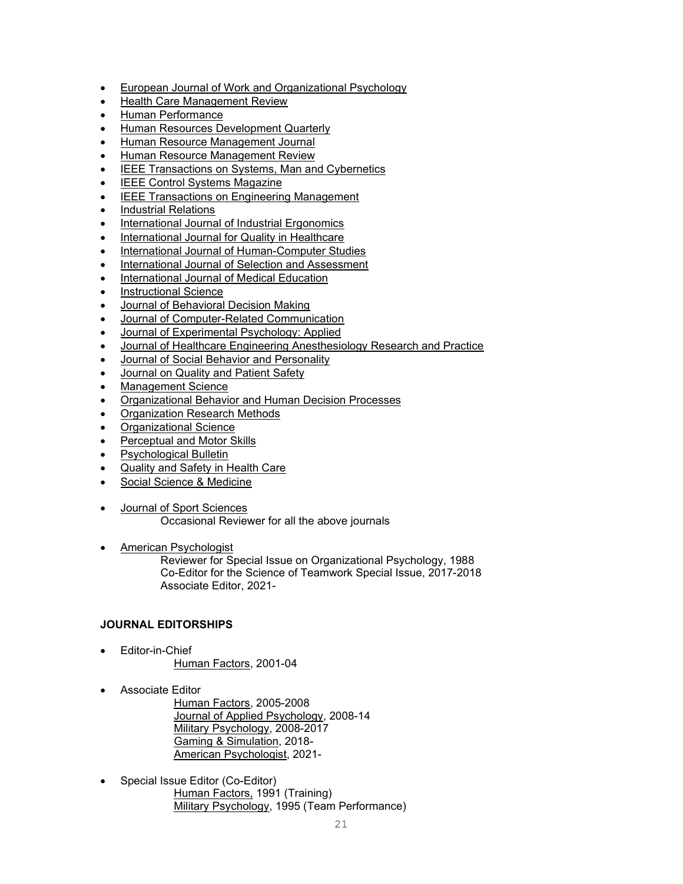- European Journal of Work and Organizational Psychology
- Health Care Management Review
- Human Performance
- Human Resources Development Quarterly
- Human Resource Management Journal
- Human Resource Management Review
- IEEE Transactions on Systems, Man and Cybernetics
- IEEE Control Systems Magazine
- IEEE Transactions on Engineering Management
- Industrial Relations
- International Journal of Industrial Ergonomics
- International Journal for Quality in Healthcare
- International Journal of Human-Computer Studies
- International Journal of Selection and Assessment
- International Journal of Medical Education
- Instructional Science
- Journal of Behavioral Decision Making
- Journal of Computer-Related Communication
- Journal of Experimental Psychology: Applied
- Journal of Healthcare Engineering Anesthesiology Research and Practice
- Journal of Social Behavior and Personality
- Journal on Quality and Patient Safety
- Management Science
- Organizational Behavior and Human Decision Processes
- Organization Research Methods
- Organizational Science
- Perceptual and Motor Skills
- Psychological Bulletin
- **Quality and Safety in Health Care**
- Social Science & Medicine
- Journal of Sport Sciences Occasional Reviewer for all the above journals
- American Psychologist

Reviewer for Special Issue on Organizational Psychology, 1988 Co-Editor for the Science of Teamwork Special Issue, 2017-2018 Associate Editor, 2021-

## **JOURNAL EDITORSHIPS**

- Editor-in-Chief Human Factors, 2001-04
- Associate Editor

Human Factors, 2005-2008 Journal of Applied Psychology, 2008-14 Military Psychology, 2008-2017 Gaming & Simulation, 2018- American Psychologist, 2021-

• Special Issue Editor (Co-Editor) Human Factors, 1991 (Training) Military Psychology, 1995 (Team Performance)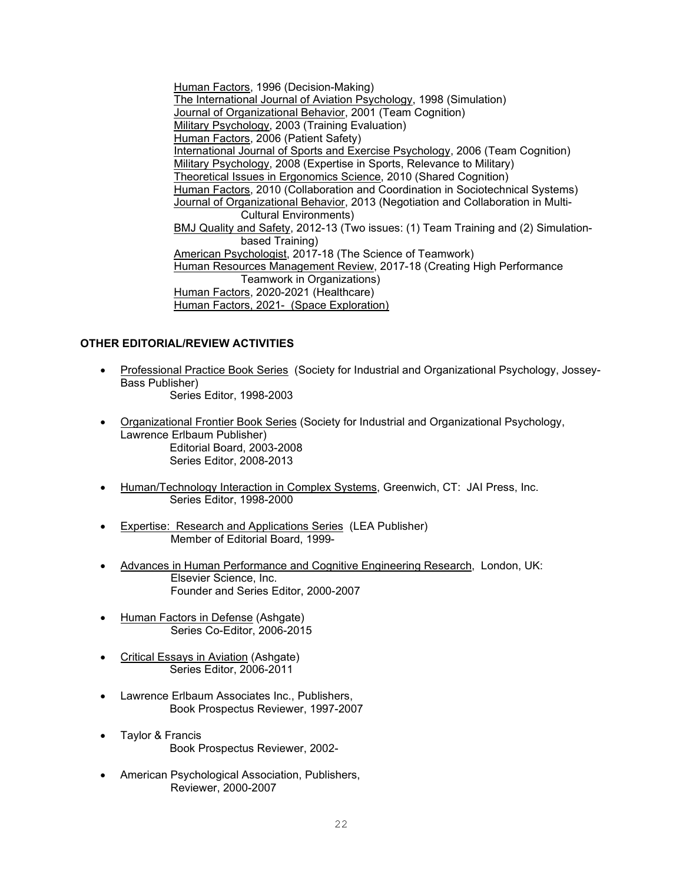Human Factors, 1996 (Decision-Making) The International Journal of Aviation Psychology, 1998 (Simulation) Journal of Organizational Behavior, 2001 (Team Cognition) Military Psychology, 2003 (Training Evaluation) Human Factors, 2006 (Patient Safety) International Journal of Sports and Exercise Psychology, 2006 (Team Cognition) Military Psychology, 2008 (Expertise in Sports, Relevance to Military) Theoretical Issues in Ergonomics Science, 2010 (Shared Cognition) Human Factors, 2010 (Collaboration and Coordination in Sociotechnical Systems) Journal of Organizational Behavior, 2013 (Negotiation and Collaboration in Multi-Cultural Environments) BMJ Quality and Safety, 2012-13 (Two issues: (1) Team Training and (2) Simulationbased Training) American Psychologist, 2017-18 (The Science of Teamwork) Human Resources Management Review, 2017-18 (Creating High Performance Teamwork in Organizations) Human Factors, 2020-2021 (Healthcare) Human Factors, 2021- (Space Exploration)

# **OTHER EDITORIAL/REVIEW ACTIVITIES**

- Professional Practice Book Series (Society for Industrial and Organizational Psychology, Jossey-Bass Publisher) Series Editor, 1998-2003
- Organizational Frontier Book Series (Society for Industrial and Organizational Psychology, Lawrence Erlbaum Publisher) Editorial Board, 2003-2008 Series Editor, 2008-2013
- Human/Technology Interaction in Complex Systems, Greenwich, CT: JAI Press, Inc. Series Editor, 1998-2000
- Expertise: Research and Applications Series (LEA Publisher) Member of Editorial Board, 1999-
- Advances in Human Performance and Cognitive Engineering Research, London, UK: Elsevier Science, Inc. Founder and Series Editor, 2000-2007
- Human Factors in Defense (Ashgate) Series Co-Editor, 2006-2015
- Critical Essays in Aviation (Ashgate) Series Editor, 2006-2011
- Lawrence Erlbaum Associates Inc., Publishers, Book Prospectus Reviewer, 1997-2007
- Taylor & Francis Book Prospectus Reviewer, 2002-
- American Psychological Association, Publishers, Reviewer, 2000-2007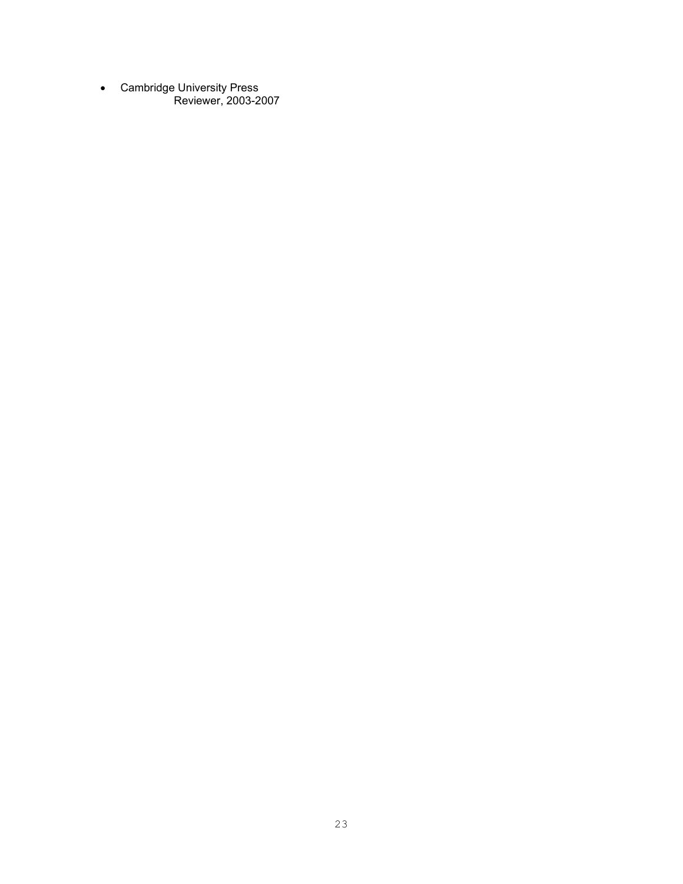• Cambridge University Press Reviewer, 2003-2007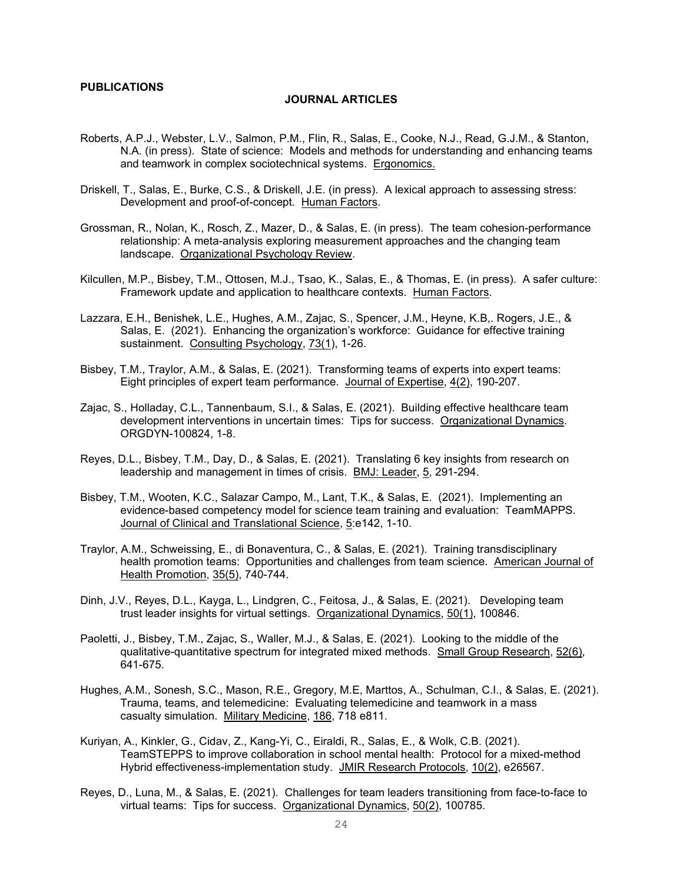### **PUBLICATIONS**

#### **JOURNAL ARTICLES**

- Roberts, A.P.J., Webster, L.V., Salmon, P.M., Flin, R., Salas, E., Cooke, N.J., Read, G.J.M., & Stanton, N.A. (in press). State of science: Models and methods for understanding and enhancing teams and teamwork in complex sociotechnical systems. Ergonomics.
- Driskell, T., Salas, E., Burke, C.S., & Driskell, J.E. (in press). A lexical approach to assessing stress: Development and proof-of-concept. Human Factors.
- Grossman, R., Nolan, K., Rosch, Z., Mazer, D., & Salas, E. (in press). The team cohesion-performance relationship: A meta-analysis exploring measurement approaches and the changing team landscape. Organizational Psychology Review.
- Kilcullen, M.P., Bisbey, T.M., Ottosen, M.J., Tsao, K., Salas, E., & Thomas, E. (in press). A safer culture: Framework update and application to healthcare contexts. Human Factors.
- Lazzara, E.H., Benishek, L.E., Hughes, A.M., Zajac, S., Spencer, J.M., Heyne, K.B,. Rogers, J.E., & Salas, E. (2021). Enhancing the organization's workforce: Guidance for effective training sustainment. Consulting Psychology, 73(1), 1-26.
- Bisbey, T.M., Traylor, A.M., & Salas, E. (2021). Transforming teams of experts into expert teams: Eight principles of expert team performance. Journal of Expertise, 4(2), 190-207.
- Zajac, S., Holladay, C.L., Tannenbaum, S.I., & Salas, E. (2021). Building effective healthcare team development interventions in uncertain times: Tips for success. Organizational Dynamics. ORGDYN-100824, 1-8.
- Reyes, D.L., Bisbey, T.M., Day, D., & Salas, E. (2021). Translating 6 key insights from research on leadership and management in times of crisis. BMJ: Leader, 5, 291-294.
- Bisbey, T.M., Wooten, K.C., Salazar Campo, M., Lant, T.K., & Salas, E. (2021). Implementing an evidence-based competency model for science team training and evaluation: TeamMAPPS. Journal of Clinical and Translational Science, 5:e142, 1-10.
- Traylor, A.M., Schweissing, E., di Bonaventura, C., & Salas, E. (2021). Training transdisciplinary health promotion teams: Opportunities and challenges from team science. American Journal of Health Promotion, 35(5), 740-744.
- Dinh, J.V., Reyes, D.L., Kayga, L., Lindgren, C., Feitosa, J., & Salas, E. (2021). Developing team trust leader insights for virtual settings. Organizational Dynamics, 50(1), 100846.
- Paoletti, J., Bisbey, T.M., Zajac, S., Waller, M.J., & Salas, E. (2021). Looking to the middle of the qualitative-quantitative spectrum for integrated mixed methods. Small Group Research, 52(6), 641-675.
- Hughes, A.M., Sonesh, S.C., Mason, R.E., Gregory, M.E, Marttos, A., Schulman, C.I., & Salas, E. (2021). Trauma, teams, and telemedicine: Evaluating telemedicine and teamwork in a mass casualty simulation. Military Medicine, 186, 718 e811.
- Kuriyan, A., Kinkler, G., Cidav, Z., Kang-Yi, C., Eiraldi, R., Salas, E., & Wolk, C.B. (2021). TeamSTEPPS to improve collaboration in school mental health: Protocol for a mixed-method Hybrid effectiveness-implementation study. JMIR Research Protocols, 10(2), e26567.
- Reyes, D., Luna, M., & Salas, E. (2021). Challenges for team leaders transitioning from face-to-face to virtual teams: Tips for success. Organizational Dynamics, 50(2), 100785.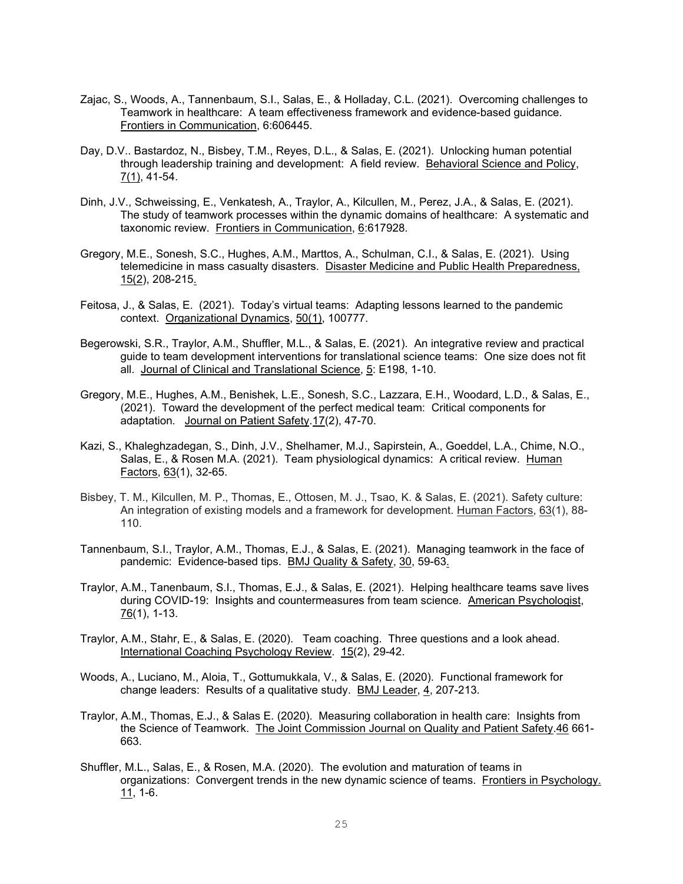- Zajac, S., Woods, A., Tannenbaum, S.I., Salas, E., & Holladay, C.L. (2021). Overcoming challenges to Teamwork in healthcare: A team effectiveness framework and evidence-based guidance. Frontiers in Communication, 6:606445.
- Day, D.V.. Bastardoz, N., Bisbey, T.M., Reyes, D.L., & Salas, E. (2021). Unlocking human potential through leadership training and development: A field review. Behavioral Science and Policy, 7(1), 41-54.
- Dinh, J.V., Schweissing, E., Venkatesh, A., Traylor, A., Kilcullen, M., Perez, J.A., & Salas, E. (2021). The study of teamwork processes within the dynamic domains of healthcare: A systematic and taxonomic review. Frontiers in Communication, 6:617928.
- Gregory, M.E., Sonesh, S.C., Hughes, A.M., Marttos, A., Schulman, C.I., & Salas, E. (2021). Using telemedicine in mass casualty disasters. Disaster Medicine and Public Health Preparedness, 15(2), 208-215.
- Feitosa, J., & Salas, E. (2021). Today's virtual teams: Adapting lessons learned to the pandemic context. Organizational Dynamics, 50(1), 100777.
- Begerowski, S.R., Traylor, A.M., Shuffler, M.L., & Salas, E. (2021). An integrative review and practical guide to team development interventions for translational science teams: One size does not fit all. Journal of Clinical and Translational Science, 5: E198, 1-10.
- Gregory, M.E., Hughes, A.M., Benishek, L.E., Sonesh, S.C., Lazzara, E.H., Woodard, L.D., & Salas, E., (2021). Toward the development of the perfect medical team: Critical components for adaptation. Journal on Patient Safety.17(2), 47-70.
- Kazi, S., Khaleghzadegan, S., Dinh, J.V., Shelhamer, M.J., Sapirstein, A., Goeddel, L.A., Chime, N.O., Salas, E., & Rosen M.A. (2021). Team physiological dynamics: A critical review. Human Factors, 63(1), 32-65.
- Bisbey, T. M., Kilcullen, M. P., Thomas, E., Ottosen, M. J., Tsao, K. & Salas, E. (2021). Safety culture: An integration of existing models and a framework for development. Human Factors, 63(1), 88- 110.
- Tannenbaum, S.I., Traylor, A.M., Thomas, E.J., & Salas, E. (2021). Managing teamwork in the face of pandemic: Evidence-based tips. BMJ Quality & Safety, 30, 59-63.
- Traylor, A.M., Tanenbaum, S.I., Thomas, E.J., & Salas, E. (2021). Helping healthcare teams save lives during COVID-19: Insights and countermeasures from team science. American Psychologist, 76(1), 1-13.
- Traylor, A.M., Stahr, E., & Salas, E. (2020). Team coaching. Three questions and a look ahead. International Coaching Psychology Review. 15(2), 29-42.
- Woods, A., Luciano, M., Aloia, T., Gottumukkala, V., & Salas, E. (2020). Functional framework for change leaders: Results of a qualitative study. BMJ Leader, 4, 207-213.
- Traylor, A.M., Thomas, E.J., & Salas E. (2020). Measuring collaboration in health care: Insights from the Science of Teamwork. The Joint Commission Journal on Quality and Patient Safety.46 661-663.
- Shuffler, M.L., Salas, E., & Rosen, M.A. (2020). The evolution and maturation of teams in organizations: Convergent trends in the new dynamic science of teams. Frontiers in Psychology. 11, 1-6.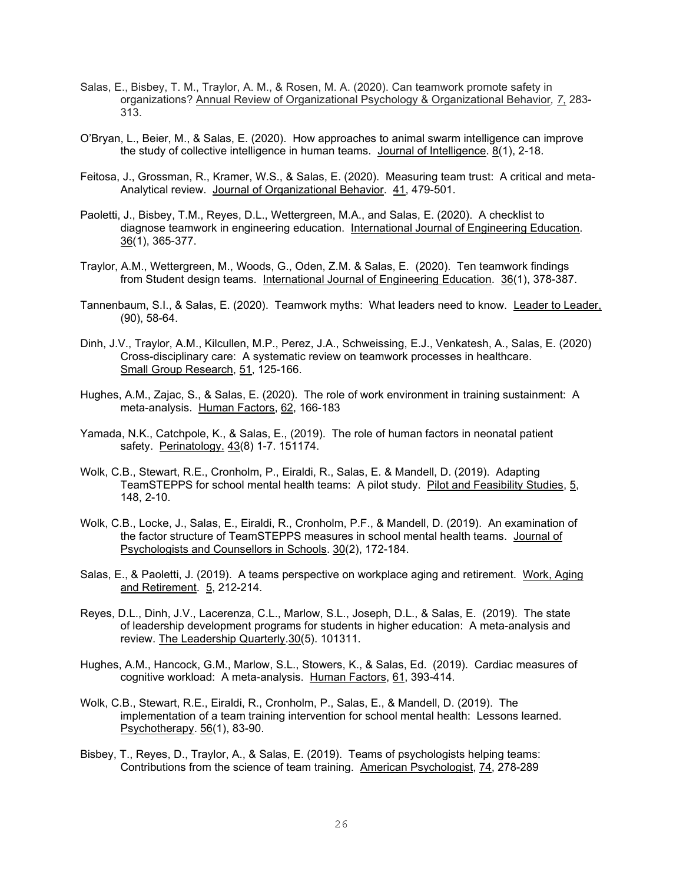- Salas, E., Bisbey, T. M., Traylor, A. M., & Rosen, M. A. (2020). Can teamwork promote safety in organizations? Annual Review of Organizational Psychology & Organizational Behavior*, 7*, 283- 313.
- O'Bryan, L., Beier, M., & Salas, E. (2020). How approaches to animal swarm intelligence can improve the study of collective intelligence in human teams. Journal of Intelligence. 8(1), 2-18.
- Feitosa, J., Grossman, R., Kramer, W.S., & Salas, E. (2020). Measuring team trust: A critical and meta-Analytical review. Journal of Organizational Behavior. 41, 479-501.
- Paoletti, J., Bisbey, T.M., Reyes, D.L., Wettergreen, M.A., and Salas, E. (2020). A checklist to diagnose teamwork in engineering education. International Journal of Engineering Education. 36(1), 365-377.
- Traylor, A.M., Wettergreen, M., Woods, G., Oden, Z.M. & Salas, E. (2020). Ten teamwork findings from Student design teams. International Journal of Engineering Education. 36(1), 378-387.
- Tannenbaum, S.I., & Salas, E. (2020). Teamwork myths: What leaders need to know. Leader to Leader, (90), 58-64.
- Dinh, J.V., Traylor, A.M., Kilcullen, M.P., Perez, J.A., Schweissing, E.J., Venkatesh, A., Salas, E. (2020) Cross-disciplinary care: A systematic review on teamwork processes in healthcare. Small Group Research, 51, 125-166.
- Hughes, A.M., Zajac, S., & Salas, E. (2020). The role of work environment in training sustainment: A meta-analysis. Human Factors, 62, 166-183
- Yamada, N.K., Catchpole, K., & Salas, E., (2019). The role of human factors in neonatal patient safety. Perinatology. 43(8) 1-7. 151174.
- Wolk, C.B., Stewart, R.E., Cronholm, P., Eiraldi, R., Salas, E. & Mandell, D. (2019). Adapting TeamSTEPPS for school mental health teams: A pilot study. Pilot and Feasibility Studies, 5, 148, 2-10.
- Wolk, C.B., Locke, J., Salas, E., Eiraldi, R., Cronholm, P.F., & Mandell, D. (2019). An examination of the factor structure of TeamSTEPPS measures in school mental health teams. Journal of Psychologists and Counsellors in Schools. 30(2), 172-184.
- Salas, E., & Paoletti, J. (2019). A teams perspective on workplace aging and retirement. Work, Aging and Retirement. 5, 212-214.
- Reyes, D.L., Dinh, J.V., Lacerenza, C.L., Marlow, S.L., Joseph, D.L., & Salas, E. (2019). The state of leadership development programs for students in higher education: A meta-analysis and review. The Leadership Quarterly.30(5). 101311.
- Hughes, A.M., Hancock, G.M., Marlow, S.L., Stowers, K., & Salas, Ed. (2019). Cardiac measures of cognitive workload: A meta-analysis. Human Factors, 61, 393-414.
- Wolk, C.B., Stewart, R.E., Eiraldi, R., Cronholm, P., Salas, E., & Mandell, D. (2019). The implementation of a team training intervention for school mental health: Lessons learned. Psychotherapy. 56(1), 83-90.
- Bisbey, T., Reyes, D., Traylor, A., & Salas, E. (2019). Teams of psychologists helping teams: Contributions from the science of team training. American Psychologist, 74, 278-289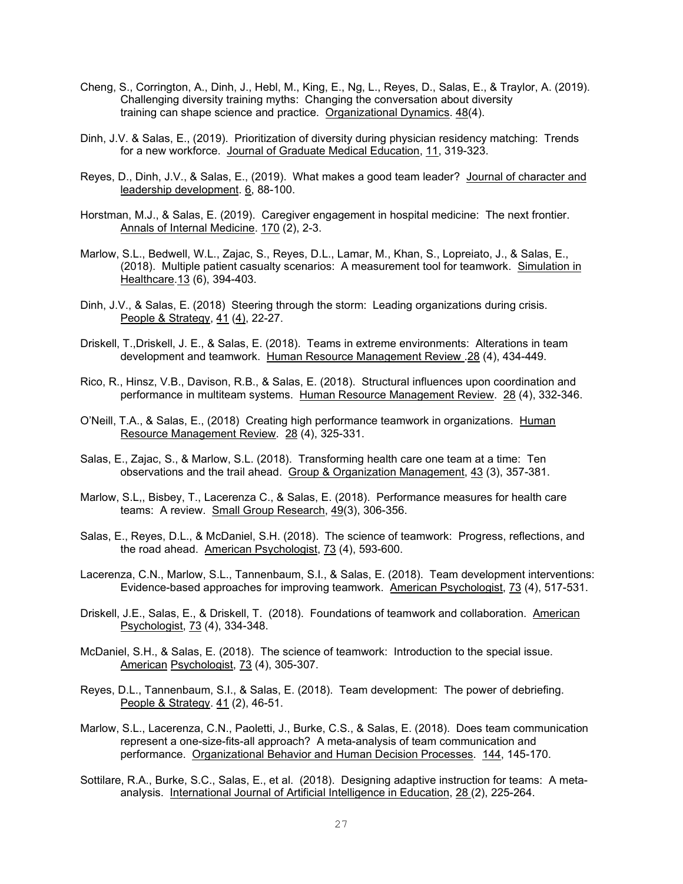- Cheng, S., Corrington, A., Dinh, J., Hebl, M., King, E., Ng, L., Reyes, D., Salas, E., & Traylor, A. (2019). Challenging diversity training myths: Changing the conversation about diversity training can shape science and practice. Organizational Dynamics. 48(4).
- Dinh, J.V. & Salas, E., (2019). Prioritization of diversity during physician residency matching: Trends for a new workforce. Journal of Graduate Medical Education, 11, 319-323.
- Reyes, D., Dinh, J.V., & Salas, E., (2019). What makes a good team leader? Journal of character and leadership development. 6, 88-100.
- Horstman, M.J., & Salas, E. (2019). Caregiver engagement in hospital medicine: The next frontier. Annals of Internal Medicine. 170 (2), 2-3.
- Marlow, S.L., Bedwell, W.L., Zajac, S., Reyes, D.L., Lamar, M., Khan, S., Lopreiato, J., & Salas, E., (2018). Multiple patient casualty scenarios: A measurement tool for teamwork. Simulation in Healthcare.13 (6), 394-403.
- Dinh, J.V., & Salas, E. (2018) Steering through the storm: Leading organizations during crisis. People & Strategy, 41 (4), 22-27.
- Driskell, T.,Driskell, J. E., & Salas, E. (2018). Teams in extreme environments: Alterations in team development and teamwork. Human Resource Management Review . 28 (4), 434-449.
- Rico, R., Hinsz, V.B., Davison, R.B., & Salas, E. (2018). Structural influences upon coordination and performance in multiteam systems. Human Resource Management Review. 28 (4), 332-346.
- O'Neill, T.A., & Salas, E., (2018) Creating high performance teamwork in organizations. Human Resource Management Review. 28 (4), 325-331.
- Salas, E., Zajac, S., & Marlow, S.L. (2018). Transforming health care one team at a time: Ten observations and the trail ahead. Group & Organization Management, 43 (3), 357-381.
- Marlow, S.L,, Bisbey, T., Lacerenza C., & Salas, E. (2018). Performance measures for health care teams: A review. Small Group Research, 49(3), 306-356.
- Salas, E., Reyes, D.L., & McDaniel, S.H. (2018). The science of teamwork: Progress, reflections, and the road ahead. American Psychologist, 73 (4), 593-600.
- Lacerenza, C.N., Marlow, S.L., Tannenbaum, S.I., & Salas, E. (2018). Team development interventions: Evidence-based approaches for improving teamwork. American Psychologist, 73 (4), 517-531.
- Driskell, J.E., Salas, E., & Driskell, T. (2018). Foundations of teamwork and collaboration. American Psychologist, 73 (4), 334-348.
- McDaniel, S.H., & Salas, E. (2018). The science of teamwork: Introduction to the special issue. American Psychologist, 73 (4), 305-307.
- Reyes, D.L., Tannenbaum, S.I., & Salas, E. (2018). Team development: The power of debriefing. People & Strategy. 41 (2), 46-51.
- Marlow, S.L., Lacerenza, C.N., Paoletti, J., Burke, C.S., & Salas, E. (2018). Does team communication represent a one-size-fits-all approach? A meta-analysis of team communication and performance. Organizational Behavior and Human Decision Processes. 144, 145-170.
- Sottilare, R.A., Burke, S.C., Salas, E., et al. (2018). Designing adaptive instruction for teams: A metaanalysis. International Journal of Artificial Intelligence in Education, 28 (2), 225-264.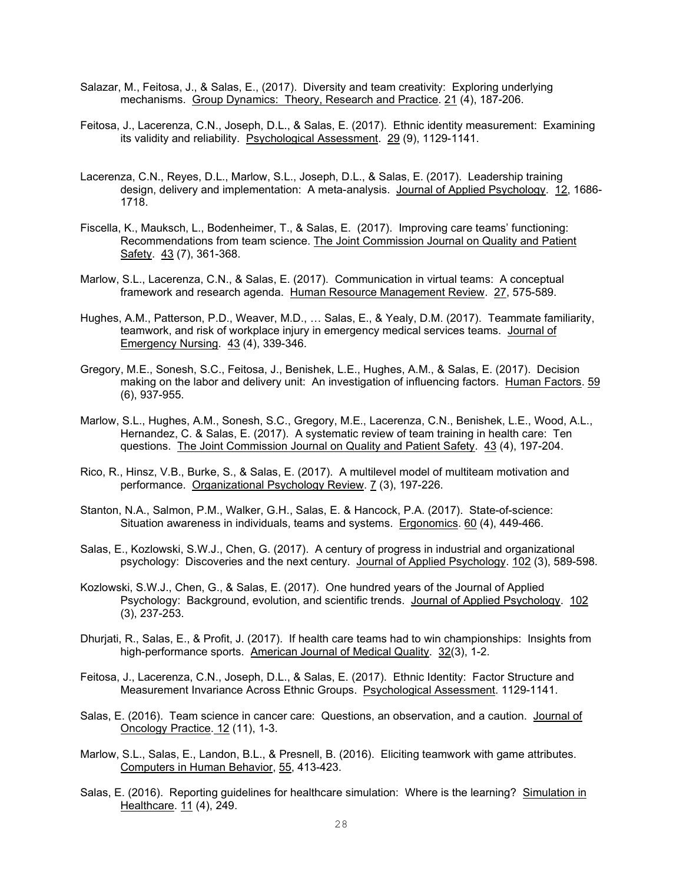- Salazar, M., Feitosa, J., & Salas, E., (2017). Diversity and team creativity: Exploring underlying mechanisms. Group Dynamics: Theory, Research and Practice. 21 (4), 187-206.
- Feitosa, J., Lacerenza, C.N., Joseph, D.L., & Salas, E. (2017). Ethnic identity measurement: Examining its validity and reliability. Psychological Assessment. 29 (9), 1129-1141.
- Lacerenza, C.N., Reyes, D.L., Marlow, S.L., Joseph, D.L., & Salas, E. (2017). Leadership training design, delivery and implementation: A meta-analysis. Journal of Applied Psychology. 12, 1686- 1718.
- Fiscella, K., Mauksch, L., Bodenheimer, T., & Salas, E. (2017). Improving care teams' functioning: Recommendations from team science. The Joint Commission Journal on Quality and Patient Safety. 43 (7), 361-368.
- Marlow, S.L., Lacerenza, C.N., & Salas, E. (2017). Communication in virtual teams: A conceptual framework and research agenda. Human Resource Management Review. 27, 575-589.
- Hughes, A.M., Patterson, P.D., Weaver, M.D., … Salas, E., & Yealy, D.M. (2017). Teammate familiarity, teamwork, and risk of workplace injury in emergency medical services teams. Journal of Emergency Nursing. 43 (4), 339-346.
- Gregory, M.E., Sonesh, S.C., Feitosa, J., Benishek, L.E., Hughes, A.M., & Salas, E. (2017). Decision making on the labor and delivery unit: An investigation of influencing factors. Human Factors. 59 (6), 937-955.
- Marlow, S.L., Hughes, A.M., Sonesh, S.C., Gregory, M.E., Lacerenza, C.N., Benishek, L.E., Wood, A.L., Hernandez, C. & Salas, E. (2017). A systematic review of team training in health care: Ten questions. The Joint Commission Journal on Quality and Patient Safety. 43 (4), 197-204.
- Rico, R., Hinsz, V.B., Burke, S., & Salas, E. (2017). A multilevel model of multiteam motivation and performance. Organizational Psychology Review. 7 (3), 197-226.
- Stanton, N.A., Salmon, P.M., Walker, G.H., Salas, E. & Hancock, P.A. (2017). State-of-science: Situation awareness in individuals, teams and systems. Ergonomics. 60 (4), 449-466.
- Salas, E., Kozlowski, S.W.J., Chen, G. (2017). A century of progress in industrial and organizational psychology: Discoveries and the next century. Journal of Applied Psychology. 102 (3), 589-598.
- Kozlowski, S.W.J., Chen, G., & Salas, E. (2017). One hundred years of the Journal of Applied Psychology: Background, evolution, and scientific trends. Journal of Applied Psychology. 102 (3), 237-253.
- Dhurjati, R., Salas, E., & Profit, J. (2017). If health care teams had to win championships: Insights from high-performance sports. American Journal of Medical Quality. 32(3), 1-2.
- Feitosa, J., Lacerenza, C.N., Joseph, D.L., & Salas, E. (2017). Ethnic Identity: Factor Structure and Measurement Invariance Across Ethnic Groups. Psychological Assessment. 1129-1141.
- Salas, E. (2016). Team science in cancer care: Questions, an observation, and a caution. Journal of Oncology Practice. 12 (11), 1-3.
- Marlow, S.L., Salas, E., Landon, B.L., & Presnell, B. (2016). Eliciting teamwork with game attributes. Computers in Human Behavior, 55, 413-423.
- Salas, E. (2016). Reporting guidelines for healthcare simulation: Where is the learning? Simulation in Healthcare. 11 (4), 249.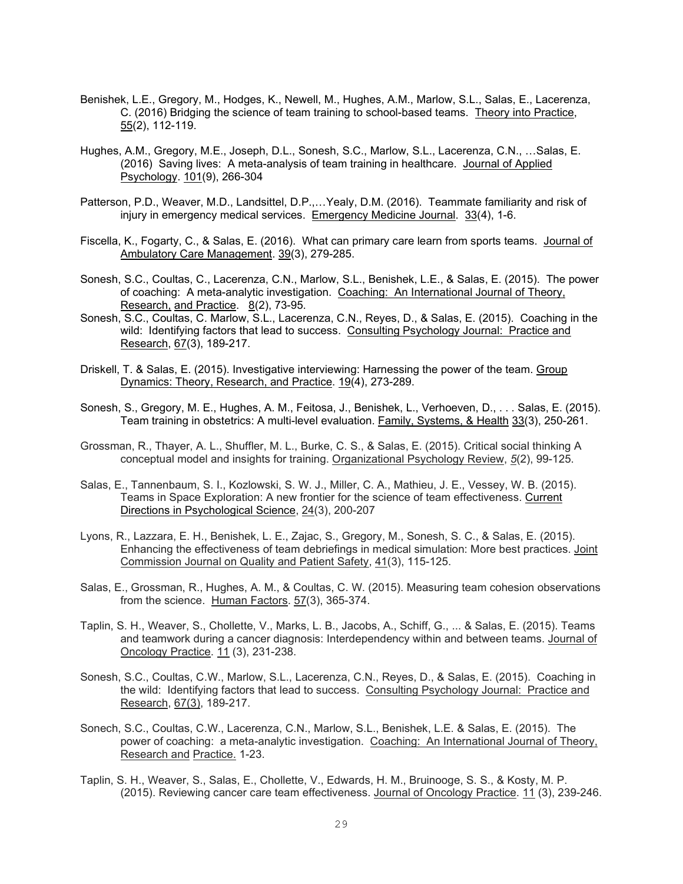- Benishek, L.E., Gregory, M., Hodges, K., Newell, M., Hughes, A.M., Marlow, S.L., Salas, E., Lacerenza, C. (2016) Bridging the science of team training to school-based teams. Theory into Practice, 55(2), 112-119.
- Hughes, A.M., Gregory, M.E., Joseph, D.L., Sonesh, S.C., Marlow, S.L., Lacerenza, C.N., …Salas, E. (2016) Saving lives: A meta-analysis of team training in healthcare. Journal of Applied Psychology. 101(9), 266-304
- Patterson, P.D., Weaver, M.D., Landsittel, D.P.,…Yealy, D.M. (2016). Teammate familiarity and risk of injury in emergency medical services. Emergency Medicine Journal. 33(4), 1-6.
- Fiscella, K., Fogarty, C., & Salas, E. (2016). What can primary care learn from sports teams. Journal of Ambulatory Care Management. 39(3), 279-285.
- Sonesh, S.C., Coultas, C., Lacerenza, C.N., Marlow, S.L., Benishek, L.E., & Salas, E. (2015). The power of coaching: A meta-analytic investigation. Coaching: An International Journal of Theory, Research, and Practice. 8(2), 73-95.
- Sonesh, S.C., Coultas, C. Marlow, S.L., Lacerenza, C.N., Reyes, D., & Salas, E. (2015). Coaching in the wild: Identifying factors that lead to success. Consulting Psychology Journal: Practice and Research, 67(3), 189-217.
- Driskell, T. & Salas, E. (2015). Investigative interviewing: Harnessing the power of the team. Group Dynamics: Theory, Research, and Practice. 19(4), 273-289.
- Sonesh, S., Gregory, M. E., Hughes, A. M., Feitosa, J., Benishek, L., Verhoeven, D., . . . Salas, E. (2015). Team training in obstetrics: A multi-level evaluation. Family, Systems, & Health 33(3), 250-261.
- Grossman, R., Thayer, A. L., Shuffler, M. L., Burke, C. S., & Salas, E. (2015). Critical social thinking A conceptual model and insights for training. Organizational Psychology Review, *5*(2), 99-125.
- Salas, E., Tannenbaum, S. I., Kozlowski, S. W. J., Miller, C. A., Mathieu, J. E., Vessey, W. B. (2015). Teams in Space Exploration: A new frontier for the science of team effectiveness. Current Directions in Psychological Science, 24(3), 200-207
- Lyons, R., Lazzara, E. H., Benishek, L. E., Zajac, S., Gregory, M., Sonesh, S. C., & Salas, E. (2015). Enhancing the effectiveness of team debriefings in medical simulation: More best practices. Joint Commission Journal on Quality and Patient Safety, 41(3), 115-125.
- Salas, E., Grossman, R., Hughes, A. M., & Coultas, C. W. (2015). Measuring team cohesion observations from the science. Human Factors. 57(3), 365-374.
- Taplin, S. H., Weaver, S., Chollette, V., Marks, L. B., Jacobs, A., Schiff, G., ... & Salas, E. (2015). Teams and teamwork during a cancer diagnosis: Interdependency within and between teams. Journal of Oncology Practice. 11 (3), 231-238.
- Sonesh, S.C., Coultas, C.W., Marlow, S.L., Lacerenza, C.N., Reyes, D., & Salas, E. (2015). Coaching in the wild: Identifying factors that lead to success. Consulting Psychology Journal: Practice and Research, 67(3), 189-217.
- Sonech, S.C., Coultas, C.W., Lacerenza, C.N., Marlow, S.L., Benishek, L.E. & Salas, E. (2015). The power of coaching: a meta-analytic investigation. Coaching: An International Journal of Theory, Research and Practice. 1-23.
- Taplin, S. H., Weaver, S., Salas, E., Chollette, V., Edwards, H. M., Bruinooge, S. S., & Kosty, M. P. (2015). Reviewing cancer care team effectiveness. Journal of Oncology Practice. 11 (3), 239-246.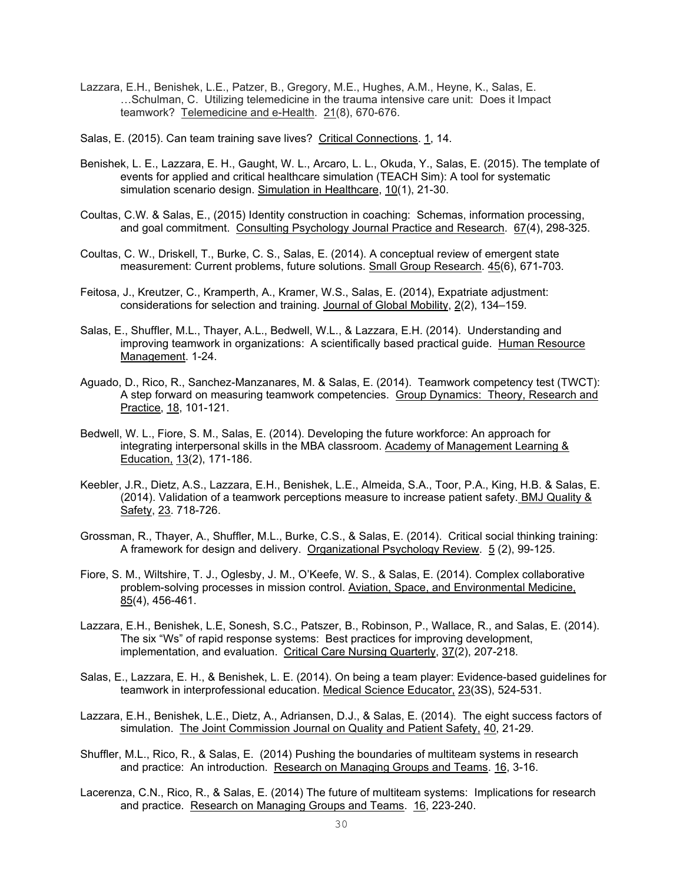Lazzara, E.H., Benishek, L.E., Patzer, B., Gregory, M.E., Hughes, A.M., Heyne, K., Salas, E. …Schulman, C. Utilizing telemedicine in the trauma intensive care unit: Does it Impact teamwork? Telemedicine and e-Health. 21(8), 670-676.

Salas, E. (2015). Can team training save lives? Critical Connections. 1, 14.

- Benishek, L. E., Lazzara, E. H., Gaught, W. L., Arcaro, L. L., Okuda, Y., Salas, E. (2015). The template of events for applied and critical healthcare simulation (TEACH Sim): A tool for systematic simulation scenario design. Simulation in Healthcare, 10(1), 21-30.
- Coultas, C.W. & Salas, E., (2015) Identity construction in coaching: Schemas, information processing, and goal commitment. Consulting Psychology Journal Practice and Research. 67(4), 298-325.
- Coultas, C. W., Driskell, T., Burke, C. S., Salas, E. (2014). A conceptual review of emergent state measurement: Current problems, future solutions. Small Group Research. 45(6), 671-703.
- Feitosa, J., Kreutzer, C., Kramperth, A., Kramer, W.S., Salas, E. (2014), Expatriate adjustment: considerations for selection and training. Journal of Global Mobility, 2(2), 134–159.
- Salas, E., Shuffler, M.L., Thayer, A.L., Bedwell, W.L., & Lazzara, E.H. (2014). Understanding and improving teamwork in organizations: A scientifically based practical guide. Human Resource Management. 1-24.
- Aguado, D., Rico, R., Sanchez-Manzanares, M. & Salas, E. (2014). Teamwork competency test (TWCT): A step forward on measuring teamwork competencies. Group Dynamics: Theory, Research and Practice, 18, 101-121.
- Bedwell, W. L., Fiore, S. M., Salas, E. (2014). Developing the future workforce: An approach for integrating interpersonal skills in the MBA classroom. Academy of Management Learning & Education, 13(2), 171-186.
- Keebler, J.R., Dietz, A.S., Lazzara, E.H., Benishek, L.E., Almeida, S.A., Toor, P.A., King, H.B. & Salas, E. (2014). Validation of a teamwork perceptions measure to increase patient safety. BMJ Quality & Safety, 23. 718-726.
- Grossman, R., Thayer, A., Shuffler, M.L., Burke, C.S., & Salas, E. (2014). Critical social thinking training: A framework for design and delivery. Organizational Psychology Review. 5 (2), 99-125.
- Fiore, S. M., Wiltshire, T. J., Oglesby, J. M., O'Keefe, W. S., & Salas, E. (2014). Complex collaborative problem-solving processes in mission control. Aviation, Space, and Environmental Medicine, 85(4), 456-461.
- Lazzara, E.H., Benishek, L.E, Sonesh, S.C., Patszer, B., Robinson, P., Wallace, R., and Salas, E. (2014). The six "Ws" of rapid response systems: Best practices for improving development, implementation, and evaluation. Critical Care Nursing Quarterly, 37(2), 207-218.
- Salas, E., Lazzara, E. H., & Benishek, L. E. (2014). On being a team player: Evidence-based guidelines for teamwork in interprofessional education. Medical Science Educator, 23(3S), 524-531.
- Lazzara, E.H., Benishek, L.E., Dietz, A., Adriansen, D.J., & Salas, E. (2014). The eight success factors of simulation. The Joint Commission Journal on Quality and Patient Safety, 40, 21-29.
- Shuffler, M.L., Rico, R., & Salas, E. (2014) Pushing the boundaries of multiteam systems in research and practice: An introduction. Research on Managing Groups and Teams. 16, 3-16.
- Lacerenza, C.N., Rico, R., & Salas, E. (2014) The future of multiteam systems: Implications for research and practice. Research on Managing Groups and Teams. 16, 223-240.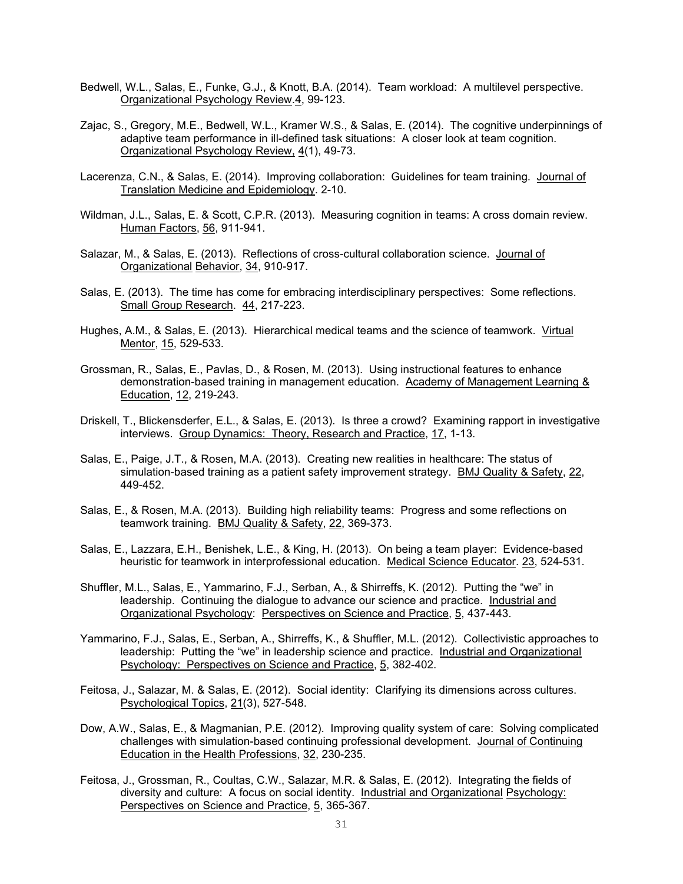- Bedwell, W.L., Salas, E., Funke, G.J., & Knott, B.A. (2014). Team workload: A multilevel perspective. Organizational Psychology Review.4, 99-123.
- Zajac, S., Gregory, M.E., Bedwell, W.L., Kramer W.S., & Salas, E. (2014). The cognitive underpinnings of adaptive team performance in ill-defined task situations: A closer look at team cognition. Organizational Psychology Review, 4(1), 49-73.
- Lacerenza, C.N., & Salas, E. (2014). Improving collaboration: Guidelines for team training. Journal of Translation Medicine and Epidemiology. 2-10.
- Wildman, J.L., Salas, E. & Scott, C.P.R. (2013). Measuring cognition in teams: A cross domain review. Human Factors, 56, 911-941.
- Salazar, M., & Salas, E. (2013). Reflections of cross-cultural collaboration science. Journal of Organizational Behavior, 34, 910-917.
- Salas, E. (2013). The time has come for embracing interdisciplinary perspectives: Some reflections. Small Group Research. 44, 217-223.
- Hughes, A.M., & Salas, E. (2013). Hierarchical medical teams and the science of teamwork. Virtual Mentor, 15, 529-533.
- Grossman, R., Salas, E., Pavlas, D., & Rosen, M. (2013). Using instructional features to enhance demonstration-based training in management education. Academy of Management Learning & Education, 12, 219-243.
- Driskell, T., Blickensderfer, E.L., & Salas, E. (2013). Is three a crowd? Examining rapport in investigative interviews. Group Dynamics: Theory, Research and Practice, 17, 1-13.
- Salas, E., Paige, J.T., & Rosen, M.A. (2013). Creating new realities in healthcare: The status of simulation-based training as a patient safety improvement strategy. BMJ Quality & Safety, 22, 449-452.
- Salas, E., & Rosen, M.A. (2013). Building high reliability teams: Progress and some reflections on teamwork training. BMJ Quality & Safety, 22, 369-373.
- Salas, E., Lazzara, E.H., Benishek, L.E., & King, H. (2013). On being a team player: Evidence-based heuristic for teamwork in interprofessional education. Medical Science Educator. 23, 524-531.
- Shuffler, M.L., Salas, E., Yammarino, F.J., Serban, A., & Shirreffs, K. (2012). Putting the "we" in leadership. Continuing the dialogue to advance our science and practice. Industrial and Organizational Psychology: Perspectives on Science and Practice, 5, 437-443.
- Yammarino, F.J., Salas, E., Serban, A., Shirreffs, K., & Shuffler, M.L. (2012). Collectivistic approaches to leadership: Putting the "we" in leadership science and practice. Industrial and Organizational Psychology: Perspectives on Science and Practice, 5, 382-402.
- Feitosa, J., Salazar, M. & Salas, E. (2012). Social identity: Clarifying its dimensions across cultures. Psychological Topics, 21(3), 527-548.
- Dow, A.W., Salas, E., & Magmanian, P.E. (2012). Improving quality system of care: Solving complicated challenges with simulation-based continuing professional development. Journal of Continuing Education in the Health Professions, 32, 230-235.
- Feitosa, J., Grossman, R., Coultas, C.W., Salazar, M.R. & Salas, E. (2012). Integrating the fields of diversity and culture: A focus on social identity. Industrial and Organizational Psychology: Perspectives on Science and Practice, 5, 365-367.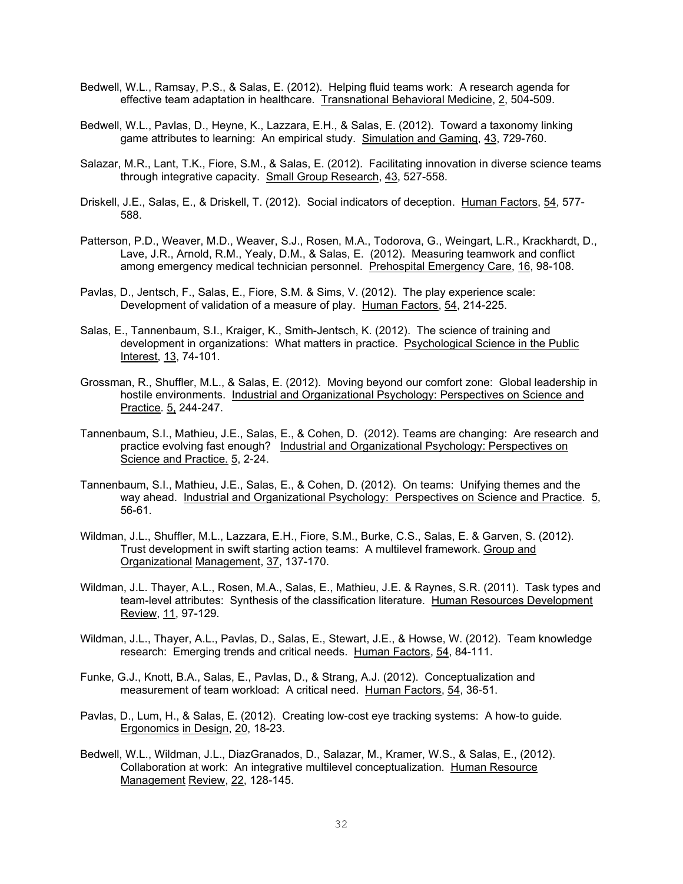- Bedwell, W.L., Ramsay, P.S., & Salas, E. (2012). Helping fluid teams work: A research agenda for effective team adaptation in healthcare. Transnational Behavioral Medicine, 2, 504-509.
- Bedwell, W.L., Pavlas, D., Heyne, K., Lazzara, E.H., & Salas, E. (2012). Toward a taxonomy linking game attributes to learning: An empirical study. Simulation and Gaming, 43, 729-760.
- Salazar, M.R., Lant, T.K., Fiore, S.M., & Salas, E. (2012). Facilitating innovation in diverse science teams through integrative capacity. Small Group Research, 43, 527-558.
- Driskell, J.E., Salas, E., & Driskell, T. (2012). Social indicators of deception. Human Factors, 54, 577- 588.
- Patterson, P.D., Weaver, M.D., Weaver, S.J., Rosen, M.A., Todorova, G., Weingart, L.R., Krackhardt, D., Lave, J.R., Arnold, R.M., Yealy, D.M., & Salas, E. (2012). Measuring teamwork and conflict among emergency medical technician personnel. Prehospital Emergency Care, 16, 98-108.
- Pavlas, D., Jentsch, F., Salas, E., Fiore, S.M. & Sims, V. (2012). The play experience scale: Development of validation of a measure of play. Human Factors, 54, 214-225.
- Salas, E., Tannenbaum, S.I., Kraiger, K., Smith-Jentsch, K. (2012). The science of training and development in organizations: What matters in practice. Psychological Science in the Public Interest, 13, 74-101.
- Grossman, R., Shuffler, M.L., & Salas, E. (2012). Moving beyond our comfort zone: Global leadership in hostile environments. Industrial and Organizational Psychology: Perspectives on Science and Practice. 5, 244-247.
- Tannenbaum, S.I., Mathieu, J.E., Salas, E., & Cohen, D. (2012). Teams are changing: Are research and practice evolving fast enough? Industrial and Organizational Psychology: Perspectives on Science and Practice. 5, 2-24.
- Tannenbaum, S.I., Mathieu, J.E., Salas, E., & Cohen, D. (2012). On teams: Unifying themes and the way ahead. Industrial and Organizational Psychology: Perspectives on Science and Practice. 5, 56-61.
- Wildman, J.L., Shuffler, M.L., Lazzara, E.H., Fiore, S.M., Burke, C.S., Salas, E. & Garven, S. (2012). Trust development in swift starting action teams: A multilevel framework. Group and Organizational Management, 37, 137-170.
- Wildman, J.L. Thayer, A.L., Rosen, M.A., Salas, E., Mathieu, J.E. & Raynes, S.R. (2011). Task types and team-level attributes: Synthesis of the classification literature. Human Resources Development Review, 11, 97-129.
- Wildman, J.L., Thayer, A.L., Pavlas, D., Salas, E., Stewart, J.E., & Howse, W. (2012). Team knowledge research: Emerging trends and critical needs. Human Factors, 54, 84-111.
- Funke, G.J., Knott, B.A., Salas, E., Pavlas, D., & Strang, A.J. (2012). Conceptualization and measurement of team workload: A critical need. Human Factors, 54, 36-51.
- Pavlas, D., Lum, H., & Salas, E. (2012). Creating low-cost eye tracking systems: A how-to guide. Ergonomics in Design, 20, 18-23.
- Bedwell, W.L., Wildman, J.L., DiazGranados, D., Salazar, M., Kramer, W.S., & Salas, E., (2012). Collaboration at work: An integrative multilevel conceptualization. Human Resource Management Review, 22, 128-145.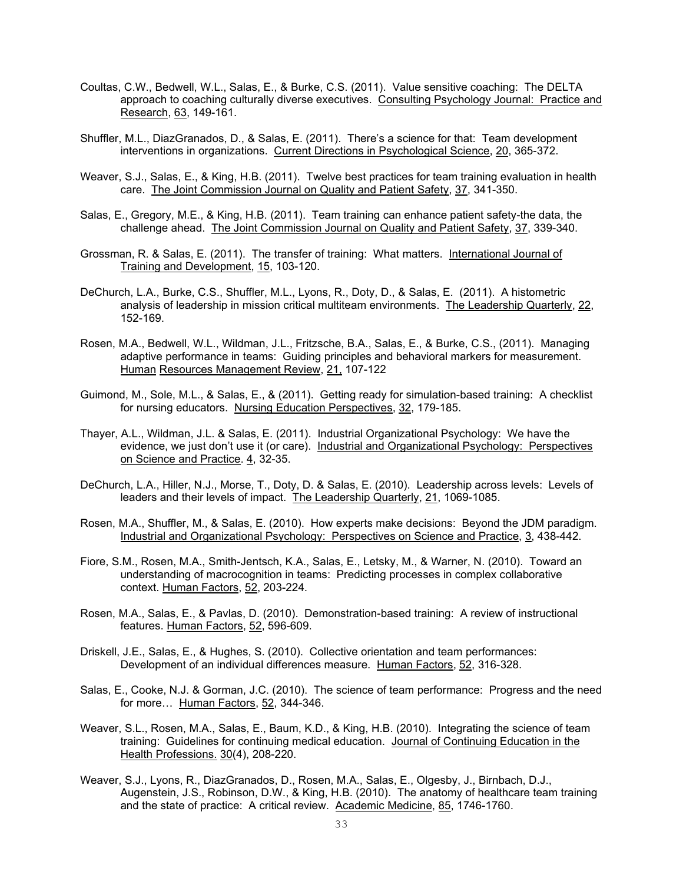- Coultas, C.W., Bedwell, W.L., Salas, E., & Burke, C.S. (2011). Value sensitive coaching: The DELTA approach to coaching culturally diverse executives. Consulting Psychology Journal: Practice and Research, 63, 149-161.
- Shuffler, M.L., DiazGranados, D., & Salas, E. (2011). There's a science for that: Team development interventions in organizations. Current Directions in Psychological Science, 20, 365-372.
- Weaver, S.J., Salas, E., & King, H.B. (2011). Twelve best practices for team training evaluation in health care. The Joint Commission Journal on Quality and Patient Safety, 37, 341-350.
- Salas, E., Gregory, M.E., & King, H.B. (2011). Team training can enhance patient safety-the data, the challenge ahead. The Joint Commission Journal on Quality and Patient Safety, 37, 339-340.
- Grossman, R. & Salas, E. (2011). The transfer of training: What matters. International Journal of Training and Development, 15, 103-120.
- DeChurch, L.A., Burke, C.S., Shuffler, M.L., Lyons, R., Doty, D., & Salas, E. (2011). A histometric analysis of leadership in mission critical multiteam environments. The Leadership Quarterly, 22, 152-169.
- Rosen, M.A., Bedwell, W.L., Wildman, J.L., Fritzsche, B.A., Salas, E., & Burke, C.S., (2011). Managing adaptive performance in teams: Guiding principles and behavioral markers for measurement. Human Resources Management Review, 21, 107-122
- Guimond, M., Sole, M.L., & Salas, E., & (2011). Getting ready for simulation-based training: A checklist for nursing educators. Nursing Education Perspectives, 32, 179-185.
- Thayer, A.L., Wildman, J.L. & Salas, E. (2011). Industrial Organizational Psychology: We have the evidence, we just don't use it (or care). Industrial and Organizational Psychology: Perspectives on Science and Practice. 4, 32-35.
- DeChurch, L.A., Hiller, N.J., Morse, T., Doty, D. & Salas, E. (2010). Leadership across levels: Levels of leaders and their levels of impact. The Leadership Quarterly, 21, 1069-1085.
- Rosen, M.A., Shuffler, M., & Salas, E. (2010). How experts make decisions: Beyond the JDM paradigm. Industrial and Organizational Psychology: Perspectives on Science and Practice, 3, 438-442.
- Fiore, S.M., Rosen, M.A., Smith-Jentsch, K.A., Salas, E., Letsky, M., & Warner, N. (2010). Toward an understanding of macrocognition in teams: Predicting processes in complex collaborative context. Human Factors, 52, 203-224.
- Rosen, M.A., Salas, E., & Pavlas, D. (2010). Demonstration-based training: A review of instructional features. Human Factors, 52, 596-609.
- Driskell, J.E., Salas, E., & Hughes, S. (2010). Collective orientation and team performances: Development of an individual differences measure. Human Factors, 52, 316-328.
- Salas, E., Cooke, N.J. & Gorman, J.C. (2010). The science of team performance: Progress and the need for more… Human Factors, 52, 344-346.
- Weaver, S.L., Rosen, M.A., Salas, E., Baum, K.D., & King, H.B. (2010). Integrating the science of team training: Guidelines for continuing medical education. Journal of Continuing Education in the Health Professions. 30(4), 208-220.
- Weaver, S.J., Lyons, R., DiazGranados, D., Rosen, M.A., Salas, E., Olgesby, J., Birnbach, D.J., Augenstein, J.S., Robinson, D.W., & King, H.B. (2010). The anatomy of healthcare team training and the state of practice: A critical review. Academic Medicine, 85, 1746-1760.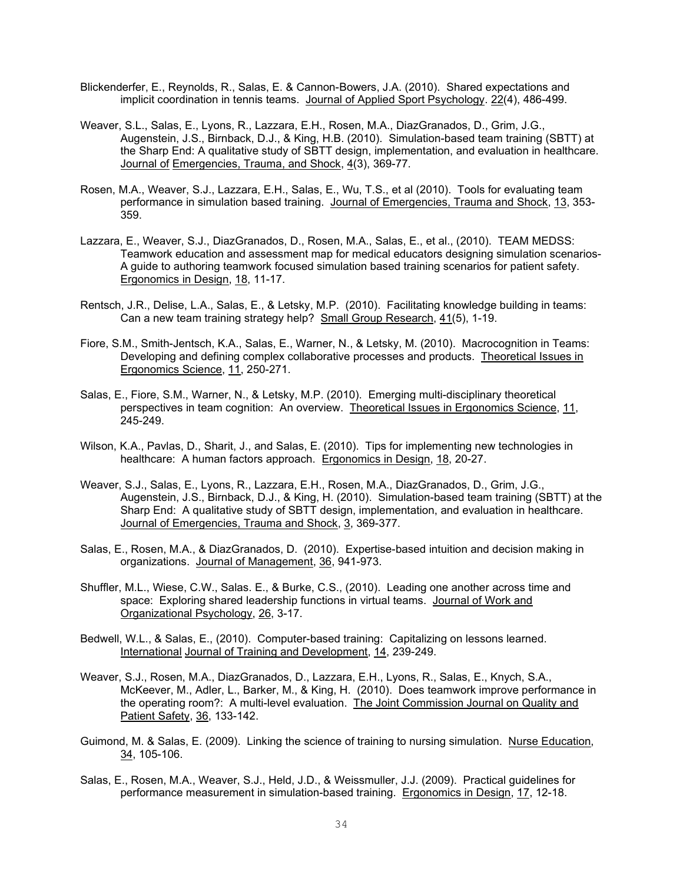- Blickenderfer, E., Reynolds, R., Salas, E. & Cannon-Bowers, J.A. (2010). Shared expectations and implicit coordination in tennis teams. Journal of Applied Sport Psychology. 22(4), 486-499.
- Weaver, S.L., Salas, E., Lyons, R., Lazzara, E.H., Rosen, M.A., DiazGranados, D., Grim, J.G., Augenstein, J.S., Birnback, D.J., & King, H.B. (2010). Simulation-based team training (SBTT) at the Sharp End: A qualitative study of SBTT design, implementation, and evaluation in healthcare. Journal of Emergencies, Trauma, and Shock, 4(3), 369-77.
- Rosen, M.A., Weaver, S.J., Lazzara, E.H., Salas, E., Wu, T.S., et al (2010). Tools for evaluating team performance in simulation based training. Journal of Emergencies, Trauma and Shock, 13, 353- 359.
- Lazzara, E., Weaver, S.J., DiazGranados, D., Rosen, M.A., Salas, E., et al., (2010). TEAM MEDSS: Teamwork education and assessment map for medical educators designing simulation scenarios-A guide to authoring teamwork focused simulation based training scenarios for patient safety. Ergonomics in Design, 18, 11-17.
- Rentsch, J.R., Delise, L.A., Salas, E., & Letsky, M.P. (2010). Facilitating knowledge building in teams: Can a new team training strategy help? Small Group Research, 41(5), 1-19.
- Fiore, S.M., Smith-Jentsch, K.A., Salas, E., Warner, N., & Letsky, M. (2010). Macrocognition in Teams: Developing and defining complex collaborative processes and products. Theoretical Issues in Ergonomics Science, 11, 250-271.
- Salas, E., Fiore, S.M., Warner, N., & Letsky, M.P. (2010). Emerging multi-disciplinary theoretical perspectives in team cognition: An overview. Theoretical Issues in Ergonomics Science, 11, 245-249.
- Wilson, K.A., Pavlas, D., Sharit, J., and Salas, E. (2010). Tips for implementing new technologies in healthcare: A human factors approach. Ergonomics in Design, 18, 20-27.
- Weaver, S.J., Salas, E., Lyons, R., Lazzara, E.H., Rosen, M.A., DiazGranados, D., Grim, J.G., Augenstein, J.S., Birnback, D.J., & King, H. (2010). Simulation-based team training (SBTT) at the Sharp End: A qualitative study of SBTT design, implementation, and evaluation in healthcare. Journal of Emergencies, Trauma and Shock, 3, 369-377.
- Salas, E., Rosen, M.A., & DiazGranados, D. (2010). Expertise-based intuition and decision making in organizations. Journal of Management, 36, 941-973.
- Shuffler, M.L., Wiese, C.W., Salas. E., & Burke, C.S., (2010). Leading one another across time and space: Exploring shared leadership functions in virtual teams. Journal of Work and Organizational Psychology, 26, 3-17.
- Bedwell, W.L., & Salas, E., (2010). Computer-based training: Capitalizing on lessons learned. International Journal of Training and Development, 14, 239-249.
- Weaver, S.J., Rosen, M.A., DiazGranados, D., Lazzara, E.H., Lyons, R., Salas, E., Knych, S.A., McKeever, M., Adler, L., Barker, M., & King, H. (2010). Does teamwork improve performance in the operating room?: A multi-level evaluation. The Joint Commission Journal on Quality and Patient Safety, 36, 133-142.
- Guimond, M. & Salas, E. (2009). Linking the science of training to nursing simulation. Nurse Education, 34, 105-106.
- Salas, E., Rosen, M.A., Weaver, S.J., Held, J.D., & Weissmuller, J.J. (2009). Practical guidelines for performance measurement in simulation-based training. Ergonomics in Design, 17, 12-18.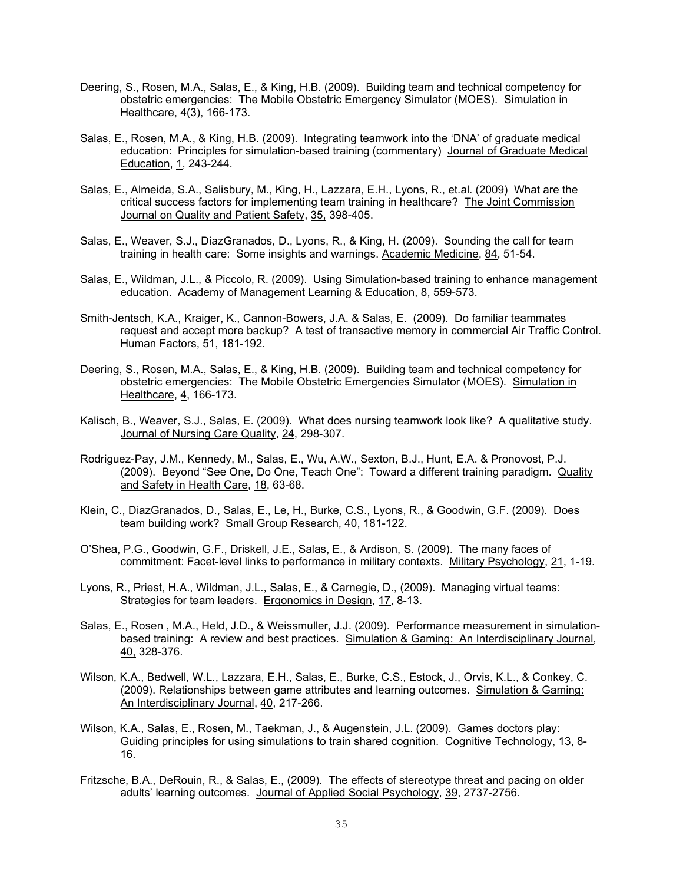- Deering, S., Rosen, M.A., Salas, E., & King, H.B. (2009). Building team and technical competency for obstetric emergencies: The Mobile Obstetric Emergency Simulator (MOES). Simulation in Healthcare, 4(3), 166-173.
- Salas, E., Rosen, M.A., & King, H.B. (2009). Integrating teamwork into the 'DNA' of graduate medical education: Principles for simulation-based training (commentary) Journal of Graduate Medical Education, 1, 243-244.
- Salas, E., Almeida, S.A., Salisbury, M., King, H., Lazzara, E.H., Lyons, R., et.al. (2009) What are the critical success factors for implementing team training in healthcare? The Joint Commission Journal on Quality and Patient Safety, 35, 398-405.
- Salas, E., Weaver, S.J., DiazGranados, D., Lyons, R., & King, H. (2009). Sounding the call for team training in health care: Some insights and warnings. Academic Medicine, 84, 51-54.
- Salas, E., Wildman, J.L., & Piccolo, R. (2009). Using Simulation-based training to enhance management education. Academy of Management Learning & Education, 8, 559-573.
- Smith-Jentsch, K.A., Kraiger, K., Cannon-Bowers, J.A. & Salas, E. (2009). Do familiar teammates request and accept more backup? A test of transactive memory in commercial Air Traffic Control. Human Factors, 51, 181-192.
- Deering, S., Rosen, M.A., Salas, E., & King, H.B. (2009). Building team and technical competency for obstetric emergencies: The Mobile Obstetric Emergencies Simulator (MOES). Simulation in Healthcare, 4, 166-173.
- Kalisch, B., Weaver, S.J., Salas, E. (2009). What does nursing teamwork look like? A qualitative study. Journal of Nursing Care Quality, 24, 298-307.
- Rodriguez-Pay, J.M., Kennedy, M., Salas, E., Wu, A.W., Sexton, B.J., Hunt, E.A. & Pronovost, P.J. (2009). Beyond "See One, Do One, Teach One": Toward a different training paradigm. Quality and Safety in Health Care, 18, 63-68.
- Klein, C., DiazGranados, D., Salas, E., Le, H., Burke, C.S., Lyons, R., & Goodwin, G.F. (2009). Does team building work? Small Group Research, 40, 181-122.
- O'Shea, P.G., Goodwin, G.F., Driskell, J.E., Salas, E., & Ardison, S. (2009). The many faces of commitment: Facet-level links to performance in military contexts. Military Psychology, 21, 1-19.
- Lyons, R., Priest, H.A., Wildman, J.L., Salas, E., & Carnegie, D., (2009). Managing virtual teams: Strategies for team leaders. Ergonomics in Design, 17, 8-13.
- Salas, E., Rosen , M.A., Held, J.D., & Weissmuller, J.J. (2009). Performance measurement in simulationbased training: A review and best practices. Simulation & Gaming: An Interdisciplinary Journal, 40, 328-376.
- Wilson, K.A., Bedwell, W.L., Lazzara, E.H., Salas, E., Burke, C.S., Estock, J., Orvis, K.L., & Conkey, C. (2009). Relationships between game attributes and learning outcomes. Simulation & Gaming: An Interdisciplinary Journal, 40, 217-266.
- Wilson, K.A., Salas, E., Rosen, M., Taekman, J., & Augenstein, J.L. (2009). Games doctors play: Guiding principles for using simulations to train shared cognition. Cognitive Technology, 13, 8- 16.
- Fritzsche, B.A., DeRouin, R., & Salas, E., (2009). The effects of stereotype threat and pacing on older adults' learning outcomes. Journal of Applied Social Psychology, 39, 2737-2756.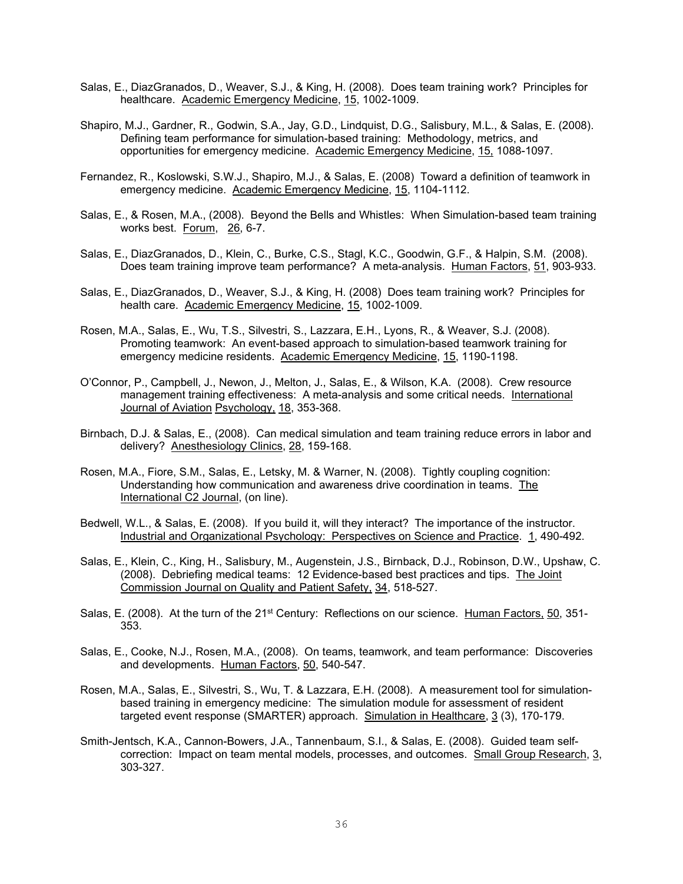- Salas, E., DiazGranados, D., Weaver, S.J., & King, H. (2008). Does team training work? Principles for healthcare. Academic Emergency Medicine, 15, 1002-1009.
- Shapiro, M.J., Gardner, R., Godwin, S.A., Jay, G.D., Lindquist, D.G., Salisbury, M.L., & Salas, E. (2008). Defining team performance for simulation-based training: Methodology, metrics, and opportunities for emergency medicine. Academic Emergency Medicine, 15, 1088-1097.
- Fernandez, R., Koslowski, S.W.J., Shapiro, M.J., & Salas, E. (2008) Toward a definition of teamwork in emergency medicine. Academic Emergency Medicine, 15, 1104-1112.
- Salas, E., & Rosen, M.A., (2008). Beyond the Bells and Whistles: When Simulation-based team training works best. Forum, 26, 6-7.
- Salas, E., DiazGranados, D., Klein, C., Burke, C.S., Stagl, K.C., Goodwin, G.F., & Halpin, S.M. (2008). Does team training improve team performance? A meta-analysis. Human Factors, 51, 903-933.
- Salas, E., DiazGranados, D., Weaver, S.J., & King, H. (2008) Does team training work? Principles for health care. Academic Emergency Medicine, 15, 1002-1009.
- Rosen, M.A., Salas, E., Wu, T.S., Silvestri, S., Lazzara, E.H., Lyons, R., & Weaver, S.J. (2008). Promoting teamwork: An event-based approach to simulation-based teamwork training for emergency medicine residents. Academic Emergency Medicine, 15, 1190-1198.
- O'Connor, P., Campbell, J., Newon, J., Melton, J., Salas, E., & Wilson, K.A. (2008). Crew resource management training effectiveness: A meta-analysis and some critical needs. International Journal of Aviation Psychology, 18, 353-368.
- Birnbach, D.J. & Salas, E., (2008). Can medical simulation and team training reduce errors in labor and delivery? Anesthesiology Clinics, 28, 159-168.
- Rosen, M.A., Fiore, S.M., Salas, E., Letsky, M. & Warner, N. (2008). Tightly coupling cognition: Understanding how communication and awareness drive coordination in teams. The International C2 Journal, (on line).
- Bedwell, W.L., & Salas, E. (2008). If you build it, will they interact? The importance of the instructor. Industrial and Organizational Psychology: Perspectives on Science and Practice. 1, 490-492.
- Salas, E., Klein, C., King, H., Salisbury, M., Augenstein, J.S., Birnback, D.J., Robinson, D.W., Upshaw, C. (2008). Debriefing medical teams: 12 Evidence-based best practices and tips. The Joint Commission Journal on Quality and Patient Safety, 34, 518-527.
- Salas, E. (2008). At the turn of the 21<sup>st</sup> Century: Reflections on our science. Human Factors, 50, 351-353.
- Salas, E., Cooke, N.J., Rosen, M.A., (2008). On teams, teamwork, and team performance: Discoveries and developments. Human Factors, 50, 540-547.
- Rosen, M.A., Salas, E., Silvestri, S., Wu, T. & Lazzara, E.H. (2008). A measurement tool for simulationbased training in emergency medicine: The simulation module for assessment of resident targeted event response (SMARTER) approach. Simulation in Healthcare, 3 (3), 170-179.
- Smith-Jentsch, K.A., Cannon-Bowers, J.A., Tannenbaum, S.I., & Salas, E. (2008). Guided team selfcorrection: Impact on team mental models, processes, and outcomes. Small Group Research, 3, 303-327.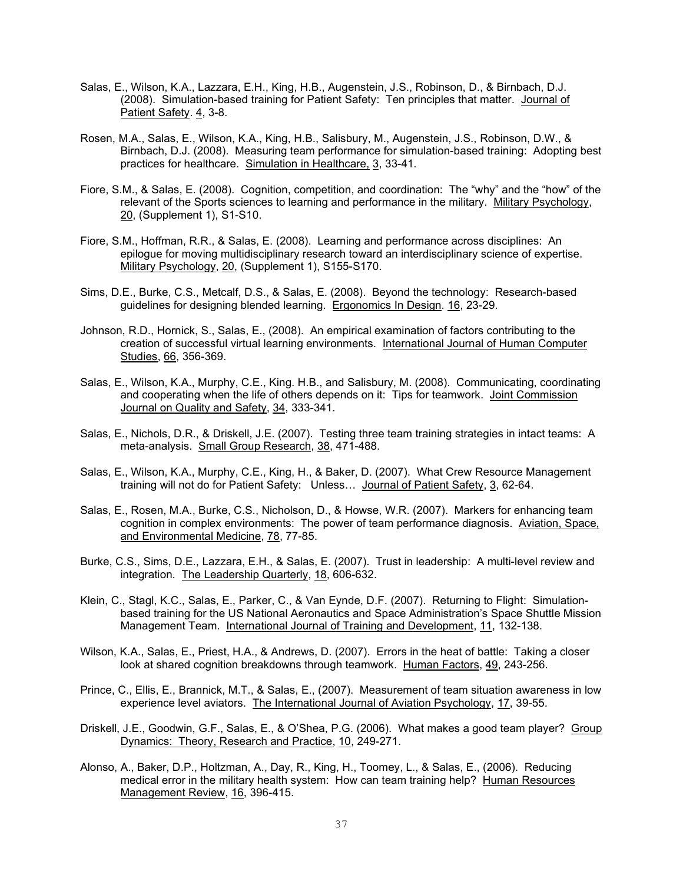- Salas, E., Wilson, K.A., Lazzara, E.H., King, H.B., Augenstein, J.S., Robinson, D., & Birnbach, D.J. (2008). Simulation-based training for Patient Safety: Ten principles that matter. Journal of Patient Safety. 4, 3-8.
- Rosen, M.A., Salas, E., Wilson, K.A., King, H.B., Salisbury, M., Augenstein, J.S., Robinson, D.W., & Birnbach, D.J. (2008). Measuring team performance for simulation-based training: Adopting best practices for healthcare. Simulation in Healthcare, 3, 33-41.
- Fiore, S.M., & Salas, E. (2008). Cognition, competition, and coordination: The "why" and the "how" of the relevant of the Sports sciences to learning and performance in the military. Military Psychology, 20, (Supplement 1), S1-S10.
- Fiore, S.M., Hoffman, R.R., & Salas, E. (2008). Learning and performance across disciplines: An epilogue for moving multidisciplinary research toward an interdisciplinary science of expertise. Military Psychology, 20, (Supplement 1), S155-S170.
- Sims, D.E., Burke, C.S., Metcalf, D.S., & Salas, E. (2008). Beyond the technology: Research-based guidelines for designing blended learning. Ergonomics In Design. 16, 23-29.
- Johnson, R.D., Hornick, S., Salas, E., (2008). An empirical examination of factors contributing to the creation of successful virtual learning environments. International Journal of Human Computer Studies, 66, 356-369.
- Salas, E., Wilson, K.A., Murphy, C.E., King. H.B., and Salisbury, M. (2008). Communicating, coordinating and cooperating when the life of others depends on it: Tips for teamwork. Joint Commission Journal on Quality and Safety, 34, 333-341.
- Salas, E., Nichols, D.R., & Driskell, J.E. (2007). Testing three team training strategies in intact teams: A meta-analysis. Small Group Research, 38, 471-488.
- Salas, E., Wilson, K.A., Murphy, C.E., King, H., & Baker, D. (2007). What Crew Resource Management training will not do for Patient Safety: Unless... Journal of Patient Safety, 3, 62-64.
- Salas, E., Rosen, M.A., Burke, C.S., Nicholson, D., & Howse, W.R. (2007). Markers for enhancing team cognition in complex environments: The power of team performance diagnosis. Aviation, Space, and Environmental Medicine, 78, 77-85.
- Burke, C.S., Sims, D.E., Lazzara, E.H., & Salas, E. (2007). Trust in leadership: A multi-level review and integration. The Leadership Quarterly, 18, 606-632.
- Klein, C., Stagl, K.C., Salas, E., Parker, C., & Van Eynde, D.F. (2007). Returning to Flight: Simulationbased training for the US National Aeronautics and Space Administration's Space Shuttle Mission Management Team. International Journal of Training and Development, 11, 132-138.
- Wilson, K.A., Salas, E., Priest, H.A., & Andrews, D. (2007). Errors in the heat of battle: Taking a closer look at shared cognition breakdowns through teamwork. Human Factors, 49, 243-256.
- Prince, C., Ellis, E., Brannick, M.T., & Salas, E., (2007). Measurement of team situation awareness in low experience level aviators. The International Journal of Aviation Psychology, 17, 39-55.
- Driskell, J.E., Goodwin, G.F., Salas, E., & O'Shea, P.G. (2006). What makes a good team player? Group Dynamics: Theory, Research and Practice, 10, 249-271.
- Alonso, A., Baker, D.P., Holtzman, A., Day, R., King, H., Toomey, L., & Salas, E., (2006). Reducing medical error in the military health system: How can team training help? Human Resources Management Review, 16, 396-415.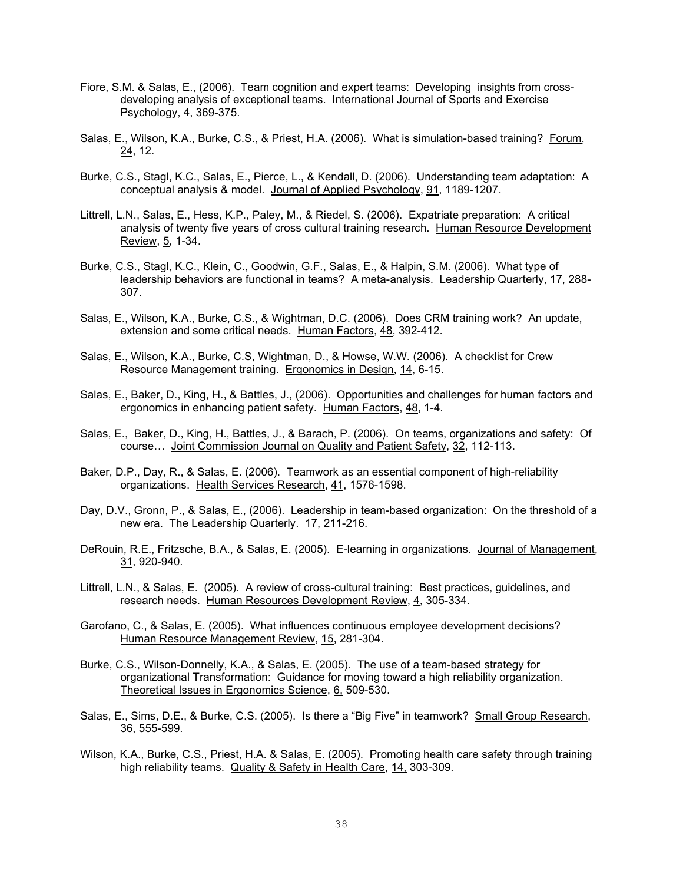- Fiore, S.M. & Salas, E., (2006). Team cognition and expert teams: Developing insights from crossdeveloping analysis of exceptional teams. International Journal of Sports and Exercise Psychology, 4, 369-375.
- Salas, E., Wilson, K.A., Burke, C.S., & Priest, H.A. (2006). What is simulation-based training? Forum, 24, 12.
- Burke, C.S., Stagl, K.C., Salas, E., Pierce, L., & Kendall, D. (2006). Understanding team adaptation: A conceptual analysis & model. Journal of Applied Psychology, 91, 1189-1207.
- Littrell, L.N., Salas, E., Hess, K.P., Paley, M., & Riedel, S. (2006). Expatriate preparation: A critical analysis of twenty five years of cross cultural training research. Human Resource Development Review, 5, 1-34.
- Burke, C.S., Stagl, K.C., Klein, C., Goodwin, G.F., Salas, E., & Halpin, S.M. (2006). What type of leadership behaviors are functional in teams? A meta-analysis. Leadership Quarterly, 17, 288- 307.
- Salas, E., Wilson, K.A., Burke, C.S., & Wightman, D.C. (2006). Does CRM training work? An update, extension and some critical needs. Human Factors, 48, 392-412.
- Salas, E., Wilson, K.A., Burke, C.S, Wightman, D., & Howse, W.W. (2006). A checklist for Crew Resource Management training. Ergonomics in Design, 14, 6-15.
- Salas, E., Baker, D., King, H., & Battles, J., (2006). Opportunities and challenges for human factors and ergonomics in enhancing patient safety. Human Factors, 48, 1-4.
- Salas, E., Baker, D., King, H., Battles, J., & Barach, P. (2006). On teams, organizations and safety: Of course… Joint Commission Journal on Quality and Patient Safety, 32, 112-113.
- Baker, D.P., Day, R., & Salas, E. (2006). Teamwork as an essential component of high-reliability organizations. Health Services Research, 41, 1576-1598.
- Day, D.V., Gronn, P., & Salas, E., (2006). Leadership in team-based organization: On the threshold of a new era. The Leadership Quarterly. 17, 211-216.
- DeRouin, R.E., Fritzsche, B.A., & Salas, E. (2005). E-learning in organizations. Journal of Management, 31, 920-940.
- Littrell, L.N., & Salas, E. (2005). A review of cross-cultural training: Best practices, guidelines, and research needs. Human Resources Development Review, 4, 305-334.
- Garofano, C., & Salas, E. (2005). What influences continuous employee development decisions? Human Resource Management Review, 15, 281-304.
- Burke, C.S., Wilson-Donnelly, K.A., & Salas, E. (2005). The use of a team-based strategy for organizational Transformation: Guidance for moving toward a high reliability organization. Theoretical Issues in Ergonomics Science, 6, 509-530.
- Salas, E., Sims, D.E., & Burke, C.S. (2005). Is there a "Big Five" in teamwork? Small Group Research, 36, 555-599.
- Wilson, K.A., Burke, C.S., Priest, H.A. & Salas, E. (2005). Promoting health care safety through training high reliability teams. Quality & Safety in Health Care, 14, 303-309.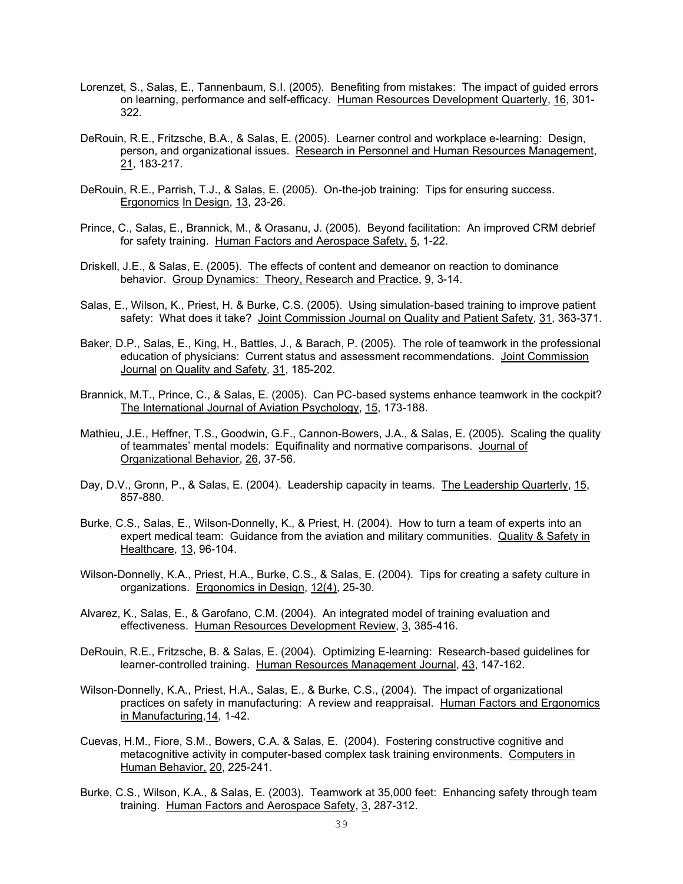- Lorenzet, S., Salas, E., Tannenbaum, S.I. (2005). Benefiting from mistakes: The impact of guided errors on learning, performance and self-efficacy. Human Resources Development Quarterly, 16, 301- 322.
- DeRouin, R.E., Fritzsche, B.A., & Salas, E. (2005). Learner control and workplace e-learning: Design, person, and organizational issues. Research in Personnel and Human Resources Management, 21, 183-217.
- DeRouin, R.E., Parrish, T.J., & Salas, E. (2005). On-the-job training: Tips for ensuring success. Ergonomics In Design, 13, 23-26.
- Prince, C., Salas, E., Brannick, M., & Orasanu, J. (2005). Beyond facilitation: An improved CRM debrief for safety training. Human Factors and Aerospace Safety, 5, 1-22.
- Driskell, J.E., & Salas, E. (2005). The effects of content and demeanor on reaction to dominance behavior. Group Dynamics: Theory, Research and Practice, 9, 3-14.
- Salas, E., Wilson, K., Priest, H. & Burke, C.S. (2005). Using simulation-based training to improve patient safety: What does it take? Joint Commission Journal on Quality and Patient Safety, 31, 363-371.
- Baker, D.P., Salas, E., King, H., Battles, J., & Barach, P. (2005). The role of teamwork in the professional education of physicians: Current status and assessment recommendations. Joint Commission Journal on Quality and Safety, 31, 185-202.
- Brannick, M.T., Prince, C., & Salas, E. (2005). Can PC-based systems enhance teamwork in the cockpit? The International Journal of Aviation Psychology, 15, 173-188.
- Mathieu, J.E., Heffner, T.S., Goodwin, G.F., Cannon-Bowers, J.A., & Salas, E. (2005). Scaling the quality of teammates' mental models: Equifinality and normative comparisons. Journal of Organizational Behavior, 26, 37-56.
- Day, D.V., Gronn, P., & Salas, E. (2004). Leadership capacity in teams. The Leadership Quarterly, 15, 857-880.
- Burke, C.S., Salas, E., Wilson-Donnelly, K., & Priest, H. (2004). How to turn a team of experts into an expert medical team: Guidance from the aviation and military communities. Quality & Safety in Healthcare, 13, 96-104.
- Wilson-Donnelly, K.A., Priest, H.A., Burke, C.S., & Salas, E. (2004). Tips for creating a safety culture in organizations. Ergonomics in Design, 12(4), 25-30.
- Alvarez, K., Salas, E., & Garofano, C.M. (2004). An integrated model of training evaluation and effectiveness. Human Resources Development Review, 3, 385-416.
- DeRouin, R.E., Fritzsche, B. & Salas, E. (2004). Optimizing E-learning: Research-based guidelines for learner-controlled training. Human Resources Management Journal, 43, 147-162.
- Wilson-Donnelly, K.A., Priest, H.A., Salas, E., & Burke, C.S., (2004). The impact of organizational practices on safety in manufacturing: A review and reappraisal. Human Factors and Ergonomics in Manufacturing,14, 1-42.
- Cuevas, H.M., Fiore, S.M., Bowers, C.A. & Salas, E. (2004). Fostering constructive cognitive and metacognitive activity in computer-based complex task training environments. Computers in Human Behavior, 20, 225-241.
- Burke, C.S., Wilson, K.A., & Salas, E. (2003). Teamwork at 35,000 feet: Enhancing safety through team training. Human Factors and Aerospace Safety, 3, 287-312.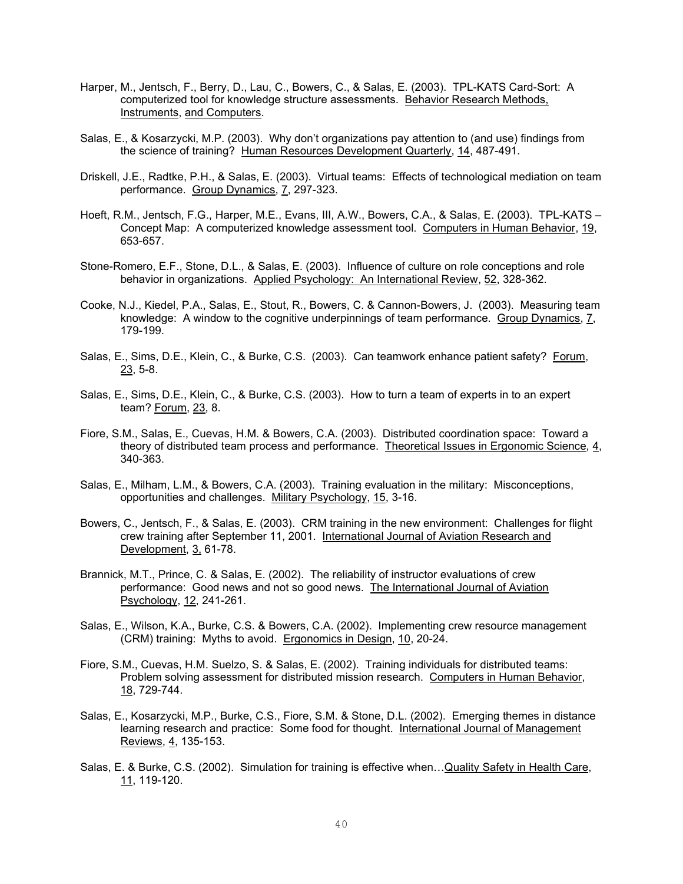- Harper, M., Jentsch, F., Berry, D., Lau, C., Bowers, C., & Salas, E. (2003). TPL-KATS Card-Sort: A computerized tool for knowledge structure assessments. Behavior Research Methods, Instruments, and Computers.
- Salas, E., & Kosarzycki, M.P. (2003). Why don't organizations pay attention to (and use) findings from the science of training? Human Resources Development Quarterly, 14, 487-491.
- Driskell, J.E., Radtke, P.H., & Salas, E. (2003). Virtual teams: Effects of technological mediation on team performance. Group Dynamics, 7, 297-323.
- Hoeft, R.M., Jentsch, F.G., Harper, M.E., Evans, III, A.W., Bowers, C.A., & Salas, E. (2003). TPL-KATS Concept Map: A computerized knowledge assessment tool. Computers in Human Behavior, 19, 653-657.
- Stone-Romero, E.F., Stone, D.L., & Salas, E. (2003). Influence of culture on role conceptions and role behavior in organizations. Applied Psychology: An International Review, 52, 328-362.
- Cooke, N.J., Kiedel, P.A., Salas, E., Stout, R., Bowers, C. & Cannon-Bowers, J. (2003). Measuring team knowledge: A window to the cognitive underpinnings of team performance. Group Dynamics, 7, 179-199.
- Salas, E., Sims, D.E., Klein, C., & Burke, C.S. (2003). Can teamwork enhance patient safety? Forum, 23, 5-8.
- Salas, E., Sims, D.E., Klein, C., & Burke, C.S. (2003). How to turn a team of experts in to an expert team? Forum, 23, 8.
- Fiore, S.M., Salas, E., Cuevas, H.M. & Bowers, C.A. (2003). Distributed coordination space: Toward a theory of distributed team process and performance. Theoretical Issues in Ergonomic Science, 4, 340-363.
- Salas, E., Milham, L.M., & Bowers, C.A. (2003). Training evaluation in the military: Misconceptions, opportunities and challenges. Military Psychology, 15, 3-16.
- Bowers, C., Jentsch, F., & Salas, E. (2003). CRM training in the new environment: Challenges for flight crew training after September 11, 2001. International Journal of Aviation Research and Development, 3, 61-78.
- Brannick, M.T., Prince, C. & Salas, E. (2002). The reliability of instructor evaluations of crew performance: Good news and not so good news. The International Journal of Aviation Psychology, 12, 241-261.
- Salas, E., Wilson, K.A., Burke, C.S. & Bowers, C.A. (2002). Implementing crew resource management (CRM) training: Myths to avoid. Ergonomics in Design, 10, 20-24.
- Fiore, S.M., Cuevas, H.M. Suelzo, S. & Salas, E. (2002). Training individuals for distributed teams: Problem solving assessment for distributed mission research. Computers in Human Behavior, 18, 729-744.
- Salas, E., Kosarzycki, M.P., Burke, C.S., Fiore, S.M. & Stone, D.L. (2002). Emerging themes in distance learning research and practice: Some food for thought. International Journal of Management Reviews, 4, 135-153.
- Salas, E. & Burke, C.S. (2002). Simulation for training is effective when... Quality Safety in Health Care, 11, 119-120.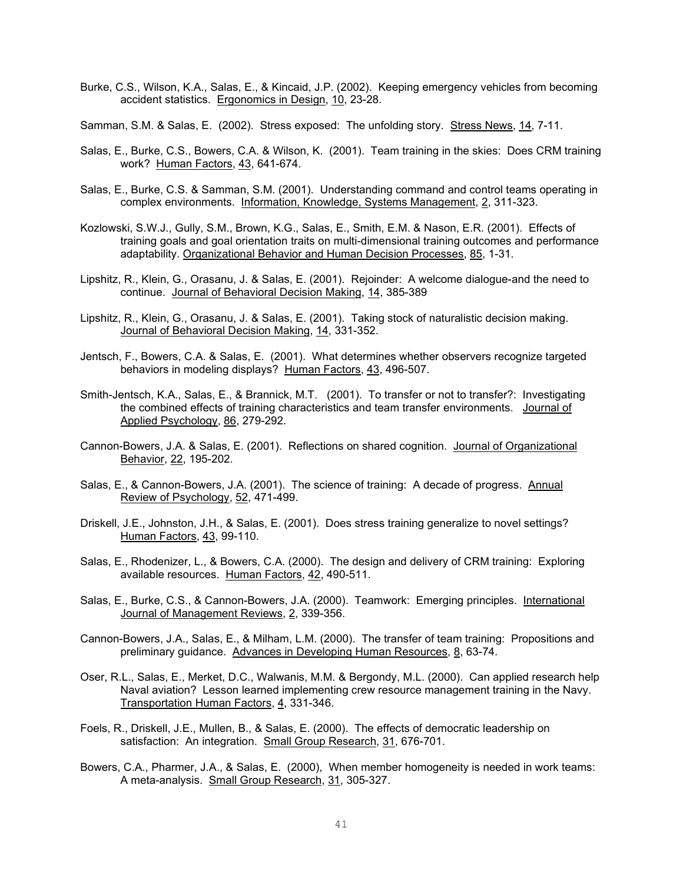- Burke, C.S., Wilson, K.A., Salas, E., & Kincaid, J.P. (2002). Keeping emergency vehicles from becoming accident statistics. Ergonomics in Design, 10, 23-28.
- Samman, S.M. & Salas, E. (2002). Stress exposed: The unfolding story. Stress News, 14, 7-11.
- Salas, E., Burke, C.S., Bowers, C.A. & Wilson, K. (2001). Team training in the skies: Does CRM training work? Human Factors, 43, 641-674.
- Salas, E., Burke, C.S. & Samman, S.M. (2001). Understanding command and control teams operating in complex environments. Information, Knowledge, Systems Management, 2, 311-323.
- Kozlowski, S.W.J., Gully, S.M., Brown, K.G., Salas, E., Smith, E.M. & Nason, E.R. (2001). Effects of training goals and goal orientation traits on multi-dimensional training outcomes and performance adaptability. Organizational Behavior and Human Decision Processes, 85, 1-31.
- Lipshitz, R., Klein, G., Orasanu, J. & Salas, E. (2001). Rejoinder: A welcome dialogue-and the need to continue. Journal of Behavioral Decision Making, 14, 385-389
- Lipshitz, R., Klein, G., Orasanu, J. & Salas, E. (2001). Taking stock of naturalistic decision making. Journal of Behavioral Decision Making, 14, 331-352.
- Jentsch, F., Bowers, C.A. & Salas, E. (2001). What determines whether observers recognize targeted behaviors in modeling displays? Human Factors, 43, 496-507.
- Smith-Jentsch, K.A., Salas, E., & Brannick, M.T. (2001). To transfer or not to transfer?: Investigating the combined effects of training characteristics and team transfer environments. Journal of Applied Psychology, 86, 279-292.
- Cannon-Bowers, J.A. & Salas, E. (2001). Reflections on shared cognition. Journal of Organizational Behavior, 22, 195-202.
- Salas, E., & Cannon-Bowers, J.A. (2001). The science of training: A decade of progress. Annual Review of Psychology, 52, 471-499.
- Driskell, J.E., Johnston, J.H., & Salas, E. (2001). Does stress training generalize to novel settings? Human Factors, 43, 99-110.
- Salas, E., Rhodenizer, L., & Bowers, C.A. (2000). The design and delivery of CRM training: Exploring available resources. Human Factors, 42, 490-511.
- Salas, E., Burke, C.S., & Cannon-Bowers, J.A. (2000). Teamwork: Emerging principles. International Journal of Management Reviews, 2, 339-356.
- Cannon-Bowers, J.A., Salas, E., & Milham, L.M. (2000). The transfer of team training: Propositions and preliminary guidance. Advances in Developing Human Resources, 8, 63-74.
- Oser, R.L., Salas, E., Merket, D.C., Walwanis, M.M. & Bergondy, M.L. (2000). Can applied research help Naval aviation? Lesson learned implementing crew resource management training in the Navy. Transportation Human Factors, 4, 331-346.
- Foels, R., Driskell, J.E., Mullen, B., & Salas, E. (2000). The effects of democratic leadership on satisfaction: An integration. Small Group Research, 31, 676-701.
- Bowers, C.A., Pharmer, J.A., & Salas, E. (2000), When member homogeneity is needed in work teams: A meta-analysis. Small Group Research, 31, 305-327.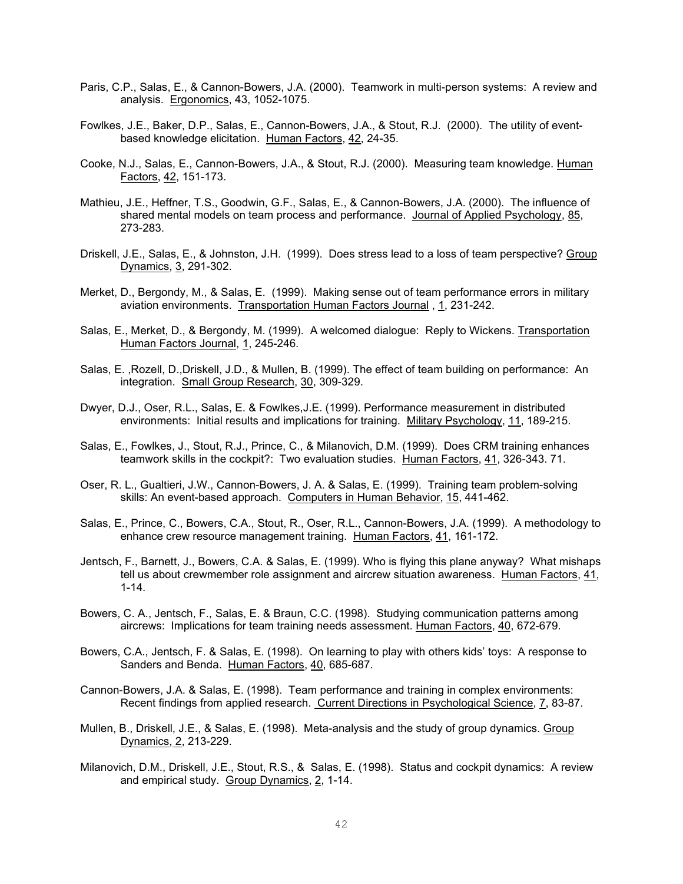- Paris, C.P., Salas, E., & Cannon-Bowers, J.A. (2000). Teamwork in multi-person systems: A review and analysis. Ergonomics, 43, 1052-1075.
- Fowlkes, J.E., Baker, D.P., Salas, E., Cannon-Bowers, J.A., & Stout, R.J. (2000). The utility of eventbased knowledge elicitation. Human Factors, 42, 24-35.
- Cooke, N.J., Salas, E., Cannon-Bowers, J.A., & Stout, R.J. (2000). Measuring team knowledge. Human Factors, 42, 151-173.
- Mathieu, J.E., Heffner, T.S., Goodwin, G.F., Salas, E., & Cannon-Bowers, J.A. (2000). The influence of shared mental models on team process and performance. Journal of Applied Psychology, 85, 273-283.
- Driskell, J.E., Salas, E., & Johnston, J.H. (1999). Does stress lead to a loss of team perspective? Group Dynamics, 3, 291-302.
- Merket, D., Bergondy, M., & Salas, E. (1999). Making sense out of team performance errors in military aviation environments. Transportation Human Factors Journal , 1, 231-242.
- Salas, E., Merket, D., & Bergondy, M. (1999). A welcomed dialogue: Reply to Wickens. Transportation Human Factors Journal, 1, 245-246.
- Salas, E. ,Rozell, D.,Driskell, J.D., & Mullen, B. (1999). The effect of team building on performance: An integration. Small Group Research, 30, 309-329.
- Dwyer, D.J., Oser, R.L., Salas, E. & Fowlkes,J.E. (1999). Performance measurement in distributed environments: Initial results and implications for training. Military Psychology, 11, 189-215.
- Salas, E., Fowlkes, J., Stout, R.J., Prince, C., & Milanovich, D.M. (1999). Does CRM training enhances teamwork skills in the cockpit?: Two evaluation studies. Human Factors, 41, 326-343. 71.
- Oser, R. L., Gualtieri, J.W., Cannon-Bowers, J. A. & Salas, E. (1999). Training team problem-solving skills: An event-based approach. Computers in Human Behavior, 15, 441-462.
- Salas, E., Prince, C., Bowers, C.A., Stout, R., Oser, R.L., Cannon-Bowers, J.A. (1999). A methodology to enhance crew resource management training. Human Factors, 41, 161-172.
- Jentsch, F., Barnett, J., Bowers, C.A. & Salas, E. (1999). Who is flying this plane anyway? What mishaps tell us about crewmember role assignment and aircrew situation awareness. Human Factors, 41, 1-14.
- Bowers, C. A., Jentsch, F., Salas, E. & Braun, C.C. (1998). Studying communication patterns among aircrews: Implications for team training needs assessment. Human Factors, 40, 672-679.
- Bowers, C.A., Jentsch, F. & Salas, E. (1998). On learning to play with others kids' toys: A response to Sanders and Benda. Human Factors, 40, 685-687.
- Cannon-Bowers, J.A. & Salas, E. (1998). Team performance and training in complex environments: Recent findings from applied research. Current Directions in Psychological Science, 7, 83-87.
- Mullen, B., Driskell, J.E., & Salas, E. (1998). Meta-analysis and the study of group dynamics. Group Dynamics, 2, 213-229.
- Milanovich, D.M., Driskell, J.E., Stout, R.S., & Salas, E. (1998). Status and cockpit dynamics: A review and empirical study. Group Dynamics, 2, 1-14.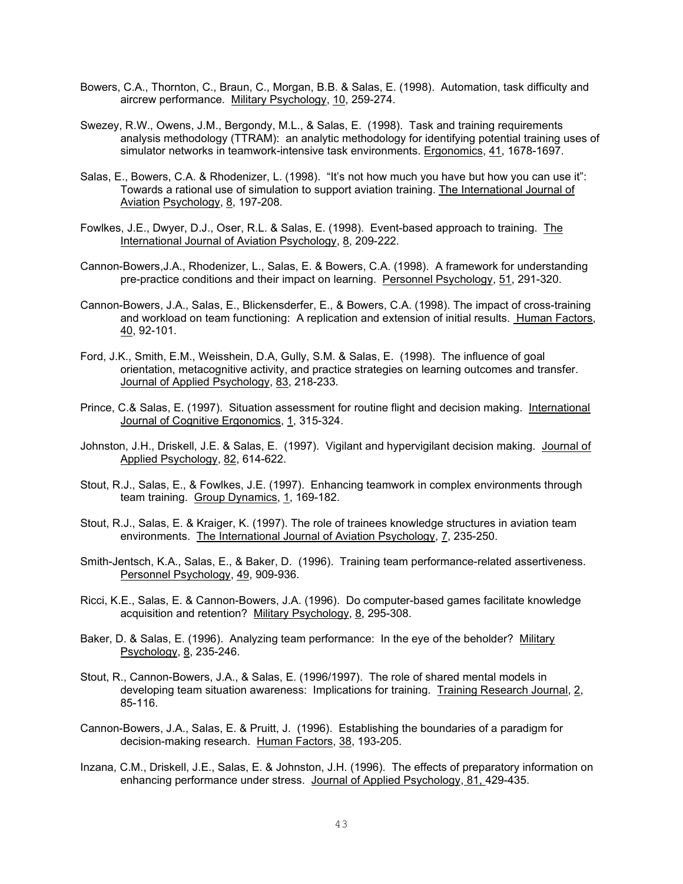- Bowers, C.A., Thornton, C., Braun, C., Morgan, B.B. & Salas, E. (1998). Automation, task difficulty and aircrew performance. Military Psychology, 10, 259-274.
- Swezey, R.W., Owens, J.M., Bergondy, M.L., & Salas, E. (1998). Task and training requirements analysis methodology (TTRAM): an analytic methodology for identifying potential training uses of simulator networks in teamwork-intensive task environments. Ergonomics, 41, 1678-1697.
- Salas, E., Bowers, C.A. & Rhodenizer, L. (1998). "It's not how much you have but how you can use it": Towards a rational use of simulation to support aviation training. The International Journal of Aviation Psychology, 8, 197-208.
- Fowlkes, J.E., Dwyer, D.J., Oser, R.L. & Salas, E. (1998). Event-based approach to training. The International Journal of Aviation Psychology, 8, 209-222.
- Cannon-Bowers,J.A., Rhodenizer, L., Salas, E. & Bowers, C.A. (1998). A framework for understanding pre-practice conditions and their impact on learning. Personnel Psychology, 51, 291-320.
- Cannon-Bowers, J.A., Salas, E., Blickensderfer, E., & Bowers, C.A. (1998). The impact of cross-training and workload on team functioning: A replication and extension of initial results. Human Factors, 40, 92-101.
- Ford, J.K., Smith, E.M., Weisshein, D.A, Gully, S.M. & Salas, E. (1998). The influence of goal orientation, metacognitive activity, and practice strategies on learning outcomes and transfer. Journal of Applied Psychology, 83, 218-233.
- Prince, C.& Salas, E. (1997). Situation assessment for routine flight and decision making. International Journal of Cognitive Ergonomics, 1, 315-324.
- Johnston, J.H., Driskell, J.E. & Salas, E. (1997). Vigilant and hypervigilant decision making. Journal of Applied Psychology, 82, 614-622.
- Stout, R.J., Salas, E., & Fowlkes, J.E. (1997). Enhancing teamwork in complex environments through team training. Group Dynamics, 1, 169-182.
- Stout, R.J., Salas, E. & Kraiger, K. (1997). The role of trainees knowledge structures in aviation team environments. The International Journal of Aviation Psychology, 7, 235-250.
- Smith-Jentsch, K.A., Salas, E., & Baker, D. (1996). Training team performance-related assertiveness. Personnel Psychology, 49, 909-936.
- Ricci, K.E., Salas, E. & Cannon-Bowers, J.A. (1996). Do computer-based games facilitate knowledge acquisition and retention? Military Psychology, 8, 295-308.
- Baker, D. & Salas, E. (1996). Analyzing team performance: In the eye of the beholder? Military Psychology, 8, 235-246.
- Stout, R., Cannon-Bowers, J.A., & Salas, E. (1996/1997). The role of shared mental models in developing team situation awareness: Implications for training. Training Research Journal, 2, 85-116.
- Cannon-Bowers, J.A., Salas, E. & Pruitt, J. (1996). Establishing the boundaries of a paradigm for decision-making research. Human Factors, 38, 193-205.
- Inzana, C.M., Driskell, J.E., Salas, E. & Johnston, J.H. (1996). The effects of preparatory information on enhancing performance under stress. Journal of Applied Psychology, 81, 429-435.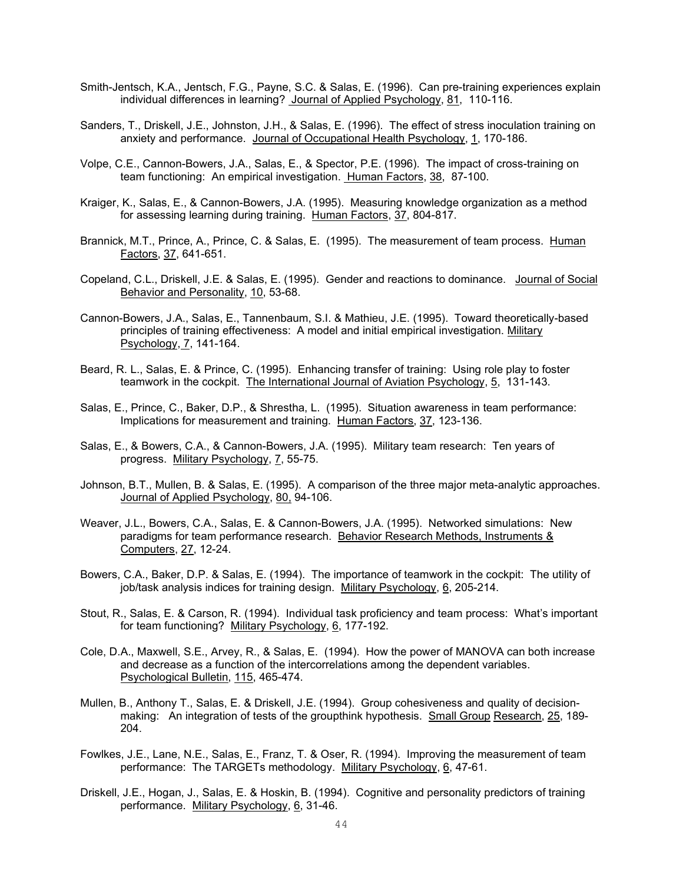- Smith-Jentsch, K.A., Jentsch, F.G., Payne, S.C. & Salas, E. (1996). Can pre-training experiences explain individual differences in learning? Journal of Applied Psychology, 81, 110-116.
- Sanders, T., Driskell, J.E., Johnston, J.H., & Salas, E. (1996). The effect of stress inoculation training on anxiety and performance. Journal of Occupational Health Psychology, 1, 170-186.
- Volpe, C.E., Cannon-Bowers, J.A., Salas, E., & Spector, P.E. (1996). The impact of cross-training on team functioning: An empirical investigation. Human Factors, 38, 87-100.
- Kraiger, K., Salas, E., & Cannon-Bowers, J.A. (1995). Measuring knowledge organization as a method for assessing learning during training. Human Factors, 37, 804-817.
- Brannick, M.T., Prince, A., Prince, C. & Salas, E. (1995). The measurement of team process. Human Factors, 37, 641-651.
- Copeland, C.L., Driskell, J.E. & Salas, E. (1995). Gender and reactions to dominance. Journal of Social Behavior and Personality, 10, 53-68.
- Cannon-Bowers, J.A., Salas, E., Tannenbaum, S.I. & Mathieu, J.E. (1995). Toward theoretically-based principles of training effectiveness: A model and initial empirical investigation. Military Psychology, 7, 141-164.
- Beard, R. L., Salas, E. & Prince, C. (1995). Enhancing transfer of training: Using role play to foster teamwork in the cockpit. The International Journal of Aviation Psychology, 5, 131-143.
- Salas, E., Prince, C., Baker, D.P., & Shrestha, L. (1995). Situation awareness in team performance: Implications for measurement and training. Human Factors, 37, 123-136.
- Salas, E., & Bowers, C.A., & Cannon-Bowers, J.A. (1995). Military team research: Ten years of progress. Military Psychology, 7, 55-75.
- Johnson, B.T., Mullen, B. & Salas, E. (1995). A comparison of the three major meta-analytic approaches. Journal of Applied Psychology, 80, 94-106.
- Weaver, J.L., Bowers, C.A., Salas, E. & Cannon-Bowers, J.A. (1995). Networked simulations: New paradigms for team performance research. Behavior Research Methods, Instruments & Computers, 27, 12-24.
- Bowers, C.A., Baker, D.P. & Salas, E. (1994). The importance of teamwork in the cockpit: The utility of job/task analysis indices for training design. Military Psychology, 6, 205-214.
- Stout, R., Salas, E. & Carson, R. (1994). Individual task proficiency and team process: What's important for team functioning? Military Psychology, 6, 177-192.
- Cole, D.A., Maxwell, S.E., Arvey, R., & Salas, E. (1994). How the power of MANOVA can both increase and decrease as a function of the intercorrelations among the dependent variables. Psychological Bulletin, 115, 465-474.
- Mullen, B., Anthony T., Salas, E. & Driskell, J.E. (1994). Group cohesiveness and quality of decisionmaking: An integration of tests of the groupthink hypothesis. Small Group Research, 25, 189- 204.
- Fowlkes, J.E., Lane, N.E., Salas, E., Franz, T. & Oser, R. (1994). Improving the measurement of team performance: The TARGETs methodology. Military Psychology, 6, 47-61.
- Driskell, J.E., Hogan, J., Salas, E. & Hoskin, B. (1994). Cognitive and personality predictors of training performance. Military Psychology, 6, 31-46.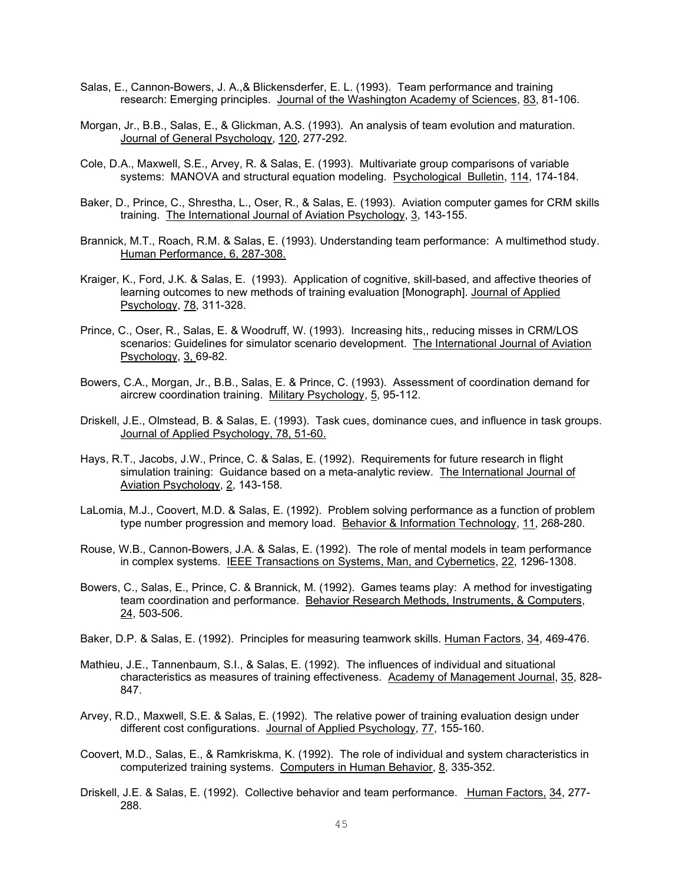- Salas, E., Cannon-Bowers, J. A.,& Blickensderfer, E. L. (1993). Team performance and training research: Emerging principles. Journal of the Washington Academy of Sciences, 83, 81-106.
- Morgan, Jr., B.B., Salas, E., & Glickman, A.S. (1993). An analysis of team evolution and maturation. Journal of General Psychology, 120, 277-292.
- Cole, D.A., Maxwell, S.E., Arvey, R. & Salas, E. (1993). Multivariate group comparisons of variable systems: MANOVA and structural equation modeling. Psychological Bulletin, 114, 174-184.
- Baker, D., Prince, C., Shrestha, L., Oser, R., & Salas, E. (1993). Aviation computer games for CRM skills training. The International Journal of Aviation Psychology, 3, 143-155.
- Brannick, M.T., Roach, R.M. & Salas, E. (1993). Understanding team performance: A multimethod study. Human Performance, 6, 287-308.
- Kraiger, K., Ford, J.K. & Salas, E. (1993). Application of cognitive, skill-based, and affective theories of learning outcomes to new methods of training evaluation [Monograph]. Journal of Applied Psychology, 78, 311-328.
- Prince, C., Oser, R., Salas, E. & Woodruff, W. (1993). Increasing hits,, reducing misses in CRM/LOS scenarios: Guidelines for simulator scenario development. The International Journal of Aviation Psychology, 3, 69-82.
- Bowers, C.A., Morgan, Jr., B.B., Salas, E. & Prince, C. (1993). Assessment of coordination demand for aircrew coordination training. Military Psychology, 5, 95-112.
- Driskell, J.E., Olmstead, B. & Salas, E. (1993). Task cues, dominance cues, and influence in task groups. Journal of Applied Psychology, 78, 51-60.
- Hays, R.T., Jacobs, J.W., Prince, C. & Salas, E. (1992). Requirements for future research in flight simulation training: Guidance based on a meta-analytic review. The International Journal of Aviation Psychology, 2, 143-158.
- LaLomia, M.J., Coovert, M.D. & Salas, E. (1992). Problem solving performance as a function of problem type number progression and memory load. Behavior & Information Technology, 11, 268-280.
- Rouse, W.B., Cannon-Bowers, J.A. & Salas, E. (1992). The role of mental models in team performance in complex systems. IEEE Transactions on Systems, Man, and Cybernetics, 22, 1296-1308.
- Bowers, C., Salas, E., Prince, C. & Brannick, M. (1992). Games teams play: A method for investigating team coordination and performance. Behavior Research Methods, Instruments, & Computers, 24, 503-506.
- Baker, D.P. & Salas, E. (1992). Principles for measuring teamwork skills. Human Factors, 34, 469-476.
- Mathieu, J.E., Tannenbaum, S.I., & Salas, E. (1992). The influences of individual and situational characteristics as measures of training effectiveness. Academy of Management Journal, 35, 828- 847.
- Arvey, R.D., Maxwell, S.E. & Salas, E. (1992). The relative power of training evaluation design under different cost configurations. Journal of Applied Psychology, 77, 155-160.
- Coovert, M.D., Salas, E., & Ramkriskma, K. (1992). The role of individual and system characteristics in computerized training systems. Computers in Human Behavior, 8, 335-352.
- Driskell, J.E. & Salas, E. (1992). Collective behavior and team performance. Human Factors, 34, 277- 288.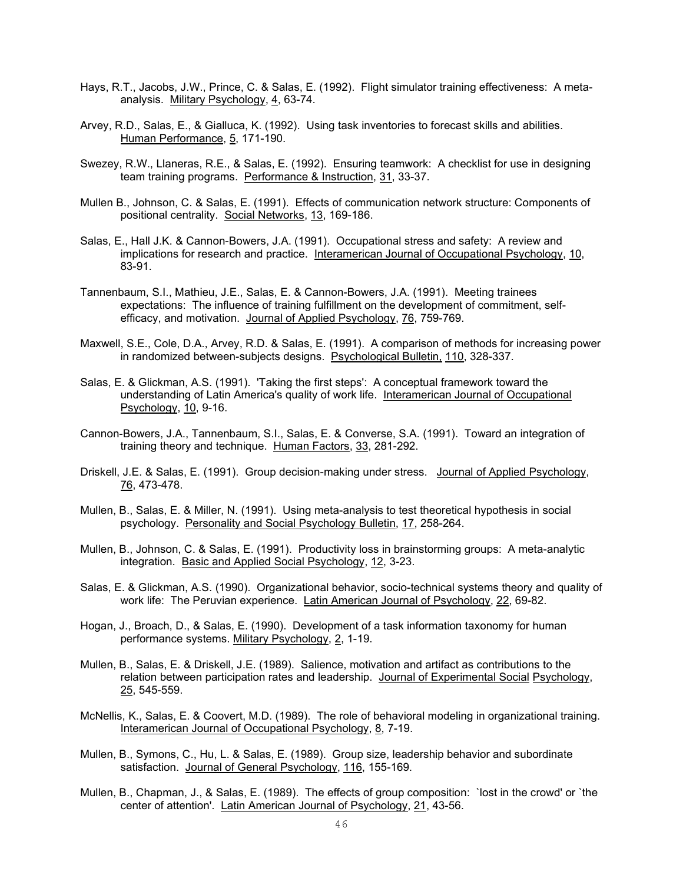- Hays, R.T., Jacobs, J.W., Prince, C. & Salas, E. (1992). Flight simulator training effectiveness: A metaanalysis. Military Psychology, 4, 63-74.
- Arvey, R.D., Salas, E., & Gialluca, K. (1992). Using task inventories to forecast skills and abilities. Human Performance, 5, 171-190.
- Swezey, R.W., Llaneras, R.E., & Salas, E. (1992). Ensuring teamwork: A checklist for use in designing team training programs. Performance & Instruction, 31, 33-37.
- Mullen B., Johnson, C. & Salas, E. (1991). Effects of communication network structure: Components of positional centrality. Social Networks, 13, 169-186.
- Salas, E., Hall J.K. & Cannon-Bowers, J.A. (1991). Occupational stress and safety: A review and implications for research and practice. Interamerican Journal of Occupational Psychology, 10, 83-91.
- Tannenbaum, S.I., Mathieu, J.E., Salas, E. & Cannon-Bowers, J.A. (1991). Meeting trainees expectations: The influence of training fulfillment on the development of commitment, selfefficacy, and motivation. Journal of Applied Psychology, 76, 759-769.
- Maxwell, S.E., Cole, D.A., Arvey, R.D. & Salas, E. (1991). A comparison of methods for increasing power in randomized between-subjects designs. Psychological Bulletin, 110, 328-337.
- Salas, E. & Glickman, A.S. (1991). 'Taking the first steps': A conceptual framework toward the understanding of Latin America's quality of work life. Interamerican Journal of Occupational Psychology, 10, 9-16.
- Cannon-Bowers, J.A., Tannenbaum, S.I., Salas, E. & Converse, S.A. (1991). Toward an integration of training theory and technique. Human Factors, 33, 281-292.
- Driskell, J.E. & Salas, E. (1991). Group decision-making under stress. Journal of Applied Psychology, 76, 473-478.
- Mullen, B., Salas, E. & Miller, N. (1991). Using meta-analysis to test theoretical hypothesis in social psychology. Personality and Social Psychology Bulletin, 17, 258-264.
- Mullen, B., Johnson, C. & Salas, E. (1991). Productivity loss in brainstorming groups: A meta-analytic integration. Basic and Applied Social Psychology, 12, 3-23.
- Salas, E. & Glickman, A.S. (1990). Organizational behavior, socio-technical systems theory and quality of work life: The Peruvian experience. Latin American Journal of Psychology, 22, 69-82.
- Hogan, J., Broach, D., & Salas, E. (1990). Development of a task information taxonomy for human performance systems. Military Psychology, 2, 1-19.
- Mullen, B., Salas, E. & Driskell, J.E. (1989). Salience, motivation and artifact as contributions to the relation between participation rates and leadership. Journal of Experimental Social Psychology, 25, 545-559.
- McNellis, K., Salas, E. & Coovert, M.D. (1989). The role of behavioral modeling in organizational training. Interamerican Journal of Occupational Psychology, 8, 7-19.
- Mullen, B., Symons, C., Hu, L. & Salas, E. (1989). Group size, leadership behavior and subordinate satisfaction. Journal of General Psychology, 116, 155-169.
- Mullen, B., Chapman, J., & Salas, E. (1989). The effects of group composition: `lost in the crowd' or `the center of attention'. Latin American Journal of Psychology, 21, 43-56.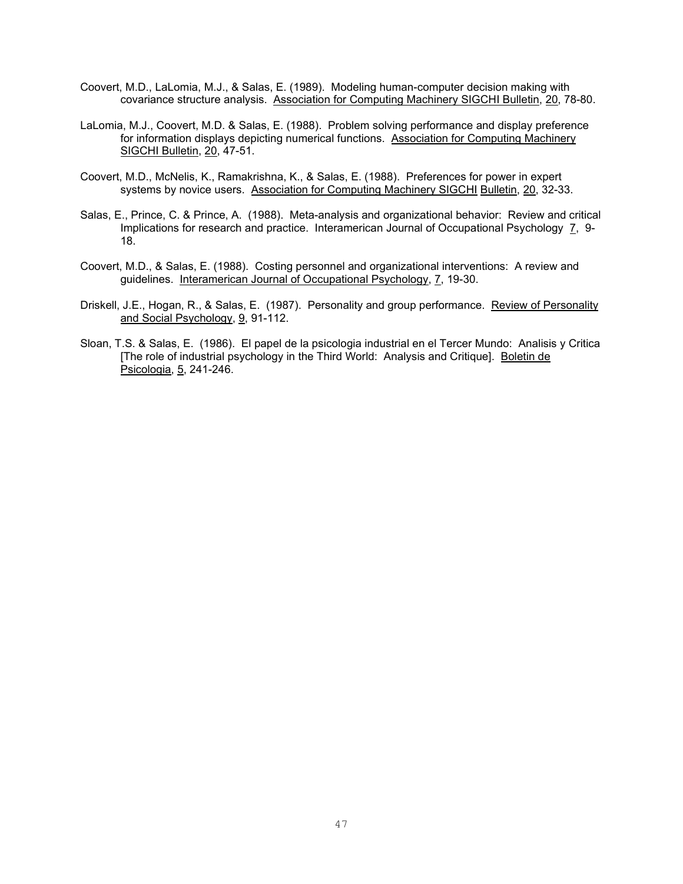- Coovert, M.D., LaLomia, M.J., & Salas, E. (1989). Modeling human-computer decision making with covariance structure analysis. Association for Computing Machinery SIGCHI Bulletin, 20, 78-80.
- LaLomia, M.J., Coovert, M.D. & Salas, E. (1988). Problem solving performance and display preference for information displays depicting numerical functions. Association for Computing Machinery SIGCHI Bulletin, 20, 47-51.
- Coovert, M.D., McNelis, K., Ramakrishna, K., & Salas, E. (1988). Preferences for power in expert systems by novice users. Association for Computing Machinery SIGCHI Bulletin, 20, 32-33.
- Salas, E., Prince, C. & Prince, A. (1988). Meta-analysis and organizational behavior: Review and critical Implications for research and practice. Interamerican Journal of Occupational Psychology 7, 9- 18.
- Coovert, M.D., & Salas, E. (1988). Costing personnel and organizational interventions: A review and guidelines. Interamerican Journal of Occupational Psychology, 7, 19-30.
- Driskell, J.E., Hogan, R., & Salas, E. (1987). Personality and group performance. Review of Personality and Social Psychology, 9, 91-112.
- Sloan, T.S. & Salas, E. (1986). El papel de la psicologia industrial en el Tercer Mundo: Analisis y Critica [The role of industrial psychology in the Third World: Analysis and Critique]. Boletin de Psicologia, 5, 241-246.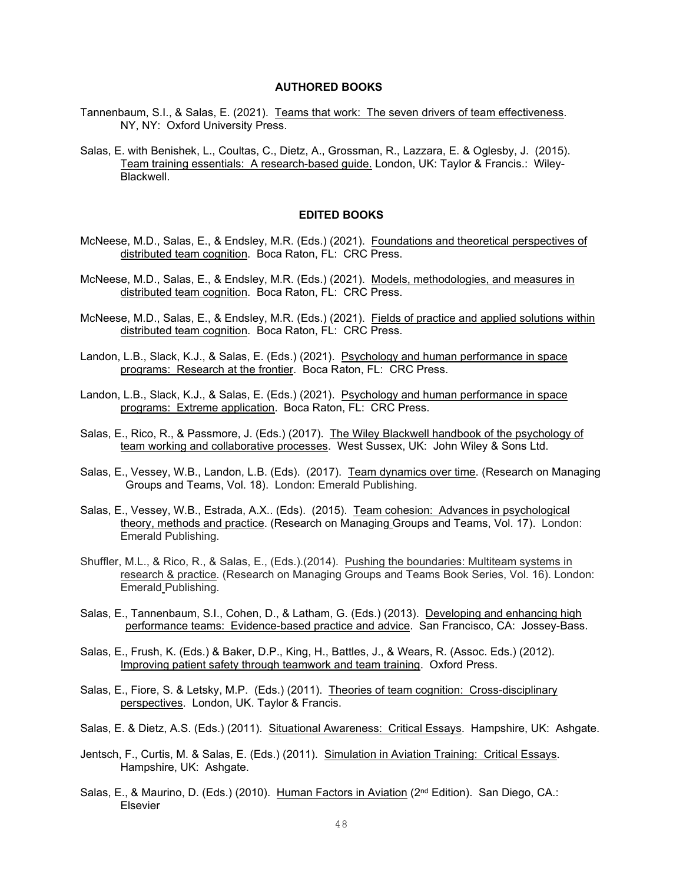## **AUTHORED BOOKS**

- Tannenbaum, S.I., & Salas, E. (2021). Teams that work: The seven drivers of team effectiveness. NY, NY: Oxford University Press.
- Salas, E. with Benishek, L., Coultas, C., Dietz, A., Grossman, R., Lazzara, E. & Oglesby, J. (2015). Team training essentials: A research-based guide. London, UK: Taylor & Francis.: Wiley-Blackwell.

### **EDITED BOOKS**

- McNeese, M.D., Salas, E., & Endsley, M.R. (Eds.) (2021). Foundations and theoretical perspectives of distributed team cognition. Boca Raton, FL: CRC Press.
- McNeese, M.D., Salas, E., & Endsley, M.R. (Eds.) (2021). Models, methodologies, and measures in distributed team cognition. Boca Raton, FL: CRC Press.
- McNeese, M.D., Salas, E., & Endsley, M.R. (Eds.) (2021). Fields of practice and applied solutions within distributed team cognition. Boca Raton, FL: CRC Press.
- Landon, L.B., Slack, K.J., & Salas, E. (Eds.) (2021). Psychology and human performance in space programs: Research at the frontier. Boca Raton, FL: CRC Press.
- Landon, L.B., Slack, K.J., & Salas, E. (Eds.) (2021). Psychology and human performance in space programs: Extreme application. Boca Raton, FL: CRC Press.
- Salas, E., Rico, R., & Passmore, J. (Eds.) (2017). The Wiley Blackwell handbook of the psychology of team working and collaborative processes. West Sussex, UK: John Wiley & Sons Ltd.
- Salas, E., Vessey, W.B., Landon, L.B. (Eds). (2017). Team dynamics over time. (Research on Managing Groups and Teams, Vol. 18). London: Emerald Publishing.
- Salas, E., Vessey, W.B., Estrada, A.X.. (Eds). (2015). Team cohesion: Advances in psychological theory, methods and practice. (Research on Managing Groups and Teams, Vol. 17). London: Emerald Publishing.
- Shuffler, M.L., & Rico, R., & Salas, E., (Eds.).(2014). Pushing the boundaries: Multiteam systems in research & practice. (Research on Managing Groups and Teams Book Series, Vol. 16). London: Emerald Publishing.
- Salas, E., Tannenbaum, S.I., Cohen, D., & Latham, G. (Eds.) (2013). Developing and enhancing high performance teams: Evidence-based practice and advice. San Francisco, CA: Jossey-Bass.
- Salas, E., Frush, K. (Eds.) & Baker, D.P., King, H., Battles, J., & Wears, R. (Assoc. Eds.) (2012). Improving patient safety through teamwork and team training. Oxford Press.
- Salas, E., Fiore, S. & Letsky, M.P. (Eds.) (2011). Theories of team cognition: Cross-disciplinary perspectives. London, UK. Taylor & Francis.
- Salas, E. & Dietz, A.S. (Eds.) (2011). Situational Awareness: Critical Essays. Hampshire, UK: Ashgate.
- Jentsch, F., Curtis, M. & Salas, E. (Eds.) (2011). Simulation in Aviation Training: Critical Essays. Hampshire, UK: Ashgate.
- Salas, E., & Maurino, D. (Eds.) (2010). Human Factors in Aviation (2nd Edition). San Diego, CA.: Elsevier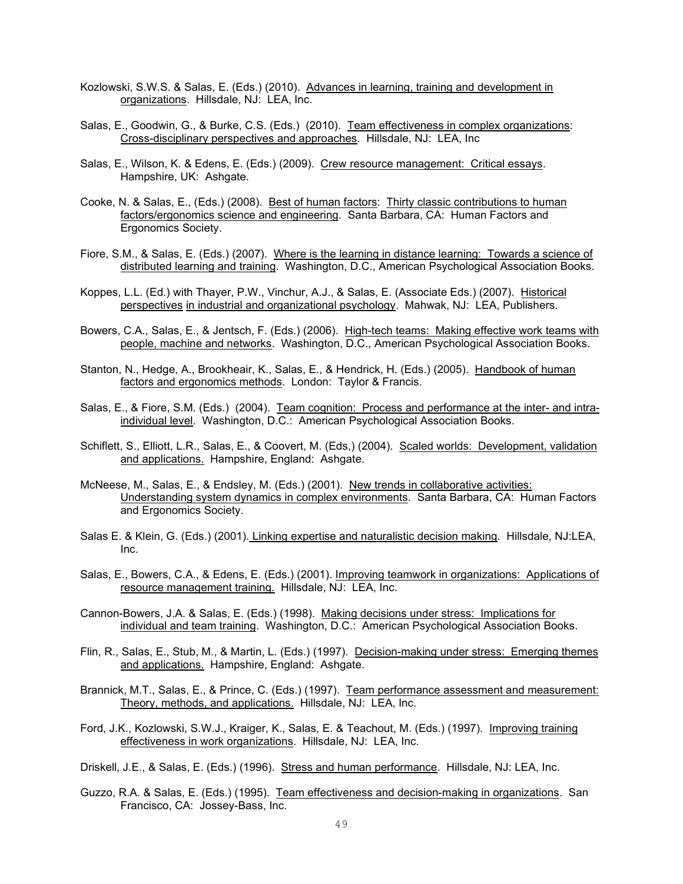- Kozlowski, S.W.S. & Salas, E. (Eds.) (2010). Advances in learning, training and development in organizations. Hillsdale, NJ: LEA, Inc.
- Salas, E., Goodwin, G., & Burke, C.S. (Eds.) (2010). Team effectiveness in complex organizations: Cross-disciplinary perspectives and approaches. Hillsdale, NJ: LEA, Inc
- Salas, E., Wilson, K. & Edens, E. (Eds.) (2009). Crew resource management: Critical essays. Hampshire, UK: Ashgate.
- Cooke, N. & Salas, E., (Eds.) (2008). Best of human factors: Thirty classic contributions to human factors/ergonomics science and engineering. Santa Barbara, CA: Human Factors and Ergonomics Society.
- Fiore, S.M., & Salas, E. (Eds.) (2007). Where is the learning in distance learning: Towards a science of distributed learning and training. Washington, D.C., American Psychological Association Books.
- Koppes, L.L. (Ed.) with Thayer, P.W., Vinchur, A.J., & Salas, E. (Associate Eds.) (2007). Historical perspectives in industrial and organizational psychology. Mahwak, NJ: LEA, Publishers.
- Bowers, C.A., Salas, E., & Jentsch, F. (Eds.) (2006). High-tech teams: Making effective work teams with people, machine and networks. Washington, D.C., American Psychological Association Books.
- Stanton, N., Hedge, A., Brookheair, K., Salas, E., & Hendrick, H. (Eds.) (2005). Handbook of human factors and ergonomics methods. London: Taylor & Francis.
- Salas, E., & Fiore, S.M. (Eds.) (2004). Team cognition: Process and performance at the inter- and intraindividual level. Washington, D.C.: American Psychological Association Books.
- Schiflett, S., Elliott, L.R., Salas, E., & Coovert, M. (Eds,) (2004). Scaled worlds: Development, validation and applications. Hampshire, England: Ashgate.
- McNeese, M., Salas, E., & Endsley, M. (Eds.) (2001). New trends in collaborative activities: Understanding system dynamics in complex environments. Santa Barbara, CA: Human Factors and Ergonomics Society.
- Salas E. & Klein, G. (Eds.) (2001). Linking expertise and naturalistic decision making. Hillsdale, NJ:LEA, Inc.
- Salas, E., Bowers, C.A., & Edens, E. (Eds.) (2001). Improving teamwork in organizations: Applications of resource management training. Hillsdale, NJ: LEA, Inc.
- Cannon-Bowers, J.A. & Salas, E. (Eds.) (1998). Making decisions under stress: Implications for individual and team training. Washington, D.C.: American Psychological Association Books.
- Flin, R., Salas, E., Stub, M., & Martin, L. (Eds.) (1997). Decision-making under stress: Emerging themes and applications. Hampshire, England: Ashgate.
- Brannick, M.T., Salas, E., & Prince, C. (Eds.) (1997). Team performance assessment and measurement: Theory, methods, and applications. Hillsdale, NJ: LEA, Inc.
- Ford, J.K., Kozlowski, S.W.J., Kraiger, K., Salas, E. & Teachout, M. (Eds.) (1997). Improving training effectiveness in work organizations. Hillsdale, NJ: LEA, Inc.

Driskell, J.E., & Salas, E. (Eds.) (1996). Stress and human performance. Hillsdale, NJ: LEA, Inc.

Guzzo, R.A. & Salas, E. (Eds.) (1995). Team effectiveness and decision-making in organizations. San Francisco, CA: Jossey-Bass, Inc.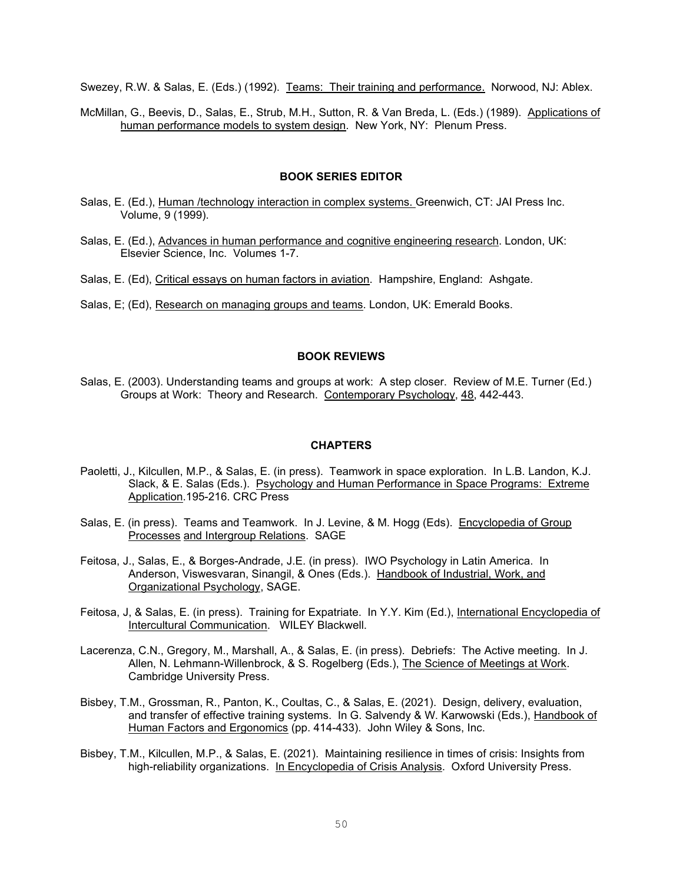Swezey, R.W. & Salas, E. (Eds.) (1992). Teams: Their training and performance. Norwood, NJ: Ablex.

McMillan, G., Beevis, D., Salas, E., Strub, M.H., Sutton, R. & Van Breda, L. (Eds.) (1989). Applications of human performance models to system design. New York, NY: Plenum Press.

#### **BOOK SERIES EDITOR**

- Salas, E. (Ed.), Human /technology interaction in complex systems. Greenwich, CT: JAI Press Inc. Volume, 9 (1999).
- Salas, E. (Ed.), Advances in human performance and cognitive engineering research. London, UK: Elsevier Science, Inc. Volumes 1-7.
- Salas, E. (Ed), Critical essays on human factors in aviation. Hampshire, England: Ashgate.
- Salas, E; (Ed), Research on managing groups and teams. London, UK: Emerald Books.

# **BOOK REVIEWS**

Salas, E. (2003). Understanding teams and groups at work: A step closer. Review of M.E. Turner (Ed.) Groups at Work: Theory and Research. Contemporary Psychology, 48, 442-443.

### **CHAPTERS**

- Paoletti, J., Kilcullen, M.P., & Salas, E. (in press). Teamwork in space exploration. In L.B. Landon, K.J. Slack, & E. Salas (Eds.). Psychology and Human Performance in Space Programs: Extreme Application.195-216. CRC Press
- Salas, E. (in press). Teams and Teamwork. In J. Levine, & M. Hogg (Eds). Encyclopedia of Group Processes and Intergroup Relations. SAGE
- Feitosa, J., Salas, E., & Borges-Andrade, J.E. (in press). IWO Psychology in Latin America. In Anderson, Viswesvaran, Sinangil, & Ones (Eds.). Handbook of Industrial, Work, and Organizational Psychology, SAGE.
- Feitosa, J, & Salas, E. (in press). Training for Expatriate. In Y.Y. Kim (Ed.), International Encyclopedia of Intercultural Communication. WILEY Blackwell.
- Lacerenza, C.N., Gregory, M., Marshall, A., & Salas, E. (in press). Debriefs: The Active meeting. In J. Allen, N. Lehmann-Willenbrock, & S. Rogelberg (Eds.), The Science of Meetings at Work. Cambridge University Press.
- Bisbey, T.M., Grossman, R., Panton, K., Coultas, C., & Salas, E. (2021). Design, delivery, evaluation, and transfer of effective training systems. In G. Salvendy & W. Karwowski (Eds.), Handbook of Human Factors and Ergonomics (pp. 414-433). John Wiley & Sons, Inc.
- Bisbey, T.M., Kilcullen, M.P., & Salas, E. (2021). Maintaining resilience in times of crisis: Insights from high-reliability organizations. In Encyclopedia of Crisis Analysis. Oxford University Press.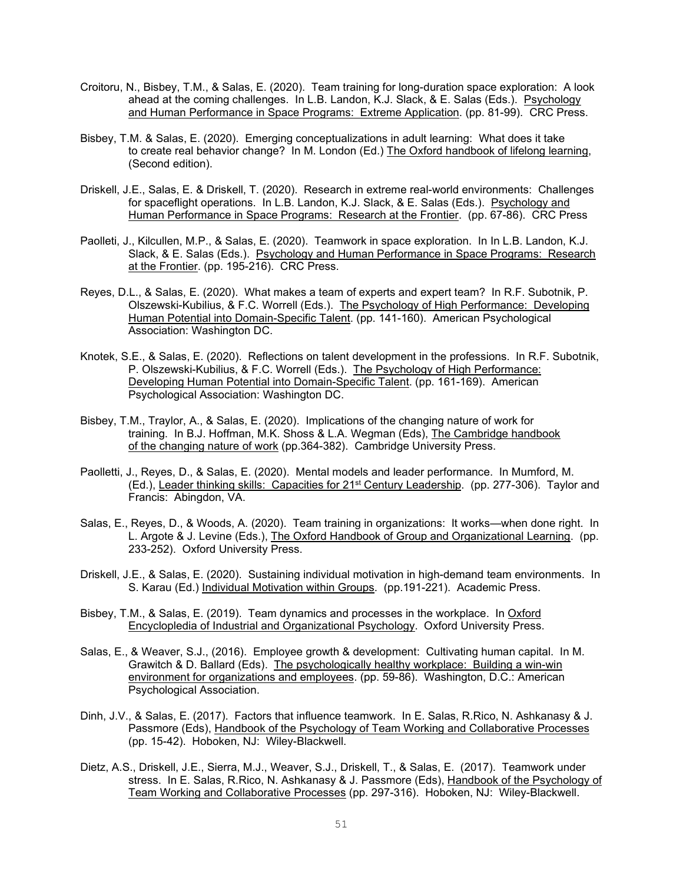- Croitoru, N., Bisbey, T.M., & Salas, E. (2020). Team training for long-duration space exploration: A look ahead at the coming challenges. In L.B. Landon, K.J. Slack, & E. Salas (Eds.). Psychology and Human Performance in Space Programs: Extreme Application. (pp. 81-99). CRC Press.
- Bisbey, T.M. & Salas, E. (2020). Emerging conceptualizations in adult learning: What does it take to create real behavior change? In M. London (Ed.) The Oxford handbook of lifelong learning, (Second edition).
- Driskell, J.E., Salas, E. & Driskell, T. (2020). Research in extreme real-world environments: Challenges for spaceflight operations. In L.B. Landon, K.J. Slack, & E. Salas (Eds.). Psychology and Human Performance in Space Programs: Research at the Frontier. (pp. 67-86). CRC Press
- Paolleti, J., Kilcullen, M.P., & Salas, E. (2020). Teamwork in space exploration. In In L.B. Landon, K.J. Slack, & E. Salas (Eds.). Psychology and Human Performance in Space Programs: Research at the Frontier. (pp. 195-216). CRC Press.
- Reyes, D.L., & Salas, E. (2020). What makes a team of experts and expert team? In R.F. Subotnik, P. Olszewski-Kubilius, & F.C. Worrell (Eds.). The Psychology of High Performance: Developing Human Potential into Domain-Specific Talent. (pp. 141-160). American Psychological Association: Washington DC.
- Knotek, S.E., & Salas, E. (2020). Reflections on talent development in the professions. In R.F. Subotnik, P. Olszewski-Kubilius, & F.C. Worrell (Eds.). The Psychology of High Performance: Developing Human Potential into Domain-Specific Talent. (pp. 161-169). American Psychological Association: Washington DC.
- Bisbey, T.M., Traylor, A., & Salas, E. (2020). Implications of the changing nature of work for training. In B.J. Hoffman, M.K. Shoss & L.A. Wegman (Eds), The Cambridge handbook of the changing nature of work (pp.364-382). Cambridge University Press.
- Paolletti, J., Reyes, D., & Salas, E. (2020). Mental models and leader performance. In Mumford, M. (Ed.), Leader thinking skills: Capacities for 21st Century Leadership. (pp. 277-306). Taylor and Francis: Abingdon, VA.
- Salas, E., Reyes, D., & Woods, A. (2020). Team training in organizations: It works—when done right. In L. Argote & J. Levine (Eds.), The Oxford Handbook of Group and Organizational Learning. (pp. 233-252). Oxford University Press.
- Driskell, J.E., & Salas, E. (2020). Sustaining individual motivation in high-demand team environments. In S. Karau (Ed.) Individual Motivation within Groups. (pp.191-221). Academic Press.
- Bisbey, T.M., & Salas, E. (2019). Team dynamics and processes in the workplace. In Oxford Encyclopledia of Industrial and Organizational Psychology. Oxford University Press.
- Salas, E., & Weaver, S.J., (2016). Employee growth & development: Cultivating human capital. In M. Grawitch & D. Ballard (Eds). The psychologically healthy workplace: Building a win-win environment for organizations and employees. (pp. 59-86). Washington, D.C.: American Psychological Association.
- Dinh, J.V., & Salas, E. (2017). Factors that influence teamwork. In E. Salas, R.Rico, N. Ashkanasy & J. Passmore (Eds), Handbook of the Psychology of Team Working and Collaborative Processes (pp. 15-42). Hoboken, NJ: Wiley-Blackwell.
- Dietz, A.S., Driskell, J.E., Sierra, M.J., Weaver, S.J., Driskell, T., & Salas, E. (2017). Teamwork under stress. In E. Salas, R.Rico, N. Ashkanasy & J. Passmore (Eds), Handbook of the Psychology of Team Working and Collaborative Processes (pp. 297-316). Hoboken, NJ: Wiley-Blackwell.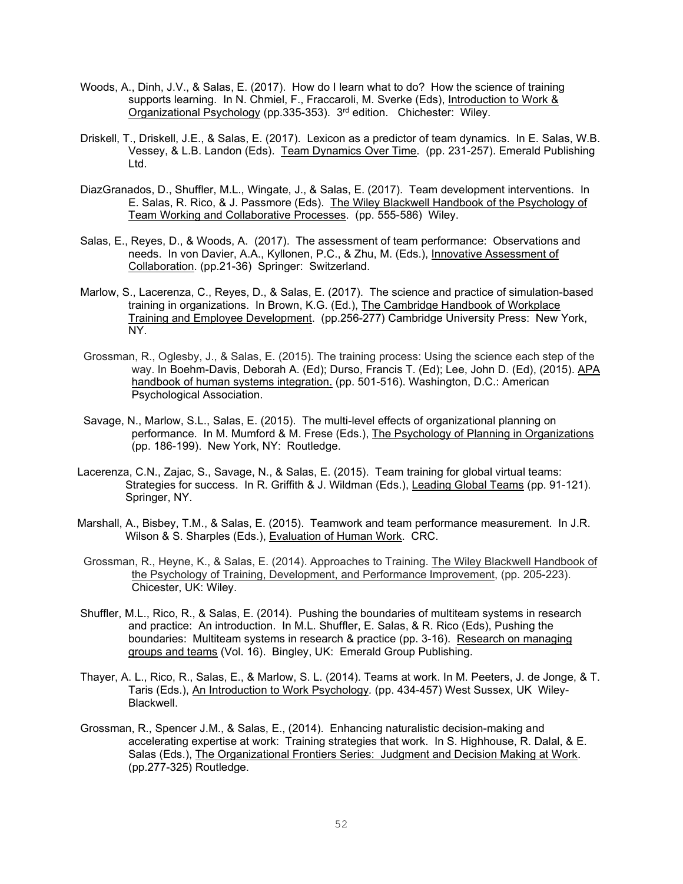- Woods, A., Dinh, J.V., & Salas, E. (2017). How do I learn what to do? How the science of training supports learning. In N. Chmiel, F., Fraccaroli, M. Sverke (Eds), Introduction to Work & Organizational Psychology (pp.335-353). 3rd edition. Chichester: Wiley.
- Driskell, T., Driskell, J.E., & Salas, E. (2017). Lexicon as a predictor of team dynamics. In E. Salas, W.B. Vessey, & L.B. Landon (Eds). Team Dynamics Over Time. (pp. 231-257). Emerald Publishing Ltd.
- DiazGranados, D., Shuffler, M.L., Wingate, J., & Salas, E. (2017). Team development interventions. In E. Salas, R. Rico, & J. Passmore (Eds). The Wiley Blackwell Handbook of the Psychology of Team Working and Collaborative Processes. (pp. 555-586) Wiley.
- Salas, E., Reyes, D., & Woods, A. (2017). The assessment of team performance: Observations and needs. In von Davier, A.A., Kyllonen, P.C., & Zhu, M. (Eds.), Innovative Assessment of Collaboration. (pp.21-36) Springer: Switzerland.
- Marlow, S., Lacerenza, C., Reyes, D., & Salas, E. (2017). The science and practice of simulation-based training in organizations. In Brown, K.G. (Ed.), The Cambridge Handbook of Workplace Training and Employee Development. (pp.256-277) Cambridge University Press: New York, NY.
- Grossman, R., Oglesby, J., & Salas, E. (2015). The training process: Using the science each step of the way. In Boehm-Davis, Deborah A. (Ed); Durso, Francis T. (Ed); Lee, John D. (Ed), (2015). APA handbook of human systems integration. (pp. 501-516). Washington, D.C.: American Psychological Association.
- Savage, N., Marlow, S.L., Salas, E. (2015). The multi-level effects of organizational planning on performance. In M. Mumford & M. Frese (Eds.), The Psychology of Planning in Organizations (pp. 186-199). New York, NY: Routledge.
- Lacerenza, C.N., Zajac, S., Savage, N., & Salas, E. (2015). Team training for global virtual teams: Strategies for success. In R. Griffith & J. Wildman (Eds.), Leading Global Teams (pp. 91-121). Springer, NY.
- Marshall, A., Bisbey, T.M., & Salas, E. (2015). Teamwork and team performance measurement. In J.R. Wilson & S. Sharples (Eds.), Evaluation of Human Work. CRC.
- Grossman, R., Heyne, K., & Salas, E. (2014). Approaches to Training. The Wiley Blackwell Handbook of the Psychology of Training, Development, and Performance Improvement, (pp. 205-223). Chicester, UK: Wiley.
- Shuffler, M.L., Rico, R., & Salas, E. (2014). Pushing the boundaries of multiteam systems in research and practice: An introduction. In M.L. Shuffler, E. Salas, & R. Rico (Eds), Pushing the boundaries: Multiteam systems in research & practice (pp. 3-16). Research on managing groups and teams (Vol. 16). Bingley, UK: Emerald Group Publishing.
- Thayer, A. L., Rico, R., Salas, E., & Marlow, S. L. (2014). Teams at work. In M. Peeters, J. de Jonge, & T. Taris (Eds.), An Introduction to Work Psychology*.* (pp. 434-457) West Sussex, UK Wiley-Blackwell.
- Grossman, R., Spencer J.M., & Salas, E., (2014). Enhancing naturalistic decision-making and accelerating expertise at work: Training strategies that work. In S. Highhouse, R. Dalal, & E. Salas (Eds.), The Organizational Frontiers Series: Judgment and Decision Making at Work. (pp.277-325) Routledge.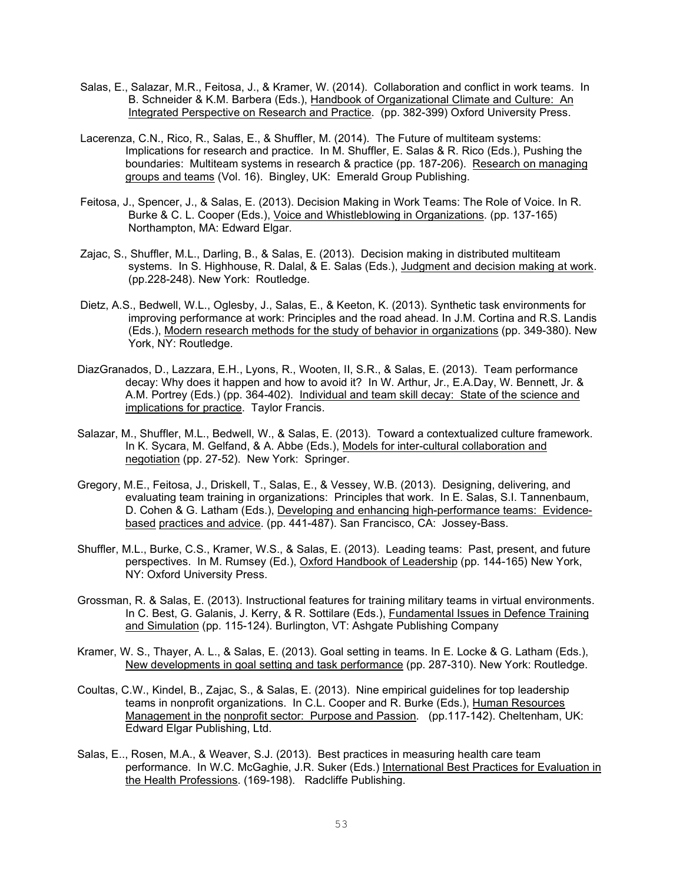- Salas, E., Salazar, M.R., Feitosa, J., & Kramer, W. (2014). Collaboration and conflict in work teams. In B. Schneider & K.M. Barbera (Eds.), Handbook of Organizational Climate and Culture: An Integrated Perspective on Research and Practice. (pp. 382-399) Oxford University Press.
- Lacerenza, C.N., Rico, R., Salas, E., & Shuffler, M. (2014). The Future of multiteam systems: Implications for research and practice. In M. Shuffler, E. Salas & R. Rico (Eds.), Pushing the boundaries: Multiteam systems in research & practice (pp. 187-206). Research on managing groups and teams (Vol. 16). Bingley, UK: Emerald Group Publishing.
- Feitosa, J., Spencer, J., & Salas, E. (2013). Decision Making in Work Teams: The Role of Voice. In R. Burke & C. L. Cooper (Eds.), Voice and Whistleblowing in Organizations*.* (pp. 137-165) Northampton, MA: Edward Elgar.
- Zajac, S., Shuffler, M.L., Darling, B., & Salas, E. (2013). Decision making in distributed multiteam systems. In S. Highhouse, R. Dalal, & E. Salas (Eds.), Judgment and decision making at work. (pp.228-248). New York: Routledge.
- Dietz, A.S., Bedwell, W.L., Oglesby, J., Salas, E., & Keeton, K. (2013). Synthetic task environments for improving performance at work: Principles and the road ahead. In J.M. Cortina and R.S. Landis (Eds.), Modern research methods for the study of behavior in organizations (pp. 349-380). New York, NY: Routledge.
- DiazGranados, D., Lazzara, E.H., Lyons, R., Wooten, II, S.R., & Salas, E. (2013). Team performance decay: Why does it happen and how to avoid it? In W. Arthur, Jr., E.A.Day, W. Bennett, Jr. & A.M. Portrey (Eds.) (pp. 364-402). Individual and team skill decay: State of the science and implications for practice. Taylor Francis.
- Salazar, M., Shuffler, M.L., Bedwell, W., & Salas, E. (2013). Toward a contextualized culture framework. In K. Sycara, M. Gelfand, & A. Abbe (Eds.), Models for inter-cultural collaboration and negotiation (pp. 27-52). New York: Springer.
- Gregory, M.E., Feitosa, J., Driskell, T., Salas, E., & Vessey, W.B. (2013). Designing, delivering, and evaluating team training in organizations: Principles that work. In E. Salas, S.I. Tannenbaum, D. Cohen & G. Latham (Eds.), Developing and enhancing high-performance teams: Evidencebased practices and advice. (pp. 441-487). San Francisco, CA: Jossey-Bass.
- Shuffler, M.L., Burke, C.S., Kramer, W.S., & Salas, E. (2013). Leading teams: Past, present, and future perspectives. In M. Rumsey (Ed.), Oxford Handbook of Leadership (pp. 144-165) New York, NY: Oxford University Press.
- Grossman, R. & Salas, E. (2013). Instructional features for training military teams in virtual environments. In C. Best, G. Galanis, J. Kerry, & R. Sottilare (Eds.), Fundamental Issues in Defence Training and Simulation (pp. 115-124). Burlington, VT: Ashgate Publishing Company
- Kramer, W. S., Thayer, A. L., & Salas, E. (2013). Goal setting in teams. In E. Locke & G. Latham (Eds.), New developments in goal setting and task performance (pp. 287-310). New York: Routledge.
- Coultas, C.W., Kindel, B., Zajac, S., & Salas, E. (2013). Nine empirical guidelines for top leadership teams in nonprofit organizations. In C.L. Cooper and R. Burke (Eds.), Human Resources Management in the nonprofit sector: Purpose and Passion. (pp.117-142). Cheltenham, UK: Edward Elgar Publishing, Ltd.
- Salas, E.., Rosen, M.A., & Weaver, S.J. (2013). Best practices in measuring health care team performance. In W.C. McGaghie, J.R. Suker (Eds.) International Best Practices for Evaluation in the Health Professions. (169-198). Radcliffe Publishing.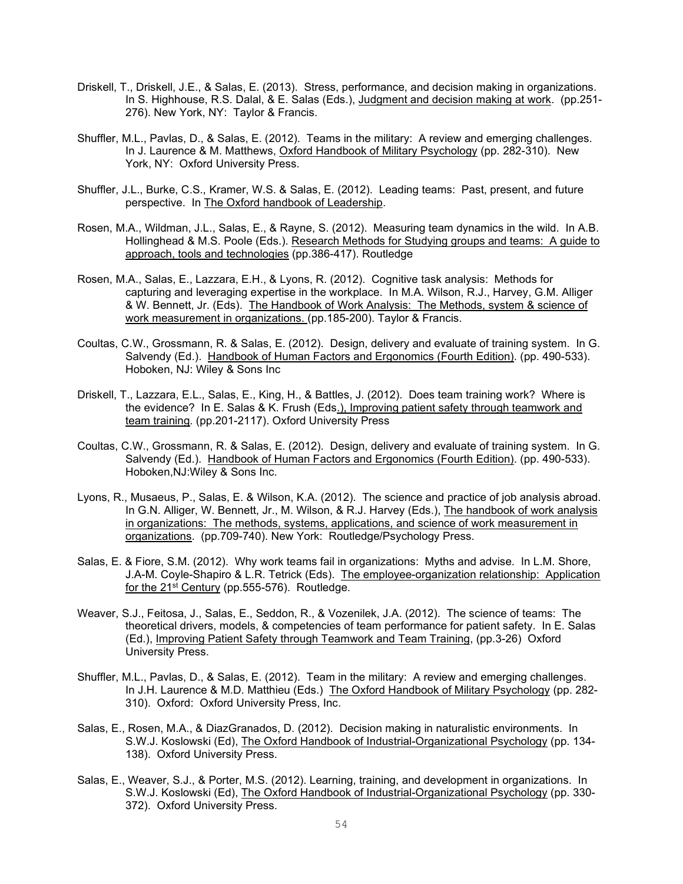- Driskell, T., Driskell, J.E., & Salas, E. (2013). Stress, performance, and decision making in organizations. In S. Highhouse, R.S. Dalal, & E. Salas (Eds.), Judgment and decision making at work. (pp.251- 276). New York, NY: Taylor & Francis.
- Shuffler, M.L., Pavlas, D., & Salas, E. (2012). Teams in the military: A review and emerging challenges. In J. Laurence & M. Matthews, Oxford Handbook of Military Psychology (pp. 282-310). New York, NY: Oxford University Press.
- Shuffler, J.L., Burke, C.S., Kramer, W.S. & Salas, E. (2012). Leading teams: Past, present, and future perspective. In The Oxford handbook of Leadership.
- Rosen, M.A., Wildman, J.L., Salas, E., & Rayne, S. (2012). Measuring team dynamics in the wild. In A.B. Hollinghead & M.S. Poole (Eds.). Research Methods for Studying groups and teams: A guide to approach, tools and technologies (pp.386-417). Routledge
- Rosen, M.A., Salas, E., Lazzara, E.H., & Lyons, R. (2012). Cognitive task analysis: Methods for capturing and leveraging expertise in the workplace. In M.A. Wilson, R.J., Harvey, G.M. Alliger & W. Bennett, Jr. (Eds). The Handbook of Work Analysis: The Methods, system & science of work measurement in organizations. (pp.185-200). Taylor & Francis.
- Coultas, C.W., Grossmann, R. & Salas, E. (2012). Design, delivery and evaluate of training system. In G. Salvendy (Ed.). Handbook of Human Factors and Ergonomics (Fourth Edition). (pp. 490-533). Hoboken, NJ: Wiley & Sons Inc
- Driskell, T., Lazzara, E.L., Salas, E., King, H., & Battles, J. (2012). Does team training work? Where is the evidence? In E. Salas & K. Frush (Eds.), Improving patient safety through teamwork and team training. (pp.201-2117). Oxford University Press
- Coultas, C.W., Grossmann, R. & Salas, E. (2012). Design, delivery and evaluate of training system. In G. Salvendy (Ed.). Handbook of Human Factors and Ergonomics (Fourth Edition). (pp. 490-533). Hoboken,NJ:Wiley & Sons Inc.
- Lyons, R., Musaeus, P., Salas, E. & Wilson, K.A. (2012). The science and practice of job analysis abroad. In G.N. Alliger, W. Bennett, Jr., M. Wilson, & R.J. Harvey (Eds.), The handbook of work analysis in organizations: The methods, systems, applications, and science of work measurement in organizations. (pp.709-740). New York: Routledge/Psychology Press.
- Salas, E. & Fiore, S.M. (2012). Why work teams fail in organizations: Myths and advise. In L.M. Shore, J.A-M. Coyle-Shapiro & L.R. Tetrick (Eds). The employee-organization relationship: Application for the 21<sup>st</sup> Century (pp.555-576). Routledge.
- Weaver, S.J., Feitosa, J., Salas, E., Seddon, R., & Vozenilek, J.A. (2012). The science of teams: The theoretical drivers, models, & competencies of team performance for patient safety. In E. Salas (Ed.), Improving Patient Safety through Teamwork and Team Training, (pp.3-26) Oxford University Press.
- Shuffler, M.L., Pavlas, D., & Salas, E. (2012). Team in the military: A review and emerging challenges. In J.H. Laurence & M.D. Matthieu (Eds.) The Oxford Handbook of Military Psychology (pp. 282-310). Oxford: Oxford University Press, Inc.
- Salas, E., Rosen, M.A., & DiazGranados, D. (2012). Decision making in naturalistic environments. In S.W.J. Koslowski (Ed), The Oxford Handbook of Industrial-Organizational Psychology (pp. 134- 138). Oxford University Press.
- Salas, E., Weaver, S.J., & Porter, M.S. (2012). Learning, training, and development in organizations. In S.W.J. Koslowski (Ed), The Oxford Handbook of Industrial-Organizational Psychology (pp. 330- 372). Oxford University Press.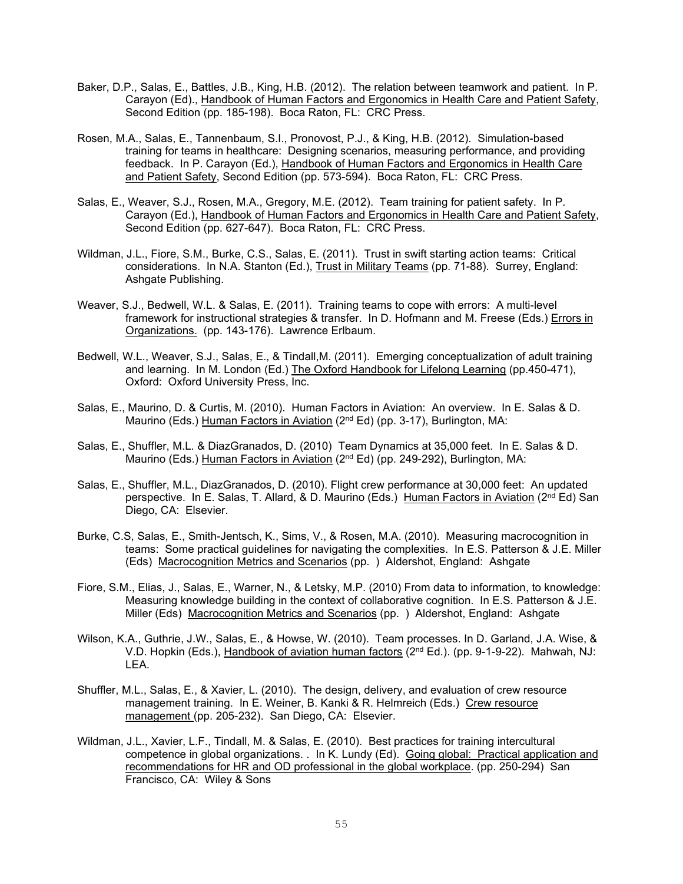- Baker, D.P., Salas, E., Battles, J.B., King, H.B. (2012). The relation between teamwork and patient. In P. Carayon (Ed)., Handbook of Human Factors and Ergonomics in Health Care and Patient Safety, Second Edition (pp. 185-198). Boca Raton, FL: CRC Press.
- Rosen, M.A., Salas, E., Tannenbaum, S.I., Pronovost, P.J., & King, H.B. (2012). Simulation-based training for teams in healthcare: Designing scenarios, measuring performance, and providing feedback. In P. Carayon (Ed.), Handbook of Human Factors and Ergonomics in Health Care and Patient Safety, Second Edition (pp. 573-594). Boca Raton, FL: CRC Press.
- Salas, E., Weaver, S.J., Rosen, M.A., Gregory, M.E. (2012). Team training for patient safety. In P. Carayon (Ed.), Handbook of Human Factors and Ergonomics in Health Care and Patient Safety, Second Edition (pp. 627-647). Boca Raton, FL: CRC Press.
- Wildman, J.L., Fiore, S.M., Burke, C.S., Salas, E. (2011). Trust in swift starting action teams: Critical considerations. In N.A. Stanton (Ed.), Trust in Military Teams (pp. 71-88). Surrey, England: Ashgate Publishing.
- Weaver, S.J., Bedwell, W.L. & Salas, E. (2011). Training teams to cope with errors: A multi-level framework for instructional strategies & transfer. In D. Hofmann and M. Freese (Eds.) Errors in Organizations. (pp. 143-176). Lawrence Erlbaum.
- Bedwell, W.L., Weaver, S.J., Salas, E., & Tindall,M. (2011). Emerging conceptualization of adult training and learning. In M. London (Ed.) The Oxford Handbook for Lifelong Learning (pp.450-471), Oxford: Oxford University Press, Inc.
- Salas, E., Maurino, D. & Curtis, M. (2010). Human Factors in Aviation: An overview. In E. Salas & D. Maurino (Eds.) Human Factors in Aviation (2<sup>nd</sup> Ed) (pp. 3-17), Burlington, MA:
- Salas, E., Shuffler, M.L. & DiazGranados, D. (2010) Team Dynamics at 35,000 feet. In E. Salas & D. Maurino (Eds.) Human Factors in Aviation (2<sup>nd</sup> Ed) (pp. 249-292), Burlington, MA:
- Salas, E., Shuffler, M.L., DiazGranados, D. (2010). Flight crew performance at 30,000 feet: An updated perspective. In E. Salas, T. Allard, & D. Maurino (Eds.) Human Factors in Aviation (2<sup>nd</sup> Ed) San Diego, CA: Elsevier.
- Burke, C.S, Salas, E., Smith-Jentsch, K., Sims, V., & Rosen, M.A. (2010). Measuring macrocognition in teams: Some practical guidelines for navigating the complexities. In E.S. Patterson & J.E. Miller (Eds) Macrocognition Metrics and Scenarios (pp. ) Aldershot, England: Ashgate
- Fiore, S.M., Elias, J., Salas, E., Warner, N., & Letsky, M.P. (2010) From data to information, to knowledge: Measuring knowledge building in the context of collaborative cognition. In E.S. Patterson & J.E. Miller (Eds) Macrocognition Metrics and Scenarios (pp. ) Aldershot, England: Ashgate
- Wilson, K.A., Guthrie, J.W., Salas, E., & Howse, W. (2010). Team processes. In D. Garland, J.A. Wise, & V.D. Hopkin (Eds.), Handbook of aviation human factors (2nd Ed.). (pp. 9-1-9-22). Mahwah, NJ: LEA.
- Shuffler, M.L., Salas, E., & Xavier, L. (2010). The design, delivery, and evaluation of crew resource management training. In E. Weiner, B. Kanki & R. Helmreich (Eds.) Crew resource management (pp. 205-232). San Diego, CA: Elsevier.
- Wildman, J.L., Xavier, L.F., Tindall, M. & Salas, E. (2010). Best practices for training intercultural competence in global organizations. . In K. Lundy (Ed). Going global: Practical application and recommendations for HR and OD professional in the global workplace. (pp. 250-294) San Francisco, CA: Wiley & Sons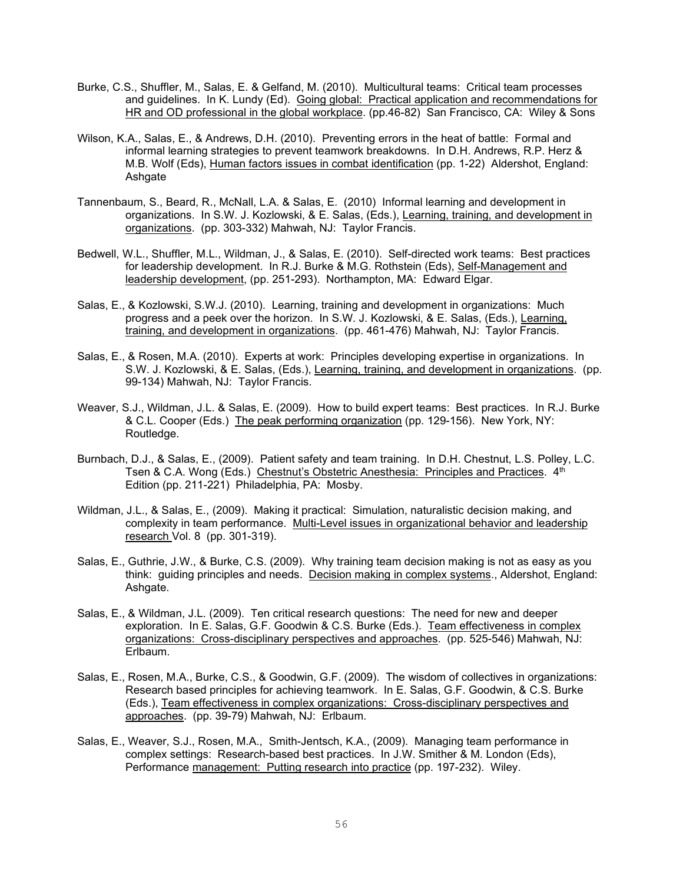- Burke, C.S., Shuffler, M., Salas, E. & Gelfand, M. (2010). Multicultural teams: Critical team processes and guidelines. In K. Lundy (Ed). Going global: Practical application and recommendations for HR and OD professional in the global workplace. (pp.46-82) San Francisco, CA: Wiley & Sons
- Wilson, K.A., Salas, E., & Andrews, D.H. (2010). Preventing errors in the heat of battle: Formal and informal learning strategies to prevent teamwork breakdowns. In D.H. Andrews, R.P. Herz & M.B. Wolf (Eds), Human factors issues in combat identification (pp. 1-22) Aldershot, England: Ashgate
- Tannenbaum, S., Beard, R., McNall, L.A. & Salas, E. (2010) Informal learning and development in organizations. In S.W. J. Kozlowski, & E. Salas, (Eds.), Learning, training, and development in organizations. (pp. 303-332) Mahwah, NJ: Taylor Francis.
- Bedwell, W.L., Shuffler, M.L., Wildman, J., & Salas, E. (2010). Self-directed work teams: Best practices for leadership development. In R.J. Burke & M.G. Rothstein (Eds), Self-Management and leadership development, (pp. 251-293). Northampton, MA: Edward Elgar.
- Salas, E., & Kozlowski, S.W.J. (2010). Learning, training and development in organizations: Much progress and a peek over the horizon. In S.W. J. Kozlowski, & E. Salas, (Eds.), Learning, training, and development in organizations. (pp. 461-476) Mahwah, NJ: Taylor Francis.
- Salas, E., & Rosen, M.A. (2010). Experts at work: Principles developing expertise in organizations. In S.W. J. Kozlowski, & E. Salas, (Eds.), Learning, training, and development in organizations. (pp. 99-134) Mahwah, NJ: Taylor Francis.
- Weaver, S.J., Wildman, J.L. & Salas, E. (2009). How to build expert teams: Best practices. In R.J. Burke & C.L. Cooper (Eds.) The peak performing organization (pp. 129-156). New York, NY: Routledge.
- Burnbach, D.J., & Salas, E., (2009). Patient safety and team training. In D.H. Chestnut, L.S. Polley, L.C. Tsen & C.A. Wong (Eds.) Chestnut's Obstetric Anesthesia: Principles and Practices. 4<sup>th</sup> Edition (pp. 211-221) Philadelphia, PA: Mosby.
- Wildman, J.L., & Salas, E., (2009). Making it practical: Simulation, naturalistic decision making, and complexity in team performance. Multi-Level issues in organizational behavior and leadership research Vol. 8 (pp. 301-319).
- Salas, E., Guthrie, J.W., & Burke, C.S. (2009). Why training team decision making is not as easy as you think: guiding principles and needs. Decision making in complex systems., Aldershot, England: Ashgate.
- Salas, E., & Wildman, J.L. (2009). Ten critical research questions: The need for new and deeper exploration. In E. Salas, G.F. Goodwin & C.S. Burke (Eds.). Team effectiveness in complex organizations: Cross-disciplinary perspectives and approaches. (pp. 525-546) Mahwah, NJ: Erlbaum.
- Salas, E., Rosen, M.A., Burke, C.S., & Goodwin, G.F. (2009). The wisdom of collectives in organizations: Research based principles for achieving teamwork. In E. Salas, G.F. Goodwin, & C.S. Burke (Eds.), Team effectiveness in complex organizations: Cross-disciplinary perspectives and approaches. (pp. 39-79) Mahwah, NJ: Erlbaum.
- Salas, E., Weaver, S.J., Rosen, M.A., Smith-Jentsch, K.A., (2009). Managing team performance in complex settings: Research-based best practices. In J.W. Smither & M. London (Eds), Performance management: Putting research into practice (pp. 197-232). Wiley.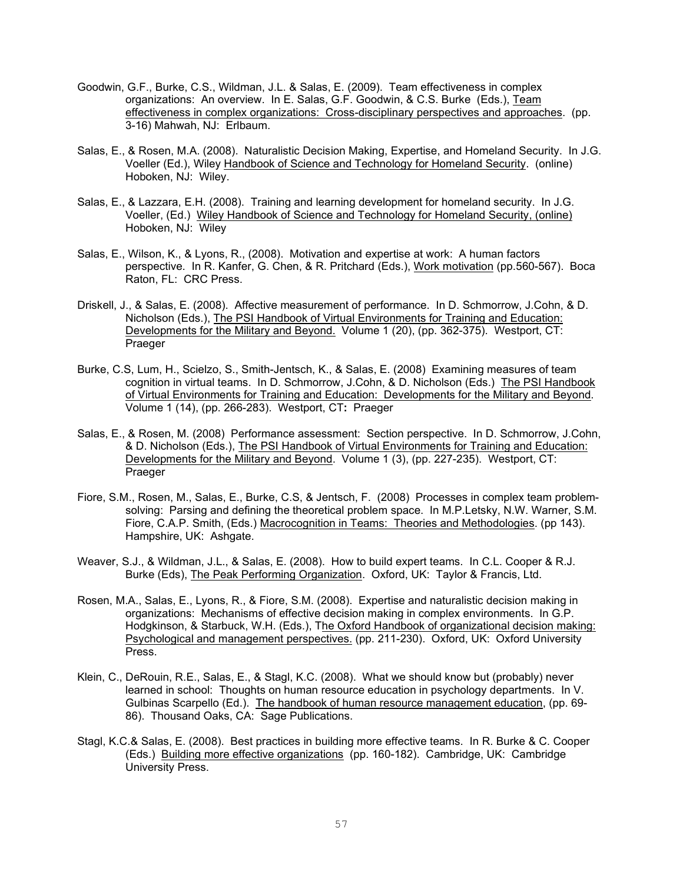- Goodwin, G.F., Burke, C.S., Wildman, J.L. & Salas, E. (2009). Team effectiveness in complex organizations: An overview. In E. Salas, G.F. Goodwin, & C.S. Burke (Eds.), Team effectiveness in complex organizations: Cross-disciplinary perspectives and approaches. (pp. 3-16) Mahwah, NJ: Erlbaum.
- Salas, E., & Rosen, M.A. (2008). Naturalistic Decision Making, Expertise, and Homeland Security. In J.G. Voeller (Ed.), Wiley Handbook of Science and Technology for Homeland Security. (online) Hoboken, NJ: Wiley.
- Salas, E., & Lazzara, E.H. (2008). Training and learning development for homeland security. In J.G. Voeller, (Ed.) Wiley Handbook of Science and Technology for Homeland Security, (online) Hoboken, NJ: Wiley
- Salas, E., Wilson, K., & Lyons, R., (2008). Motivation and expertise at work: A human factors perspective. In R. Kanfer, G. Chen, & R. Pritchard (Eds.), Work motivation (pp.560-567). Boca Raton, FL: CRC Press.
- Driskell, J., & Salas, E. (2008). Affective measurement of performance. In D. Schmorrow, J.Cohn, & D. Nicholson (Eds.), The PSI Handbook of Virtual Environments for Training and Education: Developments for the Military and Beyond. Volume 1 (20), (pp. 362-375). Westport, CT: **Praeger**
- Burke, C.S, Lum, H., Scielzo, S., Smith-Jentsch, K., & Salas, E. (2008) Examining measures of team cognition in virtual teams. In D. Schmorrow, J.Cohn, & D. Nicholson (Eds.) The PSI Handbook of Virtual Environments for Training and Education: Developments for the Military and Beyond. Volume 1 (14), (pp. 266-283). Westport, CT**:** Praeger
- Salas, E., & Rosen, M. (2008) Performance assessment: Section perspective. In D. Schmorrow, J.Cohn, & D. Nicholson (Eds.), The PSI Handbook of Virtual Environments for Training and Education: Developments for the Military and Beyond. Volume 1 (3), (pp. 227-235). Westport, CT: Praeger
- Fiore, S.M., Rosen, M., Salas, E., Burke, C.S, & Jentsch, F. (2008) Processes in complex team problemsolving: Parsing and defining the theoretical problem space. In M.P.Letsky, N.W. Warner, S.M. Fiore, C.A.P. Smith, (Eds.) Macrocognition in Teams: Theories and Methodologies. (pp 143). Hampshire, UK: Ashgate.
- Weaver, S.J., & Wildman, J.L., & Salas, E. (2008). How to build expert teams. In C.L. Cooper & R.J. Burke (Eds), The Peak Performing Organization. Oxford, UK: Taylor & Francis, Ltd.
- Rosen, M.A., Salas, E., Lyons, R., & Fiore, S.M. (2008). Expertise and naturalistic decision making in organizations: Mechanisms of effective decision making in complex environments. In G.P. Hodgkinson, & Starbuck, W.H. (Eds.), The Oxford Handbook of organizational decision making: Psychological and management perspectives. (pp. 211-230). Oxford, UK: Oxford University Press.
- Klein, C., DeRouin, R.E., Salas, E., & Stagl, K.C. (2008). What we should know but (probably) never learned in school: Thoughts on human resource education in psychology departments. In V. Gulbinas Scarpello (Ed.). The handbook of human resource management education, (pp. 69- 86). Thousand Oaks, CA: Sage Publications.
- Stagl, K.C.& Salas, E. (2008). Best practices in building more effective teams. In R. Burke & C. Cooper (Eds.) Building more effective organizations (pp. 160-182). Cambridge, UK: Cambridge University Press.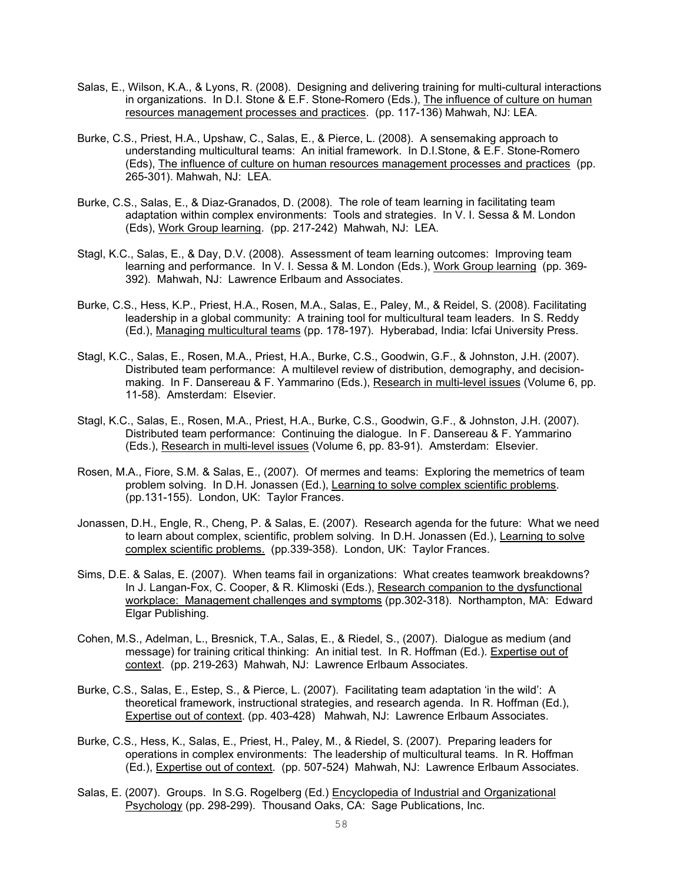- Salas, E., Wilson, K.A., & Lyons, R. (2008). Designing and delivering training for multi-cultural interactions in organizations. In D.I. Stone & E.F. Stone-Romero (Eds.), The influence of culture on human resources management processes and practices. (pp. 117-136) Mahwah, NJ: LEA.
- Burke, C.S., Priest, H.A., Upshaw, C., Salas, E., & Pierce, L. (2008). A sensemaking approach to understanding multicultural teams: An initial framework. In D.I.Stone, & E.F. Stone-Romero (Eds), The influence of culture on human resources management processes and practices (pp. 265-301). Mahwah, NJ: LEA.
- Burke, C.S., Salas, E., & Diaz-Granados, D. (2008). The role of team learning in facilitating team adaptation within complex environments: Tools and strategies. In V. I. Sessa & M. London (Eds), Work Group learning. (pp. 217-242) Mahwah, NJ: LEA.
- Stagl, K.C., Salas, E., & Day, D.V. (2008). Assessment of team learning outcomes: Improving team learning and performance. In V. I. Sessa & M. London (Eds.), Work Group learning (pp. 369- 392). Mahwah, NJ: Lawrence Erlbaum and Associates.
- Burke, C.S., Hess, K.P., Priest, H.A., Rosen, M.A., Salas, E., Paley, M., & Reidel, S. (2008). Facilitating leadership in a global community: A training tool for multicultural team leaders. In S. Reddy (Ed.), Managing multicultural teams (pp. 178-197). Hyberabad, India: Icfai University Press.
- Stagl, K.C., Salas, E., Rosen, M.A., Priest, H.A., Burke, C.S., Goodwin, G.F., & Johnston, J.H. (2007). Distributed team performance: A multilevel review of distribution, demography, and decisionmaking. In F. Dansereau & F. Yammarino (Eds.), Research in multi-level issues (Volume 6, pp. 11-58). Amsterdam: Elsevier.
- Stagl, K.C., Salas, E., Rosen, M.A., Priest, H.A., Burke, C.S., Goodwin, G.F., & Johnston, J.H. (2007). Distributed team performance: Continuing the dialogue. In F. Dansereau & F. Yammarino (Eds.), Research in multi-level issues (Volume 6, pp. 83-91). Amsterdam: Elsevier.
- Rosen, M.A., Fiore, S.M. & Salas, E., (2007). Of mermes and teams: Exploring the memetrics of team problem solving. In D.H. Jonassen (Ed.), Learning to solve complex scientific problems. (pp.131-155). London, UK: Taylor Frances.
- Jonassen, D.H., Engle, R., Cheng, P. & Salas, E. (2007). Research agenda for the future: What we need to learn about complex, scientific, problem solving. In D.H. Jonassen (Ed.), Learning to solve complex scientific problems. (pp.339-358). London, UK: Taylor Frances.
- Sims, D.E. & Salas, E. (2007). When teams fail in organizations: What creates teamwork breakdowns? In J. Langan-Fox, C. Cooper, & R. Klimoski (Eds.), Research companion to the dysfunctional workplace: Management challenges and symptoms (pp.302-318). Northampton, MA: Edward Elgar Publishing.
- Cohen, M.S., Adelman, L., Bresnick, T.A., Salas, E., & Riedel, S., (2007). Dialogue as medium (and message) for training critical thinking: An initial test. In R. Hoffman (Ed.). Expertise out of context. (pp. 219-263) Mahwah, NJ: Lawrence Erlbaum Associates.
- Burke, C.S., Salas, E., Estep, S., & Pierce, L. (2007). Facilitating team adaptation 'in the wild': A theoretical framework, instructional strategies, and research agenda. In R. Hoffman (Ed.), Expertise out of context. (pp. 403-428) Mahwah, NJ: Lawrence Erlbaum Associates.
- Burke, C.S., Hess, K., Salas, E., Priest, H., Paley, M., & Riedel, S. (2007). Preparing leaders for operations in complex environments: The leadership of multicultural teams. In R. Hoffman (Ed.), Expertise out of context. (pp. 507-524) Mahwah, NJ: Lawrence Erlbaum Associates.
- Salas, E. (2007). Groups. In S.G. Rogelberg (Ed.) Encyclopedia of Industrial and Organizational Psychology (pp. 298-299). Thousand Oaks, CA: Sage Publications, Inc.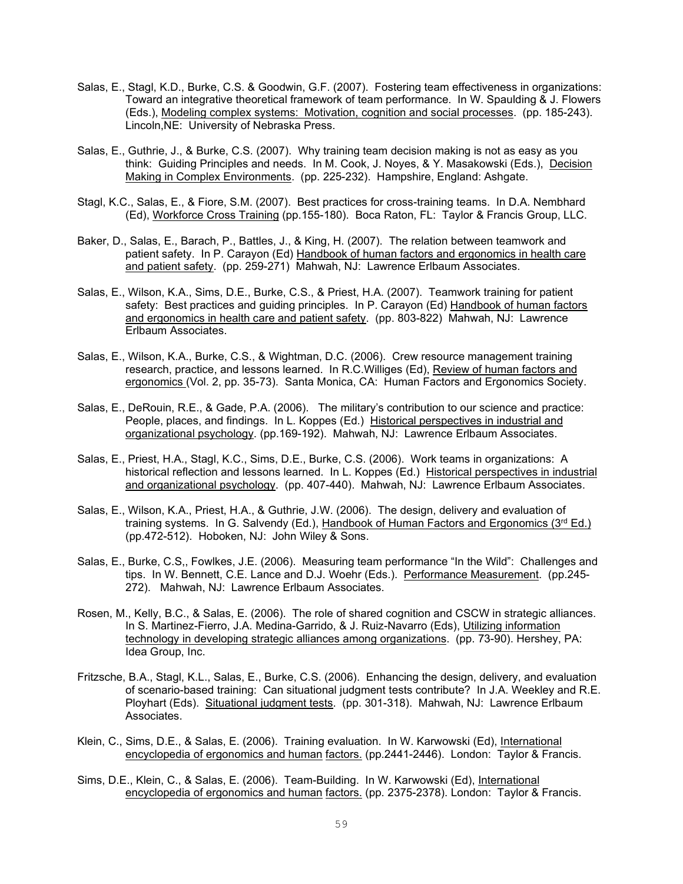- Salas, E., Stagl, K.D., Burke, C.S. & Goodwin, G.F. (2007). Fostering team effectiveness in organizations: Toward an integrative theoretical framework of team performance. In W. Spaulding & J. Flowers (Eds.), Modeling complex systems: Motivation, cognition and social processes. (pp. 185-243). Lincoln,NE: University of Nebraska Press.
- Salas, E., Guthrie, J., & Burke, C.S. (2007). Why training team decision making is not as easy as you think: Guiding Principles and needs. In M. Cook, J. Noyes, & Y. Masakowski (Eds.), Decision Making in Complex Environments. (pp. 225-232). Hampshire, England: Ashgate.
- Stagl, K.C., Salas, E., & Fiore, S.M. (2007). Best practices for cross-training teams. In D.A. Nembhard (Ed), Workforce Cross Training (pp.155-180). Boca Raton, FL: Taylor & Francis Group, LLC.
- Baker, D., Salas, E., Barach, P., Battles, J., & King, H. (2007). The relation between teamwork and patient safety. In P. Carayon (Ed) Handbook of human factors and ergonomics in health care and patient safety. (pp. 259-271) Mahwah, NJ: Lawrence Erlbaum Associates.
- Salas, E., Wilson, K.A., Sims, D.E., Burke, C.S., & Priest, H.A. (2007). Teamwork training for patient safety: Best practices and guiding principles. In P. Carayon (Ed) Handbook of human factors and ergonomics in health care and patient safety. (pp. 803-822) Mahwah, NJ: Lawrence Erlbaum Associates.
- Salas, E., Wilson, K.A., Burke, C.S., & Wightman, D.C. (2006). Crew resource management training research, practice, and lessons learned. In R.C.Williges (Ed), Review of human factors and ergonomics (Vol. 2, pp. 35-73). Santa Monica, CA: Human Factors and Ergonomics Society.
- Salas, E., DeRouin, R.E., & Gade, P.A. (2006). The military's contribution to our science and practice: People, places, and findings. In L. Koppes (Ed.) Historical perspectives in industrial and organizational psychology. (pp.169-192). Mahwah, NJ: Lawrence Erlbaum Associates.
- Salas, E., Priest, H.A., Stagl, K.C., Sims, D.E., Burke, C.S. (2006). Work teams in organizations: A historical reflection and lessons learned. In L. Koppes (Ed.) Historical perspectives in industrial and organizational psychology. (pp. 407-440). Mahwah, NJ: Lawrence Erlbaum Associates.
- Salas, E., Wilson, K.A., Priest, H.A., & Guthrie, J.W. (2006). The design, delivery and evaluation of training systems. In G. Salvendy (Ed.), Handbook of Human Factors and Ergonomics (3rd Ed.) (pp.472-512). Hoboken, NJ: John Wiley & Sons.
- Salas, E., Burke, C.S,, Fowlkes, J.E. (2006). Measuring team performance "In the Wild": Challenges and tips. In W. Bennett, C.E. Lance and D.J. Woehr (Eds.). Performance Measurement. (pp.245- 272). Mahwah, NJ: Lawrence Erlbaum Associates.
- Rosen, M., Kelly, B.C., & Salas, E. (2006). The role of shared cognition and CSCW in strategic alliances. In S. Martinez-Fierro, J.A. Medina-Garrido, & J. Ruiz-Navarro (Eds), Utilizing information technology in developing strategic alliances among organizations. (pp. 73-90). Hershey, PA: Idea Group, Inc.
- Fritzsche, B.A., Stagl, K.L., Salas, E., Burke, C.S. (2006). Enhancing the design, delivery, and evaluation of scenario-based training: Can situational judgment tests contribute? In J.A. Weekley and R.E. Ployhart (Eds). Situational judgment tests. (pp. 301-318). Mahwah, NJ: Lawrence Erlbaum Associates.
- Klein, C., Sims, D.E., & Salas, E. (2006). Training evaluation. In W. Karwowski (Ed), International encyclopedia of ergonomics and human factors. (pp.2441-2446). London: Taylor & Francis.
- Sims, D.E., Klein, C., & Salas, E. (2006). Team-Building. In W. Karwowski (Ed), International encyclopedia of ergonomics and human factors. (pp. 2375-2378). London: Taylor & Francis.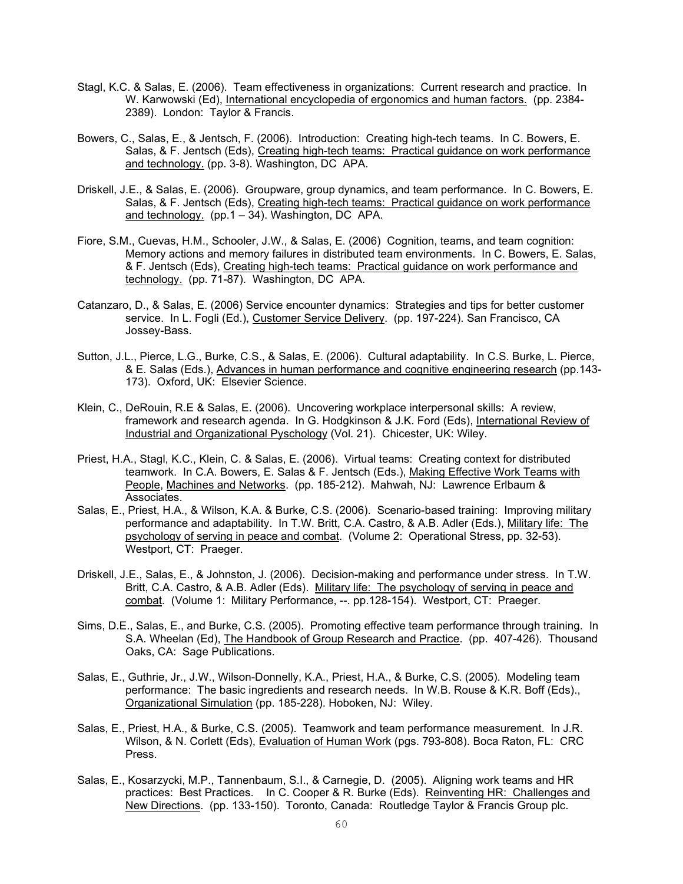- Stagl, K.C. & Salas, E. (2006). Team effectiveness in organizations: Current research and practice. In W. Karwowski (Ed), International encyclopedia of ergonomics and human factors. (pp. 2384- 2389). London: Taylor & Francis.
- Bowers, C., Salas, E., & Jentsch, F. (2006). Introduction: Creating high-tech teams. In C. Bowers, E. Salas, & F. Jentsch (Eds), Creating high-tech teams: Practical guidance on work performance and technology. (pp. 3-8). Washington, DC APA.
- Driskell, J.E., & Salas, E. (2006). Groupware, group dynamics, and team performance. In C. Bowers, E. Salas, & F. Jentsch (Eds), Creating high-tech teams: Practical guidance on work performance and technology. (pp.1 – 34). Washington, DC APA.
- Fiore, S.M., Cuevas, H.M., Schooler, J.W., & Salas, E. (2006) Cognition, teams, and team cognition: Memory actions and memory failures in distributed team environments. In C. Bowers, E. Salas, & F. Jentsch (Eds), Creating high-tech teams: Practical guidance on work performance and technology. (pp. 71-87). Washington, DC APA.
- Catanzaro, D., & Salas, E. (2006) Service encounter dynamics: Strategies and tips for better customer service. In L. Fogli (Ed.), Customer Service Delivery. (pp. 197-224). San Francisco, CA Jossey-Bass.
- Sutton, J.L., Pierce, L.G., Burke, C.S., & Salas, E. (2006). Cultural adaptability. In C.S. Burke, L. Pierce, & E. Salas (Eds.), Advances in human performance and cognitive engineering research (pp.143- 173). Oxford, UK: Elsevier Science.
- Klein, C., DeRouin, R.E & Salas, E. (2006). Uncovering workplace interpersonal skills: A review, framework and research agenda. In G. Hodgkinson & J.K. Ford (Eds), International Review of Industrial and Organizational Pyschology (Vol. 21). Chicester, UK: Wiley.
- Priest, H.A., Stagl, K.C., Klein, C. & Salas, E. (2006). Virtual teams: Creating context for distributed teamwork. In C.A. Bowers, E. Salas & F. Jentsch (Eds.), Making Effective Work Teams with People, Machines and Networks. (pp. 185-212). Mahwah, NJ: Lawrence Erlbaum & Associates.
- Salas, E., Priest, H.A., & Wilson, K.A. & Burke, C.S. (2006). Scenario-based training: Improving military performance and adaptability. In T.W. Britt, C.A. Castro, & A.B. Adler (Eds.), Military life: The psychology of serving in peace and combat. (Volume 2: Operational Stress, pp. 32-53). Westport, CT: Praeger.
- Driskell, J.E., Salas, E., & Johnston, J. (2006). Decision-making and performance under stress. In T.W. Britt, C.A. Castro, & A.B. Adler (Eds). Military life: The psychology of serving in peace and combat. (Volume 1: Military Performance, --. pp.128-154). Westport, CT: Praeger.
- Sims, D.E., Salas, E., and Burke, C.S. (2005). Promoting effective team performance through training. In S.A. Wheelan (Ed), The Handbook of Group Research and Practice. (pp. 407-426). Thousand Oaks, CA: Sage Publications.
- Salas, E., Guthrie, Jr., J.W., Wilson-Donnelly, K.A., Priest, H.A., & Burke, C.S. (2005). Modeling team performance: The basic ingredients and research needs. In W.B. Rouse & K.R. Boff (Eds)., Organizational Simulation (pp. 185-228). Hoboken, NJ: Wiley.
- Salas, E., Priest, H.A., & Burke, C.S. (2005). Teamwork and team performance measurement. In J.R. Wilson, & N. Corlett (Eds), Evaluation of Human Work (pgs. 793-808). Boca Raton, FL: CRC Press.
- Salas, E., Kosarzycki, M.P., Tannenbaum, S.I., & Carnegie, D. (2005). Aligning work teams and HR practices: Best Practices. In C. Cooper & R. Burke (Eds). Reinventing HR: Challenges and New Directions. (pp. 133-150). Toronto, Canada: Routledge Taylor & Francis Group plc.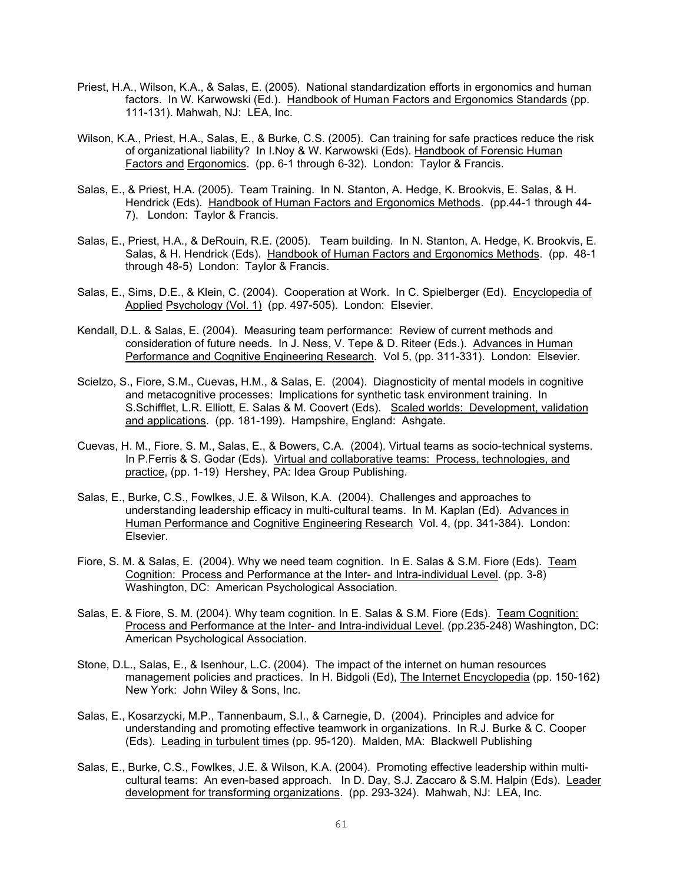- Priest, H.A., Wilson, K.A., & Salas, E. (2005). National standardization efforts in ergonomics and human factors. In W. Karwowski (Ed.). Handbook of Human Factors and Ergonomics Standards (pp. 111-131). Mahwah, NJ: LEA, Inc.
- Wilson, K.A., Priest, H.A., Salas, E., & Burke, C.S. (2005). Can training for safe practices reduce the risk of organizational liability? In I.Noy & W. Karwowski (Eds). Handbook of Forensic Human Factors and Ergonomics. (pp. 6-1 through 6-32). London: Taylor & Francis.
- Salas, E., & Priest, H.A. (2005). Team Training. In N. Stanton, A. Hedge, K. Brookvis, E. Salas, & H. Hendrick (Eds). Handbook of Human Factors and Ergonomics Methods. (pp.44-1 through 44- 7). London: Taylor & Francis.
- Salas, E., Priest, H.A., & DeRouin, R.E. (2005). Team building. In N. Stanton, A. Hedge, K. Brookvis, E. Salas, & H. Hendrick (Eds). Handbook of Human Factors and Ergonomics Methods. (pp. 48-1 through 48-5) London: Taylor & Francis.
- Salas, E., Sims, D.E., & Klein, C. (2004). Cooperation at Work. In C. Spielberger (Ed). Encyclopedia of Applied Psychology (Vol. 1) (pp. 497-505). London: Elsevier.
- Kendall, D.L. & Salas, E. (2004). Measuring team performance: Review of current methods and consideration of future needs. In J. Ness, V. Tepe & D. Riteer (Eds.). Advances in Human Performance and Cognitive Engineering Research. Vol 5, (pp. 311-331). London: Elsevier.
- Scielzo, S., Fiore, S.M., Cuevas, H.M., & Salas, E. (2004). Diagnosticity of mental models in cognitive and metacognitive processes: Implications for synthetic task environment training. In S.Schifflet, L.R. Elliott, E. Salas & M. Coovert (Eds). Scaled worlds: Development, validation and applications. (pp. 181-199). Hampshire, England: Ashgate.
- Cuevas, H. M., Fiore, S. M., Salas, E., & Bowers, C.A. (2004). Virtual teams as socio-technical systems. In P.Ferris & S. Godar (Eds). Virtual and collaborative teams: Process, technologies, and practice, (pp. 1-19) Hershey, PA: Idea Group Publishing.
- Salas, E., Burke, C.S., Fowlkes, J.E. & Wilson, K.A. (2004). Challenges and approaches to understanding leadership efficacy in multi-cultural teams. In M. Kaplan (Ed). Advances in Human Performance and Cognitive Engineering Research Vol. 4, (pp. 341-384). London: Elsevier.
- Fiore, S. M. & Salas, E. (2004). Why we need team cognition. In E. Salas & S.M. Fiore (Eds). Team Cognition: Process and Performance at the Inter- and Intra-individual Level. (pp. 3-8) Washington, DC: American Psychological Association.
- Salas, E. & Fiore, S. M. (2004). Why team cognition. In E. Salas & S.M. Fiore (Eds). Team Cognition: Process and Performance at the Inter- and Intra-individual Level. (pp.235-248) Washington, DC: American Psychological Association.
- Stone, D.L., Salas, E., & Isenhour, L.C. (2004). The impact of the internet on human resources management policies and practices. In H. Bidgoli (Ed), The Internet Encyclopedia (pp. 150-162) New York: John Wiley & Sons, Inc.
- Salas, E., Kosarzycki, M.P., Tannenbaum, S.I., & Carnegie, D. (2004). Principles and advice for understanding and promoting effective teamwork in organizations. In R.J. Burke & C. Cooper (Eds). Leading in turbulent times (pp. 95-120). Malden, MA: Blackwell Publishing
- Salas, E., Burke, C.S., Fowlkes, J.E. & Wilson, K.A. (2004). Promoting effective leadership within multicultural teams: An even-based approach. In D. Day, S.J. Zaccaro & S.M. Halpin (Eds). Leader development for transforming organizations. (pp. 293-324). Mahwah, NJ: LEA, Inc.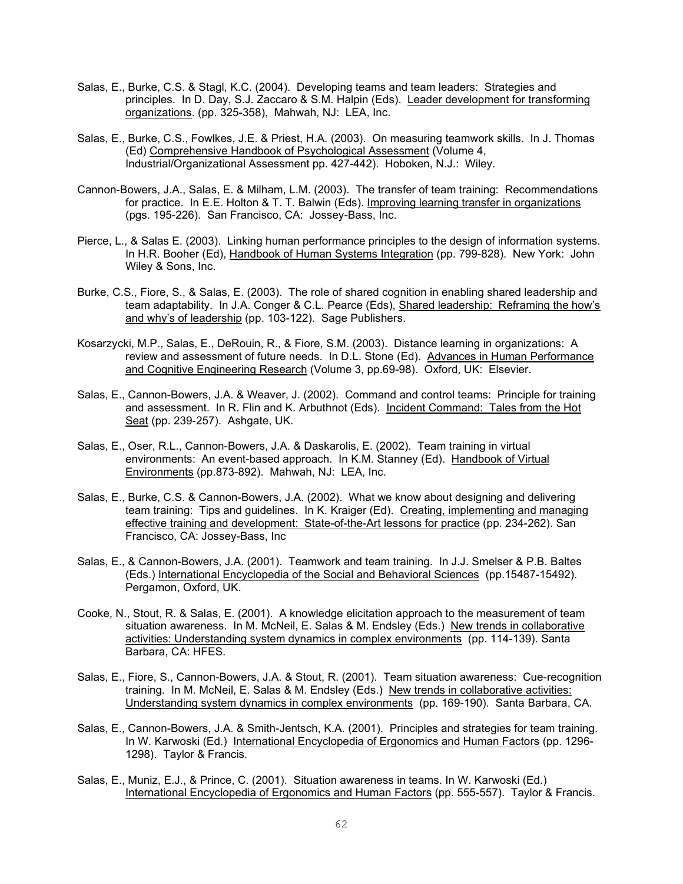- Salas, E., Burke, C.S. & Stagl, K.C. (2004). Developing teams and team leaders: Strategies and principles. In D. Day, S.J. Zaccaro & S.M. Halpin (Eds). Leader development for transforming organizations. (pp. 325-358), Mahwah, NJ: LEA, Inc.
- Salas, E., Burke, C.S., Fowlkes, J.E. & Priest, H.A. (2003). On measuring teamwork skills. In J. Thomas (Ed) Comprehensive Handbook of Psychological Assessment (Volume 4, Industrial/Organizational Assessment pp. 427-442). Hoboken, N.J.: Wiley.
- Cannon-Bowers, J.A., Salas, E. & Milham, L.M. (2003). The transfer of team training: Recommendations for practice. In E.E. Holton & T. T. Balwin (Eds). Improving learning transfer in organizations (pgs. 195-226). San Francisco, CA: Jossey-Bass, Inc.
- Pierce, L., & Salas E. (2003). Linking human performance principles to the design of information systems. In H.R. Booher (Ed), Handbook of Human Systems Integration (pp. 799-828). New York: John Wiley & Sons, Inc.
- Burke, C.S., Fiore, S., & Salas, E. (2003). The role of shared cognition in enabling shared leadership and team adaptability. In J.A. Conger & C.L. Pearce (Eds), Shared leadership: Reframing the how's and why's of leadership (pp. 103-122). Sage Publishers.
- Kosarzycki, M.P., Salas, E., DeRouin, R., & Fiore, S.M. (2003). Distance learning in organizations: A review and assessment of future needs. In D.L. Stone (Ed). Advances in Human Performance and Cognitive Engineering Research (Volume 3, pp.69-98). Oxford, UK: Elsevier.
- Salas, E., Cannon-Bowers, J.A. & Weaver, J. (2002). Command and control teams: Principle for training and assessment. In R. Flin and K. Arbuthnot (Eds). Incident Command: Tales from the Hot Seat (pp. 239-257). Ashgate, UK.
- Salas, E., Oser, R.L., Cannon-Bowers, J.A. & Daskarolis, E. (2002). Team training in virtual environments: An event-based approach. In K.M. Stanney (Ed). Handbook of Virtual Environments (pp.873-892). Mahwah, NJ: LEA, Inc.
- Salas, E., Burke, C.S. & Cannon-Bowers, J.A. (2002). What we know about designing and delivering team training: Tips and guidelines. In K. Kraiger (Ed). Creating, implementing and managing effective training and development: State-of-the-Art lessons for practice (pp. 234-262). San Francisco, CA: Jossey-Bass, Inc
- Salas, E., & Cannon-Bowers, J.A. (2001). Teamwork and team training. In J.J. Smelser & P.B. Baltes (Eds.) International Encyclopedia of the Social and Behavioral Sciences (pp.15487-15492). Pergamon, Oxford, UK.
- Cooke, N., Stout, R. & Salas, E. (2001). A knowledge elicitation approach to the measurement of team situation awareness. In M. McNeil, E. Salas & M. Endsley (Eds.) New trends in collaborative activities: Understanding system dynamics in complex environments (pp. 114-139). Santa Barbara, CA: HFES.
- Salas, E., Fiore, S., Cannon-Bowers, J.A. & Stout, R. (2001). Team situation awareness: Cue-recognition training. In M. McNeil, E. Salas & M. Endsley (Eds.) New trends in collaborative activities: Understanding system dynamics in complex environments (pp. 169-190). Santa Barbara, CA.
- Salas, E., Cannon-Bowers, J.A. & Smith-Jentsch, K.A. (2001). Principles and strategies for team training. In W. Karwoski (Ed.) International Encyclopedia of Ergonomics and Human Factors (pp. 1296- 1298). Taylor & Francis.
- Salas, E., Muniz, E.J., & Prince, C. (2001). Situation awareness in teams. In W. Karwoski (Ed.) International Encyclopedia of Ergonomics and Human Factors (pp. 555-557). Taylor & Francis.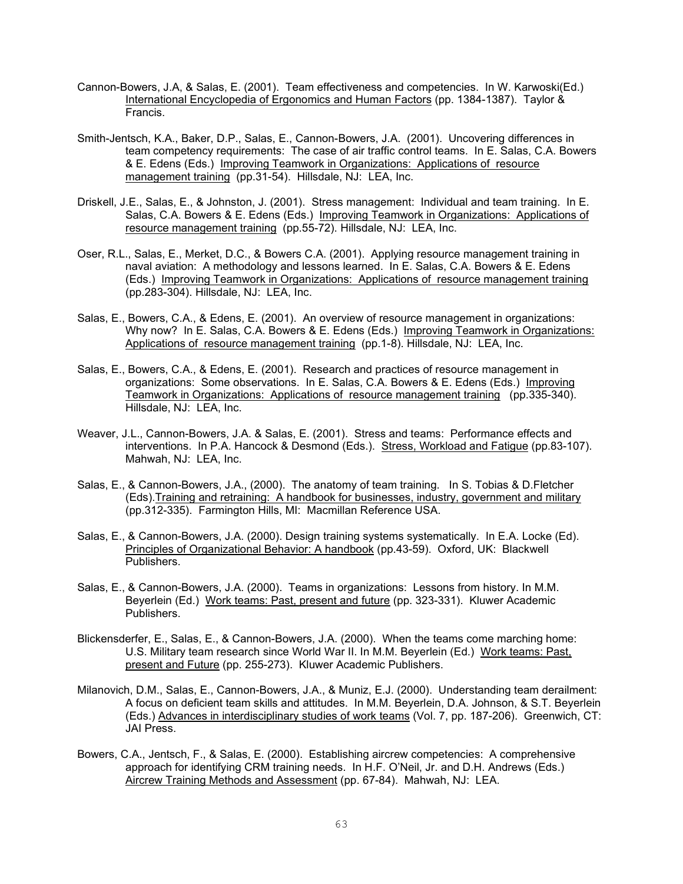- Cannon-Bowers, J.A, & Salas, E. (2001). Team effectiveness and competencies. In W. Karwoski(Ed.) International Encyclopedia of Ergonomics and Human Factors (pp. 1384-1387). Taylor & Francis.
- Smith-Jentsch, K.A., Baker, D.P., Salas, E., Cannon-Bowers, J.A. (2001). Uncovering differences in team competency requirements: The case of air traffic control teams. In E. Salas, C.A. Bowers & E. Edens (Eds.) Improving Teamwork in Organizations: Applications of resource management training (pp.31-54). Hillsdale, NJ: LEA, Inc.
- Driskell, J.E., Salas, E., & Johnston, J. (2001). Stress management: Individual and team training. In E. Salas, C.A. Bowers & E. Edens (Eds.) Improving Teamwork in Organizations: Applications of resource management training (pp.55-72). Hillsdale, NJ: LEA, Inc.
- Oser, R.L., Salas, E., Merket, D.C., & Bowers C.A. (2001). Applying resource management training in naval aviation: A methodology and lessons learned. In E. Salas, C.A. Bowers & E. Edens (Eds.) Improving Teamwork in Organizations: Applications of resource management training (pp.283-304). Hillsdale, NJ: LEA, Inc.
- Salas, E., Bowers, C.A., & Edens, E. (2001). An overview of resource management in organizations: Why now? In E. Salas, C.A. Bowers & E. Edens (Eds.) Improving Teamwork in Organizations: Applications of resource management training (pp.1-8). Hillsdale, NJ: LEA, Inc.
- Salas, E., Bowers, C.A., & Edens, E. (2001). Research and practices of resource management in organizations: Some observations. In E. Salas, C.A. Bowers & E. Edens (Eds.) Improving Teamwork in Organizations: Applications of resource management training (pp.335-340). Hillsdale, NJ: LEA, Inc.
- Weaver, J.L., Cannon-Bowers, J.A. & Salas, E. (2001). Stress and teams: Performance effects and interventions. In P.A. Hancock & Desmond (Eds.). Stress, Workload and Fatigue (pp.83-107). Mahwah, NJ: LEA, Inc.
- Salas, E., & Cannon-Bowers, J.A., (2000). The anatomy of team training. In S. Tobias & D.Fletcher (Eds).Training and retraining: A handbook for businesses, industry, government and military (pp.312-335). Farmington Hills, MI: Macmillan Reference USA.
- Salas, E., & Cannon-Bowers, J.A. (2000). Design training systems systematically. In E.A. Locke (Ed). Principles of Organizational Behavior: A handbook (pp.43-59). Oxford, UK: Blackwell Publishers.
- Salas, E., & Cannon-Bowers, J.A. (2000). Teams in organizations: Lessons from history. In M.M. Beyerlein (Ed.) Work teams: Past, present and future (pp. 323-331). Kluwer Academic Publishers.
- Blickensderfer, E., Salas, E., & Cannon-Bowers, J.A. (2000). When the teams come marching home: U.S. Military team research since World War II. In M.M. Beyerlein (Ed.) Work teams: Past, present and Future (pp. 255-273). Kluwer Academic Publishers.
- Milanovich, D.M., Salas, E., Cannon-Bowers, J.A., & Muniz, E.J. (2000). Understanding team derailment: A focus on deficient team skills and attitudes. In M.M. Beyerlein, D.A. Johnson, & S.T. Beyerlein (Eds.) Advances in interdisciplinary studies of work teams (Vol. 7, pp. 187-206). Greenwich, CT: JAI Press.
- Bowers, C.A., Jentsch, F., & Salas, E. (2000). Establishing aircrew competencies: A comprehensive approach for identifying CRM training needs. In H.F. O'Neil, Jr. and D.H. Andrews (Eds.) Aircrew Training Methods and Assessment (pp. 67-84). Mahwah, NJ: LEA.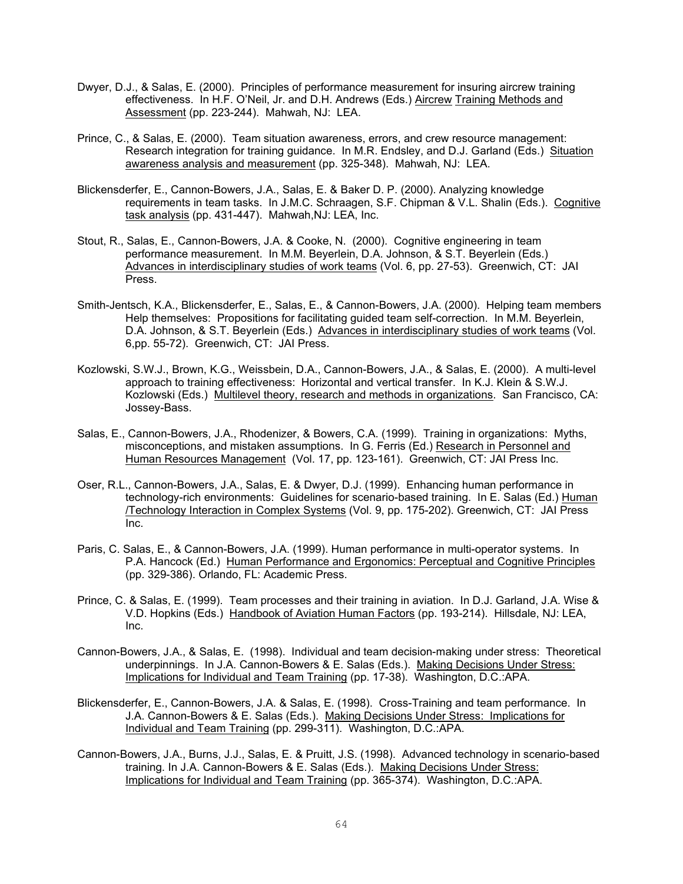- Dwyer, D.J., & Salas, E. (2000). Principles of performance measurement for insuring aircrew training effectiveness. In H.F. O'Neil, Jr. and D.H. Andrews (Eds.) Aircrew Training Methods and Assessment (pp. 223-244). Mahwah, NJ: LEA.
- Prince, C., & Salas, E. (2000). Team situation awareness, errors, and crew resource management: Research integration for training guidance. In M.R. Endsley, and D.J. Garland (Eds.) Situation awareness analysis and measurement (pp. 325-348). Mahwah, NJ: LEA.
- Blickensderfer, E., Cannon-Bowers, J.A., Salas, E. & Baker D. P. (2000). Analyzing knowledge requirements in team tasks. In J.M.C. Schraagen, S.F. Chipman & V.L. Shalin (Eds.). Cognitive task analysis (pp. 431-447). Mahwah,NJ: LEA, Inc.
- Stout, R., Salas, E., Cannon-Bowers, J.A. & Cooke, N. (2000). Cognitive engineering in team performance measurement. In M.M. Beyerlein, D.A. Johnson, & S.T. Beyerlein (Eds.) Advances in interdisciplinary studies of work teams (Vol. 6, pp. 27-53). Greenwich, CT: JAI Press.
- Smith-Jentsch, K.A., Blickensderfer, E., Salas, E., & Cannon-Bowers, J.A. (2000). Helping team members Help themselves: Propositions for facilitating guided team self-correction. In M.M. Beyerlein, D.A. Johnson, & S.T. Beyerlein (Eds.) Advances in interdisciplinary studies of work teams (Vol. 6,pp. 55-72). Greenwich, CT: JAI Press.
- Kozlowski, S.W.J., Brown, K.G., Weissbein, D.A., Cannon-Bowers, J.A., & Salas, E. (2000). A multi-level approach to training effectiveness: Horizontal and vertical transfer. In K.J. Klein & S.W.J. Kozlowski (Eds.) Multilevel theory, research and methods in organizations. San Francisco, CA: Jossey-Bass.
- Salas, E., Cannon-Bowers, J.A., Rhodenizer, & Bowers, C.A. (1999). Training in organizations: Myths, misconceptions, and mistaken assumptions. In G. Ferris (Ed.) Research in Personnel and Human Resources Management (Vol. 17, pp. 123-161). Greenwich, CT: JAI Press Inc.
- Oser, R.L., Cannon-Bowers, J.A., Salas, E. & Dwyer, D.J. (1999). Enhancing human performance in technology-rich environments: Guidelines for scenario-based training. In E. Salas (Ed.) Human /Technology Interaction in Complex Systems (Vol. 9, pp. 175-202). Greenwich, CT: JAI Press Inc.
- Paris, C. Salas, E., & Cannon-Bowers, J.A. (1999). Human performance in multi-operator systems. In P.A. Hancock (Ed.) Human Performance and Ergonomics: Perceptual and Cognitive Principles (pp. 329-386). Orlando, FL: Academic Press.
- Prince, C. & Salas, E. (1999). Team processes and their training in aviation. In D.J. Garland, J.A. Wise & V.D. Hopkins (Eds.) Handbook of Aviation Human Factors (pp. 193-214). Hillsdale, NJ: LEA, Inc.
- Cannon-Bowers, J.A., & Salas, E. (1998). Individual and team decision-making under stress: Theoretical underpinnings. In J.A. Cannon-Bowers & E. Salas (Eds.). Making Decisions Under Stress: Implications for Individual and Team Training (pp. 17-38). Washington, D.C.:APA.
- Blickensderfer, E., Cannon-Bowers, J.A. & Salas, E. (1998). Cross-Training and team performance. In J.A. Cannon-Bowers & E. Salas (Eds.). Making Decisions Under Stress: Implications for Individual and Team Training (pp. 299-311). Washington, D.C.:APA.
- Cannon-Bowers, J.A., Burns, J.J., Salas, E. & Pruitt, J.S. (1998). Advanced technology in scenario-based training. In J.A. Cannon-Bowers & E. Salas (Eds.). Making Decisions Under Stress: Implications for Individual and Team Training (pp. 365-374). Washington, D.C.:APA.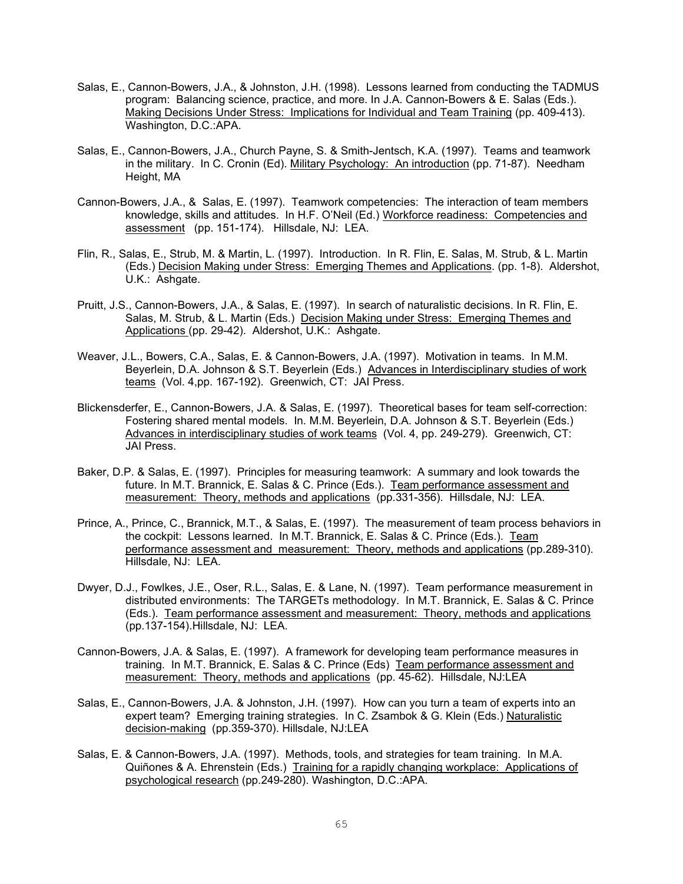- Salas, E., Cannon-Bowers, J.A., & Johnston, J.H. (1998). Lessons learned from conducting the TADMUS program: Balancing science, practice, and more. In J.A. Cannon-Bowers & E. Salas (Eds.). Making Decisions Under Stress: Implications for Individual and Team Training (pp. 409-413). Washington, D.C.:APA.
- Salas, E., Cannon-Bowers, J.A., Church Payne, S. & Smith-Jentsch, K.A. (1997). Teams and teamwork in the military. In C. Cronin (Ed). Military Psychology: An introduction (pp. 71-87). Needham Height, MA
- Cannon-Bowers, J.A., & Salas, E. (1997). Teamwork competencies: The interaction of team members knowledge, skills and attitudes. In H.F. O'Neil (Ed.) Workforce readiness: Competencies and assessment (pp. 151-174). Hillsdale, NJ: LEA.
- Flin, R., Salas, E., Strub, M. & Martin, L. (1997). Introduction. In R. Flin, E. Salas, M. Strub, & L. Martin (Eds.) Decision Making under Stress: Emerging Themes and Applications. (pp. 1-8). Aldershot, U.K.: Ashgate.
- Pruitt, J.S., Cannon-Bowers, J.A., & Salas, E. (1997). In search of naturalistic decisions. In R. Flin, E. Salas, M. Strub, & L. Martin (Eds.) Decision Making under Stress: Emerging Themes and Applications (pp. 29-42). Aldershot, U.K.: Ashgate.
- Weaver, J.L., Bowers, C.A., Salas, E. & Cannon-Bowers, J.A. (1997). Motivation in teams. In M.M. Beyerlein, D.A. Johnson & S.T. Beyerlein (Eds.) Advances in Interdisciplinary studies of work teams (Vol. 4,pp. 167-192). Greenwich, CT: JAI Press.
- Blickensderfer, E., Cannon-Bowers, J.A. & Salas, E. (1997). Theoretical bases for team self-correction: Fostering shared mental models. In. M.M. Beyerlein, D.A. Johnson & S.T. Beyerlein (Eds.) Advances in interdisciplinary studies of work teams (Vol. 4, pp. 249-279). Greenwich, CT: JAI Press.
- Baker, D.P. & Salas, E. (1997). Principles for measuring teamwork: A summary and look towards the future. In M.T. Brannick, E. Salas & C. Prince (Eds.). Team performance assessment and measurement: Theory, methods and applications (pp.331-356). Hillsdale, NJ: LEA.
- Prince, A., Prince, C., Brannick, M.T., & Salas, E. (1997). The measurement of team process behaviors in the cockpit: Lessons learned. In M.T. Brannick, E. Salas & C. Prince (Eds.). Team performance assessment and measurement: Theory, methods and applications (pp.289-310). Hillsdale, NJ: LEA.
- Dwyer, D.J., Fowlkes, J.E., Oser, R.L., Salas, E. & Lane, N. (1997). Team performance measurement in distributed environments: The TARGETs methodology. In M.T. Brannick, E. Salas & C. Prince (Eds.). Team performance assessment and measurement: Theory, methods and applications (pp.137-154).Hillsdale, NJ: LEA.
- Cannon-Bowers, J.A. & Salas, E. (1997). A framework for developing team performance measures in training. In M.T. Brannick, E. Salas & C. Prince (Eds) Team performance assessment and measurement: Theory, methods and applications (pp. 45-62). Hillsdale, NJ:LEA
- Salas, E., Cannon-Bowers, J.A. & Johnston, J.H. (1997). How can you turn a team of experts into an expert team? Emerging training strategies. In C. Zsambok & G. Klein (Eds.) Naturalistic decision-making (pp.359-370). Hillsdale, NJ:LEA
- Salas, E. & Cannon-Bowers, J.A. (1997). Methods, tools, and strategies for team training. In M.A. Quiñones & A. Ehrenstein (Eds.) Training for a rapidly changing workplace: Applications of psychological research (pp.249-280). Washington, D.C.:APA.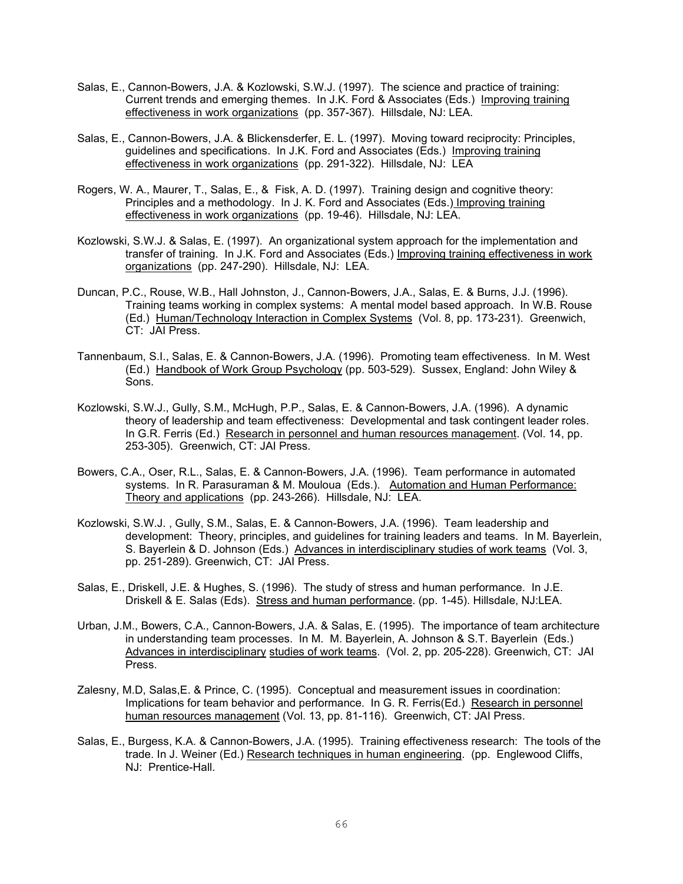- Salas, E., Cannon-Bowers, J.A. & Kozlowski, S.W.J. (1997). The science and practice of training: Current trends and emerging themes. In J.K. Ford & Associates (Eds.) Improving training effectiveness in work organizations (pp. 357-367). Hillsdale, NJ: LEA.
- Salas, E., Cannon-Bowers, J.A. & Blickensderfer, E. L. (1997). Moving toward reciprocity: Principles, guidelines and specifications. In J.K. Ford and Associates (Eds.) Improving training effectiveness in work organizations (pp. 291-322). Hillsdale, NJ: LEA
- Rogers, W. A., Maurer, T., Salas, E., & Fisk, A. D. (1997). Training design and cognitive theory: Principles and a methodology. In J. K. Ford and Associates (Eds.) Improving training effectiveness in work organizations (pp. 19-46). Hillsdale, NJ: LEA.
- Kozlowski, S.W.J. & Salas, E. (1997). An organizational system approach for the implementation and transfer of training. In J.K. Ford and Associates (Eds.) Improving training effectiveness in work organizations (pp. 247-290). Hillsdale, NJ: LEA.
- Duncan, P.C., Rouse, W.B., Hall Johnston, J., Cannon-Bowers, J.A., Salas, E. & Burns, J.J. (1996). Training teams working in complex systems: A mental model based approach. In W.B. Rouse (Ed.) Human/Technology Interaction in Complex Systems (Vol. 8, pp. 173-231). Greenwich, CT: JAI Press.
- Tannenbaum, S.I., Salas, E. & Cannon-Bowers, J.A. (1996). Promoting team effectiveness. In M. West (Ed.) Handbook of Work Group Psychology (pp. 503-529). Sussex, England: John Wiley & Sons.
- Kozlowski, S.W.J., Gully, S.M., McHugh, P.P., Salas, E. & Cannon-Bowers, J.A. (1996). A dynamic theory of leadership and team effectiveness: Developmental and task contingent leader roles. In G.R. Ferris (Ed.) Research in personnel and human resources management. (Vol. 14, pp. 253-305). Greenwich, CT: JAI Press.
- Bowers, C.A., Oser, R.L., Salas, E. & Cannon-Bowers, J.A. (1996). Team performance in automated systems. In R. Parasuraman & M. Mouloua (Eds.). Automation and Human Performance: Theory and applications (pp. 243-266). Hillsdale, NJ: LEA.
- Kozlowski, S.W.J. , Gully, S.M., Salas, E. & Cannon-Bowers, J.A. (1996). Team leadership and development: Theory, principles, and guidelines for training leaders and teams. In M. Bayerlein, S. Bayerlein & D. Johnson (Eds.) Advances in interdisciplinary studies of work teams (Vol. 3, pp. 251-289). Greenwich, CT: JAI Press.
- Salas, E., Driskell, J.E. & Hughes, S. (1996). The study of stress and human performance. In J.E. Driskell & E. Salas (Eds). Stress and human performance. (pp. 1-45). Hillsdale, NJ:LEA.
- Urban, J.M., Bowers, C.A., Cannon-Bowers, J.A. & Salas, E. (1995). The importance of team architecture in understanding team processes. In M. M. Bayerlein, A. Johnson & S.T. Bayerlein (Eds.) Advances in interdisciplinary studies of work teams. (Vol. 2, pp. 205-228). Greenwich, CT: JAI Press.
- Zalesny, M.D, Salas,E. & Prince, C. (1995). Conceptual and measurement issues in coordination: Implications for team behavior and performance. In G. R. Ferris(Ed.) Research in personnel human resources management (Vol. 13, pp. 81-116). Greenwich, CT: JAI Press.
- Salas, E., Burgess, K.A. & Cannon-Bowers, J.A. (1995). Training effectiveness research: The tools of the trade. In J. Weiner (Ed.) Research techniques in human engineering. (pp. Englewood Cliffs, NJ: Prentice-Hall.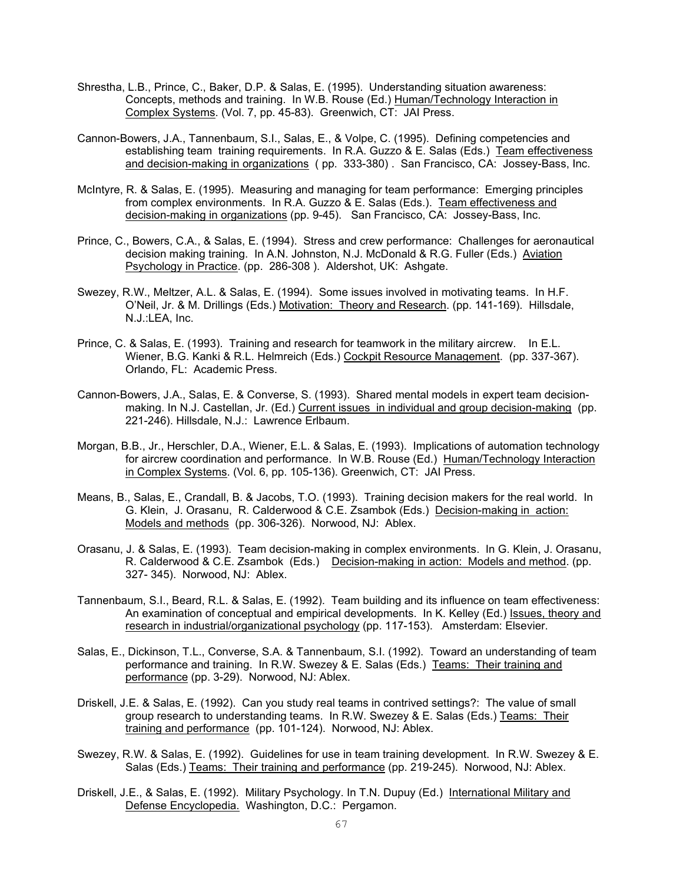- Shrestha, L.B., Prince, C., Baker, D.P. & Salas, E. (1995). Understanding situation awareness: Concepts, methods and training. In W.B. Rouse (Ed.) Human/Technology Interaction in Complex Systems. (Vol. 7, pp. 45-83). Greenwich, CT: JAI Press.
- Cannon-Bowers, J.A., Tannenbaum, S.I., Salas, E., & Volpe, C. (1995). Defining competencies and establishing team training requirements. In R.A. Guzzo & E. Salas (Eds.) Team effectiveness and decision-making in organizations ( pp. 333-380) . San Francisco, CA: Jossey-Bass, Inc.
- McIntyre, R. & Salas, E. (1995). Measuring and managing for team performance: Emerging principles from complex environments. In R.A. Guzzo & E. Salas (Eds.). Team effectiveness and decision-making in organizations (pp. 9-45). San Francisco, CA: Jossey-Bass, Inc.
- Prince, C., Bowers, C.A., & Salas, E. (1994). Stress and crew performance: Challenges for aeronautical decision making training. In A.N. Johnston, N.J. McDonald & R.G. Fuller (Eds.) Aviation Psychology in Practice. (pp. 286-308 ). Aldershot, UK: Ashgate.
- Swezey, R.W., Meltzer, A.L. & Salas, E. (1994). Some issues involved in motivating teams. In H.F. O'Neil, Jr. & M. Drillings (Eds.) Motivation: Theory and Research. (pp. 141-169). Hillsdale, N.J.:LEA, Inc.
- Prince, C. & Salas, E. (1993). Training and research for teamwork in the military aircrew. In E.L. Wiener, B.G. Kanki & R.L. Helmreich (Eds.) Cockpit Resource Management. (pp. 337-367). Orlando, FL: Academic Press.
- Cannon-Bowers, J.A., Salas, E. & Converse, S. (1993). Shared mental models in expert team decisionmaking. In N.J. Castellan, Jr. (Ed.) Current issues in individual and group decision-making (pp. 221-246). Hillsdale, N.J.: Lawrence Erlbaum.
- Morgan, B.B., Jr., Herschler, D.A., Wiener, E.L. & Salas, E. (1993). Implications of automation technology for aircrew coordination and performance. In W.B. Rouse (Ed.) Human/Technology Interaction in Complex Systems. (Vol. 6, pp. 105-136). Greenwich, CT: JAI Press.
- Means, B., Salas, E., Crandall, B. & Jacobs, T.O. (1993). Training decision makers for the real world. In G. Klein, J. Orasanu, R. Calderwood & C.E. Zsambok (Eds.) Decision-making in action: Models and methods (pp. 306-326). Norwood, NJ: Ablex.
- Orasanu, J. & Salas, E. (1993). Team decision-making in complex environments. In G. Klein, J. Orasanu, R. Calderwood & C.E. Zsambok (Eds.) Decision-making in action: Models and method. (pp. 327- 345). Norwood, NJ: Ablex.
- Tannenbaum, S.I., Beard, R.L. & Salas, E. (1992). Team building and its influence on team effectiveness: An examination of conceptual and empirical developments. In K. Kelley (Ed.) Issues, theory and research in industrial/organizational psychology (pp. 117-153). Amsterdam: Elsevier.
- Salas, E., Dickinson, T.L., Converse, S.A. & Tannenbaum, S.I. (1992). Toward an understanding of team performance and training. In R.W. Swezey & E. Salas (Eds.) Teams: Their training and performance (pp. 3-29). Norwood, NJ: Ablex.
- Driskell, J.E. & Salas, E. (1992). Can you study real teams in contrived settings?: The value of small group research to understanding teams. In R.W. Swezey & E. Salas (Eds.) Teams: Their training and performance (pp. 101-124). Norwood, NJ: Ablex.
- Swezey, R.W. & Salas, E. (1992). Guidelines for use in team training development. In R.W. Swezey & E. Salas (Eds.) Teams: Their training and performance (pp. 219-245). Norwood, NJ: Ablex.
- Driskell, J.E., & Salas, E. (1992). Military Psychology. In T.N. Dupuy (Ed.) International Military and Defense Encyclopedia. Washington, D.C.: Pergamon.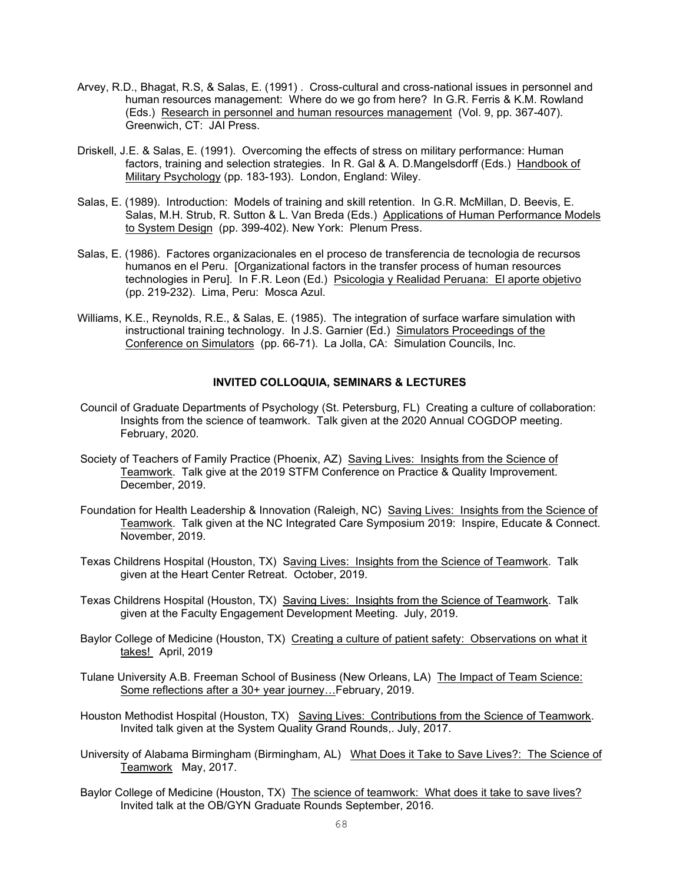- Arvey, R.D., Bhagat, R.S, & Salas, E. (1991) . Cross-cultural and cross-national issues in personnel and human resources management: Where do we go from here? In G.R. Ferris & K.M. Rowland (Eds.) Research in personnel and human resources management (Vol. 9, pp. 367-407). Greenwich, CT: JAI Press.
- Driskell, J.E. & Salas, E. (1991). Overcoming the effects of stress on military performance: Human factors, training and selection strategies. In R. Gal & A. D.Mangelsdorff (Eds.) Handbook of Military Psychology (pp. 183-193). London, England: Wiley.
- Salas, E. (1989). Introduction: Models of training and skill retention. In G.R. McMillan, D. Beevis, E. Salas, M.H. Strub, R. Sutton & L. Van Breda (Eds.) Applications of Human Performance Models to System Design (pp. 399-402). New York: Plenum Press.
- Salas, E. (1986). Factores organizacionales en el proceso de transferencia de tecnologia de recursos humanos en el Peru. [Organizational factors in the transfer process of human resources technologies in Peru]. In F.R. Leon (Ed.) Psicologia y Realidad Peruana: El aporte objetivo (pp. 219-232). Lima, Peru: Mosca Azul.
- Williams, K.E., Reynolds, R.E., & Salas, E. (1985). The integration of surface warfare simulation with instructional training technology. In J.S. Garnier (Ed.) Simulators Proceedings of the Conference on Simulators (pp. 66-71). La Jolla, CA: Simulation Councils, Inc.

## **INVITED COLLOQUIA, SEMINARS & LECTURES**

- Council of Graduate Departments of Psychology (St. Petersburg, FL) Creating a culture of collaboration: Insights from the science of teamwork. Talk given at the 2020 Annual COGDOP meeting. February, 2020.
- Society of Teachers of Family Practice (Phoenix, AZ) Saving Lives: Insights from the Science of Teamwork. Talk give at the 2019 STFM Conference on Practice & Quality Improvement. December, 2019.
- Foundation for Health Leadership & Innovation (Raleigh, NC) Saving Lives: Insights from the Science of Teamwork. Talk given at the NC Integrated Care Symposium 2019: Inspire, Educate & Connect. November, 2019.
- Texas Childrens Hospital (Houston, TX) Saving Lives: Insights from the Science of Teamwork. Talk given at the Heart Center Retreat. October, 2019.
- Texas Childrens Hospital (Houston, TX) Saving Lives: Insights from the Science of Teamwork. Talk given at the Faculty Engagement Development Meeting. July, 2019.
- Baylor College of Medicine (Houston, TX) Creating a culture of patient safety: Observations on what it takes! April, 2019
- Tulane University A.B. Freeman School of Business (New Orleans, LA) The Impact of Team Science: Some reflections after a 30+ year journey…February, 2019.
- Houston Methodist Hospital (Houston, TX) Saving Lives: Contributions from the Science of Teamwork. Invited talk given at the System Quality Grand Rounds,. July, 2017.
- University of Alabama Birmingham (Birmingham, AL) What Does it Take to Save Lives?: The Science of Teamwork May, 2017.
- Baylor College of Medicine (Houston, TX) The science of teamwork: What does it take to save lives? Invited talk at the OB/GYN Graduate Rounds September, 2016.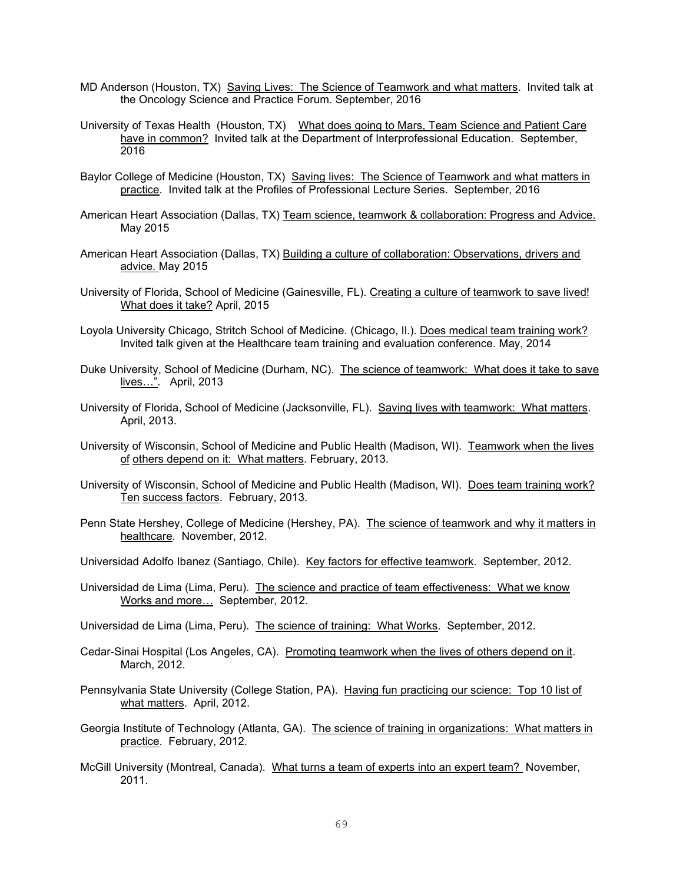- MD Anderson (Houston, TX) Saving Lives: The Science of Teamwork and what matters. Invited talk at the Oncology Science and Practice Forum. September, 2016
- University of Texas Health (Houston, TX) What does going to Mars, Team Science and Patient Care have in common? Invited talk at the Department of Interprofessional Education. September, 2016
- Baylor College of Medicine (Houston, TX) Saving lives: The Science of Teamwork and what matters in practice. Invited talk at the Profiles of Professional Lecture Series. September, 2016
- American Heart Association (Dallas, TX) Team science, teamwork & collaboration: Progress and Advice. May 2015
- American Heart Association (Dallas, TX) Building a culture of collaboration: Observations, drivers and advice. May 2015
- University of Florida, School of Medicine (Gainesville, FL). Creating a culture of teamwork to save lived! What does it take? April, 2015
- Loyola University Chicago, Stritch School of Medicine. (Chicago, II.). Does medical team training work? Invited talk given at the Healthcare team training and evaluation conference. May, 2014
- Duke University, School of Medicine (Durham, NC). The science of teamwork: What does it take to save lives…". April, 2013
- University of Florida, School of Medicine (Jacksonville, FL). Saving lives with teamwork: What matters. April, 2013.
- University of Wisconsin, School of Medicine and Public Health (Madison, WI). Teamwork when the lives of others depend on it: What matters. February, 2013.
- University of Wisconsin, School of Medicine and Public Health (Madison, WI). Does team training work? Ten success factors. February, 2013.
- Penn State Hershey, College of Medicine (Hershey, PA). The science of teamwork and why it matters in healthcare. November, 2012.
- Universidad Adolfo Ibanez (Santiago, Chile). Key factors for effective teamwork. September, 2012.
- Universidad de Lima (Lima, Peru). The science and practice of team effectiveness: What we know Works and more… September, 2012.
- Universidad de Lima (Lima, Peru). The science of training: What Works. September, 2012.
- Cedar-Sinai Hospital (Los Angeles, CA). Promoting teamwork when the lives of others depend on it. March, 2012.
- Pennsylvania State University (College Station, PA). Having fun practicing our science: Top 10 list of what matters. April, 2012.
- Georgia Institute of Technology (Atlanta, GA). The science of training in organizations: What matters in practice. February, 2012.
- McGill University (Montreal, Canada). What turns a team of experts into an expert team? November, 2011.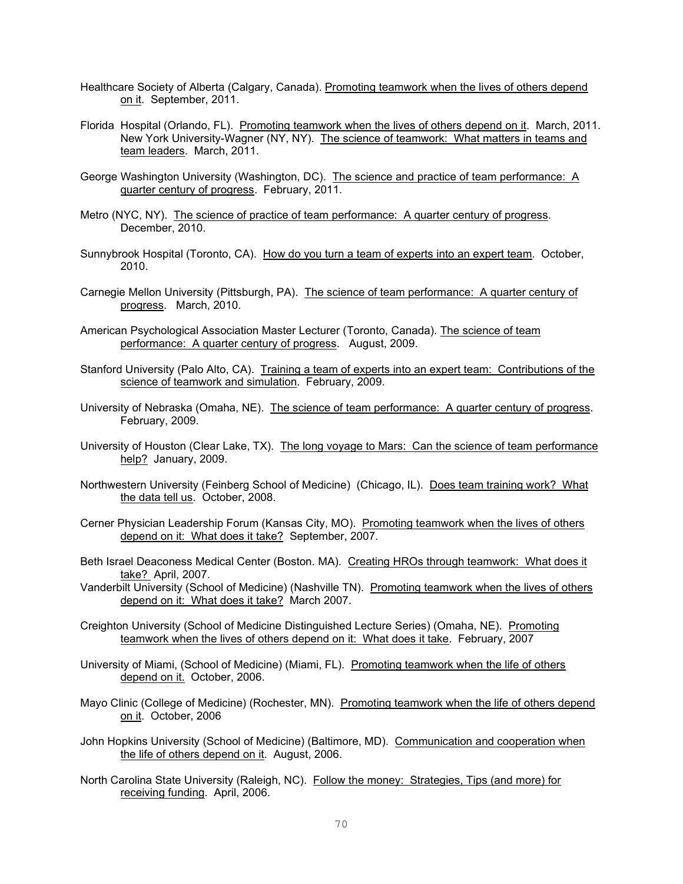- Healthcare Society of Alberta (Calgary, Canada). Promoting teamwork when the lives of others depend on it. September, 2011.
- Florida Hospital (Orlando, FL). Promoting teamwork when the lives of others depend on it. March, 2011. New York University-Wagner (NY, NY). The science of teamwork: What matters in teams and team leaders. March, 2011.
- George Washington University (Washington, DC). The science and practice of team performance: A quarter century of progress. February, 2011.
- Metro (NYC, NY). The science of practice of team performance: A quarter century of progress. December, 2010.
- Sunnybrook Hospital (Toronto, CA). How do you turn a team of experts into an expert team. October, 2010.
- Carnegie Mellon University (Pittsburgh, PA). The science of team performance: A quarter century of progress. March, 2010.
- American Psychological Association Master Lecturer (Toronto, Canada). The science of team performance: A quarter century of progress. August, 2009.
- Stanford University (Palo Alto, CA). Training a team of experts into an expert team: Contributions of the science of teamwork and simulation. February, 2009.
- University of Nebraska (Omaha, NE). The science of team performance: A quarter century of progress. February, 2009.
- University of Houston (Clear Lake, TX). The long voyage to Mars: Can the science of team performance help? January, 2009.
- Northwestern University (Feinberg School of Medicine) (Chicago, IL). Does team training work? What the data tell us. October, 2008.
- Cerner Physician Leadership Forum (Kansas City, MO). Promoting teamwork when the lives of others depend on it: What does it take? September, 2007.
- Beth Israel Deaconess Medical Center (Boston. MA). Creating HROs through teamwork: What does it take? April, 2007.
- Vanderbilt University (School of Medicine) (Nashville TN). Promoting teamwork when the lives of others depend on it: What does it take? March 2007.
- Creighton University (School of Medicine Distinguished Lecture Series) (Omaha, NE). Promoting teamwork when the lives of others depend on it: What does it take. February, 2007
- University of Miami, (School of Medicine) (Miami, FL). Promoting teamwork when the life of others depend on it. October, 2006.
- Mayo Clinic (College of Medicine) (Rochester, MN). Promoting teamwork when the life of others depend on it. October, 2006
- John Hopkins University (School of Medicine) (Baltimore, MD). Communication and cooperation when the life of others depend on it. August, 2006.
- North Carolina State University (Raleigh, NC). Follow the money: Strategies, Tips (and more) for receiving funding. April, 2006.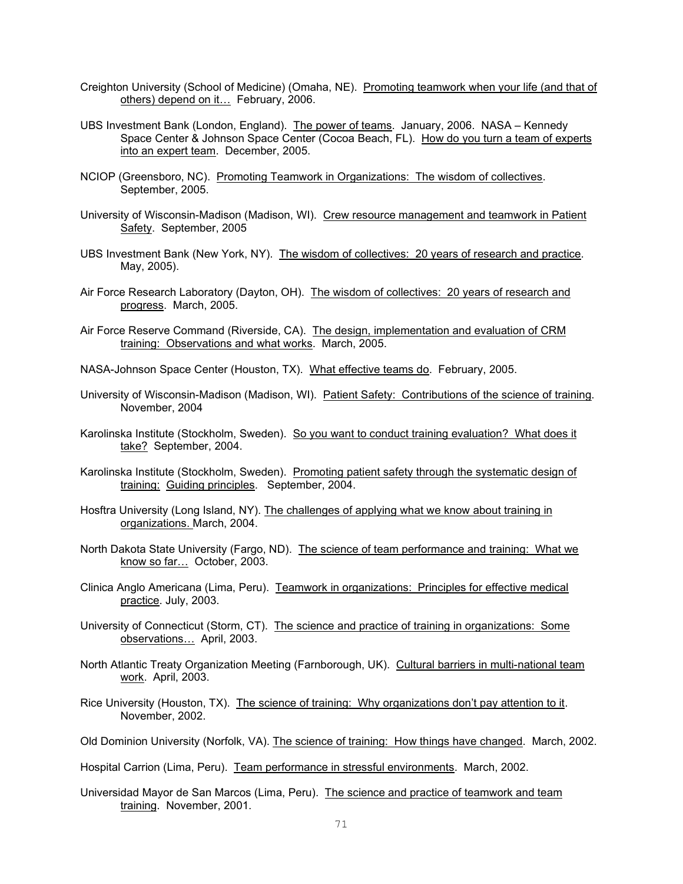- Creighton University (School of Medicine) (Omaha, NE). Promoting teamwork when your life (and that of others) depend on it… February, 2006.
- UBS Investment Bank (London, England). The power of teams. January, 2006. NASA Kennedy Space Center & Johnson Space Center (Cocoa Beach, FL). How do you turn a team of experts into an expert team. December, 2005.
- NCIOP (Greensboro, NC). Promoting Teamwork in Organizations: The wisdom of collectives. September, 2005.
- University of Wisconsin-Madison (Madison, WI). Crew resource management and teamwork in Patient Safety. September, 2005
- UBS Investment Bank (New York, NY). The wisdom of collectives: 20 years of research and practice. May, 2005).
- Air Force Research Laboratory (Dayton, OH). The wisdom of collectives: 20 years of research and progress. March, 2005.
- Air Force Reserve Command (Riverside, CA). The design, implementation and evaluation of CRM training: Observations and what works. March, 2005.
- NASA-Johnson Space Center (Houston, TX). What effective teams do. February, 2005.
- University of Wisconsin-Madison (Madison, WI). Patient Safety: Contributions of the science of training. November, 2004
- Karolinska Institute (Stockholm, Sweden). So you want to conduct training evaluation? What does it take? September, 2004.
- Karolinska Institute (Stockholm, Sweden). Promoting patient safety through the systematic design of training: Guiding principles. September, 2004.
- Hosftra University (Long Island, NY). The challenges of applying what we know about training in organizations. March, 2004.
- North Dakota State University (Fargo, ND). The science of team performance and training: What we know so far… October, 2003.
- Clinica Anglo Americana (Lima, Peru). Teamwork in organizations: Principles for effective medical practice. July, 2003.
- University of Connecticut (Storm, CT). The science and practice of training in organizations: Some observations… April, 2003.
- North Atlantic Treaty Organization Meeting (Farnborough, UK). Cultural barriers in multi-national team work. April, 2003.
- Rice University (Houston, TX). The science of training: Why organizations don't pay attention to it. November, 2002.
- Old Dominion University (Norfolk, VA). The science of training: How things have changed. March, 2002.

Hospital Carrion (Lima, Peru). Team performance in stressful environments. March, 2002.

Universidad Mayor de San Marcos (Lima, Peru). The science and practice of teamwork and team training. November, 2001.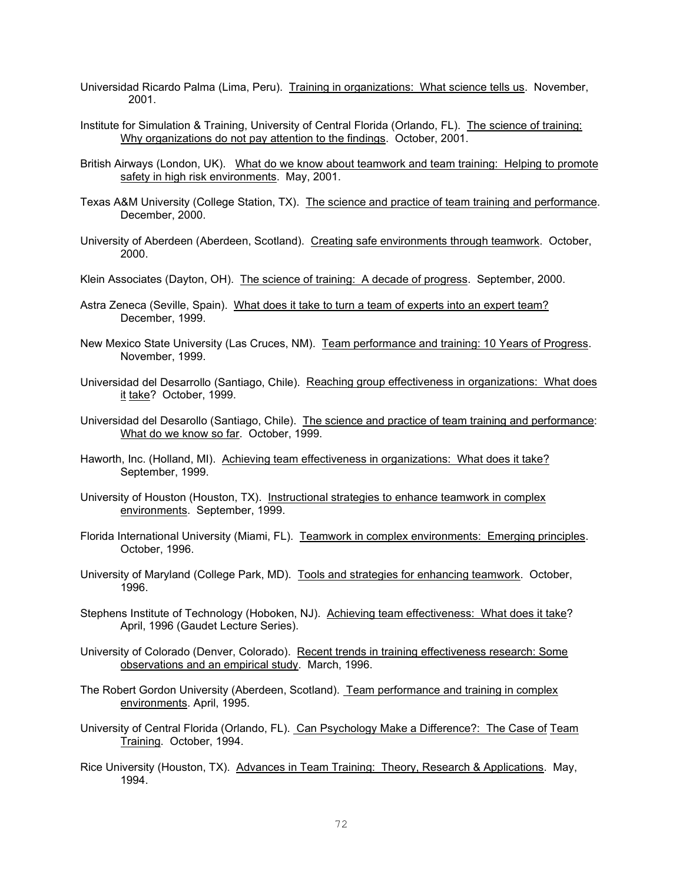- Universidad Ricardo Palma (Lima, Peru). Training in organizations: What science tells us. November, 2001.
- Institute for Simulation & Training, University of Central Florida (Orlando, FL). The science of training: Why organizations do not pay attention to the findings. October, 2001.
- British Airways (London, UK). What do we know about teamwork and team training: Helping to promote safety in high risk environments. May, 2001.
- Texas A&M University (College Station, TX). The science and practice of team training and performance. December, 2000.
- University of Aberdeen (Aberdeen, Scotland). Creating safe environments through teamwork. October, 2000.
- Klein Associates (Dayton, OH). The science of training: A decade of progress. September, 2000.
- Astra Zeneca (Seville, Spain). What does it take to turn a team of experts into an expert team? December, 1999.
- New Mexico State University (Las Cruces, NM). Team performance and training: 10 Years of Progress. November, 1999.
- Universidad del Desarrollo (Santiago, Chile). Reaching group effectiveness in organizations: What does it take? October, 1999.
- Universidad del Desarollo (Santiago, Chile). The science and practice of team training and performance: What do we know so far. October, 1999.
- Haworth, Inc. (Holland, MI). Achieving team effectiveness in organizations: What does it take? September, 1999.
- University of Houston (Houston, TX). Instructional strategies to enhance teamwork in complex environments. September, 1999.
- Florida International University (Miami, FL). Teamwork in complex environments: Emerging principles. October, 1996.
- University of Maryland (College Park, MD). Tools and strategies for enhancing teamwork. October, 1996.
- Stephens Institute of Technology (Hoboken, NJ). Achieving team effectiveness: What does it take? April, 1996 (Gaudet Lecture Series).
- University of Colorado (Denver, Colorado). Recent trends in training effectiveness research: Some observations and an empirical study. March, 1996.
- The Robert Gordon University (Aberdeen, Scotland). Team performance and training in complex environments. April, 1995.
- University of Central Florida (Orlando, FL). Can Psychology Make a Difference?: The Case of Team Training. October, 1994.
- Rice University (Houston, TX). Advances in Team Training: Theory, Research & Applications. May, 1994.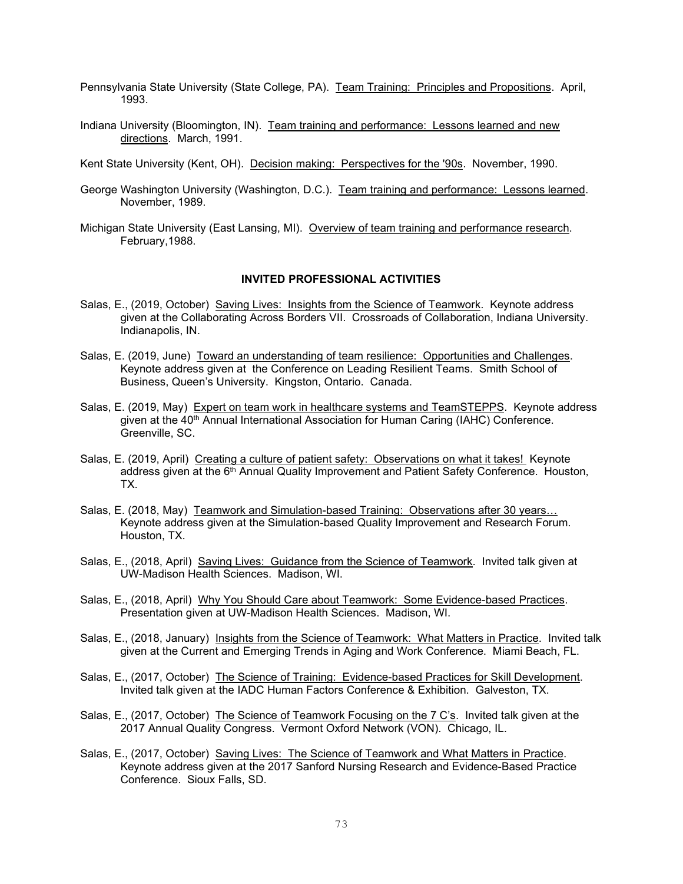- Pennsylvania State University (State College, PA). Team Training: Principles and Propositions. April, 1993.
- Indiana University (Bloomington, IN). Team training and performance: Lessons learned and new directions. March, 1991.
- Kent State University (Kent, OH). Decision making: Perspectives for the '90s. November, 1990.
- George Washington University (Washington, D.C.). Team training and performance: Lessons learned. November, 1989.
- Michigan State University (East Lansing, MI). Overview of team training and performance research. February,1988.

## **INVITED PROFESSIONAL ACTIVITIES**

- Salas, E., (2019, October) Saving Lives: Insights from the Science of Teamwork. Keynote address given at the Collaborating Across Borders VII. Crossroads of Collaboration, Indiana University. Indianapolis, IN.
- Salas, E. (2019, June) Toward an understanding of team resilience: Opportunities and Challenges. Keynote address given at the Conference on Leading Resilient Teams. Smith School of Business, Queen's University. Kingston, Ontario. Canada.
- Salas, E. (2019, May) Expert on team work in healthcare systems and TeamSTEPPS. Keynote address given at the 40<sup>th</sup> Annual International Association for Human Caring (IAHC) Conference. Greenville, SC.
- Salas, E. (2019, April) Creating a culture of patient safety: Observations on what it takes! Keynote address given at the 6<sup>th</sup> Annual Quality Improvement and Patient Safety Conference. Houston, TX.
- Salas, E. (2018, May) Teamwork and Simulation-based Training: Observations after 30 years… Keynote address given at the Simulation-based Quality Improvement and Research Forum. Houston, TX.
- Salas, E., (2018, April) Saving Lives: Guidance from the Science of Teamwork. Invited talk given at UW-Madison Health Sciences. Madison, WI.
- Salas, E., (2018, April) Why You Should Care about Teamwork: Some Evidence-based Practices. Presentation given at UW-Madison Health Sciences. Madison, WI.
- Salas, E., (2018, January) Insights from the Science of Teamwork: What Matters in Practice. Invited talk given at the Current and Emerging Trends in Aging and Work Conference. Miami Beach, FL.
- Salas, E., (2017, October) The Science of Training: Evidence-based Practices for Skill Development. Invited talk given at the IADC Human Factors Conference & Exhibition. Galveston, TX.
- Salas, E., (2017, October) The Science of Teamwork Focusing on the 7 C's. Invited talk given at the 2017 Annual Quality Congress. Vermont Oxford Network (VON). Chicago, IL.
- Salas, E., (2017, October) Saving Lives: The Science of Teamwork and What Matters in Practice. Keynote address given at the 2017 Sanford Nursing Research and Evidence-Based Practice Conference. Sioux Falls, SD.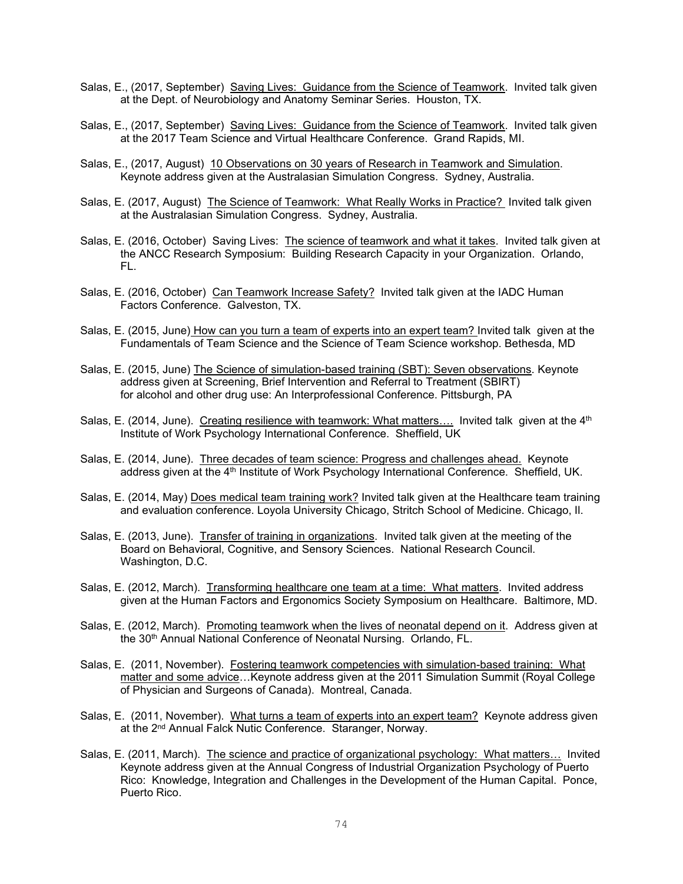- Salas, E., (2017, September) Saving Lives: Guidance from the Science of Teamwork. Invited talk given at the Dept. of Neurobiology and Anatomy Seminar Series. Houston, TX.
- Salas, E., (2017, September) Saving Lives: Guidance from the Science of Teamwork. Invited talk given at the 2017 Team Science and Virtual Healthcare Conference. Grand Rapids, MI.
- Salas, E., (2017, August) 10 Observations on 30 years of Research in Teamwork and Simulation. Keynote address given at the Australasian Simulation Congress. Sydney, Australia.
- Salas, E. (2017, August) The Science of Teamwork: What Really Works in Practice? Invited talk given at the Australasian Simulation Congress. Sydney, Australia.
- Salas, E. (2016, October) Saving Lives: The science of teamwork and what it takes. Invited talk given at the ANCC Research Symposium: Building Research Capacity in your Organization. Orlando, FL.
- Salas, E. (2016, October) Can Teamwork Increase Safety? Invited talk given at the IADC Human Factors Conference. Galveston, TX.
- Salas, E. (2015, June) How can you turn a team of experts into an expert team? Invited talk given at the Fundamentals of Team Science and the Science of Team Science workshop. Bethesda, MD
- Salas, E. (2015, June) The Science of simulation-based training (SBT): Seven observations. Keynote address given at Screening, Brief Intervention and Referral to Treatment (SBIRT) for alcohol and other drug use: An Interprofessional Conference. Pittsburgh, PA
- Salas, E. (2014, June). Creating resilience with teamwork: What matters.... Invited talk given at the 4<sup>th</sup> Institute of Work Psychology International Conference. Sheffield, UK
- Salas, E. (2014, June). Three decades of team science: Progress and challenges ahead. Keynote address given at the 4<sup>th</sup> Institute of Work Psychology International Conference. Sheffield, UK.
- Salas, E. (2014, May) Does medical team training work? Invited talk given at the Healthcare team training and evaluation conference. Loyola University Chicago, Stritch School of Medicine. Chicago, Il.
- Salas, E. (2013, June). Transfer of training in organizations. Invited talk given at the meeting of the Board on Behavioral, Cognitive, and Sensory Sciences. National Research Council. Washington, D.C.
- Salas, E. (2012, March). Transforming healthcare one team at a time: What matters. Invited address given at the Human Factors and Ergonomics Society Symposium on Healthcare. Baltimore, MD.
- Salas, E. (2012, March). Promoting teamwork when the lives of neonatal depend on it. Address given at the 30<sup>th</sup> Annual National Conference of Neonatal Nursing. Orlando, FL.
- Salas, E. (2011, November). Fostering teamwork competencies with simulation-based training: What matter and some advice...Keynote address given at the 2011 Simulation Summit (Royal College of Physician and Surgeons of Canada). Montreal, Canada.
- Salas, E. (2011, November). What turns a team of experts into an expert team? Keynote address given at the 2<sup>nd</sup> Annual Falck Nutic Conference. Staranger, Norway.
- Salas, E. (2011, March). The science and practice of organizational psychology: What matters... Invited Keynote address given at the Annual Congress of Industrial Organization Psychology of Puerto Rico: Knowledge, Integration and Challenges in the Development of the Human Capital. Ponce, Puerto Rico.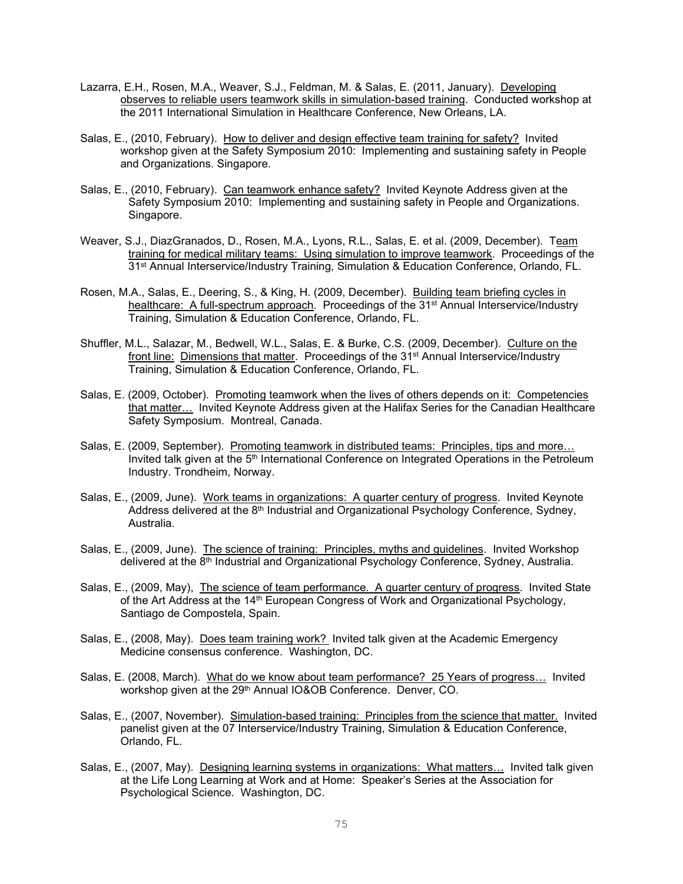- Lazarra, E.H., Rosen, M.A., Weaver, S.J., Feldman, M. & Salas, E. (2011, January). Developing observes to reliable users teamwork skills in simulation-based training. Conducted workshop at the 2011 International Simulation in Healthcare Conference, New Orleans, LA.
- Salas, E., (2010, February). How to deliver and design effective team training for safety? Invited workshop given at the Safety Symposium 2010: Implementing and sustaining safety in People and Organizations. Singapore.
- Salas, E., (2010, February). Can teamwork enhance safety? Invited Keynote Address given at the Safety Symposium 2010: Implementing and sustaining safety in People and Organizations. Singapore.
- Weaver, S.J., DiazGranados, D., Rosen, M.A., Lyons, R.L., Salas, E. et al. (2009, December). Team training for medical military teams: Using simulation to improve teamwork. Proceedings of the 31st Annual Interservice/Industry Training, Simulation & Education Conference, Orlando, FL.
- Rosen, M.A., Salas, E., Deering, S., & King, H. (2009, December). Building team briefing cycles in healthcare: A full-spectrum approach. Proceedings of the 31<sup>st</sup> Annual Interservice/Industry Training, Simulation & Education Conference, Orlando, FL.
- Shuffler, M.L., Salazar, M., Bedwell, W.L., Salas, E. & Burke, C.S. (2009, December). Culture on the front line: Dimensions that matter. Proceedings of the 31st Annual Interservice/Industry Training, Simulation & Education Conference, Orlando, FL.
- Salas, E. (2009, October). Promoting teamwork when the lives of others depends on it: Competencies that matter… Invited Keynote Address given at the Halifax Series for the Canadian Healthcare Safety Symposium. Montreal, Canada.
- Salas, E. (2009, September). Promoting teamwork in distributed teams: Principles, tips and more… Invited talk given at the 5<sup>th</sup> International Conference on Integrated Operations in the Petroleum Industry. Trondheim, Norway.
- Salas, E., (2009, June). Work teams in organizations: A quarter century of progress. Invited Keynote Address delivered at the 8<sup>th</sup> Industrial and Organizational Psychology Conference, Sydney, Australia.
- Salas, E., (2009, June). The science of training: Principles, myths and guidelines. Invited Workshop delivered at the 8<sup>th</sup> Industrial and Organizational Psychology Conference, Sydney, Australia.
- Salas, E., (2009, May), The science of team performance. A quarter century of progress. Invited State of the Art Address at the 14th European Congress of Work and Organizational Psychology, Santiago de Compostela, Spain.
- Salas, E., (2008, May). Does team training work? Invited talk given at the Academic Emergency Medicine consensus conference. Washington, DC.
- Salas, E. (2008, March). What do we know about team performance? 25 Years of progress… Invited workshop given at the 29<sup>th</sup> Annual IO&OB Conference. Denver, CO.
- Salas, E., (2007, November). Simulation-based training: Principles from the science that matter. Invited panelist given at the 07 Interservice/Industry Training, Simulation & Education Conference, Orlando, FL.
- Salas, E., (2007, May). Designing learning systems in organizations: What matters... Invited talk given at the Life Long Learning at Work and at Home: Speaker's Series at the Association for Psychological Science. Washington, DC.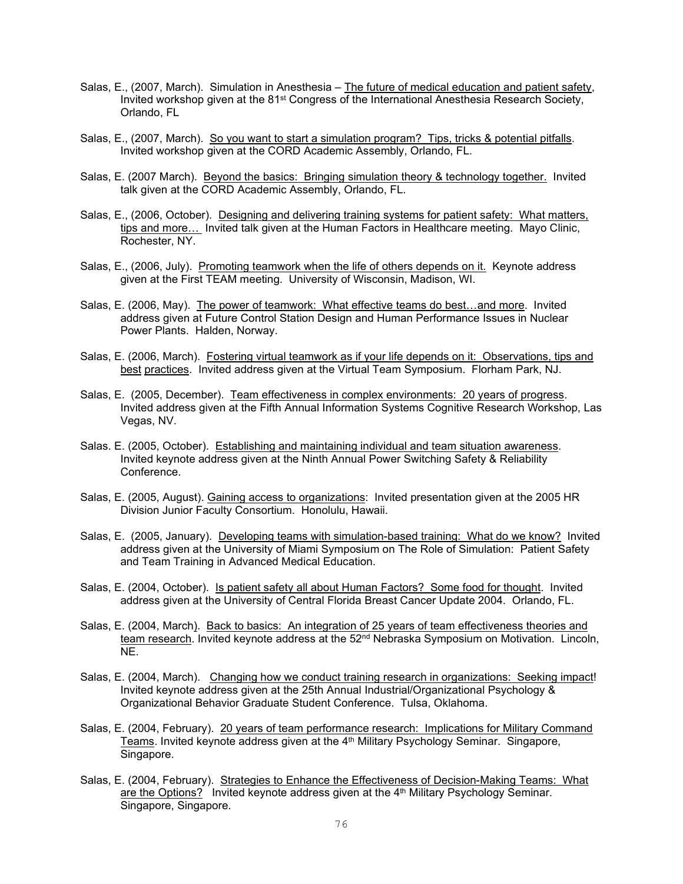- Salas, E., (2007, March). Simulation in Anesthesia The future of medical education and patient safety, Invited workshop given at the 81<sup>st</sup> Congress of the International Anesthesia Research Society, Orlando, FL
- Salas, E., (2007, March). So you want to start a simulation program? Tips, tricks & potential pitfalls. Invited workshop given at the CORD Academic Assembly, Orlando, FL.
- Salas, E. (2007 March). Beyond the basics: Bringing simulation theory & technology together. Invited talk given at the CORD Academic Assembly, Orlando, FL.
- Salas, E., (2006, October). Designing and delivering training systems for patient safety: What matters, tips and more… Invited talk given at the Human Factors in Healthcare meeting. Mayo Clinic, Rochester, NY.
- Salas, E., (2006, July). Promoting teamwork when the life of others depends on it. Keynote address given at the First TEAM meeting. University of Wisconsin, Madison, WI.
- Salas, E. (2006, May). The power of teamwork: What effective teams do best...and more. Invited address given at Future Control Station Design and Human Performance Issues in Nuclear Power Plants. Halden, Norway.
- Salas, E. (2006, March). Fostering virtual teamwork as if your life depends on it: Observations, tips and best practices. Invited address given at the Virtual Team Symposium. Florham Park, NJ.
- Salas, E. (2005, December). Team effectiveness in complex environments: 20 years of progress. Invited address given at the Fifth Annual Information Systems Cognitive Research Workshop, Las Vegas, NV.
- Salas. E. (2005, October). Establishing and maintaining individual and team situation awareness. Invited keynote address given at the Ninth Annual Power Switching Safety & Reliability Conference.
- Salas, E. (2005, August). Gaining access to organizations: Invited presentation given at the 2005 HR Division Junior Faculty Consortium. Honolulu, Hawaii.
- Salas, E. (2005, January). Developing teams with simulation-based training: What do we know? Invited address given at the University of Miami Symposium on The Role of Simulation: Patient Safety and Team Training in Advanced Medical Education.
- Salas, E. (2004, October). Is patient safety all about Human Factors? Some food for thought. Invited address given at the University of Central Florida Breast Cancer Update 2004. Orlando, FL.
- Salas, E. (2004, March). Back to basics: An integration of 25 years of team effectiveness theories and team research. Invited keynote address at the 52<sup>nd</sup> Nebraska Symposium on Motivation. Lincoln, NE.
- Salas, E. (2004, March). Changing how we conduct training research in organizations: Seeking impact! Invited keynote address given at the 25th Annual Industrial/Organizational Psychology & Organizational Behavior Graduate Student Conference. Tulsa, Oklahoma.
- Salas, E. (2004, February). 20 years of team performance research: Implications for Military Command Teams. Invited keynote address given at the 4th Military Psychology Seminar. Singapore, Singapore.
- Salas, E. (2004, February). Strategies to Enhance the Effectiveness of Decision-Making Teams: What are the Options? Invited keynote address given at the 4<sup>th</sup> Military Psychology Seminar. Singapore, Singapore.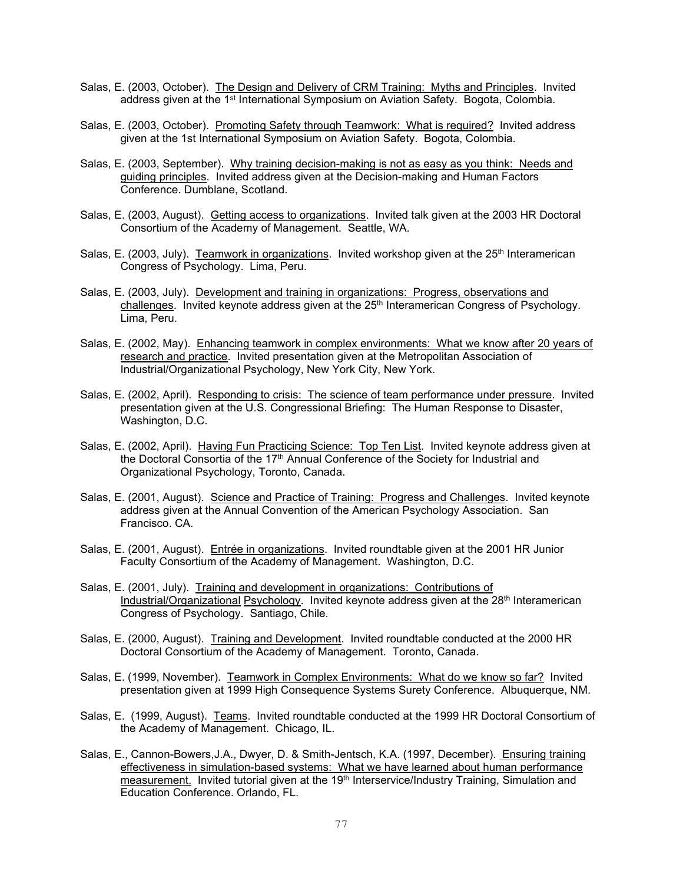- Salas, E. (2003, October). The Design and Delivery of CRM Training: Myths and Principles. Invited address given at the 1st International Symposium on Aviation Safety. Bogota, Colombia.
- Salas, E. (2003, October). Promoting Safety through Teamwork: What is required? Invited address given at the 1st International Symposium on Aviation Safety. Bogota, Colombia.
- Salas, E. (2003, September). Why training decision-making is not as easy as you think: Needs and guiding principles. Invited address given at the Decision-making and Human Factors Conference. Dumblane, Scotland.
- Salas, E. (2003, August). Getting access to organizations. Invited talk given at the 2003 HR Doctoral Consortium of the Academy of Management. Seattle, WA.
- Salas, E. (2003, July). Teamwork in organizations. Invited workshop given at the  $25<sup>th</sup>$  Interamerican Congress of Psychology. Lima, Peru.
- Salas, E. (2003, July). Development and training in organizations: Progress, observations and challenges. Invited keynote address given at the 25<sup>th</sup> Interamerican Congress of Psychology. Lima, Peru.
- Salas, E. (2002, May). Enhancing teamwork in complex environments: What we know after 20 years of research and practice. Invited presentation given at the Metropolitan Association of Industrial/Organizational Psychology, New York City, New York.
- Salas, E. (2002, April). Responding to crisis: The science of team performance under pressure. Invited presentation given at the U.S. Congressional Briefing: The Human Response to Disaster, Washington, D.C.
- Salas, E. (2002, April). Having Fun Practicing Science: Top Ten List. Invited keynote address given at the Doctoral Consortia of the  $17<sup>th</sup>$  Annual Conference of the Society for Industrial and Organizational Psychology, Toronto, Canada.
- Salas, E. (2001, August). Science and Practice of Training: Progress and Challenges. Invited keynote address given at the Annual Convention of the American Psychology Association. San Francisco. CA.
- Salas, E. (2001, August). Entrée in organizations. Invited roundtable given at the 2001 HR Junior Faculty Consortium of the Academy of Management. Washington, D.C.
- Salas, E. (2001, July). Training and development in organizations: Contributions of Industrial/Organizational Psychology. Invited keynote address given at the 28<sup>th</sup> Interamerican Congress of Psychology. Santiago, Chile.
- Salas, E. (2000, August). Training and Development. Invited roundtable conducted at the 2000 HR Doctoral Consortium of the Academy of Management. Toronto, Canada.
- Salas, E. (1999, November). Teamwork in Complex Environments: What do we know so far? Invited presentation given at 1999 High Consequence Systems Surety Conference. Albuquerque, NM.
- Salas, E. (1999, August). Teams. Invited roundtable conducted at the 1999 HR Doctoral Consortium of the Academy of Management. Chicago, IL.
- Salas, E., Cannon-Bowers,J.A., Dwyer, D. & Smith-Jentsch, K.A. (1997, December). Ensuring training effectiveness in simulation-based systems: What we have learned about human performance measurement. Invited tutorial given at the 19<sup>th</sup> Interservice/Industry Training, Simulation and Education Conference. Orlando, FL.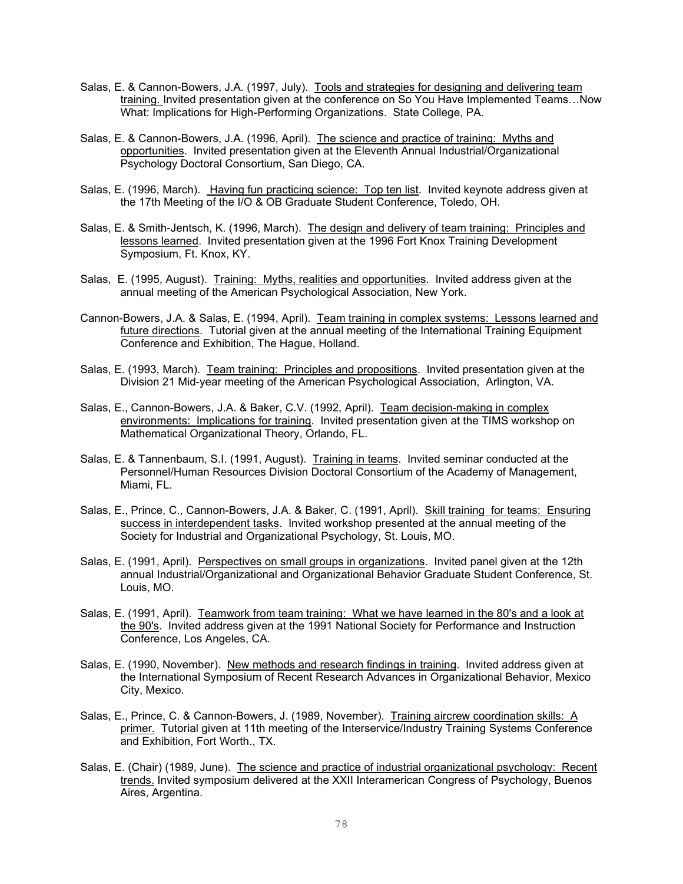- Salas, E. & Cannon-Bowers, J.A. (1997, July). Tools and strategies for designing and delivering team training. Invited presentation given at the conference on So You Have Implemented Teams…Now What: Implications for High-Performing Organizations. State College, PA.
- Salas, E. & Cannon-Bowers, J.A. (1996, April). The science and practice of training: Myths and opportunities. Invited presentation given at the Eleventh Annual Industrial/Organizational Psychology Doctoral Consortium, San Diego, CA.
- Salas, E. (1996, March). Having fun practicing science: Top ten list. Invited keynote address given at the 17th Meeting of the I/O & OB Graduate Student Conference, Toledo, OH.
- Salas, E. & Smith-Jentsch, K. (1996, March). The design and delivery of team training: Principles and lessons learned. Invited presentation given at the 1996 Fort Knox Training Development Symposium, Ft. Knox, KY.
- Salas, E. (1995, August). Training: Myths, realities and opportunities. Invited address given at the annual meeting of the American Psychological Association, New York.
- Cannon-Bowers, J.A. & Salas, E. (1994, April). Team training in complex systems: Lessons learned and future directions. Tutorial given at the annual meeting of the International Training Equipment Conference and Exhibition, The Hague, Holland.
- Salas, E. (1993, March). Team training: Principles and propositions. Invited presentation given at the Division 21 Mid-year meeting of the American Psychological Association, Arlington, VA.
- Salas, E., Cannon-Bowers, J.A. & Baker, C.V. (1992, April). Team decision-making in complex environments: Implications for training. Invited presentation given at the TIMS workshop on Mathematical Organizational Theory, Orlando, FL.
- Salas, E. & Tannenbaum, S.I. (1991, August). Training in teams. Invited seminar conducted at the Personnel/Human Resources Division Doctoral Consortium of the Academy of Management, Miami, FL.
- Salas, E., Prince, C., Cannon-Bowers, J.A. & Baker, C. (1991, April). Skill training for teams: Ensuring success in interdependent tasks. Invited workshop presented at the annual meeting of the Society for Industrial and Organizational Psychology, St. Louis, MO.
- Salas, E. (1991, April). Perspectives on small groups in organizations. Invited panel given at the 12th annual Industrial/Organizational and Organizational Behavior Graduate Student Conference, St. Louis, MO.
- Salas, E. (1991, April). Teamwork from team training: What we have learned in the 80's and a look at the 90's. Invited address given at the 1991 National Society for Performance and Instruction Conference, Los Angeles, CA.
- Salas, E. (1990, November). New methods and research findings in training. Invited address given at the International Symposium of Recent Research Advances in Organizational Behavior, Mexico City, Mexico.
- Salas, E., Prince, C. & Cannon-Bowers, J. (1989, November). Training aircrew coordination skills: A primer. Tutorial given at 11th meeting of the Interservice/Industry Training Systems Conference and Exhibition, Fort Worth., TX.
- Salas, E. (Chair) (1989, June). The science and practice of industrial organizational psychology: Recent trends. Invited symposium delivered at the XXII Interamerican Congress of Psychology, Buenos Aires, Argentina.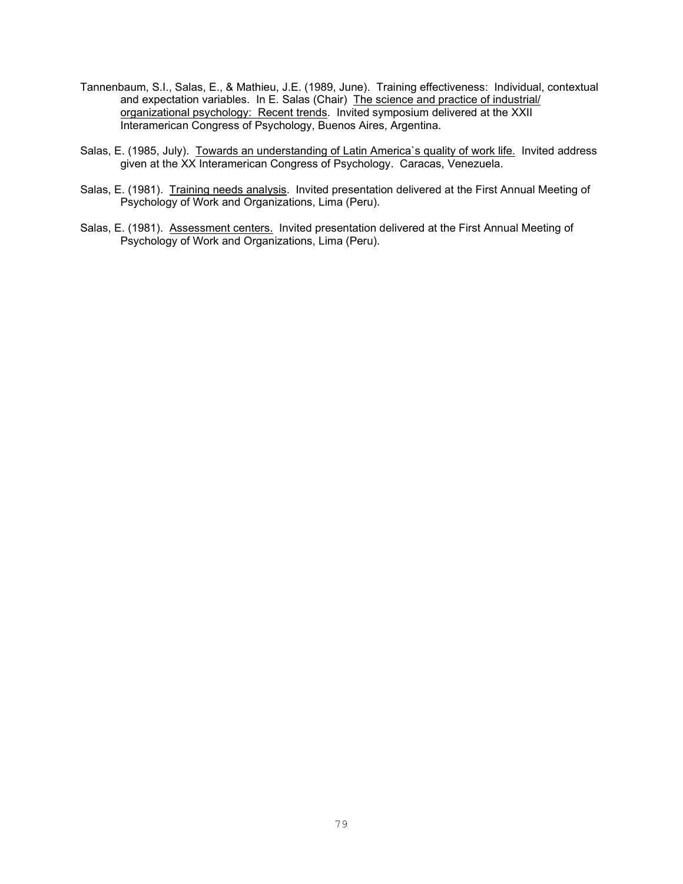- Tannenbaum, S.I., Salas, E., & Mathieu, J.E. (1989, June). Training effectiveness: Individual, contextual and expectation variables. In E. Salas (Chair) The science and practice of industrial/ organizational psychology: Recent trends. Invited symposium delivered at the XXII Interamerican Congress of Psychology, Buenos Aires, Argentina.
- Salas, E. (1985, July). Towards an understanding of Latin America's quality of work life. Invited address given at the XX Interamerican Congress of Psychology. Caracas, Venezuela.
- Salas, E. (1981). Training needs analysis. Invited presentation delivered at the First Annual Meeting of Psychology of Work and Organizations, Lima (Peru).
- Salas, E. (1981). Assessment centers. Invited presentation delivered at the First Annual Meeting of Psychology of Work and Organizations, Lima (Peru).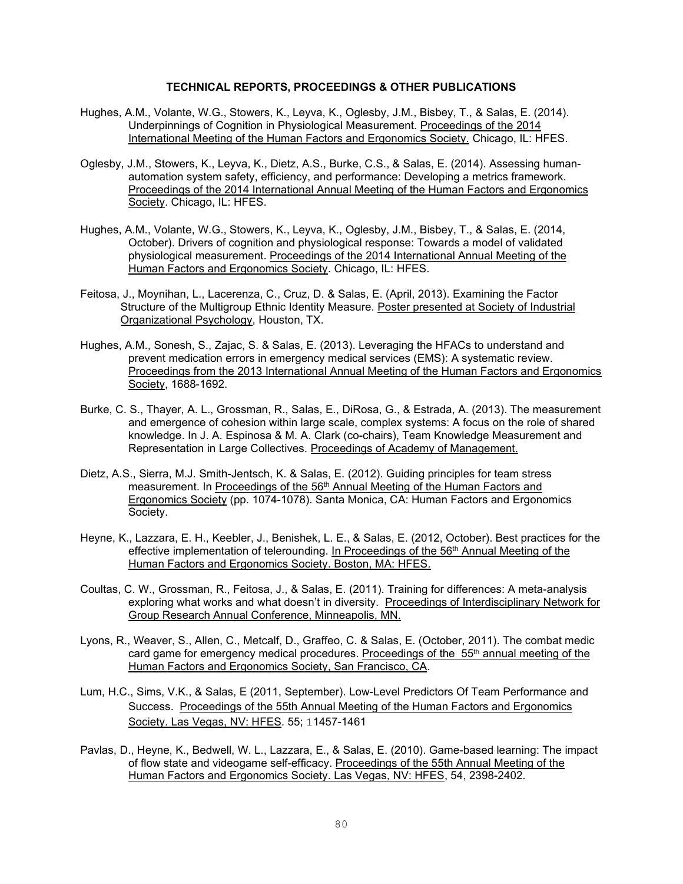## **TECHNICAL REPORTS, PROCEEDINGS & OTHER PUBLICATIONS**

- Hughes, A.M., Volante, W.G., Stowers, K., Leyva, K., Oglesby, J.M., Bisbey, T., & Salas, E. (2014). Underpinnings of Cognition in Physiological Measurement. Proceedings of the 2014 International Meeting of the Human Factors and Ergonomics Society. Chicago, IL: HFES.
- Oglesby, J.M., Stowers, K., Leyva, K., Dietz, A.S., Burke, C.S., & Salas, E. (2014). Assessing humanautomation system safety, efficiency, and performance: Developing a metrics framework. Proceedings of the 2014 International Annual Meeting of the Human Factors and Ergonomics Society. Chicago, IL: HFES.
- Hughes, A.M., Volante, W.G., Stowers, K., Leyva, K., Oglesby, J.M., Bisbey, T., & Salas, E. (2014, October). Drivers of cognition and physiological response: Towards a model of validated physiological measurement. Proceedings of the 2014 International Annual Meeting of the Human Factors and Ergonomics Society. Chicago, IL: HFES.
- Feitosa, J., Moynihan, L., Lacerenza, C., Cruz, D. & Salas, E. (April, 2013). Examining the Factor Structure of the Multigroup Ethnic Identity Measure. Poster presented at Society of Industrial Organizational Psychology, Houston, TX.
- Hughes, A.M., Sonesh, S., Zajac, S. & Salas, E. (2013). Leveraging the HFACs to understand and prevent medication errors in emergency medical services (EMS): A systematic review. Proceedings from the 2013 International Annual Meeting of the Human Factors and Ergonomics Society, 1688-1692.
- Burke, C. S., Thayer, A. L., Grossman, R., Salas, E., DiRosa, G., & Estrada, A. (2013). The measurement and emergence of cohesion within large scale, complex systems: A focus on the role of shared knowledge. In J. A. Espinosa & M. A. Clark (co-chairs), Team Knowledge Measurement and Representation in Large Collectives. Proceedings of Academy of Management.
- Dietz, A.S., Sierra, M.J. Smith-Jentsch, K. & Salas, E. (2012). Guiding principles for team stress measurement. In Proceedings of the 56th Annual Meeting of the Human Factors and Ergonomics Society (pp. 1074-1078). Santa Monica, CA: Human Factors and Ergonomics Society.
- Heyne, K., Lazzara, E. H., Keebler, J., Benishek, L. E., & Salas, E. (2012, October). Best practices for the effective implementation of telerounding. In Proceedings of the 56<sup>th</sup> Annual Meeting of the Human Factors and Ergonomics Society. Boston, MA: HFES.
- Coultas, C. W., Grossman, R., Feitosa, J., & Salas, E. (2011). Training for differences: A meta-analysis exploring what works and what doesn't in diversity. Proceedings of Interdisciplinary Network for Group Research Annual Conference, Minneapolis, MN.
- Lyons, R., Weaver, S., Allen, C., Metcalf, D., Graffeo, C. & Salas, E. (October, 2011). The combat medic card game for emergency medical procedures. Proceedings of the 55<sup>th</sup> annual meeting of the Human Factors and Ergonomics Society, San Francisco, CA.
- Lum, H.C., Sims, V.K., & Salas, E (2011, September). Low-Level Predictors Of Team Performance and Success. Proceedings of the 55th Annual Meeting of the Human Factors and Ergonomics Society. Las Vegas, NV: HFES. 55; 11457-1461
- Pavlas, D., Heyne, K., Bedwell, W. L., Lazzara, E., & Salas, E. (2010). Game-based learning: The impact of flow state and videogame self-efficacy. Proceedings of the 55th Annual Meeting of the Human Factors and Ergonomics Society. Las Vegas, NV: HFES, 54, 2398-2402.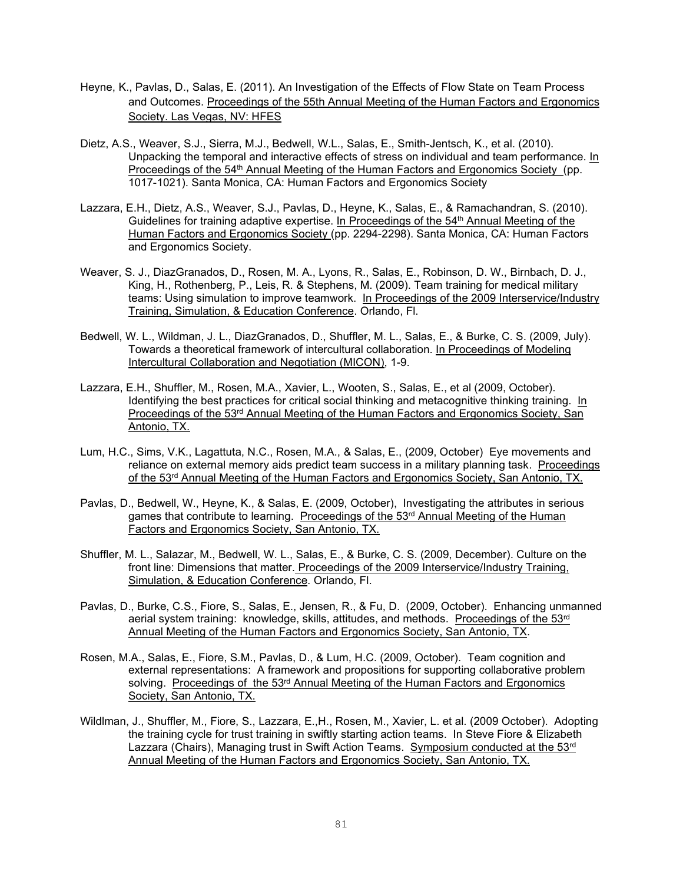- Heyne, K., Pavlas, D., Salas, E. (2011). An Investigation of the Effects of Flow State on Team Process and Outcomes. Proceedings of the 55th Annual Meeting of the Human Factors and Ergonomics Society. Las Vegas, NV: HFES
- Dietz, A.S., Weaver, S.J., Sierra, M.J., Bedwell, W.L., Salas, E., Smith-Jentsch, K., et al. (2010). Unpacking the temporal and interactive effects of stress on individual and team performance. In Proceedings of the 54<sup>th</sup> Annual Meeting of the Human Factors and Ergonomics Society (pp. 1017-1021). Santa Monica, CA: Human Factors and Ergonomics Society
- Lazzara, E.H., Dietz, A.S., Weaver, S.J., Pavlas, D., Heyne, K., Salas, E., & Ramachandran, S. (2010). Guidelines for training adaptive expertise. In Proceedings of the 54th Annual Meeting of the Human Factors and Ergonomics Society (pp. 2294-2298). Santa Monica, CA: Human Factors and Ergonomics Society.
- Weaver, S. J., DiazGranados, D., Rosen, M. A., Lyons, R., Salas, E., Robinson, D. W., Birnbach, D. J., King, H., Rothenberg, P., Leis, R. & Stephens, M. (2009). Team training for medical military teams: Using simulation to improve teamwork. In Proceedings of the 2009 Interservice/Industry Training, Simulation, & Education Conference. Orlando, Fl.
- Bedwell, W. L., Wildman, J. L., DiazGranados, D., Shuffler, M. L., Salas, E., & Burke, C. S. (2009, July). Towards a theoretical framework of intercultural collaboration. In Proceedings of Modeling Intercultural Collaboration and Negotiation (MICON), 1-9.
- Lazzara, E.H., Shuffler, M., Rosen, M.A., Xavier, L., Wooten, S., Salas, E., et al (2009, October). Identifying the best practices for critical social thinking and metacognitive thinking training. In Proceedings of the 53rd Annual Meeting of the Human Factors and Ergonomics Society, San Antonio, TX.
- Lum, H.C., Sims, V.K., Lagattuta, N.C., Rosen, M.A., & Salas, E., (2009, October) Eye movements and reliance on external memory aids predict team success in a military planning task. Proceedings of the 53<sup>rd</sup> Annual Meeting of the Human Factors and Ergonomics Society, San Antonio, TX.
- Pavlas, D., Bedwell, W., Heyne, K., & Salas, E. (2009, October), Investigating the attributes in serious games that contribute to learning. Proceedings of the 53<sup>rd</sup> Annual Meeting of the Human Factors and Ergonomics Society, San Antonio, TX.
- Shuffler, M. L., Salazar, M., Bedwell, W. L., Salas, E., & Burke, C. S. (2009, December). Culture on the front line: Dimensions that matter. Proceedings of the 2009 Interservice/Industry Training, Simulation, & Education Conference. Orlando, Fl.
- Pavlas, D., Burke, C.S., Fiore, S., Salas, E., Jensen, R., & Fu, D. (2009, October). Enhancing unmanned aerial system training: knowledge, skills, attitudes, and methods. Proceedings of the 53rd Annual Meeting of the Human Factors and Ergonomics Society, San Antonio, TX.
- Rosen, M.A., Salas, E., Fiore, S.M., Pavlas, D., & Lum, H.C. (2009, October). Team cognition and external representations: A framework and propositions for supporting collaborative problem solving. Proceedings of the  $53<sup>rd</sup>$  Annual Meeting of the Human Factors and Ergonomics Society, San Antonio, TX.
- Wildlman, J., Shuffler, M., Fiore, S., Lazzara, E.,H., Rosen, M., Xavier, L. et al. (2009 October). Adopting the training cycle for trust training in swiftly starting action teams. In Steve Fiore & Elizabeth Lazzara (Chairs), Managing trust in Swift Action Teams. Symposium conducted at the 53<sup>rd</sup> Annual Meeting of the Human Factors and Ergonomics Society, San Antonio, TX.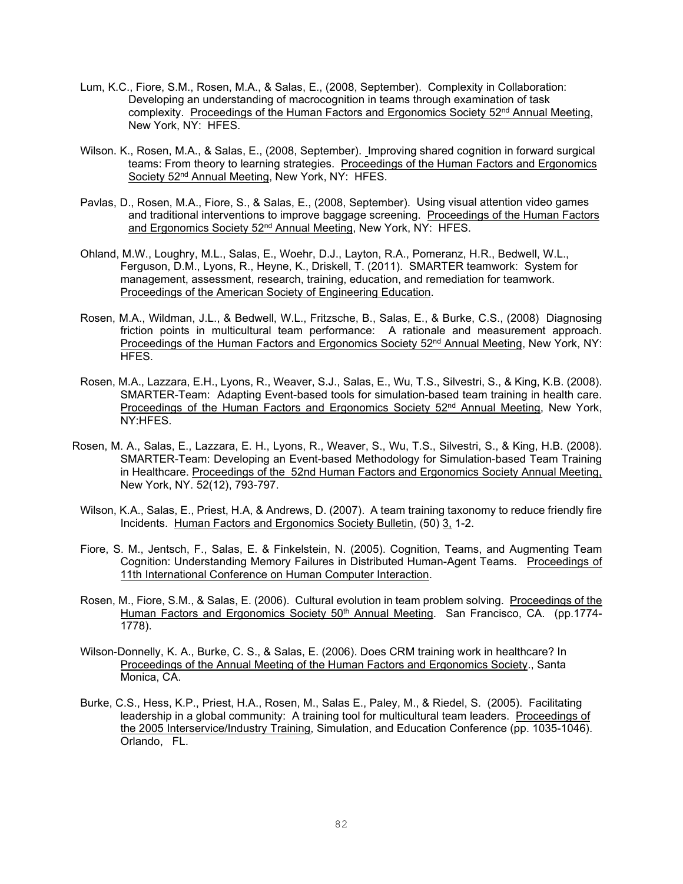- Lum, K.C., Fiore, S.M., Rosen, M.A., & Salas, E., (2008, September). Complexity in Collaboration: Developing an understanding of macrocognition in teams through examination of task complexity. Proceedings of the Human Factors and Ergonomics Society 52<sup>nd</sup> Annual Meeting, New York, NY: HFES.
- Wilson. K., Rosen, M.A., & Salas, E., (2008, September). Improving shared cognition in forward surgical teams: From theory to learning strategies. Proceedings of the Human Factors and Ergonomics Society 52nd Annual Meeting, New York, NY: HFES.
- Pavlas, D., Rosen, M.A., Fiore, S., & Salas, E., (2008, September). Using visual attention video games and traditional interventions to improve baggage screening. Proceedings of the Human Factors and Ergonomics Society 52<sup>nd</sup> Annual Meeting, New York, NY: HFES.
- Ohland, M.W., Loughry, M.L., Salas, E., Woehr, D.J., Layton, R.A., Pomeranz, H.R., Bedwell, W.L., Ferguson, D.M., Lyons, R., Heyne, K., Driskell, T. (2011). SMARTER teamwork: System for management, assessment, research, training, education, and remediation for teamwork. Proceedings of the American Society of Engineering Education.
- Rosen, M.A., Wildman, J.L., & Bedwell, W.L., Fritzsche, B., Salas, E., & Burke, C.S., (2008) Diagnosing friction points in multicultural team performance: A rationale and measurement approach. Proceedings of the Human Factors and Ergonomics Society 52<sup>nd</sup> Annual Meeting, New York, NY: HFES.
- Rosen, M.A., Lazzara, E.H., Lyons, R., Weaver, S.J., Salas, E., Wu, T.S., Silvestri, S., & King, K.B. (2008). SMARTER-Team: Adapting Event-based tools for simulation-based team training in health care. Proceedings of the Human Factors and Ergonomics Society 52<sup>nd</sup> Annual Meeting, New York, NY:HFES.
- Rosen, M. A., Salas, E., Lazzara, E. H., Lyons, R., Weaver, S., Wu, T.S., Silvestri, S., & King, H.B. (2008). SMARTER-Team: Developing an Event-based Methodology for Simulation-based Team Training in Healthcare. Proceedings of the 52nd Human Factors and Ergonomics Society Annual Meeting, New York, NY. 52(12), 793-797.
- Wilson, K.A., Salas, E., Priest, H.A, & Andrews, D. (2007). A team training taxonomy to reduce friendly fire Incidents. Human Factors and Ergonomics Society Bulletin, (50) 3, 1-2.
- Fiore, S. M., Jentsch, F., Salas, E. & Finkelstein, N. (2005). Cognition, Teams, and Augmenting Team Cognition: Understanding Memory Failures in Distributed Human-Agent Teams. Proceedings of 11th International Conference on Human Computer Interaction.
- Rosen, M., Fiore, S.M., & Salas, E. (2006). Cultural evolution in team problem solving. Proceedings of the Human Factors and Ergonomics Society 50<sup>th</sup> Annual Meeting. San Francisco, CA. (pp.1774-1778).
- Wilson-Donnelly, K. A., Burke, C. S., & Salas, E. (2006). Does CRM training work in healthcare? In Proceedings of the Annual Meeting of the Human Factors and Ergonomics Society., Santa Monica, CA.
- Burke, C.S., Hess, K.P., Priest, H.A., Rosen, M., Salas E., Paley, M., & Riedel, S. (2005). Facilitating leadership in a global community: A training tool for multicultural team leaders. Proceedings of the 2005 Interservice/Industry Training, Simulation, and Education Conference (pp. 1035-1046). Orlando, FL.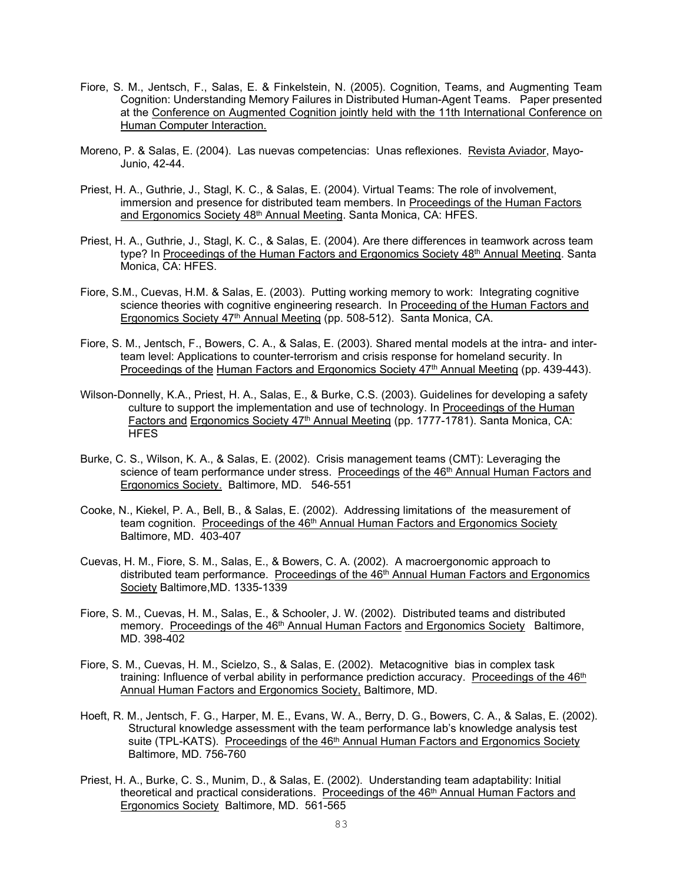- Fiore, S. M., Jentsch, F., Salas, E. & Finkelstein, N. (2005). Cognition, Teams, and Augmenting Team Cognition: Understanding Memory Failures in Distributed Human-Agent Teams. Paper presented at the Conference on Augmented Cognition jointly held with the 11th International Conference on Human Computer Interaction.
- Moreno, P. & Salas, E. (2004). Las nuevas competencias: Unas reflexiones. Revista Aviador, Mayo-Junio, 42-44.
- Priest, H. A., Guthrie, J., Stagl, K. C., & Salas, E. (2004). Virtual Teams: The role of involvement, immersion and presence for distributed team members. In Proceedings of the Human Factors and Ergonomics Society 48<sup>th</sup> Annual Meeting. Santa Monica, CA: HFES.
- Priest, H. A., Guthrie, J., Stagl, K. C., & Salas, E. (2004). Are there differences in teamwork across team type? In Proceedings of the Human Factors and Ergonomics Society 48th Annual Meeting. Santa Monica, CA: HFES.
- Fiore, S.M., Cuevas, H.M. & Salas, E. (2003). Putting working memory to work: Integrating cognitive science theories with cognitive engineering research. In Proceeding of the Human Factors and Ergonomics Society 47<sup>th</sup> Annual Meeting (pp. 508-512). Santa Monica, CA.
- Fiore, S. M., Jentsch, F., Bowers, C. A., & Salas, E. (2003). Shared mental models at the intra- and interteam level: Applications to counter-terrorism and crisis response for homeland security. In Proceedings of the Human Factors and Ergonomics Society 47<sup>th</sup> Annual Meeting (pp. 439-443).
- Wilson-Donnelly, K.A., Priest, H. A., Salas, E., & Burke, C.S. (2003). Guidelines for developing a safety culture to support the implementation and use of technology. In Proceedings of the Human Factors and Ergonomics Society 47<sup>th</sup> Annual Meeting (pp. 1777-1781). Santa Monica, CA: **HFES**
- Burke, C. S., Wilson, K. A., & Salas, E. (2002). Crisis management teams (CMT): Leveraging the science of team performance under stress. Proceedings of the 46<sup>th</sup> Annual Human Factors and Ergonomics Society. Baltimore, MD. 546-551
- Cooke, N., Kiekel, P. A., Bell, B., & Salas, E. (2002). Addressing limitations of the measurement of team cognition. Proceedings of the  $46<sup>th</sup>$  Annual Human Factors and Ergonomics Society Baltimore, MD. 403-407
- Cuevas, H. M., Fiore, S. M., Salas, E., & Bowers, C. A. (2002). A macroergonomic approach to distributed team performance. Proceedings of the 46<sup>th</sup> Annual Human Factors and Ergonomics Society Baltimore,MD. 1335-1339
- Fiore, S. M., Cuevas, H. M., Salas, E., & Schooler, J. W. (2002). Distributed teams and distributed memory. Proceedings of the 46<sup>th</sup> Annual Human Factors and Ergonomics Society Baltimore, MD. 398-402
- Fiore, S. M., Cuevas, H. M., Scielzo, S., & Salas, E. (2002). Metacognitive bias in complex task training: Influence of verbal ability in performance prediction accuracy. Proceedings of the  $46<sup>th</sup>$ Annual Human Factors and Ergonomics Society, Baltimore, MD.
- Hoeft, R. M., Jentsch, F. G., Harper, M. E., Evans, W. A., Berry, D. G., Bowers, C. A., & Salas, E. (2002). Structural knowledge assessment with the team performance lab's knowledge analysis test suite (TPL-KATS). Proceedings of the 46<sup>th</sup> Annual Human Factors and Ergonomics Society Baltimore, MD. 756-760
- Priest, H. A., Burke, C. S., Munim, D., & Salas, E. (2002). Understanding team adaptability: Initial theoretical and practical considerations. Proceedings of the 46th Annual Human Factors and Ergonomics Society Baltimore, MD. 561-565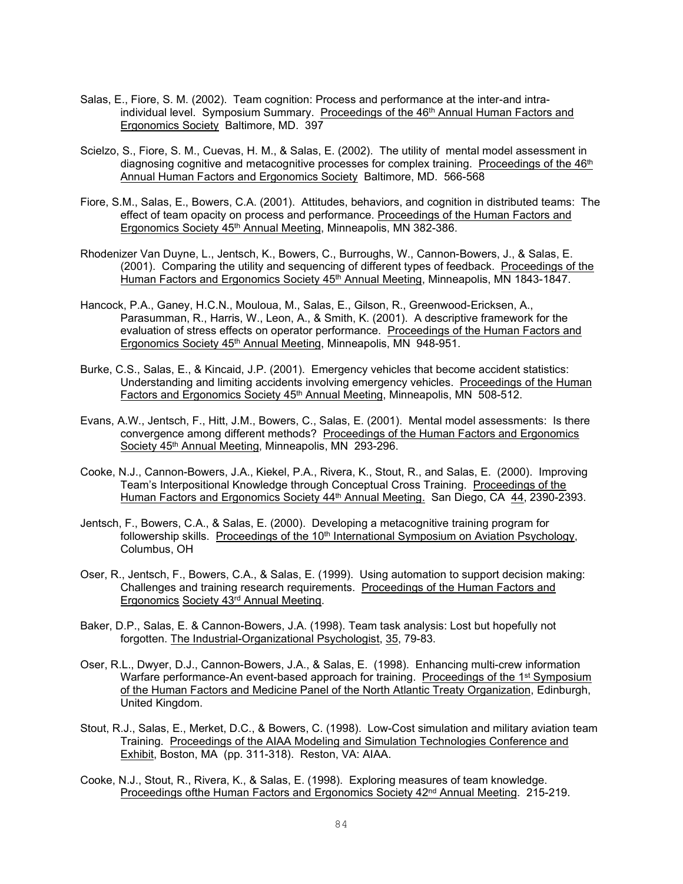- Salas, E., Fiore, S. M. (2002). Team cognition: Process and performance at the inter-and intraindividual level. Symposium Summary. Proceedings of the 46<sup>th</sup> Annual Human Factors and Ergonomics Society Baltimore, MD. 397
- Scielzo, S., Fiore, S. M., Cuevas, H. M., & Salas, E. (2002). The utility of mental model assessment in diagnosing cognitive and metacognitive processes for complex training. Proceedings of the  $46<sup>th</sup>$ Annual Human Factors and Ergonomics Society Baltimore, MD. 566-568
- Fiore, S.M., Salas, E., Bowers, C.A. (2001). Attitudes, behaviors, and cognition in distributed teams: The effect of team opacity on process and performance. Proceedings of the Human Factors and Ergonomics Society 45<sup>th</sup> Annual Meeting, Minneapolis, MN 382-386.
- Rhodenizer Van Duyne, L., Jentsch, K., Bowers, C., Burroughs, W., Cannon-Bowers, J., & Salas, E. (2001). Comparing the utility and sequencing of different types of feedback. Proceedings of the Human Factors and Ergonomics Society 45th Annual Meeting, Minneapolis, MN 1843-1847.
- Hancock, P.A., Ganey, H.C.N., Mouloua, M., Salas, E., Gilson, R., Greenwood-Ericksen, A., Parasumman, R., Harris, W., Leon, A., & Smith, K. (2001). A descriptive framework for the evaluation of stress effects on operator performance. Proceedings of the Human Factors and Ergonomics Society 45<sup>th</sup> Annual Meeting, Minneapolis, MN 948-951.
- Burke, C.S., Salas, E., & Kincaid, J.P. (2001). Emergency vehicles that become accident statistics: Understanding and limiting accidents involving emergency vehicles. Proceedings of the Human Factors and Ergonomics Society 45<sup>th</sup> Annual Meeting, Minneapolis, MN 508-512.
- Evans, A.W., Jentsch, F., Hitt, J.M., Bowers, C., Salas, E. (2001). Mental model assessments: Is there convergence among different methods? Proceedings of the Human Factors and Ergonomics Society 45<sup>th</sup> Annual Meeting, Minneapolis, MN 293-296.
- Cooke, N.J., Cannon-Bowers, J.A., Kiekel, P.A., Rivera, K., Stout, R., and Salas, E. (2000). Improving Team's Interpositional Knowledge through Conceptual Cross Training. Proceedings of the Human Factors and Ergonomics Society 44th Annual Meeting. San Diego, CA 44, 2390-2393.
- Jentsch, F., Bowers, C.A., & Salas, E. (2000). Developing a metacognitive training program for followership skills. Proceedings of the  $10<sup>th</sup>$  International Symposium on Aviation Psychology, Columbus, OH
- Oser, R., Jentsch, F., Bowers, C.A., & Salas, E. (1999). Using automation to support decision making: Challenges and training research requirements. Proceedings of the Human Factors and Ergonomics Society 43rd Annual Meeting.
- Baker, D.P., Salas, E. & Cannon-Bowers, J.A. (1998). Team task analysis: Lost but hopefully not forgotten. The Industrial-Organizational Psychologist, 35, 79-83.
- Oser, R.L., Dwyer, D.J., Cannon-Bowers, J.A., & Salas, E. (1998). Enhancing multi-crew information Warfare performance-An event-based approach for training. Proceedings of the 1<sup>st</sup> Symposium of the Human Factors and Medicine Panel of the North Atlantic Treaty Organization, Edinburgh, United Kingdom.
- Stout, R.J., Salas, E., Merket, D.C., & Bowers, C. (1998). Low-Cost simulation and military aviation team Training. Proceedings of the AIAA Modeling and Simulation Technologies Conference and Exhibit, Boston, MA (pp. 311-318). Reston, VA: AIAA.
- Cooke, N.J., Stout, R., Rivera, K., & Salas, E. (1998). Exploring measures of team knowledge. Proceedings ofthe Human Factors and Ergonomics Society 42<sup>nd</sup> Annual Meeting. 215-219.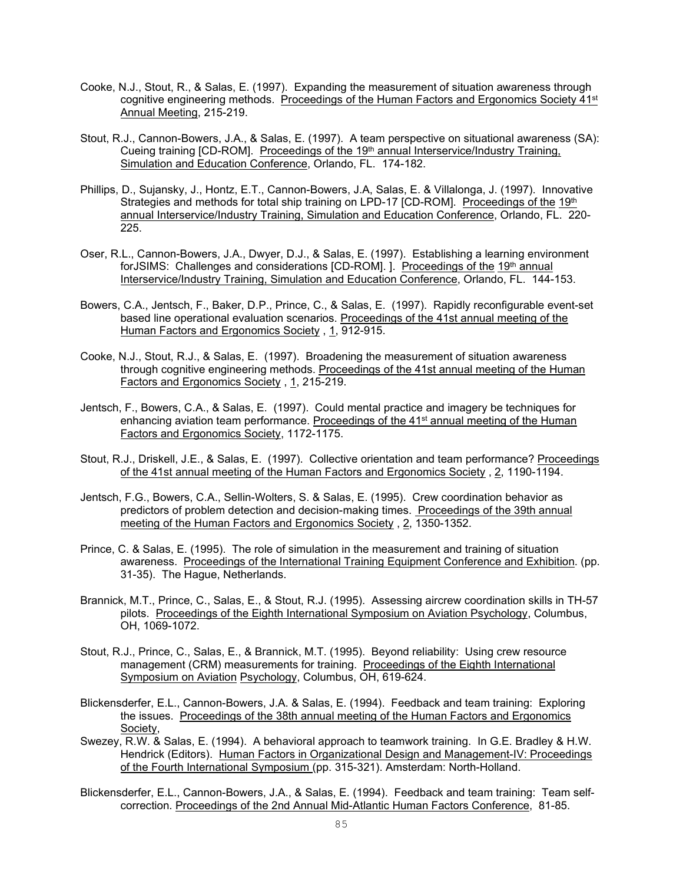- Cooke, N.J., Stout, R., & Salas, E. (1997). Expanding the measurement of situation awareness through cognitive engineering methods. Proceedings of the Human Factors and Ergonomics Society 41<sup>st</sup> Annual Meeting, 215-219.
- Stout, R.J., Cannon-Bowers, J.A., & Salas, E. (1997). A team perspective on situational awareness (SA): Cueing training [CD-ROM]. Proceedings of the 19th annual Interservice/Industry Training, Simulation and Education Conference, Orlando, FL. 174-182.
- Phillips, D., Sujansky, J., Hontz, E.T., Cannon-Bowers, J.A, Salas, E. & Villalonga, J. (1997). Innovative Strategies and methods for total ship training on LPD-17 [CD-ROM]. Proceedings of the 19th annual Interservice/Industry Training, Simulation and Education Conference, Orlando, FL. 220- 225.
- Oser, R.L., Cannon-Bowers, J.A., Dwyer, D.J., & Salas, E. (1997). Establishing a learning environment forJSIMS: Challenges and considerations [CD-ROM]. 1. Proceedings of the 19<sup>th</sup> annual Interservice/Industry Training, Simulation and Education Conference, Orlando, FL. 144-153.
- Bowers, C.A., Jentsch, F., Baker, D.P., Prince, C., & Salas, E. (1997). Rapidly reconfigurable event-set based line operational evaluation scenarios. Proceedings of the 41st annual meeting of the Human Factors and Ergonomics Society , 1, 912-915.
- Cooke, N.J., Stout, R.J., & Salas, E. (1997). Broadening the measurement of situation awareness through cognitive engineering methods. Proceedings of the 41st annual meeting of the Human Factors and Ergonomics Society , 1, 215-219.
- Jentsch, F., Bowers, C.A., & Salas, E. (1997). Could mental practice and imagery be techniques for enhancing aviation team performance. Proceedings of the  $41<sup>st</sup>$  annual meeting of the Human Factors and Ergonomics Society, 1172-1175.
- Stout, R.J., Driskell, J.E., & Salas, E. (1997). Collective orientation and team performance? Proceedings of the 41st annual meeting of the Human Factors and Ergonomics Society , 2, 1190-1194.
- Jentsch, F.G., Bowers, C.A., Sellin-Wolters, S. & Salas, E. (1995). Crew coordination behavior as predictors of problem detection and decision-making times. Proceedings of the 39th annual meeting of the Human Factors and Ergonomics Society , 2, 1350-1352.
- Prince, C. & Salas, E. (1995). The role of simulation in the measurement and training of situation awareness. Proceedings of the International Training Equipment Conference and Exhibition. (pp. 31-35). The Hague, Netherlands.
- Brannick, M.T., Prince, C., Salas, E., & Stout, R.J. (1995). Assessing aircrew coordination skills in TH-57 pilots. Proceedings of the Eighth International Symposium on Aviation Psychology, Columbus, OH, 1069-1072.
- Stout, R.J., Prince, C., Salas, E., & Brannick, M.T. (1995). Beyond reliability: Using crew resource management (CRM) measurements for training. Proceedings of the Eighth International Symposium on Aviation Psychology, Columbus, OH, 619-624.
- Blickensderfer, E.L., Cannon-Bowers, J.A. & Salas, E. (1994). Feedback and team training: Exploring the issues. Proceedings of the 38th annual meeting of the Human Factors and Ergonomics Society,
- Swezey, R.W. & Salas, E. (1994). A behavioral approach to teamwork training. In G.E. Bradley & H.W. Hendrick (Editors). Human Factors in Organizational Design and Management-IV: Proceedings of the Fourth International Symposium (pp. 315-321). Amsterdam: North-Holland.
- Blickensderfer, E.L., Cannon-Bowers, J.A., & Salas, E. (1994). Feedback and team training: Team selfcorrection. Proceedings of the 2nd Annual Mid-Atlantic Human Factors Conference, 81-85.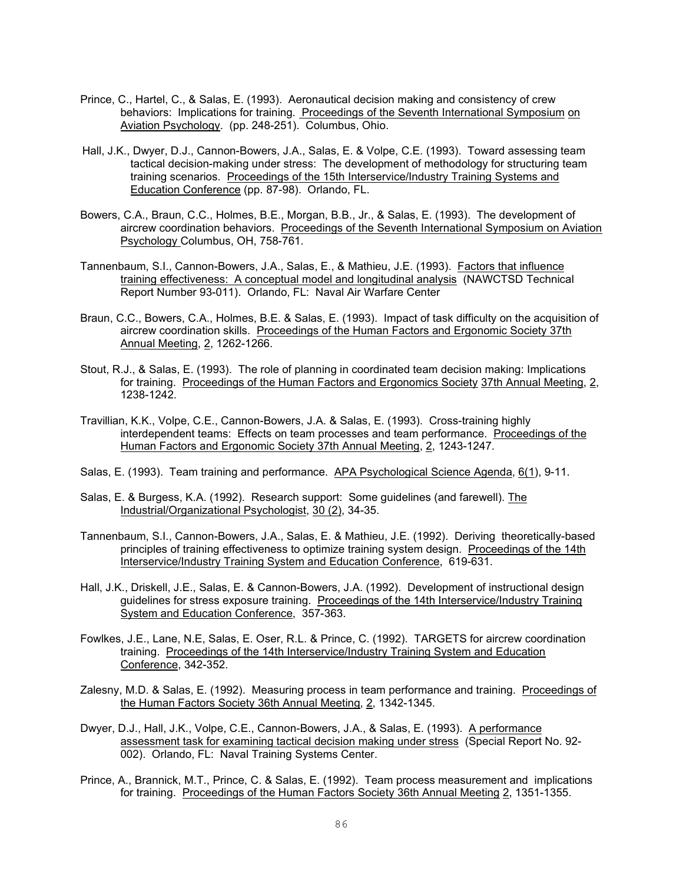- Prince, C., Hartel, C., & Salas, E. (1993). Aeronautical decision making and consistency of crew behaviors: Implications for training. Proceedings of the Seventh International Symposium on Aviation Psychology. (pp. 248-251). Columbus, Ohio.
- Hall, J.K., Dwyer, D.J., Cannon-Bowers, J.A., Salas, E. & Volpe, C.E. (1993). Toward assessing team tactical decision-making under stress: The development of methodology for structuring team training scenarios. Proceedings of the 15th Interservice/Industry Training Systems and Education Conference (pp. 87-98). Orlando, FL.
- Bowers, C.A., Braun, C.C., Holmes, B.E., Morgan, B.B., Jr., & Salas, E. (1993). The development of aircrew coordination behaviors. Proceedings of the Seventh International Symposium on Aviation Psychology Columbus, OH, 758-761.
- Tannenbaum, S.I., Cannon-Bowers, J.A., Salas, E., & Mathieu, J.E. (1993). Factors that influence training effectiveness: A conceptual model and longitudinal analysis (NAWCTSD Technical Report Number 93-011). Orlando, FL: Naval Air Warfare Center
- Braun, C.C., Bowers, C.A., Holmes, B.E. & Salas, E. (1993). Impact of task difficulty on the acquisition of aircrew coordination skills. Proceedings of the Human Factors and Ergonomic Society 37th Annual Meeting, 2, 1262-1266.
- Stout, R.J., & Salas, E. (1993). The role of planning in coordinated team decision making: Implications for training. Proceedings of the Human Factors and Ergonomics Society 37th Annual Meeting, 2, 1238-1242.
- Travillian, K.K., Volpe, C.E., Cannon-Bowers, J.A. & Salas, E. (1993). Cross-training highly interdependent teams: Effects on team processes and team performance. Proceedings of the Human Factors and Ergonomic Society 37th Annual Meeting, 2, 1243-1247.
- Salas, E. (1993). Team training and performance. APA Psychological Science Agenda, 6(1), 9-11.
- Salas, E. & Burgess, K.A. (1992). Research support: Some guidelines (and farewell). The Industrial/Organizational Psychologist, 30 (2), 34-35.
- Tannenbaum, S.I., Cannon-Bowers, J.A., Salas, E. & Mathieu, J.E. (1992). Deriving theoretically-based principles of training effectiveness to optimize training system design. Proceedings of the 14th Interservice/Industry Training System and Education Conference, 619-631.
- Hall, J.K., Driskell, J.E., Salas, E. & Cannon-Bowers, J.A. (1992). Development of instructional design guidelines for stress exposure training. Proceedings of the 14th Interservice/Industry Training System and Education Conference, 357-363.
- Fowlkes, J.E., Lane, N.E, Salas, E. Oser, R.L. & Prince, C. (1992). TARGETS for aircrew coordination training. Proceedings of the 14th Interservice/Industry Training System and Education Conference, 342-352.
- Zalesny, M.D. & Salas, E. (1992). Measuring process in team performance and training. Proceedings of the Human Factors Society 36th Annual Meeting, 2, 1342-1345.
- Dwyer, D.J., Hall, J.K., Volpe, C.E., Cannon-Bowers, J.A., & Salas, E. (1993). A performance assessment task for examining tactical decision making under stress (Special Report No. 92- 002). Orlando, FL: Naval Training Systems Center.
- Prince, A., Brannick, M.T., Prince, C. & Salas, E. (1992). Team process measurement and implications for training. Proceedings of the Human Factors Society 36th Annual Meeting 2, 1351-1355.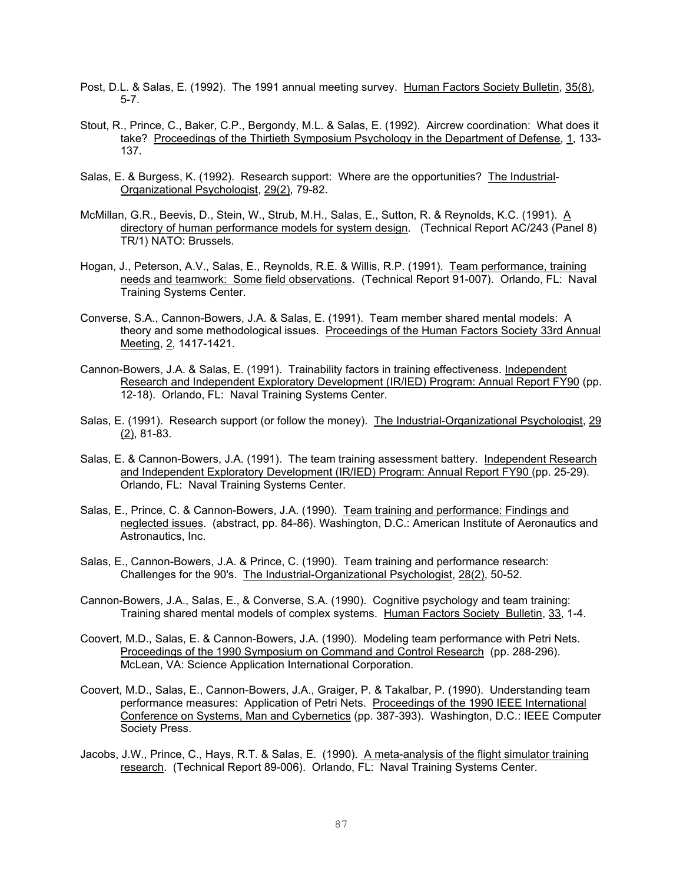- Post, D.L. & Salas, E. (1992). The 1991 annual meeting survey. Human Factors Society Bulletin, 35(8), 5-7.
- Stout, R., Prince, C., Baker, C.P., Bergondy, M.L. & Salas, E. (1992). Aircrew coordination: What does it take? Proceedings of the Thirtieth Symposium Psychology in the Department of Defense, 1, 133- 137.
- Salas, E. & Burgess, K. (1992). Research support: Where are the opportunities? The Industrial-Organizational Psychologist, 29(2), 79-82.
- McMillan, G.R., Beevis, D., Stein, W., Strub, M.H., Salas, E., Sutton, R. & Reynolds, K.C. (1991). A directory of human performance models for system design. (Technical Report AC/243 (Panel 8) TR/1) NATO: Brussels.
- Hogan, J., Peterson, A.V., Salas, E., Reynolds, R.E. & Willis, R.P. (1991). Team performance, training needs and teamwork: Some field observations. (Technical Report 91-007). Orlando, FL: Naval Training Systems Center.
- Converse, S.A., Cannon-Bowers, J.A. & Salas, E. (1991). Team member shared mental models: A theory and some methodological issues. Proceedings of the Human Factors Society 33rd Annual Meeting, 2, 1417-1421.
- Cannon-Bowers, J.A. & Salas, E. (1991). Trainability factors in training effectiveness. Independent Research and Independent Exploratory Development (IR/IED) Program: Annual Report FY90 (pp. 12-18). Orlando, FL: Naval Training Systems Center.
- Salas, E. (1991). Research support (or follow the money). The Industrial-Organizational Psychologist, 29 (2), 81-83.
- Salas, E. & Cannon-Bowers, J.A. (1991). The team training assessment battery. Independent Research and Independent Exploratory Development (IR/IED) Program: Annual Report FY90 (pp. 25-29). Orlando, FL: Naval Training Systems Center.
- Salas, E., Prince, C. & Cannon-Bowers, J.A. (1990). Team training and performance: Findings and neglected issues. (abstract, pp. 84-86). Washington, D.C.: American Institute of Aeronautics and Astronautics, Inc.
- Salas, E., Cannon-Bowers, J.A. & Prince, C. (1990). Team training and performance research: Challenges for the 90's. The Industrial-Organizational Psychologist, 28(2), 50-52.
- Cannon-Bowers, J.A., Salas, E., & Converse, S.A. (1990). Cognitive psychology and team training: Training shared mental models of complex systems. Human Factors Society Bulletin, 33, 1-4.
- Coovert, M.D., Salas, E. & Cannon-Bowers, J.A. (1990). Modeling team performance with Petri Nets. Proceedings of the 1990 Symposium on Command and Control Research (pp. 288-296). McLean, VA: Science Application International Corporation.
- Coovert, M.D., Salas, E., Cannon-Bowers, J.A., Graiger, P. & Takalbar, P. (1990). Understanding team performance measures: Application of Petri Nets. Proceedings of the 1990 IEEE International Conference on Systems, Man and Cybernetics (pp. 387-393). Washington, D.C.: IEEE Computer Society Press.
- Jacobs, J.W., Prince, C., Hays, R.T. & Salas, E. (1990). A meta-analysis of the flight simulator training research. (Technical Report 89-006). Orlando, FL: Naval Training Systems Center.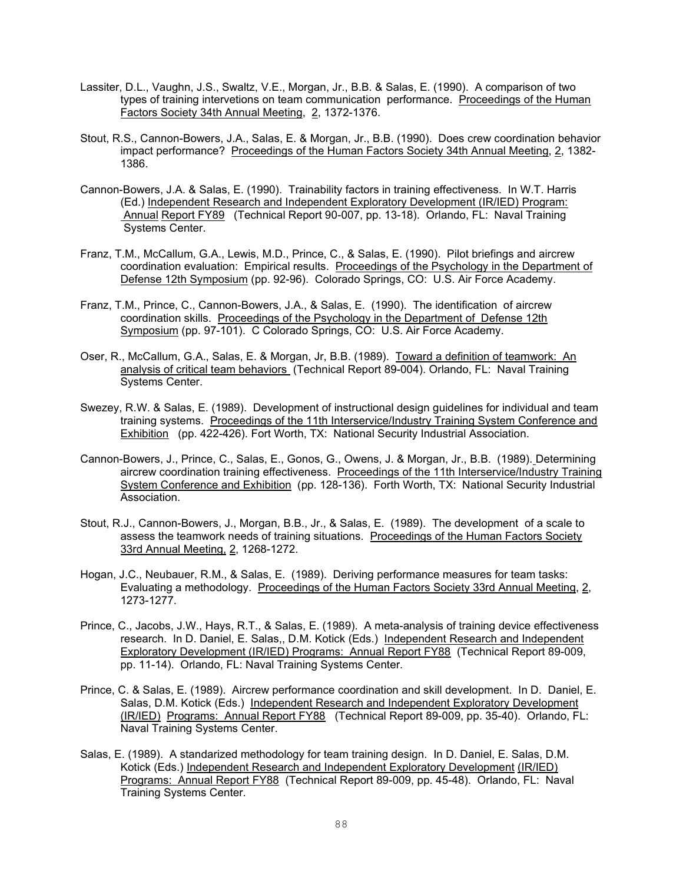- Lassiter, D.L., Vaughn, J.S., Swaltz, V.E., Morgan, Jr., B.B. & Salas, E. (1990). A comparison of two types of training intervetions on team communication performance. Proceedings of the Human Factors Society 34th Annual Meeting, 2, 1372-1376.
- Stout, R.S., Cannon-Bowers, J.A., Salas, E. & Morgan, Jr., B.B. (1990). Does crew coordination behavior impact performance? Proceedings of the Human Factors Society 34th Annual Meeting, 2, 1382- 1386.
- Cannon-Bowers, J.A. & Salas, E. (1990). Trainability factors in training effectiveness. In W.T. Harris (Ed.) Independent Research and Independent Exploratory Development (IR/IED) Program: Annual Report FY89 (Technical Report 90-007, pp. 13-18). Orlando, FL: Naval Training Systems Center.
- Franz, T.M., McCallum, G.A., Lewis, M.D., Prince, C., & Salas, E. (1990). Pilot briefings and aircrew coordination evaluation: Empirical results. Proceedings of the Psychology in the Department of Defense 12th Symposium (pp. 92-96). Colorado Springs, CO: U.S. Air Force Academy.
- Franz, T.M., Prince, C., Cannon-Bowers, J.A., & Salas, E. (1990). The identification of aircrew coordination skills. Proceedings of the Psychology in the Department of Defense 12th Symposium (pp. 97-101). C Colorado Springs, CO: U.S. Air Force Academy.
- Oser, R., McCallum, G.A., Salas, E. & Morgan, Jr, B.B. (1989). Toward a definition of teamwork: An analysis of critical team behaviors (Technical Report 89-004). Orlando, FL: Naval Training Systems Center.
- Swezey, R.W. & Salas, E. (1989). Development of instructional design guidelines for individual and team training systems. Proceedings of the 11th Interservice/Industry Training System Conference and Exhibition (pp. 422-426). Fort Worth, TX: National Security Industrial Association.
- Cannon-Bowers, J., Prince, C., Salas, E., Gonos, G., Owens, J. & Morgan, Jr., B.B. (1989). Determining aircrew coordination training effectiveness. Proceedings of the 11th Interservice/Industry Training System Conference and Exhibition (pp. 128-136). Forth Worth, TX: National Security Industrial Association.
- Stout, R.J., Cannon-Bowers, J., Morgan, B.B., Jr., & Salas, E. (1989). The development of a scale to assess the teamwork needs of training situations. Proceedings of the Human Factors Society 33rd Annual Meeting, 2, 1268-1272.
- Hogan, J.C., Neubauer, R.M., & Salas, E. (1989). Deriving performance measures for team tasks: Evaluating a methodology. Proceedings of the Human Factors Society 33rd Annual Meeting, 2, 1273-1277.
- Prince, C., Jacobs, J.W., Hays, R.T., & Salas, E. (1989). A meta-analysis of training device effectiveness research. In D. Daniel, E. Salas,, D.M. Kotick (Eds.) Independent Research and Independent Exploratory Development (IR/IED) Programs: Annual Report FY88 (Technical Report 89-009, pp. 11-14). Orlando, FL: Naval Training Systems Center.
- Prince, C. & Salas, E. (1989). Aircrew performance coordination and skill development. In D. Daniel, E. Salas, D.M. Kotick (Eds.) Independent Research and Independent Exploratory Development (IR/IED) Programs: Annual Report FY88 (Technical Report 89-009, pp. 35-40). Orlando, FL: Naval Training Systems Center.
- Salas, E. (1989). A standarized methodology for team training design. In D. Daniel, E. Salas, D.M. Kotick (Eds.) Independent Research and Independent Exploratory Development (IR/IED) Programs: Annual Report FY88 (Technical Report 89-009, pp. 45-48). Orlando, FL: Naval Training Systems Center.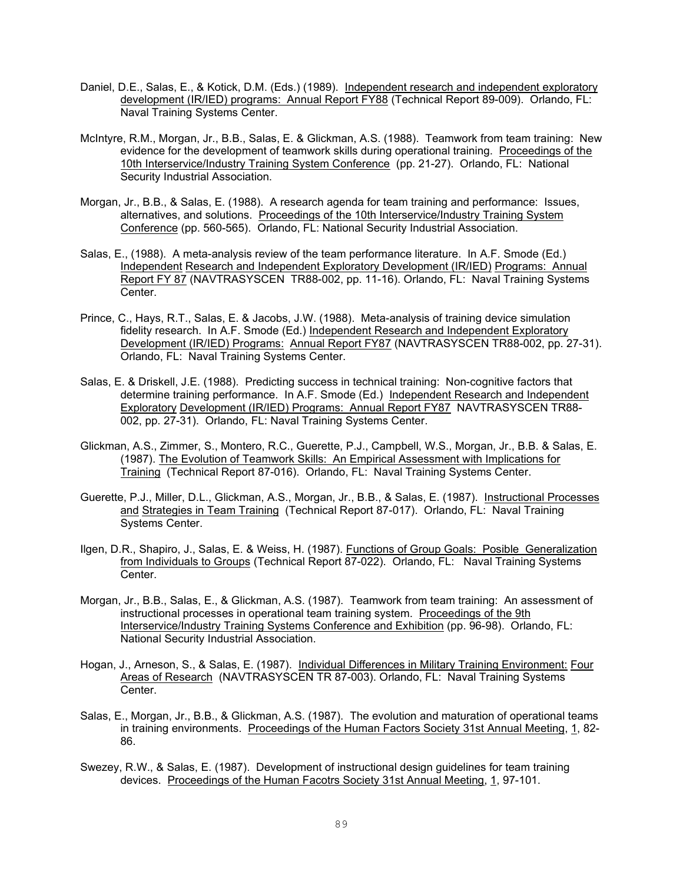- Daniel, D.E., Salas, E., & Kotick, D.M. (Eds.) (1989). Independent research and independent exploratory development (IR/IED) programs: Annual Report FY88 (Technical Report 89-009). Orlando, FL: Naval Training Systems Center.
- McIntyre, R.M., Morgan, Jr., B.B., Salas, E. & Glickman, A.S. (1988). Teamwork from team training: New evidence for the development of teamwork skills during operational training. Proceedings of the 10th Interservice/Industry Training System Conference (pp. 21-27). Orlando, FL: National Security Industrial Association.
- Morgan, Jr., B.B., & Salas, E. (1988). A research agenda for team training and performance: Issues, alternatives, and solutions. Proceedings of the 10th Interservice/Industry Training System Conference (pp. 560-565). Orlando, FL: National Security Industrial Association.
- Salas, E., (1988). A meta-analysis review of the team performance literature. In A.F. Smode (Ed.) Independent Research and Independent Exploratory Development (IR/IED) Programs: Annual Report FY 87 (NAVTRASYSCEN TR88-002, pp. 11-16). Orlando, FL: Naval Training Systems Center.
- Prince, C., Hays, R.T., Salas, E. & Jacobs, J.W. (1988). Meta-analysis of training device simulation fidelity research. In A.F. Smode (Ed.) Independent Research and Independent Exploratory Development (IR/IED) Programs: Annual Report FY87 (NAVTRASYSCEN TR88-002, pp. 27-31). Orlando, FL: Naval Training Systems Center.
- Salas, E. & Driskell, J.E. (1988). Predicting success in technical training: Non-cognitive factors that determine training performance. In A.F. Smode (Ed.) Independent Research and Independent Exploratory Development (IR/IED) Programs: Annual Report FY87 NAVTRASYSCEN TR88- 002, pp. 27-31). Orlando, FL: Naval Training Systems Center.
- Glickman, A.S., Zimmer, S., Montero, R.C., Guerette, P.J., Campbell, W.S., Morgan, Jr., B.B. & Salas, E. (1987). The Evolution of Teamwork Skills: An Empirical Assessment with Implications for Training (Technical Report 87-016). Orlando, FL: Naval Training Systems Center.
- Guerette, P.J., Miller, D.L., Glickman, A.S., Morgan, Jr., B.B., & Salas, E. (1987). Instructional Processes and Strategies in Team Training (Technical Report 87-017). Orlando, FL: Naval Training Systems Center.
- Ilgen, D.R., Shapiro, J., Salas, E. & Weiss, H. (1987). Functions of Group Goals: Posible Generalization from Individuals to Groups (Technical Report 87-022). Orlando, FL: Naval Training Systems Center.
- Morgan, Jr., B.B., Salas, E., & Glickman, A.S. (1987). Teamwork from team training: An assessment of instructional processes in operational team training system. Proceedings of the 9th Interservice/Industry Training Systems Conference and Exhibition (pp. 96-98). Orlando, FL: National Security Industrial Association.
- Hogan, J., Arneson, S., & Salas, E. (1987). Individual Differences in Military Training Environment: Four Areas of Research (NAVTRASYSCEN TR 87-003). Orlando, FL: Naval Training Systems Center.
- Salas, E., Morgan, Jr., B.B., & Glickman, A.S. (1987). The evolution and maturation of operational teams in training environments. Proceedings of the Human Factors Society 31st Annual Meeting, 1, 82-86.
- Swezey, R.W., & Salas, E. (1987). Development of instructional design guidelines for team training devices. Proceedings of the Human Facotrs Society 31st Annual Meeting, 1, 97-101.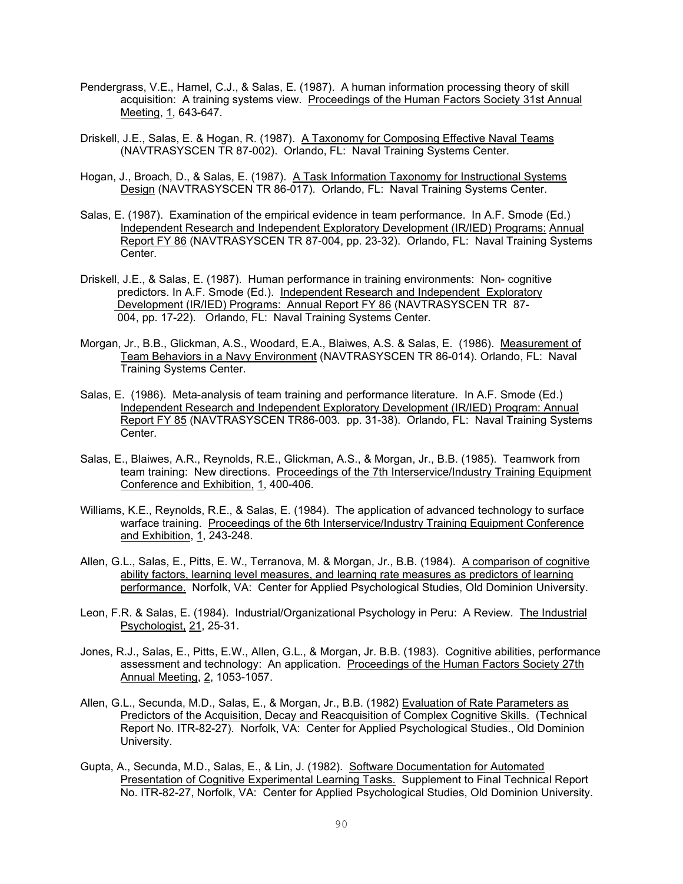- Pendergrass, V.E., Hamel, C.J., & Salas, E. (1987). A human information processing theory of skill acquisition: A training systems view. Proceedings of the Human Factors Society 31st Annual Meeting, 1, 643-647.
- Driskell, J.E., Salas, E. & Hogan, R. (1987). A Taxonomy for Composing Effective Naval Teams (NAVTRASYSCEN TR 87-002). Orlando, FL: Naval Training Systems Center.
- Hogan, J., Broach, D., & Salas, E. (1987). A Task Information Taxonomy for Instructional Systems Design (NAVTRASYSCEN TR 86-017). Orlando, FL: Naval Training Systems Center.
- Salas, E. (1987). Examination of the empirical evidence in team performance. In A.F. Smode (Ed.) Independent Research and Independent Exploratory Development (IR/IED) Programs: Annual Report FY 86 (NAVTRASYSCEN TR 87-004, pp. 23-32). Orlando, FL: Naval Training Systems Center.
- Driskell, J.E., & Salas, E. (1987). Human performance in training environments: Non- cognitive predictors. In A.F. Smode (Ed.). Independent Research and Independent Exploratory Development (IR/IED) Programs: Annual Report FY 86 (NAVTRASYSCEN TR 87- 004, pp. 17-22). Orlando, FL: Naval Training Systems Center.
- Morgan, Jr., B.B., Glickman, A.S., Woodard, E.A., Blaiwes, A.S. & Salas, E. (1986). Measurement of Team Behaviors in a Navy Environment (NAVTRASYSCEN TR 86-014). Orlando, FL: Naval Training Systems Center.
- Salas, E. (1986). Meta-analysis of team training and performance literature. In A.F. Smode (Ed.) Independent Research and Independent Exploratory Development (IR/IED) Program: Annual Report FY 85 (NAVTRASYSCEN TR86-003. pp. 31-38). Orlando, FL: Naval Training Systems Center.
- Salas, E., Blaiwes, A.R., Reynolds, R.E., Glickman, A.S., & Morgan, Jr., B.B. (1985). Teamwork from team training: New directions. Proceedings of the 7th Interservice/Industry Training Equipment Conference and Exhibition, 1, 400-406.
- Williams, K.E., Reynolds, R.E., & Salas, E. (1984). The application of advanced technology to surface warface training. Proceedings of the 6th Interservice/Industry Training Equipment Conference and Exhibition, 1, 243-248.
- Allen, G.L., Salas, E., Pitts, E. W., Terranova, M. & Morgan, Jr., B.B. (1984). A comparison of cognitive ability factors, learning level measures, and learning rate measures as predictors of learning performance. Norfolk, VA: Center for Applied Psychological Studies, Old Dominion University.
- Leon, F.R. & Salas, E. (1984). Industrial/Organizational Psychology in Peru: A Review. The Industrial Psychologist, 21, 25-31.
- Jones, R.J., Salas, E., Pitts, E.W., Allen, G.L., & Morgan, Jr. B.B. (1983). Cognitive abilities, performance assessment and technology: An application. Proceedings of the Human Factors Society 27th Annual Meeting, 2, 1053-1057.
- Allen, G.L., Secunda, M.D., Salas, E., & Morgan, Jr., B.B. (1982) Evaluation of Rate Parameters as Predictors of the Acquisition, Decay and Reacquisition of Complex Cognitive Skills. (Technical Report No. ITR-82-27). Norfolk, VA: Center for Applied Psychological Studies., Old Dominion University.
- Gupta, A., Secunda, M.D., Salas, E., & Lin, J. (1982). Software Documentation for Automated Presentation of Cognitive Experimental Learning Tasks. Supplement to Final Technical Report No. ITR-82-27, Norfolk, VA: Center for Applied Psychological Studies, Old Dominion University.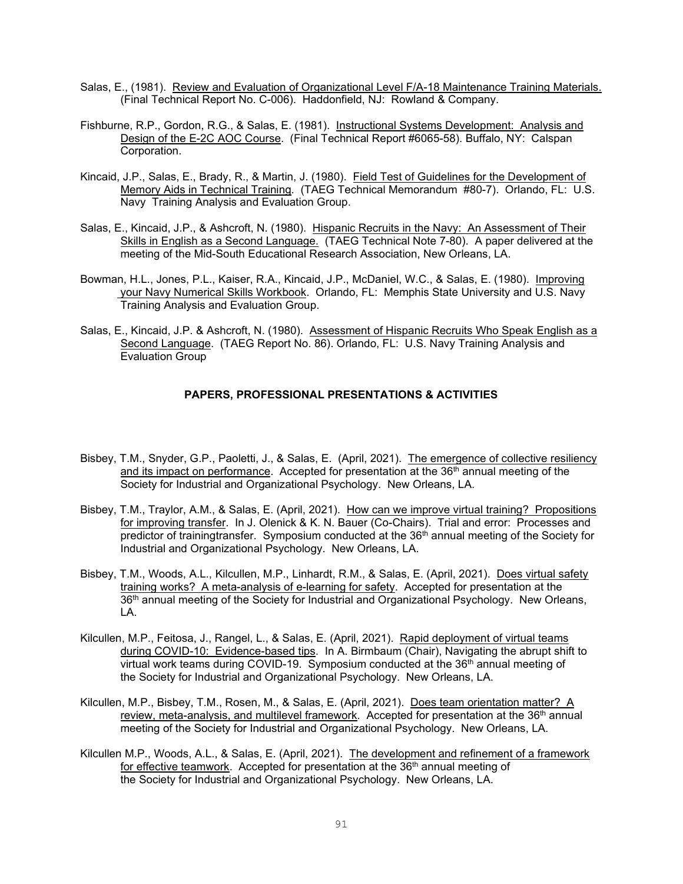- Salas, E., (1981). Review and Evaluation of Organizational Level F/A-18 Maintenance Training Materials. (Final Technical Report No. C-006). Haddonfield, NJ: Rowland & Company.
- Fishburne, R.P., Gordon, R.G., & Salas, E. (1981). Instructional Systems Development: Analysis and Design of the E-2C AOC Course. (Final Technical Report #6065-58). Buffalo, NY: Calspan Corporation.
- Kincaid, J.P., Salas, E., Brady, R., & Martin, J. (1980). Field Test of Guidelines for the Development of Memory Aids in Technical Training. (TAEG Technical Memorandum #80-7). Orlando, FL: U.S. Navy Training Analysis and Evaluation Group.
- Salas, E., Kincaid, J.P., & Ashcroft, N. (1980). Hispanic Recruits in the Navy: An Assessment of Their Skills in English as a Second Language. (TAEG Technical Note 7-80). A paper delivered at the meeting of the Mid-South Educational Research Association, New Orleans, LA.
- Bowman, H.L., Jones, P.L., Kaiser, R.A., Kincaid, J.P., McDaniel, W.C., & Salas, E. (1980). Improving your Navy Numerical Skills Workbook. Orlando, FL: Memphis State University and U.S. Navy Training Analysis and Evaluation Group.
- Salas, E., Kincaid, J.P. & Ashcroft, N. (1980). Assessment of Hispanic Recruits Who Speak English as a Second Language. (TAEG Report No. 86). Orlando, FL: U.S. Navy Training Analysis and Evaluation Group

## **PAPERS, PROFESSIONAL PRESENTATIONS & ACTIVITIES**

- Bisbey, T.M., Snyder, G.P., Paoletti, J., & Salas, E. (April, 2021). The emergence of collective resiliency and its impact on performance. Accepted for presentation at the  $36<sup>th</sup>$  annual meeting of the Society for Industrial and Organizational Psychology. New Orleans, LA.
- Bisbey, T.M., Traylor, A.M., & Salas, E. (April, 2021). How can we improve virtual training? Propositions for improving transfer. In J. Olenick & K. N. Bauer (Co-Chairs). Trial and error: Processes and predictor of trainingtransfer. Symposium conducted at the 36<sup>th</sup> annual meeting of the Society for Industrial and Organizational Psychology. New Orleans, LA.
- Bisbey, T.M., Woods, A.L., Kilcullen, M.P., Linhardt, R.M., & Salas, E. (April, 2021). Does virtual safety training works? A meta-analysis of e-learning for safety. Accepted for presentation at the 36<sup>th</sup> annual meeting of the Society for Industrial and Organizational Psychology. New Orleans, LA.
- Kilcullen, M.P., Feitosa, J., Rangel, L., & Salas, E. (April, 2021). Rapid deployment of virtual teams during COVID-10: Evidence-based tips. In A. Birmbaum (Chair), Navigating the abrupt shift to virtual work teams during COVID-19. Symposium conducted at the  $36<sup>th</sup>$  annual meeting of the Society for Industrial and Organizational Psychology. New Orleans, LA.
- Kilcullen, M.P., Bisbey, T.M., Rosen, M., & Salas, E. (April, 2021). Does team orientation matter? A review, meta-analysis, and multilevel framework. Accepted for presentation at the 36<sup>th</sup> annual meeting of the Society for Industrial and Organizational Psychology. New Orleans, LA.
- Kilcullen M.P., Woods, A.L., & Salas, E. (April, 2021). The development and refinement of a framework for effective teamwork. Accepted for presentation at the  $36<sup>th</sup>$  annual meeting of the Society for Industrial and Organizational Psychology. New Orleans, LA.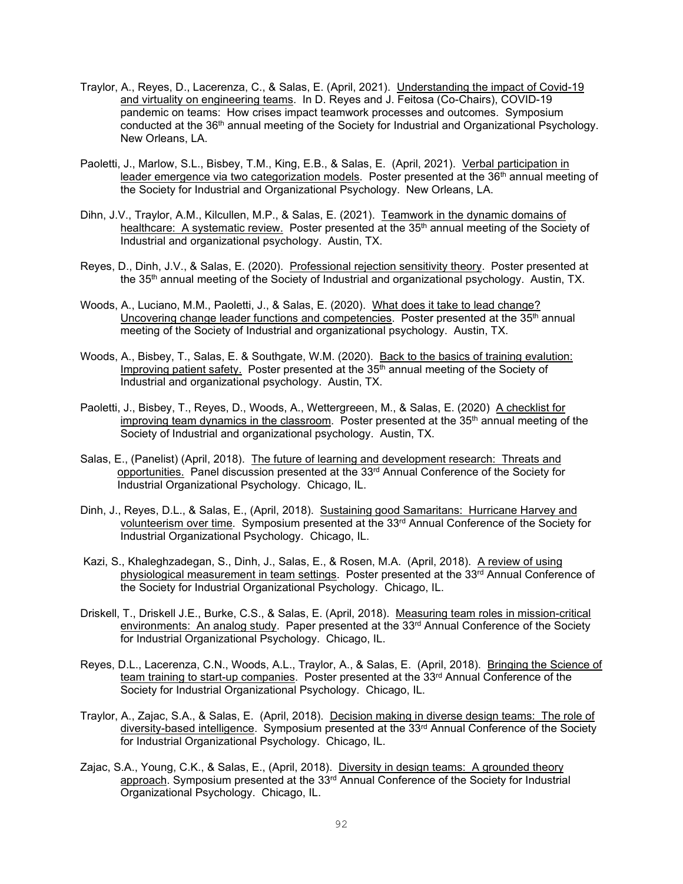- Traylor, A., Reyes, D., Lacerenza, C., & Salas, E. (April, 2021). Understanding the impact of Covid-19 and virtuality on engineering teams. In D. Reyes and J. Feitosa (Co-Chairs), COVID-19 pandemic on teams: How crises impact teamwork processes and outcomes. Symposium conducted at the 36th annual meeting of the Society for Industrial and Organizational Psychology. New Orleans, LA.
- Paoletti, J., Marlow, S.L., Bisbey, T.M., King, E.B., & Salas, E. (April, 2021). Verbal participation in leader emergence via two categorization models. Poster presented at the 36<sup>th</sup> annual meeting of the Society for Industrial and Organizational Psychology. New Orleans, LA.
- Dihn, J.V., Traylor, A.M., Kilcullen, M.P., & Salas, E. (2021). Teamwork in the dynamic domains of healthcare: A systematic review. Poster presented at the 35<sup>th</sup> annual meeting of the Society of Industrial and organizational psychology. Austin, TX.
- Reyes, D., Dinh, J.V., & Salas, E. (2020). Professional rejection sensitivity theory. Poster presented at the 35<sup>th</sup> annual meeting of the Society of Industrial and organizational psychology. Austin, TX.
- Woods, A., Luciano, M.M., Paoletti, J., & Salas, E. (2020). What does it take to lead change? Uncovering change leader functions and competencies. Poster presented at the  $35<sup>th</sup>$  annual meeting of the Society of Industrial and organizational psychology. Austin, TX.
- Woods, A., Bisbey, T., Salas, E. & Southgate, W.M. (2020). Back to the basics of training evalution: Improving patient safety. Poster presented at the 35<sup>th</sup> annual meeting of the Society of Industrial and organizational psychology. Austin, TX.
- Paoletti, J., Bisbey, T., Reyes, D., Woods, A., Wettergreeen, M., & Salas, E. (2020) A checklist for improving team dynamics in the classroom. Poster presented at the  $35<sup>th</sup>$  annual meeting of the Society of Industrial and organizational psychology. Austin, TX.
- Salas, E., (Panelist) (April, 2018). The future of learning and development research: Threats and opportunities. Panel discussion presented at the 33rd Annual Conference of the Society for Industrial Organizational Psychology. Chicago, IL.
- Dinh, J., Reyes, D.L., & Salas, E., (April, 2018). Sustaining good Samaritans: Hurricane Harvey and volunteerism over time. Symposium presented at the 33rd Annual Conference of the Society for Industrial Organizational Psychology. Chicago, IL.
- Kazi, S., Khaleghzadegan, S., Dinh, J., Salas, E., & Rosen, M.A. (April, 2018). A review of using physiological measurement in team settings. Poster presented at the 33<sup>rd</sup> Annual Conference of the Society for Industrial Organizational Psychology. Chicago, IL.
- Driskell, T., Driskell J.E., Burke, C.S., & Salas, E. (April, 2018). Measuring team roles in mission-critical environments: An analog study. Paper presented at the 33<sup>rd</sup> Annual Conference of the Society for Industrial Organizational Psychology. Chicago, IL.
- Reyes, D.L., Lacerenza, C.N., Woods, A.L., Traylor, A., & Salas, E. (April, 2018). Bringing the Science of team training to start-up companies. Poster presented at the 33rd Annual Conference of the Society for Industrial Organizational Psychology. Chicago, IL.
- Traylor, A., Zajac, S.A., & Salas, E. (April, 2018). Decision making in diverse design teams: The role of diversity-based intelligence. Symposium presented at the 33<sup>rd</sup> Annual Conference of the Society for Industrial Organizational Psychology. Chicago, IL.
- Zajac, S.A., Young, C.K., & Salas, E., (April, 2018). Diversity in design teams: A grounded theory approach. Symposium presented at the 33<sup>rd</sup> Annual Conference of the Society for Industrial Organizational Psychology. Chicago, IL.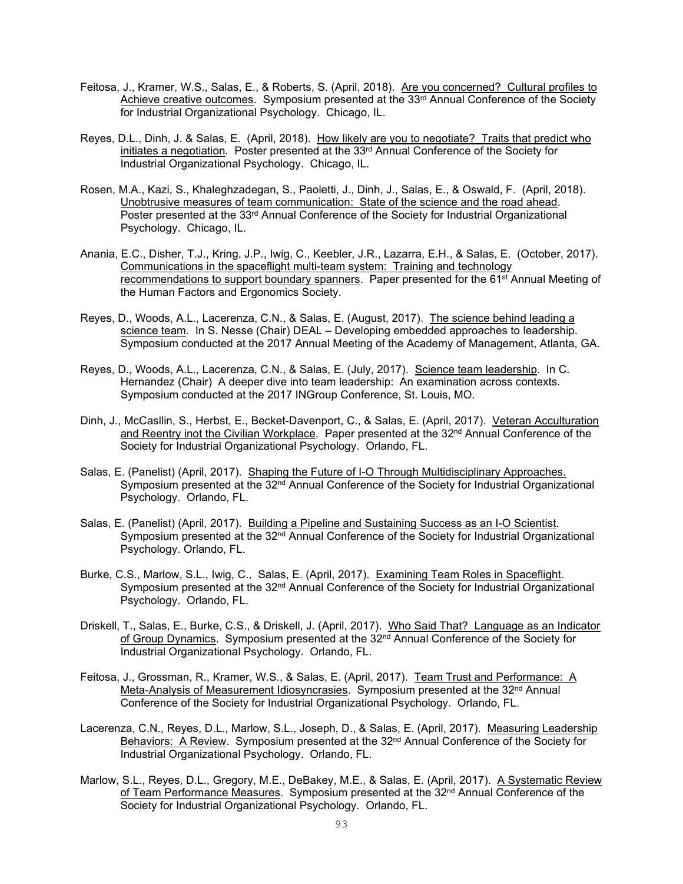- Feitosa, J., Kramer, W.S., Salas, E., & Roberts, S. (April, 2018). Are you concerned? Cultural profiles to Achieve creative outcomes. Symposium presented at the 33<sup>rd</sup> Annual Conference of the Society for Industrial Organizational Psychology. Chicago, IL.
- Reyes, D.L., Dinh, J. & Salas, E. (April, 2018). How likely are you to negotiate? Traits that predict who initiates a negotiation. Poster presented at the  $33<sup>rd</sup>$  Annual Conference of the Society for Industrial Organizational Psychology. Chicago, IL.
- Rosen, M.A., Kazi, S., Khaleghzadegan, S., Paoletti, J., Dinh, J., Salas, E., & Oswald, F. (April, 2018). Unobtrusive measures of team communication: State of the science and the road ahead. Poster presented at the 33<sup>rd</sup> Annual Conference of the Society for Industrial Organizational Psychology. Chicago, IL.
- Anania, E.C., Disher, T.J., Kring, J.P., Iwig, C., Keebler, J.R., Lazarra, E.H., & Salas, E. (October, 2017). Communications in the spaceflight multi-team system: Training and technology recommendations to support boundary spanners. Paper presented for the 61<sup>st</sup> Annual Meeting of the Human Factors and Ergonomics Society.
- Reyes, D., Woods, A.L., Lacerenza, C.N., & Salas, E. (August, 2017). The science behind leading a science team. In S. Nesse (Chair) DEAL – Developing embedded approaches to leadership. Symposium conducted at the 2017 Annual Meeting of the Academy of Management, Atlanta, GA.
- Reyes, D., Woods, A.L., Lacerenza, C.N., & Salas, E. (July, 2017). Science team leadership. In C. Hernandez (Chair) A deeper dive into team leadership: An examination across contexts. Symposium conducted at the 2017 INGroup Conference, St. Louis, MO.
- Dinh, J., McCasllin, S., Herbst, E., Becket-Davenport, C., & Salas, E. (April, 2017). Veteran Acculturation and Reentry inot the Civilian Workplace. Paper presented at the 32<sup>nd</sup> Annual Conference of the Society for Industrial Organizational Psychology. Orlando, FL.
- Salas, E. (Panelist) (April, 2017). Shaping the Future of I-O Through Multidisciplinary Approaches. Symposium presented at the 32<sup>nd</sup> Annual Conference of the Society for Industrial Organizational Psychology. Orlando, FL.
- Salas, E. (Panelist) (April, 2017). Building a Pipeline and Sustaining Success as an I-O Scientist. Symposium presented at the 32<sup>nd</sup> Annual Conference of the Society for Industrial Organizational Psychology. Orlando, FL.
- Burke, C.S., Marlow, S.L., Iwig, C., Salas, E. (April, 2017). Examining Team Roles in Spaceflight. Symposium presented at the 32<sup>nd</sup> Annual Conference of the Society for Industrial Organizational Psychology. Orlando, FL.
- Driskell, T., Salas, E., Burke, C.S., & Driskell, J. (April, 2017). Who Said That? Language as an Indicator of Group Dynamics. Symposium presented at the 32<sup>nd</sup> Annual Conference of the Society for Industrial Organizational Psychology. Orlando, FL.
- Feitosa, J., Grossman, R., Kramer, W.S., & Salas, E. (April, 2017). Team Trust and Performance: A Meta-Analysis of Measurement Idiosyncrasies. Symposium presented at the 32<sup>nd</sup> Annual Conference of the Society for Industrial Organizational Psychology. Orlando, FL.
- Lacerenza, C.N., Reyes, D.L., Marlow, S.L., Joseph, D., & Salas, E. (April, 2017). Measuring Leadership Behaviors: A Review. Symposium presented at the 32<sup>nd</sup> Annual Conference of the Society for Industrial Organizational Psychology. Orlando, FL.
- Marlow, S.L., Reyes, D.L., Gregory, M.E., DeBakey, M.E., & Salas, E. (April, 2017). A Systematic Review of Team Performance Measures. Symposium presented at the 32<sup>nd</sup> Annual Conference of the Society for Industrial Organizational Psychology. Orlando, FL.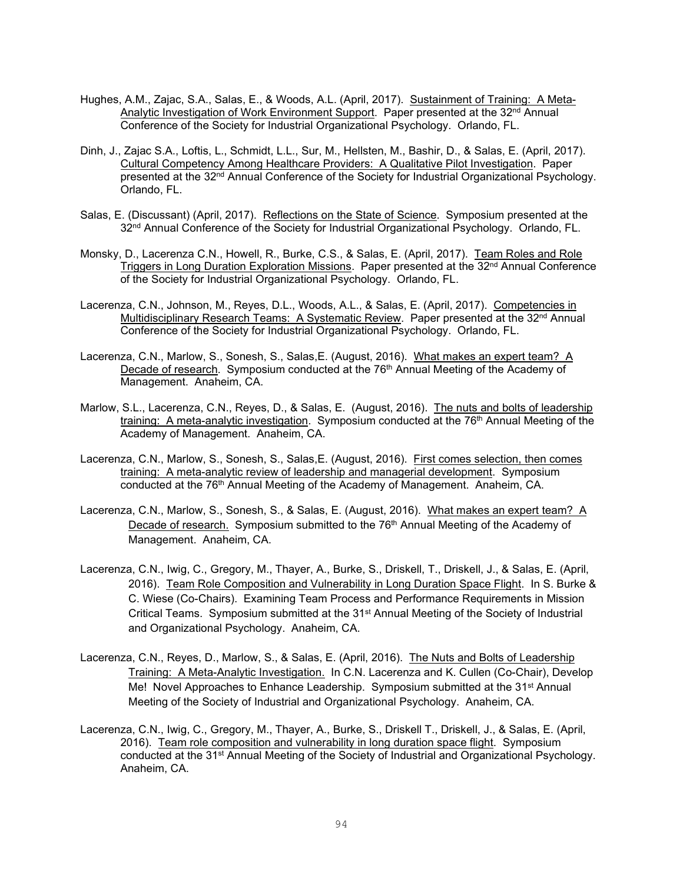- Hughes, A.M., Zajac, S.A., Salas, E., & Woods, A.L. (April, 2017). Sustainment of Training: A Meta-Analytic Investigation of Work Environment Support. Paper presented at the 32<sup>nd</sup> Annual Conference of the Society for Industrial Organizational Psychology. Orlando, FL.
- Dinh, J., Zajac S.A., Loftis, L., Schmidt, L.L., Sur, M., Hellsten, M., Bashir, D., & Salas, E. (April, 2017). Cultural Competency Among Healthcare Providers: A Qualitative Pilot Investigation. Paper presented at the 32<sup>nd</sup> Annual Conference of the Society for Industrial Organizational Psychology. Orlando, FL.
- Salas, E. (Discussant) (April, 2017). Reflections on the State of Science. Symposium presented at the 32<sup>nd</sup> Annual Conference of the Society for Industrial Organizational Psychology. Orlando, FL.
- Monsky, D., Lacerenza C.N., Howell, R., Burke, C.S., & Salas, E. (April, 2017). Team Roles and Role Triggers in Long Duration Exploration Missions. Paper presented at the 32<sup>nd</sup> Annual Conference of the Society for Industrial Organizational Psychology. Orlando, FL.
- Lacerenza, C.N., Johnson, M., Reyes, D.L., Woods, A.L., & Salas, E. (April, 2017). Competencies in Multidisciplinary Research Teams: A Systematic Review. Paper presented at the 32<sup>nd</sup> Annual Conference of the Society for Industrial Organizational Psychology. Orlando, FL.
- Lacerenza, C.N., Marlow, S., Sonesh, S., Salas,E. (August, 2016). What makes an expert team? A Decade of research. Symposium conducted at the 76<sup>th</sup> Annual Meeting of the Academy of Management. Anaheim, CA.
- Marlow, S.L., Lacerenza, C.N., Reyes, D., & Salas, E. (August, 2016). The nuts and bolts of leadership training: A meta-analytic investigation. Symposium conducted at the  $76<sup>th</sup>$  Annual Meeting of the Academy of Management. Anaheim, CA.
- Lacerenza, C.N., Marlow, S., Sonesh, S., Salas,E. (August, 2016). First comes selection, then comes training: A meta-analytic review of leadership and managerial development. Symposium conducted at the 76<sup>th</sup> Annual Meeting of the Academy of Management. Anaheim, CA.
- Lacerenza, C.N., Marlow, S., Sonesh, S., & Salas, E. (August, 2016). What makes an expert team? A Decade of research. Symposium submitted to the 76<sup>th</sup> Annual Meeting of the Academy of Management. Anaheim, CA.
- Lacerenza, C.N., Iwig, C., Gregory, M., Thayer, A., Burke, S., Driskell, T., Driskell, J., & Salas, E. (April, 2016). Team Role Composition and Vulnerability in Long Duration Space Flight. In S. Burke & C. Wiese (Co-Chairs). Examining Team Process and Performance Requirements in Mission Critical Teams. Symposium submitted at the 31st Annual Meeting of the Society of Industrial and Organizational Psychology. Anaheim, CA.
- Lacerenza, C.N., Reyes, D., Marlow, S., & Salas, E. (April, 2016). The Nuts and Bolts of Leadership Training: A Meta-Analytic Investigation. In C.N. Lacerenza and K. Cullen (Co-Chair), Develop Me! Novel Approaches to Enhance Leadership. Symposium submitted at the 31<sup>st</sup> Annual Meeting of the Society of Industrial and Organizational Psychology. Anaheim, CA.
- Lacerenza, C.N., Iwig, C., Gregory, M., Thayer, A., Burke, S., Driskell T., Driskell, J., & Salas, E. (April, 2016). Team role composition and vulnerability in long duration space flight. Symposium conducted at the 31<sup>st</sup> Annual Meeting of the Society of Industrial and Organizational Psychology. Anaheim, CA.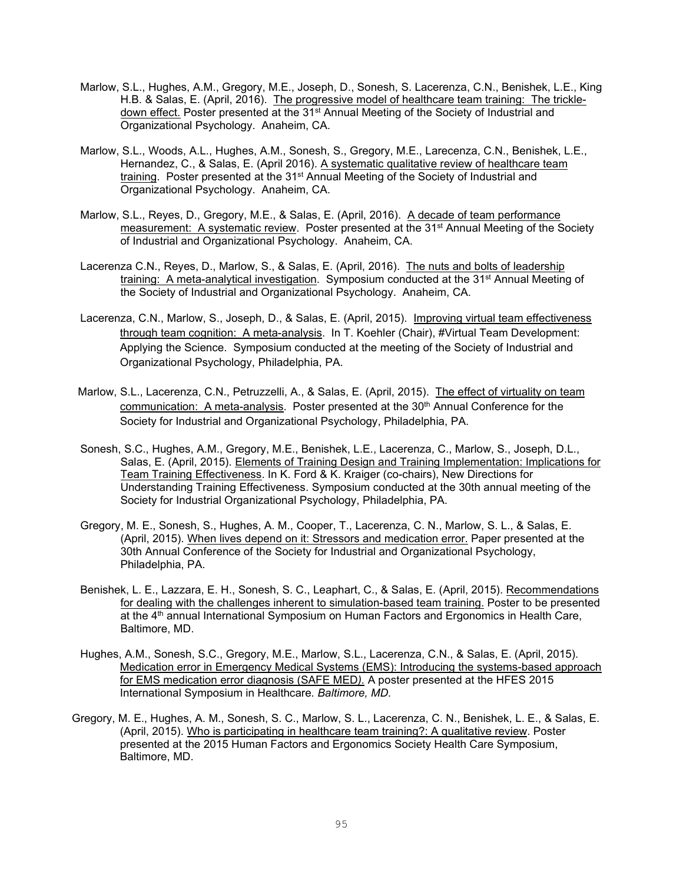- Marlow, S.L., Hughes, A.M., Gregory, M.E., Joseph, D., Sonesh, S. Lacerenza, C.N., Benishek, L.E., King H.B. & Salas, E. (April, 2016). The progressive model of healthcare team training: The trickledown effect. Poster presented at the 31<sup>st</sup> Annual Meeting of the Society of Industrial and Organizational Psychology. Anaheim, CA.
- Marlow, S.L., Woods, A.L., Hughes, A.M., Sonesh, S., Gregory, M.E., Larecenza, C.N., Benishek, L.E., Hernandez, C., & Salas, E. (April 2016). A systematic qualitative review of healthcare team training. Poster presented at the 31<sup>st</sup> Annual Meeting of the Society of Industrial and Organizational Psychology. Anaheim, CA.
- Marlow, S.L., Reyes, D., Gregory, M.E., & Salas, E. (April, 2016). A decade of team performance measurement: A systematic review. Poster presented at the 31<sup>st</sup> Annual Meeting of the Society of Industrial and Organizational Psychology. Anaheim, CA.
- Lacerenza C.N., Reyes, D., Marlow, S., & Salas, E. (April, 2016). The nuts and bolts of leadership training: A meta-analytical investigation. Symposium conducted at the 31<sup>st</sup> Annual Meeting of the Society of Industrial and Organizational Psychology. Anaheim, CA.
- Lacerenza, C.N., Marlow, S., Joseph, D., & Salas, E. (April, 2015). Improving virtual team effectiveness through team cognition: A meta-analysis. In T. Koehler (Chair), #Virtual Team Development: Applying the Science. Symposium conducted at the meeting of the Society of Industrial and Organizational Psychology, Philadelphia, PA.
- Marlow, S.L., Lacerenza, C.N., Petruzzelli, A., & Salas, E. (April, 2015). The effect of virtuality on team communication: A meta-analysis. Poster presented at the 30<sup>th</sup> Annual Conference for the Society for Industrial and Organizational Psychology, Philadelphia, PA.
- Sonesh, S.C., Hughes, A.M., Gregory, M.E., Benishek, L.E., Lacerenza, C., Marlow, S., Joseph, D.L., Salas, E. (April, 2015). Elements of Training Design and Training Implementation: Implications for Team Training Effectiveness. In K. Ford & K. Kraiger (co-chairs), New Directions for Understanding Training Effectiveness. Symposium conducted at the 30th annual meeting of the Society for Industrial Organizational Psychology, Philadelphia, PA.
- Gregory, M. E., Sonesh, S., Hughes, A. M., Cooper, T., Lacerenza, C. N., Marlow, S. L., & Salas, E. (April, 2015). When lives depend on it: Stressors and medication error. Paper presented at the 30th Annual Conference of the Society for Industrial and Organizational Psychology, Philadelphia, PA.
- Benishek, L. E., Lazzara, E. H., Sonesh, S. C., Leaphart, C., & Salas, E. (April, 2015). Recommendations for dealing with the challenges inherent to simulation-based team training. Poster to be presented at the 4th annual International Symposium on Human Factors and Ergonomics in Health Care, Baltimore, MD.
- Hughes, A.M., Sonesh, S.C., Gregory, M.E., Marlow, S.L., Lacerenza, C.N., & Salas, E. (April, 2015). Medication error in Emergency Medical Systems (EMS): Introducing the systems-based approach for EMS medication error diagnosis (SAFE MED*).* A poster presented at the HFES 2015 International Symposium in Healthcare*. Baltimore, MD.*
- Gregory, M. E., Hughes, A. M., Sonesh, S. C., Marlow, S. L., Lacerenza, C. N., Benishek, L. E., & Salas, E. (April, 2015). Who is participating in healthcare team training?: A qualitative review. Poster presented at the 2015 Human Factors and Ergonomics Society Health Care Symposium, Baltimore, MD.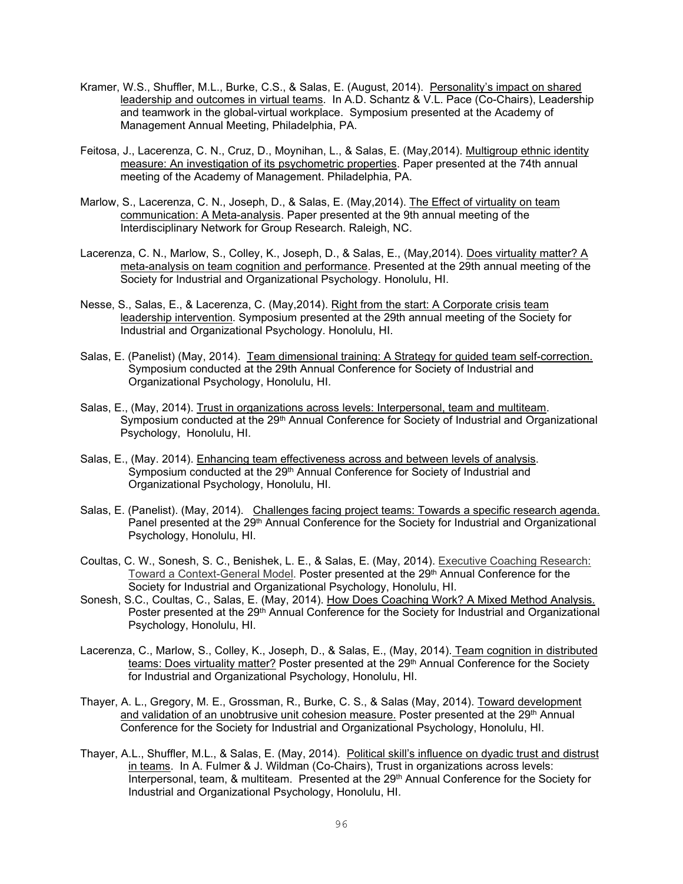- Kramer, W.S., Shuffler, M.L., Burke, C.S., & Salas, E. (August, 2014). Personality's impact on shared leadership and outcomes in virtual teams. In A.D. Schantz & V.L. Pace (Co-Chairs), Leadership and teamwork in the global-virtual workplace. Symposium presented at the Academy of Management Annual Meeting, Philadelphia, PA.
- Feitosa, J., Lacerenza, C. N., Cruz, D., Moynihan, L., & Salas, E. (May,2014). Multigroup ethnic identity measure: An investigation of its psychometric properties. Paper presented at the 74th annual meeting of the Academy of Management. Philadelphia, PA.
- Marlow, S., Lacerenza, C. N., Joseph, D., & Salas, E. (May, 2014). The Effect of virtuality on team communication: A Meta-analysis. Paper presented at the 9th annual meeting of the Interdisciplinary Network for Group Research. Raleigh, NC.
- Lacerenza, C. N., Marlow, S., Colley, K., Joseph, D., & Salas, E., (May,2014). Does virtuality matter? A meta-analysis on team cognition and performance. Presented at the 29th annual meeting of the Society for Industrial and Organizational Psychology. Honolulu, HI.
- Nesse, S., Salas, E., & Lacerenza, C. (May,2014). Right from the start: A Corporate crisis team leadership intervention. Symposium presented at the 29th annual meeting of the Society for Industrial and Organizational Psychology. Honolulu, HI.
- Salas, E. (Panelist) (May, 2014). Team dimensional training: A Strategy for guided team self-correction. Symposium conducted at the 29th Annual Conference for Society of Industrial and Organizational Psychology, Honolulu, HI.
- Salas, E., (May, 2014). Trust in organizations across levels: Interpersonal, team and multiteam. Symposium conducted at the 29<sup>th</sup> Annual Conference for Society of Industrial and Organizational Psychology, Honolulu, HI.
- Salas, E., (May. 2014). Enhancing team effectiveness across and between levels of analysis. Symposium conducted at the 29<sup>th</sup> Annual Conference for Society of Industrial and Organizational Psychology, Honolulu, HI.
- Salas, E. (Panelist). (May, 2014). Challenges facing project teams: Towards a specific research agenda. Panel presented at the 29<sup>th</sup> Annual Conference for the Society for Industrial and Organizational Psychology, Honolulu, HI.
- Coultas, C. W., Sonesh, S. C., Benishek, L. E., & Salas, E. (May, 2014). Executive Coaching Research: Toward a Context-General Model. Poster presented at the 29<sup>th</sup> Annual Conference for the Society for Industrial and Organizational Psychology, Honolulu, HI.
- Sonesh, S.C., Coultas, C., Salas, E. (May, 2014). How Does Coaching Work? A Mixed Method Analysis. Poster presented at the 29<sup>th</sup> Annual Conference for the Society for Industrial and Organizational Psychology, Honolulu, HI.
- Lacerenza, C., Marlow, S., Colley, K., Joseph, D., & Salas, E., (May, 2014). Team cognition in distributed teams: Does virtuality matter? Poster presented at the 29<sup>th</sup> Annual Conference for the Society for Industrial and Organizational Psychology, Honolulu, HI.
- Thayer, A. L., Gregory, M. E., Grossman, R., Burke, C. S., & Salas (May, 2014). Toward development and validation of an unobtrusive unit cohesion measure. Poster presented at the 29<sup>th</sup> Annual Conference for the Society for Industrial and Organizational Psychology, Honolulu, HI.
- Thayer, A.L., Shuffler, M.L., & Salas, E. (May, 2014). Political skill's influence on dyadic trust and distrust in teams. In A. Fulmer & J. Wildman (Co-Chairs), Trust in organizations across levels: Interpersonal, team, & multiteam. Presented at the 29th Annual Conference for the Society for Industrial and Organizational Psychology, Honolulu, HI.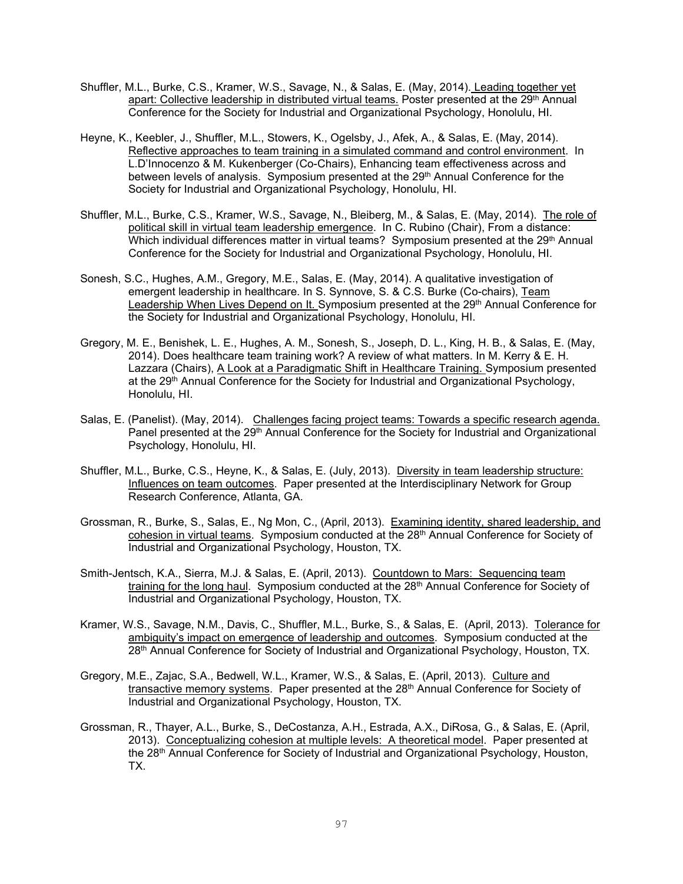- Shuffler, M.L., Burke, C.S., Kramer, W.S., Savage, N., & Salas, E. (May, 2014). Leading together yet apart: Collective leadership in distributed virtual teams. Poster presented at the 29<sup>th</sup> Annual Conference for the Society for Industrial and Organizational Psychology, Honolulu, HI.
- Heyne, K., Keebler, J., Shuffler, M.L., Stowers, K., Ogelsby, J., Afek, A., & Salas, E. (May, 2014). Reflective approaches to team training in a simulated command and control environment. In L.D'Innocenzo & M. Kukenberger (Co-Chairs), Enhancing team effectiveness across and between levels of analysis. Symposium presented at the 29<sup>th</sup> Annual Conference for the Society for Industrial and Organizational Psychology, Honolulu, HI.
- Shuffler, M.L., Burke, C.S., Kramer, W.S., Savage, N., Bleiberg, M., & Salas, E. (May, 2014). The role of political skill in virtual team leadership emergence. In C. Rubino (Chair), From a distance: Which individual differences matter in virtual teams? Symposium presented at the 29<sup>th</sup> Annual Conference for the Society for Industrial and Organizational Psychology, Honolulu, HI.
- Sonesh, S.C., Hughes, A.M., Gregory, M.E., Salas, E. (May, 2014). A qualitative investigation of emergent leadership in healthcare. In S. Synnove, S. & C.S. Burke (Co-chairs), Team Leadership When Lives Depend on It. Symposium presented at the 29<sup>th</sup> Annual Conference for the Society for Industrial and Organizational Psychology, Honolulu, HI.
- Gregory, M. E., Benishek, L. E., Hughes, A. M., Sonesh, S., Joseph, D. L., King, H. B., & Salas, E. (May, 2014). Does healthcare team training work? A review of what matters. In M. Kerry & E. H. Lazzara (Chairs), A Look at a Paradigmatic Shift in Healthcare Training. Symposium presented at the 29<sup>th</sup> Annual Conference for the Society for Industrial and Organizational Psychology, Honolulu, HI.
- Salas, E. (Panelist). (May, 2014). Challenges facing project teams: Towards a specific research agenda. Panel presented at the 29<sup>th</sup> Annual Conference for the Society for Industrial and Organizational Psychology, Honolulu, HI.
- Shuffler, M.L., Burke, C.S., Heyne, K., & Salas, E. (July, 2013). Diversity in team leadership structure: Influences on team outcomes. Paper presented at the Interdisciplinary Network for Group Research Conference, Atlanta, GA.
- Grossman, R., Burke, S., Salas, E., Ng Mon, C., (April, 2013). Examining identity, shared leadership, and cohesion in virtual teams. Symposium conducted at the 28<sup>th</sup> Annual Conference for Society of Industrial and Organizational Psychology, Houston, TX.
- Smith-Jentsch, K.A., Sierra, M.J. & Salas, E. (April, 2013). Countdown to Mars: Sequencing team training for the long haul. Symposium conducted at the 28<sup>th</sup> Annual Conference for Society of Industrial and Organizational Psychology, Houston, TX.
- Kramer, W.S., Savage, N.M., Davis, C., Shuffler, M.L., Burke, S., & Salas, E. (April, 2013). Tolerance for ambiguity's impact on emergence of leadership and outcomes. Symposium conducted at the 28<sup>th</sup> Annual Conference for Society of Industrial and Organizational Psychology, Houston, TX.
- Gregory, M.E., Zajac, S.A., Bedwell, W.L., Kramer, W.S., & Salas, E. (April, 2013). Culture and transactive memory systems. Paper presented at the  $28<sup>th</sup>$  Annual Conference for Society of Industrial and Organizational Psychology, Houston, TX.
- Grossman, R., Thayer, A.L., Burke, S., DeCostanza, A.H., Estrada, A.X., DiRosa, G., & Salas, E. (April, 2013). Conceptualizing cohesion at multiple levels: A theoretical model. Paper presented at the 28th Annual Conference for Society of Industrial and Organizational Psychology, Houston, TX.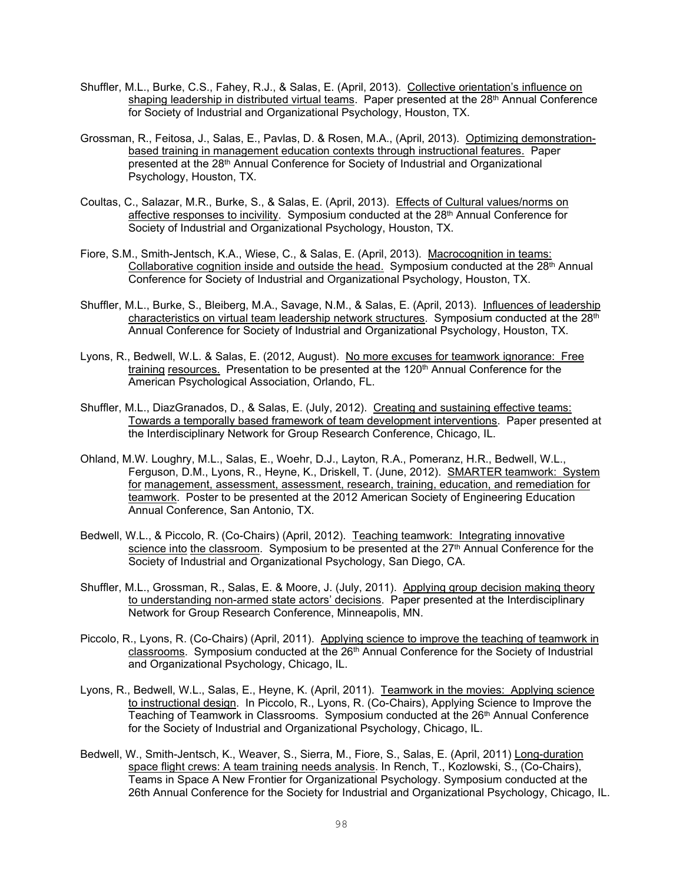- Shuffler, M.L., Burke, C.S., Fahey, R.J., & Salas, E. (April, 2013). Collective orientation's influence on shaping leadership in distributed virtual teams. Paper presented at the 28<sup>th</sup> Annual Conference for Society of Industrial and Organizational Psychology, Houston, TX.
- Grossman, R., Feitosa, J., Salas, E., Pavlas, D. & Rosen, M.A., (April, 2013). Optimizing demonstrationbased training in management education contexts through instructional features. Paper presented at the 28<sup>th</sup> Annual Conference for Society of Industrial and Organizational Psychology, Houston, TX.
- Coultas, C., Salazar, M.R., Burke, S., & Salas, E. (April, 2013). Effects of Cultural values/norms on affective responses to incivility. Symposium conducted at the 28<sup>th</sup> Annual Conference for Society of Industrial and Organizational Psychology, Houston, TX.
- Fiore, S.M., Smith-Jentsch, K.A., Wiese, C., & Salas, E. (April, 2013). Macrocognition in teams: Collaborative cognition inside and outside the head. Symposium conducted at the 28<sup>th</sup> Annual Conference for Society of Industrial and Organizational Psychology, Houston, TX.
- Shuffler, M.L., Burke, S., Bleiberg, M.A., Savage, N.M., & Salas, E. (April, 2013). Influences of leadership characteristics on virtual team leadership network structures. Symposium conducted at the 28<sup>th</sup> Annual Conference for Society of Industrial and Organizational Psychology, Houston, TX.
- Lyons, R., Bedwell, W.L. & Salas, E. (2012, August). No more excuses for teamwork ignorance: Free training resources. Presentation to be presented at the 120th Annual Conference for the American Psychological Association, Orlando, FL.
- Shuffler, M.L., DiazGranados, D., & Salas, E. (July, 2012). Creating and sustaining effective teams: Towards a temporally based framework of team development interventions. Paper presented at the Interdisciplinary Network for Group Research Conference, Chicago, IL.
- Ohland, M.W. Loughry, M.L., Salas, E., Woehr, D.J., Layton, R.A., Pomeranz, H.R., Bedwell, W.L., Ferguson, D.M., Lyons, R., Heyne, K., Driskell, T. (June, 2012). SMARTER teamwork: System for management, assessment, assessment, research, training, education, and remediation for teamwork. Poster to be presented at the 2012 American Society of Engineering Education Annual Conference, San Antonio, TX.
- Bedwell, W.L., & Piccolo, R. (Co-Chairs) (April, 2012). Teaching teamwork: Integrating innovative science into the classroom. Symposium to be presented at the  $27<sup>th</sup>$  Annual Conference for the Society of Industrial and Organizational Psychology, San Diego, CA.
- Shuffler, M.L., Grossman, R., Salas, E. & Moore, J. (July, 2011). Applying group decision making theory to understanding non-armed state actors' decisions. Paper presented at the Interdisciplinary Network for Group Research Conference, Minneapolis, MN.
- Piccolo, R., Lyons, R. (Co-Chairs) (April, 2011). Applying science to improve the teaching of teamwork in classrooms. Symposium conducted at the  $26<sup>th</sup>$  Annual Conference for the Society of Industrial and Organizational Psychology, Chicago, IL.
- Lyons, R., Bedwell, W.L., Salas, E., Heyne, K. (April, 2011). Teamwork in the movies: Applying science to instructional design. In Piccolo, R., Lyons, R. (Co-Chairs), Applying Science to Improve the Teaching of Teamwork in Classrooms. Symposium conducted at the  $26<sup>th</sup>$  Annual Conference for the Society of Industrial and Organizational Psychology, Chicago, IL.
- Bedwell, W., Smith-Jentsch, K., Weaver, S., Sierra, M., Fiore, S., Salas, E. (April, 2011) Long-duration space flight crews: A team training needs analysis. In Rench, T., Kozlowski, S., (Co-Chairs), Teams in Space A New Frontier for Organizational Psychology. Symposium conducted at the 26th Annual Conference for the Society for Industrial and Organizational Psychology, Chicago, IL.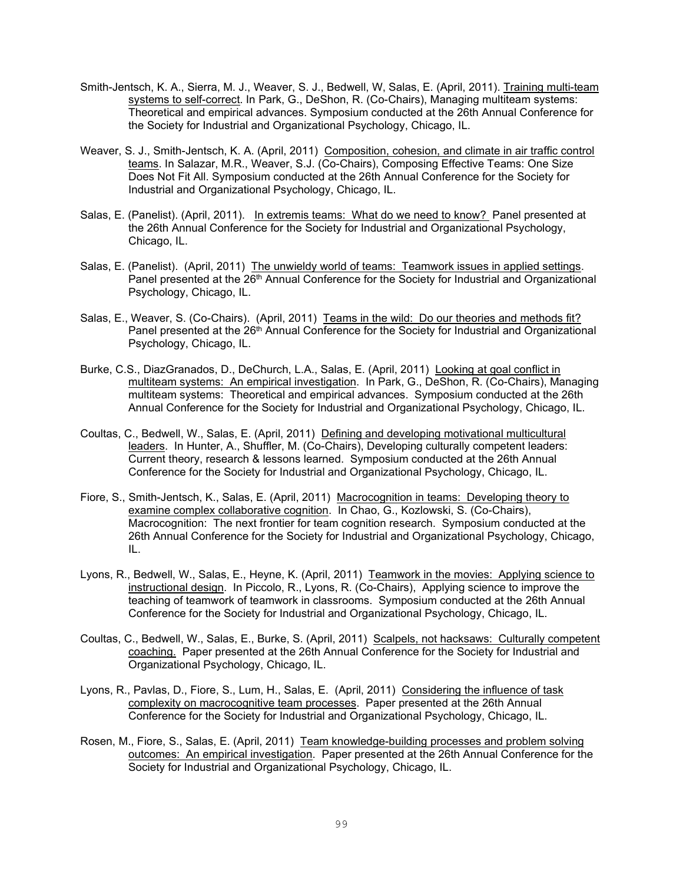- Smith-Jentsch, K. A., Sierra, M. J., Weaver, S. J., Bedwell, W, Salas, E. (April, 2011). Training multi-team systems to self-correct. In Park, G., DeShon, R. (Co-Chairs), Managing multiteam systems: Theoretical and empirical advances. Symposium conducted at the 26th Annual Conference for the Society for Industrial and Organizational Psychology, Chicago, IL.
- Weaver, S. J., Smith-Jentsch, K. A. (April, 2011) Composition, cohesion, and climate in air traffic control teams. In Salazar, M.R., Weaver, S.J. (Co-Chairs), Composing Effective Teams: One Size Does Not Fit All. Symposium conducted at the 26th Annual Conference for the Society for Industrial and Organizational Psychology, Chicago, IL.
- Salas, E. (Panelist). (April, 2011). In extremis teams: What do we need to know? Panel presented at the 26th Annual Conference for the Society for Industrial and Organizational Psychology, Chicago, IL.
- Salas, E. (Panelist). (April, 2011) The unwieldy world of teams: Teamwork issues in applied settings. Panel presented at the 26<sup>th</sup> Annual Conference for the Society for Industrial and Organizational Psychology, Chicago, IL.
- Salas, E., Weaver, S. (Co-Chairs). (April, 2011) Teams in the wild: Do our theories and methods fit? Panel presented at the 26<sup>th</sup> Annual Conference for the Society for Industrial and Organizational Psychology, Chicago, IL.
- Burke, C.S., DiazGranados, D., DeChurch, L.A., Salas, E. (April, 2011) Looking at goal conflict in multiteam systems: An empirical investigation. In Park, G., DeShon, R. (Co-Chairs), Managing multiteam systems: Theoretical and empirical advances. Symposium conducted at the 26th Annual Conference for the Society for Industrial and Organizational Psychology, Chicago, IL.
- Coultas, C., Bedwell, W., Salas, E. (April, 2011) Defining and developing motivational multicultural leaders. In Hunter, A., Shuffler, M. (Co-Chairs), Developing culturally competent leaders: Current theory, research & lessons learned. Symposium conducted at the 26th Annual Conference for the Society for Industrial and Organizational Psychology, Chicago, IL.
- Fiore, S., Smith-Jentsch, K., Salas, E. (April, 2011) Macrocognition in teams: Developing theory to examine complex collaborative cognition. In Chao, G., Kozlowski, S. (Co-Chairs), Macrocognition: The next frontier for team cognition research. Symposium conducted at the 26th Annual Conference for the Society for Industrial and Organizational Psychology, Chicago, IL.
- Lyons, R., Bedwell, W., Salas, E., Heyne, K. (April, 2011) Teamwork in the movies: Applying science to instructional design. In Piccolo, R., Lyons, R. (Co-Chairs), Applying science to improve the teaching of teamwork of teamwork in classrooms. Symposium conducted at the 26th Annual Conference for the Society for Industrial and Organizational Psychology, Chicago, IL.
- Coultas, C., Bedwell, W., Salas, E., Burke, S. (April, 2011) Scalpels, not hacksaws: Culturally competent coaching. Paper presented at the 26th Annual Conference for the Society for Industrial and Organizational Psychology, Chicago, IL.
- Lyons, R., Pavlas, D., Fiore, S., Lum, H., Salas, E. (April, 2011) Considering the influence of task complexity on macrocognitive team processes. Paper presented at the 26th Annual Conference for the Society for Industrial and Organizational Psychology, Chicago, IL.
- Rosen, M., Fiore, S., Salas, E. (April, 2011) Team knowledge-building processes and problem solving outcomes: An empirical investigation. Paper presented at the 26th Annual Conference for the Society for Industrial and Organizational Psychology, Chicago, IL.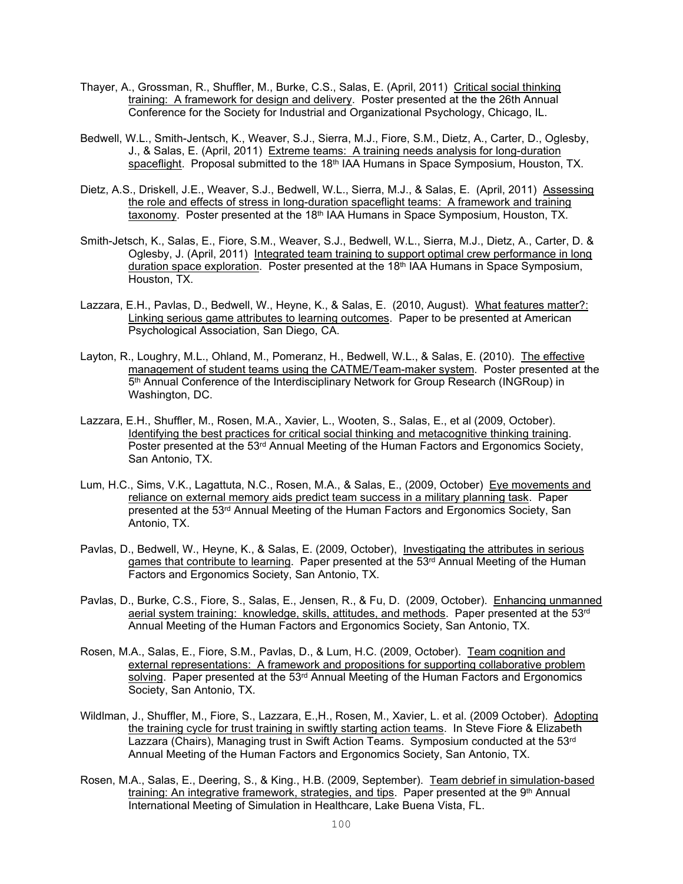- Thayer, A., Grossman, R., Shuffler, M., Burke, C.S., Salas, E. (April, 2011) Critical social thinking training: A framework for design and delivery. Poster presented at the the 26th Annual Conference for the Society for Industrial and Organizational Psychology, Chicago, IL.
- Bedwell, W.L., Smith-Jentsch, K., Weaver, S.J., Sierra, M.J., Fiore, S.M., Dietz, A., Carter, D., Oglesby, J., & Salas, E. (April, 2011) Extreme teams: A training needs analysis for long-duration spaceflight. Proposal submitted to the 18<sup>th</sup> IAA Humans in Space Symposium, Houston, TX.
- Dietz, A.S., Driskell, J.E., Weaver, S.J., Bedwell, W.L., Sierra, M.J., & Salas, E. (April, 2011) Assessing the role and effects of stress in long-duration spaceflight teams: A framework and training taxonomy. Poster presented at the 18<sup>th</sup> IAA Humans in Space Symposium, Houston, TX.
- Smith-Jetsch, K., Salas, E., Fiore, S.M., Weaver, S.J., Bedwell, W.L., Sierra, M.J., Dietz, A., Carter, D. & Oglesby, J. (April, 2011) Integrated team training to support optimal crew performance in long duration space exploration. Poster presented at the 18<sup>th</sup> IAA Humans in Space Symposium, Houston, TX.
- Lazzara, E.H., Pavlas, D., Bedwell, W., Heyne, K., & Salas, E. (2010, August). What features matter?: Linking serious game attributes to learning outcomes. Paper to be presented at American Psychological Association, San Diego, CA.
- Layton, R., Loughry, M.L., Ohland, M., Pomeranz, H., Bedwell, W.L., & Salas, E. (2010). The effective management of student teams using the CATME/Team-maker system. Poster presented at the 5th Annual Conference of the Interdisciplinary Network for Group Research (INGRoup) in Washington, DC.
- Lazzara, E.H., Shuffler, M., Rosen, M.A., Xavier, L., Wooten, S., Salas, E., et al (2009, October). Identifying the best practices for critical social thinking and metacognitive thinking training. Poster presented at the 53<sup>rd</sup> Annual Meeting of the Human Factors and Ergonomics Society, San Antonio, TX.
- Lum, H.C., Sims, V.K., Lagattuta, N.C., Rosen, M.A., & Salas, E., (2009, October) Eye movements and reliance on external memory aids predict team success in a military planning task. Paper presented at the 53<sup>rd</sup> Annual Meeting of the Human Factors and Ergonomics Society, San Antonio, TX.
- Pavlas, D., Bedwell, W., Heyne, K., & Salas, E. (2009, October), Investigating the attributes in serious games that contribute to learning. Paper presented at the 53<sup>rd</sup> Annual Meeting of the Human Factors and Ergonomics Society, San Antonio, TX.
- Pavlas, D., Burke, C.S., Fiore, S., Salas, E., Jensen, R., & Fu, D. (2009, October). Enhancing unmanned aerial system training: knowledge, skills, attitudes, and methods. Paper presented at the 53rd Annual Meeting of the Human Factors and Ergonomics Society, San Antonio, TX.
- Rosen, M.A., Salas, E., Fiore, S.M., Pavlas, D., & Lum, H.C. (2009, October). Team cognition and external representations: A framework and propositions for supporting collaborative problem solving. Paper presented at the 53<sup>rd</sup> Annual Meeting of the Human Factors and Ergonomics Society, San Antonio, TX.
- Wildlman, J., Shuffler, M., Fiore, S., Lazzara, E.,H., Rosen, M., Xavier, L. et al. (2009 October). Adopting the training cycle for trust training in swiftly starting action teams. In Steve Fiore & Elizabeth Lazzara (Chairs), Managing trust in Swift Action Teams. Symposium conducted at the 53<sup>rd</sup> Annual Meeting of the Human Factors and Ergonomics Society, San Antonio, TX.
- Rosen, M.A., Salas, E., Deering, S., & King., H.B. (2009, September). Team debrief in simulation-based training: An integrative framework, strategies, and tips. Paper presented at the 9th Annual International Meeting of Simulation in Healthcare, Lake Buena Vista, FL.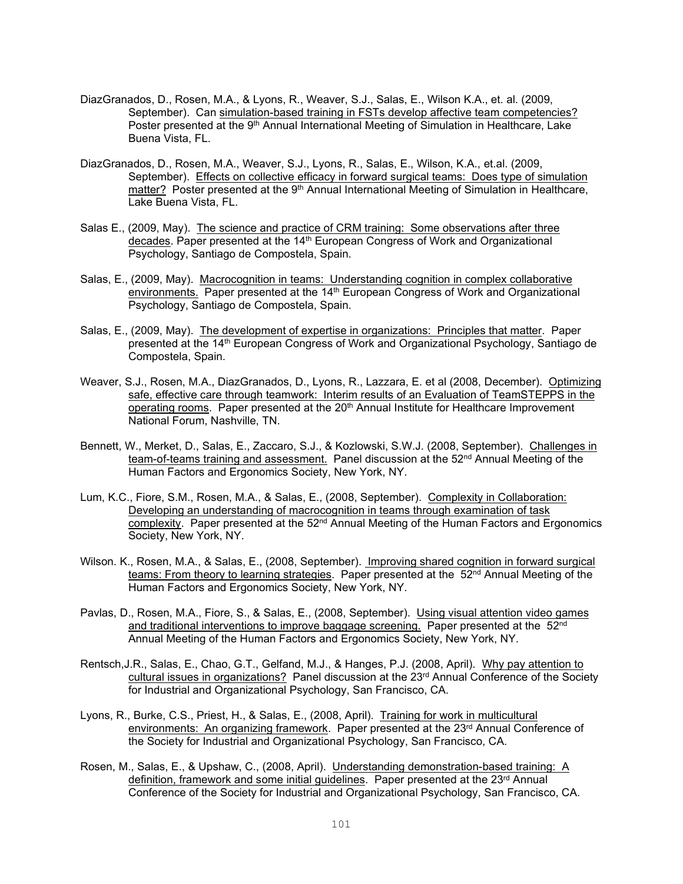- DiazGranados, D., Rosen, M.A., & Lyons, R., Weaver, S.J., Salas, E., Wilson K.A., et. al. (2009, September). Can simulation-based training in FSTs develop affective team competencies? Poster presented at the 9<sup>th</sup> Annual International Meeting of Simulation in Healthcare, Lake Buena Vista, FL.
- DiazGranados, D., Rosen, M.A., Weaver, S.J., Lyons, R., Salas, E., Wilson, K.A., et.al. (2009, September). Effects on collective efficacy in forward surgical teams: Does type of simulation matter? Poster presented at the 9<sup>th</sup> Annual International Meeting of Simulation in Healthcare, Lake Buena Vista, FL.
- Salas E., (2009, May). The science and practice of CRM training: Some observations after three decades. Paper presented at the 14th European Congress of Work and Organizational Psychology, Santiago de Compostela, Spain.
- Salas, E., (2009, May). Macrocognition in teams: Understanding cognition in complex collaborative environments. Paper presented at the  $14<sup>th</sup>$  European Congress of Work and Organizational Psychology, Santiago de Compostela, Spain.
- Salas, E., (2009, May). The development of expertise in organizations: Principles that matter. Paper presented at the 14th European Congress of Work and Organizational Psychology, Santiago de Compostela, Spain.
- Weaver, S.J., Rosen, M.A., DiazGranados, D., Lyons, R., Lazzara, E. et al (2008, December). Optimizing safe, effective care through teamwork: Interim results of an Evaluation of TeamSTEPPS in the operating rooms. Paper presented at the 20<sup>th</sup> Annual Institute for Healthcare Improvement National Forum, Nashville, TN.
- Bennett, W., Merket, D., Salas, E., Zaccaro, S.J., & Kozlowski, S.W.J. (2008, September). Challenges in team-of-teams training and assessment. Panel discussion at the 52<sup>nd</sup> Annual Meeting of the Human Factors and Ergonomics Society, New York, NY.
- Lum, K.C., Fiore, S.M., Rosen, M.A., & Salas, E., (2008, September). Complexity in Collaboration: Developing an understanding of macrocognition in teams through examination of task complexity. Paper presented at the 52<sup>nd</sup> Annual Meeting of the Human Factors and Ergonomics Society, New York, NY.
- Wilson. K., Rosen, M.A., & Salas, E., (2008, September). Improving shared cognition in forward surgical teams: From theory to learning strategies. Paper presented at the 52<sup>nd</sup> Annual Meeting of the Human Factors and Ergonomics Society, New York, NY.
- Pavlas, D., Rosen, M.A., Fiore, S., & Salas, E., (2008, September). Using visual attention video games and traditional interventions to improve baggage screening. Paper presented at the 52<sup>nd</sup> Annual Meeting of the Human Factors and Ergonomics Society, New York, NY.
- Rentsch,J.R., Salas, E., Chao, G.T., Gelfand, M.J., & Hanges, P.J. (2008, April). Why pay attention to cultural issues in organizations? Panel discussion at the 23<sup>rd</sup> Annual Conference of the Society for Industrial and Organizational Psychology, San Francisco, CA.
- Lyons, R., Burke, C.S., Priest, H., & Salas, E., (2008, April). Training for work in multicultural environments: An organizing framework. Paper presented at the  $23<sup>rd</sup>$  Annual Conference of the Society for Industrial and Organizational Psychology, San Francisco, CA.
- Rosen, M., Salas, E., & Upshaw, C., (2008, April). Understanding demonstration-based training: A definition, framework and some initial guidelines. Paper presented at the 23<sup>rd</sup> Annual Conference of the Society for Industrial and Organizational Psychology, San Francisco, CA.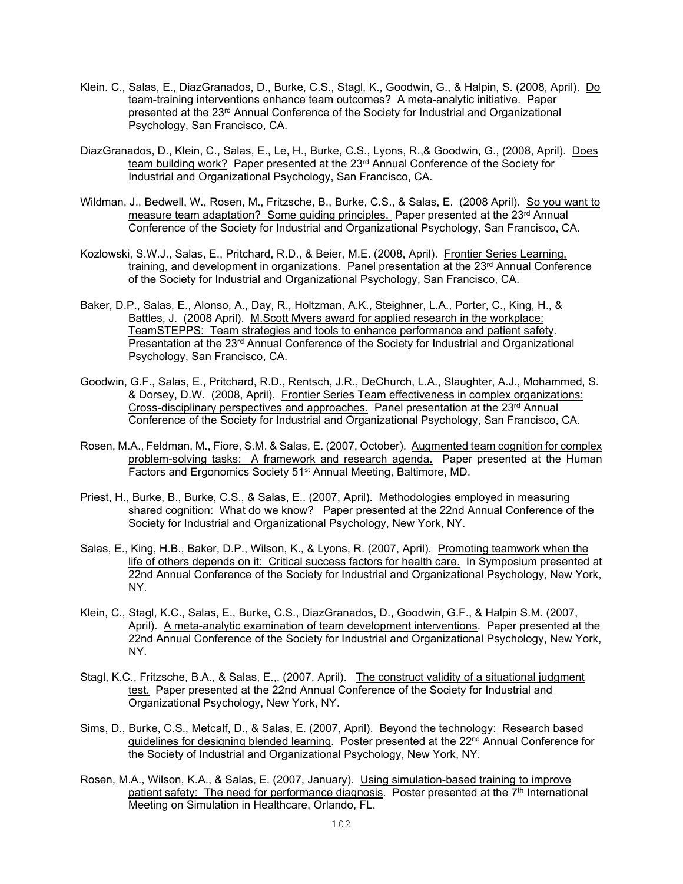- Klein. C., Salas, E., DiazGranados, D., Burke, C.S., Stagl, K., Goodwin, G., & Halpin, S. (2008, April). Do team-training interventions enhance team outcomes? A meta-analytic initiative. Paper presented at the 23rd Annual Conference of the Society for Industrial and Organizational Psychology, San Francisco, CA.
- DiazGranados, D., Klein, C., Salas, E., Le, H., Burke, C.S., Lyons, R., & Goodwin, G., (2008, April). Does team building work? Paper presented at the 23rd Annual Conference of the Society for Industrial and Organizational Psychology, San Francisco, CA.
- Wildman, J., Bedwell, W., Rosen, M., Fritzsche, B., Burke, C.S., & Salas, E. (2008 April). So you want to measure team adaptation? Some quiding principles. Paper presented at the  $23<sup>rd</sup>$  Annual Conference of the Society for Industrial and Organizational Psychology, San Francisco, CA.
- Kozlowski, S.W.J., Salas, E., Pritchard, R.D., & Beier, M.E. (2008, April). Frontier Series Learning, training, and development in organizations. Panel presentation at the 23<sup>rd</sup> Annual Conference of the Society for Industrial and Organizational Psychology, San Francisco, CA.
- Baker, D.P., Salas, E., Alonso, A., Day, R., Holtzman, A.K., Steighner, L.A., Porter, C., King, H., & Battles, J. (2008 April). M.Scott Myers award for applied research in the workplace: TeamSTEPPS: Team strategies and tools to enhance performance and patient safety. Presentation at the 23<sup>rd</sup> Annual Conference of the Society for Industrial and Organizational Psychology, San Francisco, CA.
- Goodwin, G.F., Salas, E., Pritchard, R.D., Rentsch, J.R., DeChurch, L.A., Slaughter, A.J., Mohammed, S. & Dorsey, D.W. (2008, April). Frontier Series Team effectiveness in complex organizations: Cross-disciplinary perspectives and approaches. Panel presentation at the 23<sup>rd</sup> Annual Conference of the Society for Industrial and Organizational Psychology, San Francisco, CA.
- Rosen, M.A., Feldman, M., Fiore, S.M. & Salas, E. (2007, October). Augmented team cognition for complex problem-solving tasks: A framework and research agenda. Paper presented at the Human Factors and Ergonomics Society 51st Annual Meeting, Baltimore, MD.
- Priest, H., Burke, B., Burke, C.S., & Salas, E.. (2007, April). Methodologies employed in measuring shared cognition: What do we know? Paper presented at the 22nd Annual Conference of the Society for Industrial and Organizational Psychology, New York, NY.
- Salas, E., King, H.B., Baker, D.P., Wilson, K., & Lyons, R. (2007, April). Promoting teamwork when the life of others depends on it: Critical success factors for health care. In Symposium presented at 22nd Annual Conference of the Society for Industrial and Organizational Psychology, New York, NY.
- Klein, C., Stagl, K.C., Salas, E., Burke, C.S., DiazGranados, D., Goodwin, G.F., & Halpin S.M. (2007, April). A meta-analytic examination of team development interventions. Paper presented at the 22nd Annual Conference of the Society for Industrial and Organizational Psychology, New York, NY.
- Stagl, K.C., Fritzsche, B.A., & Salas, E.,. (2007, April). The construct validity of a situational judgment test. Paper presented at the 22nd Annual Conference of the Society for Industrial and Organizational Psychology, New York, NY.
- Sims, D., Burke, C.S., Metcalf, D., & Salas, E. (2007, April). Beyond the technology: Research based guidelines for designing blended learning. Poster presented at the 22<sup>nd</sup> Annual Conference for the Society of Industrial and Organizational Psychology, New York, NY.
- Rosen, M.A., Wilson, K.A., & Salas, E. (2007, January). Using simulation-based training to improve patient safety: The need for performance diagnosis. Poster presented at the 7th International Meeting on Simulation in Healthcare, Orlando, FL.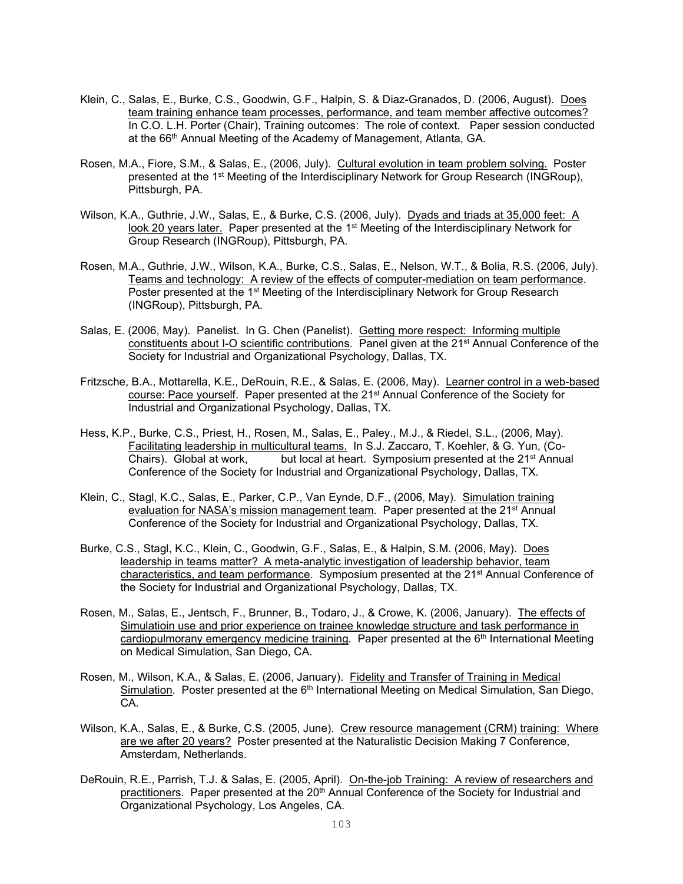- Klein, C., Salas, E., Burke, C.S., Goodwin, G.F., Halpin, S. & Diaz-Granados, D. (2006, August). Does team training enhance team processes, performance, and team member affective outcomes? In C.O. L.H. Porter (Chair), Training outcomes: The role of context. Paper session conducted at the 66<sup>th</sup> Annual Meeting of the Academy of Management, Atlanta, GA.
- Rosen, M.A., Fiore, S.M., & Salas, E., (2006, July). Cultural evolution in team problem solving. Poster presented at the 1<sup>st</sup> Meeting of the Interdisciplinary Network for Group Research (INGRoup), Pittsburgh, PA.
- Wilson, K.A., Guthrie, J.W., Salas, E., & Burke, C.S. (2006, July). Dyads and triads at 35,000 feet: A look 20 years later. Paper presented at the 1<sup>st</sup> Meeting of the Interdisciplinary Network for Group Research (INGRoup), Pittsburgh, PA.
- Rosen, M.A., Guthrie, J.W., Wilson, K.A., Burke, C.S., Salas, E., Nelson, W.T., & Bolia, R.S. (2006, July). Teams and technology: A review of the effects of computer-mediation on team performance. Poster presented at the 1<sup>st</sup> Meeting of the Interdisciplinary Network for Group Research (INGRoup), Pittsburgh, PA.
- Salas, E. (2006, May). Panelist. In G. Chen (Panelist). Getting more respect: Informing multiple constituents about I-O scientific contributions. Panel given at the 21<sup>st</sup> Annual Conference of the Society for Industrial and Organizational Psychology, Dallas, TX.
- Fritzsche, B.A., Mottarella, K.E., DeRouin, R.E., & Salas, E. (2006, May). Learner control in a web-based course: Pace vourself. Paper presented at the 21<sup>st</sup> Annual Conference of the Society for Industrial and Organizational Psychology, Dallas, TX.
- Hess, K.P., Burke, C.S., Priest, H., Rosen, M., Salas, E., Paley., M.J., & Riedel, S.L., (2006, May). Facilitating leadership in multicultural teams. In S.J. Zaccaro, T. Koehler, & G. Yun, (Co-Chairs). Global at work, but local at heart. Symposium presented at the  $21<sup>st</sup>$  Annual Conference of the Society for Industrial and Organizational Psychology, Dallas, TX.
- Klein, C., Stagl, K.C., Salas, E., Parker, C.P., Van Eynde, D.F., (2006, May). Simulation training evaluation for NASA's mission management team. Paper presented at the 21<sup>st</sup> Annual Conference of the Society for Industrial and Organizational Psychology, Dallas, TX.
- Burke, C.S., Stagl, K.C., Klein, C., Goodwin, G.F., Salas, E., & Halpin, S.M. (2006, May). Does leadership in teams matter? A meta-analytic investigation of leadership behavior, team characteristics, and team performance. Symposium presented at the 21st Annual Conference of the Society for Industrial and Organizational Psychology, Dallas, TX.
- Rosen, M., Salas, E., Jentsch, F., Brunner, B., Todaro, J., & Crowe, K. (2006, January). The effects of Simulatioin use and prior experience on trainee knowledge structure and task performance in cardiopulmorany emergency medicine training. Paper presented at the  $6<sup>th</sup>$  International Meeting on Medical Simulation, San Diego, CA.
- Rosen, M., Wilson, K.A., & Salas, E. (2006, January). Fidelity and Transfer of Training in Medical Simulation. Poster presented at the  $6<sup>th</sup>$  International Meeting on Medical Simulation, San Diego, CA.
- Wilson, K.A., Salas, E., & Burke, C.S. (2005, June). Crew resource management (CRM) training: Where are we after 20 years? Poster presented at the Naturalistic Decision Making 7 Conference, Amsterdam, Netherlands.
- DeRouin, R.E., Parrish, T.J. & Salas, E. (2005, April). On-the-job Training: A review of researchers and practitioners. Paper presented at the 20<sup>th</sup> Annual Conference of the Society for Industrial and Organizational Psychology, Los Angeles, CA.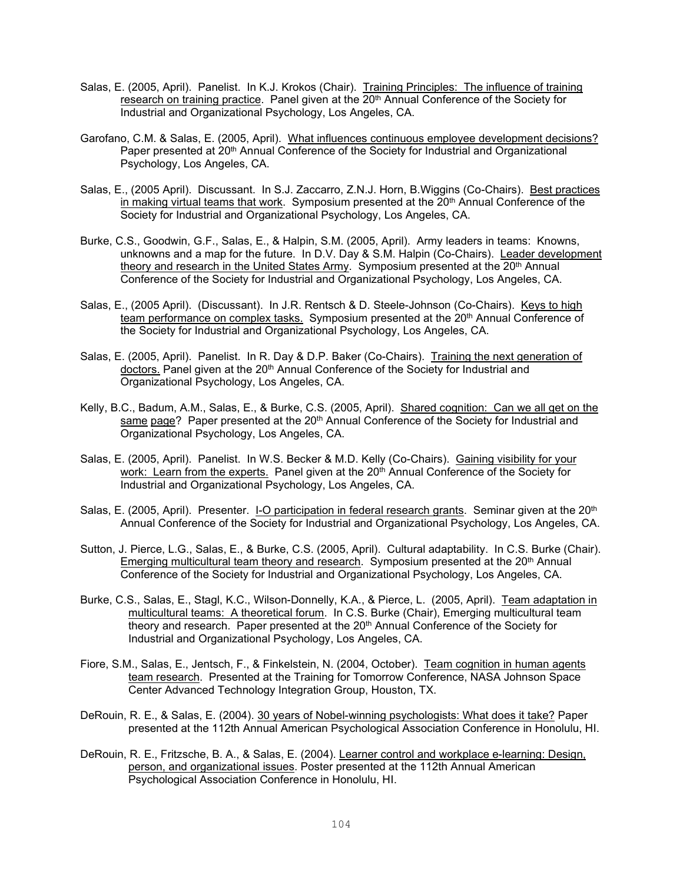- Salas, E. (2005, April). Panelist. In K.J. Krokos (Chair). Training Principles: The influence of training research on training practice. Panel given at the 20<sup>th</sup> Annual Conference of the Society for Industrial and Organizational Psychology, Los Angeles, CA.
- Garofano, C.M. & Salas, E. (2005, April). What influences continuous employee development decisions? Paper presented at 20<sup>th</sup> Annual Conference of the Society for Industrial and Organizational Psychology, Los Angeles, CA.
- Salas, E., (2005 April). Discussant. In S.J. Zaccarro, Z.N.J. Horn, B.Wiggins (Co-Chairs). Best practices in making virtual teams that work. Symposium presented at the 20<sup>th</sup> Annual Conference of the Society for Industrial and Organizational Psychology, Los Angeles, CA.
- Burke, C.S., Goodwin, G.F., Salas, E., & Halpin, S.M. (2005, April). Army leaders in teams: Knowns, unknowns and a map for the future. In D.V. Day & S.M. Halpin (Co-Chairs). Leader development theory and research in the United States Army. Symposium presented at the 20<sup>th</sup> Annual Conference of the Society for Industrial and Organizational Psychology, Los Angeles, CA.
- Salas, E., (2005 April). (Discussant). In J.R. Rentsch & D. Steele-Johnson (Co-Chairs). Keys to high team performance on complex tasks. Symposium presented at the  $20<sup>th</sup>$  Annual Conference of the Society for Industrial and Organizational Psychology, Los Angeles, CA.
- Salas, E. (2005, April). Panelist. In R. Day & D.P. Baker (Co-Chairs). Training the next generation of doctors. Panel given at the 20<sup>th</sup> Annual Conference of the Society for Industrial and Organizational Psychology, Los Angeles, CA.
- Kelly, B.C., Badum, A.M., Salas, E., & Burke, C.S. (2005, April). Shared cognition: Can we all get on the same page? Paper presented at the 20<sup>th</sup> Annual Conference of the Society for Industrial and Organizational Psychology, Los Angeles, CA.
- Salas, E. (2005, April). Panelist. In W.S. Becker & M.D. Kelly (Co-Chairs). Gaining visibility for your work: Learn from the experts. Panel given at the 20<sup>th</sup> Annual Conference of the Society for Industrial and Organizational Psychology, Los Angeles, CA.
- Salas, E. (2005, April). Presenter. I-O participation in federal research grants. Seminar given at the 20<sup>th</sup> Annual Conference of the Society for Industrial and Organizational Psychology, Los Angeles, CA.
- Sutton, J. Pierce, L.G., Salas, E., & Burke, C.S. (2005, April). Cultural adaptability. In C.S. Burke (Chair). Emerging multicultural team theory and research. Symposium presented at the 20<sup>th</sup> Annual Conference of the Society for Industrial and Organizational Psychology, Los Angeles, CA.
- Burke, C.S., Salas, E., Stagl, K.C., Wilson-Donnelly, K.A., & Pierce, L. (2005, April). Team adaptation in multicultural teams: A theoretical forum. In C.S. Burke (Chair), Emerging multicultural team theory and research. Paper presented at the 20<sup>th</sup> Annual Conference of the Society for Industrial and Organizational Psychology, Los Angeles, CA.
- Fiore, S.M., Salas, E., Jentsch, F., & Finkelstein, N. (2004, October). Team cognition in human agents team research. Presented at the Training for Tomorrow Conference, NASA Johnson Space Center Advanced Technology Integration Group, Houston, TX.
- DeRouin, R. E., & Salas, E. (2004). 30 years of Nobel-winning psychologists: What does it take? Paper presented at the 112th Annual American Psychological Association Conference in Honolulu, HI.
- DeRouin, R. E., Fritzsche, B. A., & Salas, E. (2004). Learner control and workplace e-learning: Design, person, and organizational issues. Poster presented at the 112th Annual American Psychological Association Conference in Honolulu, HI.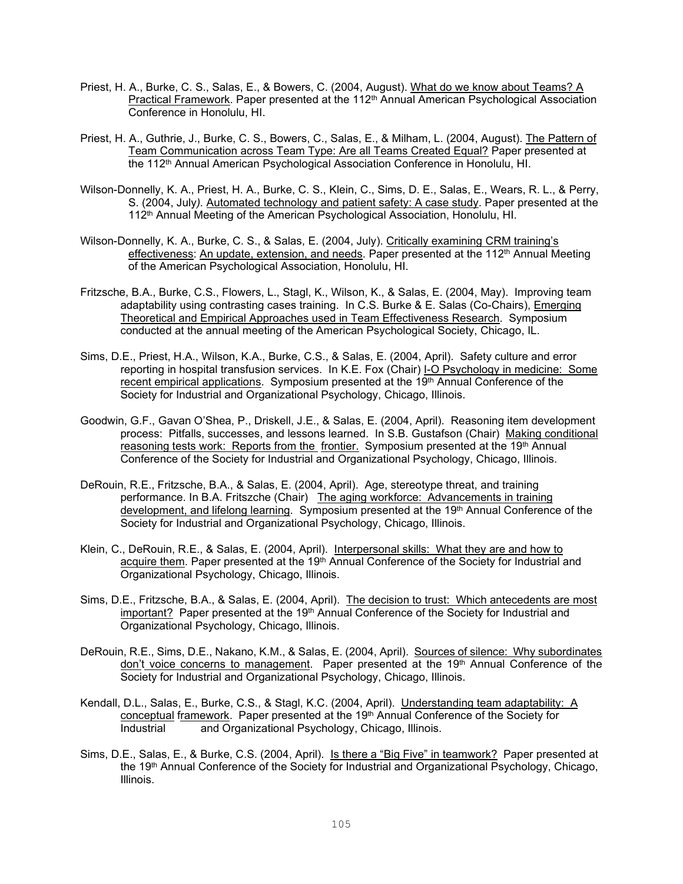- Priest, H. A., Burke, C. S., Salas, E., & Bowers, C. (2004, August). What do we know about Teams? A Practical Framework. Paper presented at the 112<sup>th</sup> Annual American Psychological Association Conference in Honolulu, HI.
- Priest, H. A., Guthrie, J., Burke, C. S., Bowers, C., Salas, E., & Milham, L. (2004, August). The Pattern of Team Communication across Team Type: Are all Teams Created Equal? Paper presented at the 112<sup>th</sup> Annual American Psychological Association Conference in Honolulu, HI.
- Wilson-Donnelly, K. A., Priest, H. A., Burke, C. S., Klein, C., Sims, D. E., Salas, E., Wears, R. L., & Perry, S. (2004, July*).* Automated technology and patient safety: A case study. Paper presented at the 112<sup>th</sup> Annual Meeting of the American Psychological Association, Honolulu, HI.
- Wilson-Donnelly, K. A., Burke, C. S., & Salas, E. (2004, July). Critically examining CRM training's effectiveness: An update, extension, and needs. Paper presented at the 112<sup>th</sup> Annual Meeting of the American Psychological Association, Honolulu, HI.
- Fritzsche, B.A., Burke, C.S., Flowers, L., Stagl, K., Wilson, K., & Salas, E. (2004, May). Improving team adaptability using contrasting cases training. In C.S. Burke & E. Salas (Co-Chairs), Emerging Theoretical and Empirical Approaches used in Team Effectiveness Research. Symposium conducted at the annual meeting of the American Psychological Society, Chicago, IL.
- Sims, D.E., Priest, H.A., Wilson, K.A., Burke, C.S., & Salas, E. (2004, April). Safety culture and error reporting in hospital transfusion services. In K.E. Fox (Chair) I-O Psychology in medicine: Some recent empirical applications. Symposium presented at the 19<sup>th</sup> Annual Conference of the Society for Industrial and Organizational Psychology, Chicago, Illinois.
- Goodwin, G.F., Gavan O'Shea, P., Driskell, J.E., & Salas, E. (2004, April). Reasoning item development process: Pitfalls, successes, and lessons learned. In S.B. Gustafson (Chair) Making conditional reasoning tests work: Reports from the frontier. Symposium presented at the 19th Annual Conference of the Society for Industrial and Organizational Psychology, Chicago, Illinois.
- DeRouin, R.E., Fritzsche, B.A., & Salas, E. (2004, April). Age, stereotype threat, and training performance. In B.A. Fritszche (Chair) The aging workforce: Advancements in training development, and lifelong learning. Symposium presented at the 19th Annual Conference of the Society for Industrial and Organizational Psychology, Chicago, Illinois.
- Klein, C., DeRouin, R.E., & Salas, E. (2004, April). Interpersonal skills: What they are and how to acquire them. Paper presented at the 19<sup>th</sup> Annual Conference of the Society for Industrial and Organizational Psychology, Chicago, Illinois.
- Sims, D.E., Fritzsche, B.A., & Salas, E. (2004, April). The decision to trust: Which antecedents are most important? Paper presented at the 19<sup>th</sup> Annual Conference of the Society for Industrial and Organizational Psychology, Chicago, Illinois.
- DeRouin, R.E., Sims, D.E., Nakano, K.M., & Salas, E. (2004, April). Sources of silence: Why subordinates don't voice concerns to management. Paper presented at the 19<sup>th</sup> Annual Conference of the Society for Industrial and Organizational Psychology, Chicago, Illinois.
- Kendall, D.L., Salas, E., Burke, C.S., & Stagl, K.C. (2004, April). Understanding team adaptability: A conceptual framework. Paper presented at the 19th Annual Conference of the Society for Industrial and Organizational Psychology, Chicago, Illinois.
- Sims, D.E., Salas, E., & Burke, C.S. (2004, April). Is there a "Big Five" in teamwork? Paper presented at the 19th Annual Conference of the Society for Industrial and Organizational Psychology, Chicago, Illinois.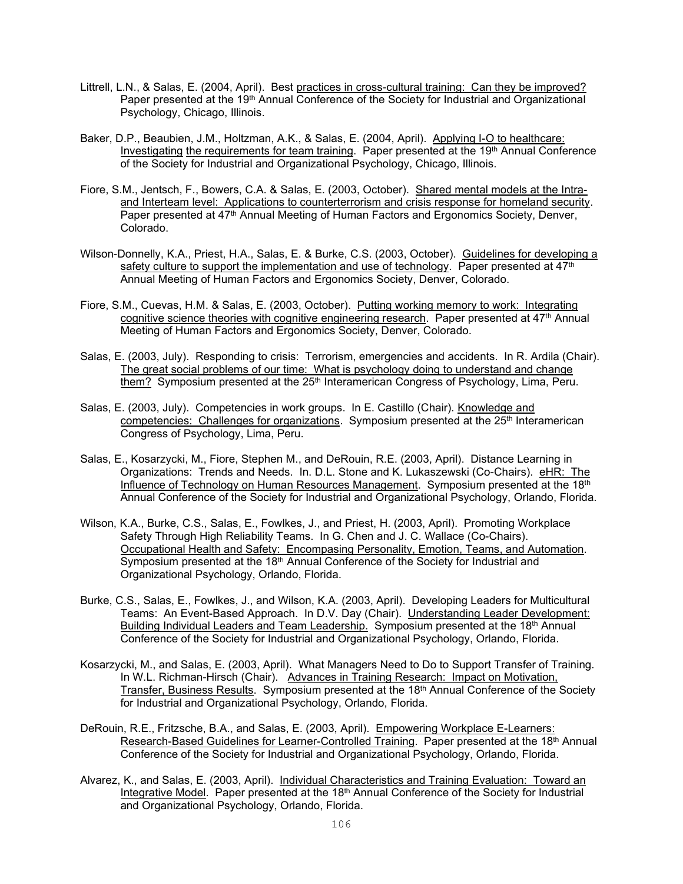- Littrell, L.N., & Salas, E. (2004, April). Best practices in cross-cultural training: Can they be improved? Paper presented at the 19<sup>th</sup> Annual Conference of the Society for Industrial and Organizational Psychology, Chicago, Illinois.
- Baker, D.P., Beaubien, J.M., Holtzman, A.K., & Salas, E. (2004, April). Applying I-O to healthcare: Investigating the requirements for team training. Paper presented at the  $19<sup>th</sup>$  Annual Conference of the Society for Industrial and Organizational Psychology, Chicago, Illinois.
- Fiore, S.M., Jentsch, F., Bowers, C.A. & Salas, E. (2003, October). Shared mental models at the Intraand Interteam level: Applications to counterterrorism and crisis response for homeland security. Paper presented at 47<sup>th</sup> Annual Meeting of Human Factors and Ergonomics Society, Denver, Colorado.
- Wilson-Donnelly, K.A., Priest, H.A., Salas, E. & Burke, C.S. (2003, October). Guidelines for developing a safety culture to support the implementation and use of technology. Paper presented at  $47<sup>th</sup>$ Annual Meeting of Human Factors and Ergonomics Society, Denver, Colorado.
- Fiore, S.M., Cuevas, H.M. & Salas, E. (2003, October). Putting working memory to work: Integrating cognitive science theories with cognitive engineering research. Paper presented at  $47<sup>th</sup>$  Annual Meeting of Human Factors and Ergonomics Society, Denver, Colorado.
- Salas, E. (2003, July). Responding to crisis: Terrorism, emergencies and accidents. In R. Ardila (Chair). The great social problems of our time: What is psychology doing to understand and change them? Symposium presented at the 25<sup>th</sup> Interamerican Congress of Psychology, Lima, Peru.
- Salas, E. (2003, July). Competencies in work groups. In E. Castillo (Chair). Knowledge and competencies: Challenges for organizations. Symposium presented at the 25<sup>th</sup> Interamerican Congress of Psychology, Lima, Peru.
- Salas, E., Kosarzycki, M., Fiore, Stephen M., and DeRouin, R.E. (2003, April). Distance Learning in Organizations: Trends and Needs. In. D.L. Stone and K. Lukaszewski (Co-Chairs). eHR: The Influence of Technology on Human Resources Management. Symposium presented at the 18th Annual Conference of the Society for Industrial and Organizational Psychology, Orlando, Florida.
- Wilson, K.A., Burke, C.S., Salas, E., Fowlkes, J., and Priest, H. (2003, April). Promoting Workplace Safety Through High Reliability Teams. In G. Chen and J. C. Wallace (Co-Chairs). Occupational Health and Safety: Encompasing Personality, Emotion, Teams, and Automation. Symposium presented at the 18<sup>th</sup> Annual Conference of the Society for Industrial and Organizational Psychology, Orlando, Florida.
- Burke, C.S., Salas, E., Fowlkes, J., and Wilson, K.A. (2003, April). Developing Leaders for Multicultural Teams: An Event-Based Approach. In D.V. Day (Chair). Understanding Leader Development: Building Individual Leaders and Team Leadership. Symposium presented at the 18<sup>th</sup> Annual Conference of the Society for Industrial and Organizational Psychology, Orlando, Florida.
- Kosarzycki, M., and Salas, E. (2003, April). What Managers Need to Do to Support Transfer of Training. In W.L. Richman-Hirsch (Chair). Advances in Training Research: Impact on Motivation, Transfer, Business Results. Symposium presented at the  $18<sup>th</sup>$  Annual Conference of the Society for Industrial and Organizational Psychology, Orlando, Florida.
- DeRouin, R.E., Fritzsche, B.A., and Salas, E. (2003, April). Empowering Workplace E-Learners: Research-Based Guidelines for Learner-Controlled Training. Paper presented at the 18<sup>th</sup> Annual Conference of the Society for Industrial and Organizational Psychology, Orlando, Florida.
- Alvarez, K., and Salas, E. (2003, April). Individual Characteristics and Training Evaluation: Toward an Integrative Model. Paper presented at the 18<sup>th</sup> Annual Conference of the Society for Industrial and Organizational Psychology, Orlando, Florida.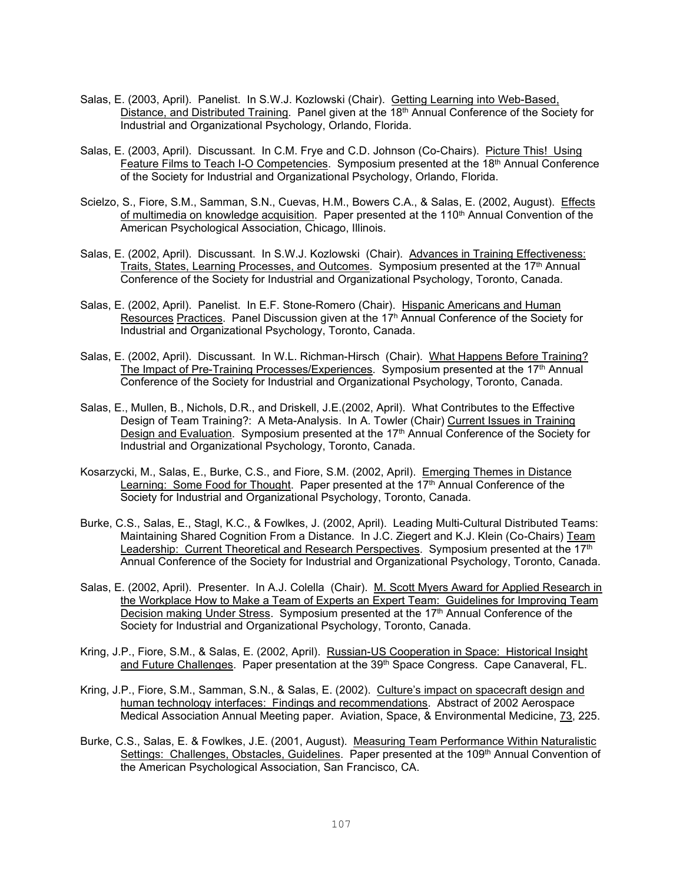- Salas, E. (2003, April). Panelist. In S.W.J. Kozlowski (Chair). Getting Learning into Web-Based, Distance, and Distributed Training. Panel given at the 18<sup>th</sup> Annual Conference of the Society for Industrial and Organizational Psychology, Orlando, Florida.
- Salas, E. (2003, April). Discussant. In C.M. Frye and C.D. Johnson (Co-Chairs). Picture This! Using Feature Films to Teach I-O Competencies. Symposium presented at the 18<sup>th</sup> Annual Conference of the Society for Industrial and Organizational Psychology, Orlando, Florida.
- Scielzo, S., Fiore, S.M., Samman, S.N., Cuevas, H.M., Bowers C.A., & Salas, E. (2002, August). Effects of multimedia on knowledge acquisition. Paper presented at the 110<sup>th</sup> Annual Convention of the American Psychological Association, Chicago, Illinois.
- Salas, E. (2002, April). Discussant. In S.W.J. Kozlowski (Chair). Advances in Training Effectiveness: Traits, States, Learning Processes, and Outcomes. Symposium presented at the 17<sup>th</sup> Annual Conference of the Society for Industrial and Organizational Psychology, Toronto, Canada.
- Salas, E. (2002, April). Panelist. In E.F. Stone-Romero (Chair). Hispanic Americans and Human Resources Practices. Panel Discussion given at the 17h Annual Conference of the Society for Industrial and Organizational Psychology, Toronto, Canada.
- Salas, E. (2002, April). Discussant. In W.L. Richman-Hirsch (Chair). What Happens Before Training? The Impact of Pre-Training Processes/Experiences. Symposium presented at the 17<sup>th</sup> Annual Conference of the Society for Industrial and Organizational Psychology, Toronto, Canada.
- Salas, E., Mullen, B., Nichols, D.R., and Driskell, J.E.(2002, April). What Contributes to the Effective Design of Team Training?: A Meta-Analysis. In A. Towler (Chair) Current Issues in Training Design and Evaluation. Symposium presented at the 17<sup>th</sup> Annual Conference of the Society for Industrial and Organizational Psychology, Toronto, Canada.
- Kosarzycki, M., Salas, E., Burke, C.S., and Fiore, S.M. (2002, April). Emerging Themes in Distance Learning: Some Food for Thought. Paper presented at the 17<sup>th</sup> Annual Conference of the Society for Industrial and Organizational Psychology, Toronto, Canada.
- Burke, C.S., Salas, E., Stagl, K.C., & Fowlkes, J. (2002, April). Leading Multi-Cultural Distributed Teams: Maintaining Shared Cognition From a Distance. In J.C. Ziegert and K.J. Klein (Co-Chairs) Team Leadership: Current Theoretical and Research Perspectives. Symposium presented at the 17<sup>th</sup> Annual Conference of the Society for Industrial and Organizational Psychology, Toronto, Canada.
- Salas, E. (2002, April). Presenter. In A.J. Colella (Chair). M. Scott Myers Award for Applied Research in the Workplace How to Make a Team of Experts an Expert Team: Guidelines for Improving Team Decision making Under Stress. Symposium presented at the 17<sup>th</sup> Annual Conference of the Society for Industrial and Organizational Psychology, Toronto, Canada.
- Kring, J.P., Fiore, S.M., & Salas, E. (2002, April). Russian-US Cooperation in Space: Historical Insight and Future Challenges. Paper presentation at the 39<sup>th</sup> Space Congress. Cape Canaveral, FL.
- Kring, J.P., Fiore, S.M., Samman, S.N., & Salas, E. (2002). Culture's impact on spacecraft design and human technology interfaces: Findings and recommendations. Abstract of 2002 Aerospace Medical Association Annual Meeting paper. Aviation, Space, & Environmental Medicine, 73, 225.
- Burke, C.S., Salas, E. & Fowlkes, J.E. (2001, August). Measuring Team Performance Within Naturalistic Settings: Challenges, Obstacles, Guidelines. Paper presented at the 109<sup>th</sup> Annual Convention of the American Psychological Association, San Francisco, CA.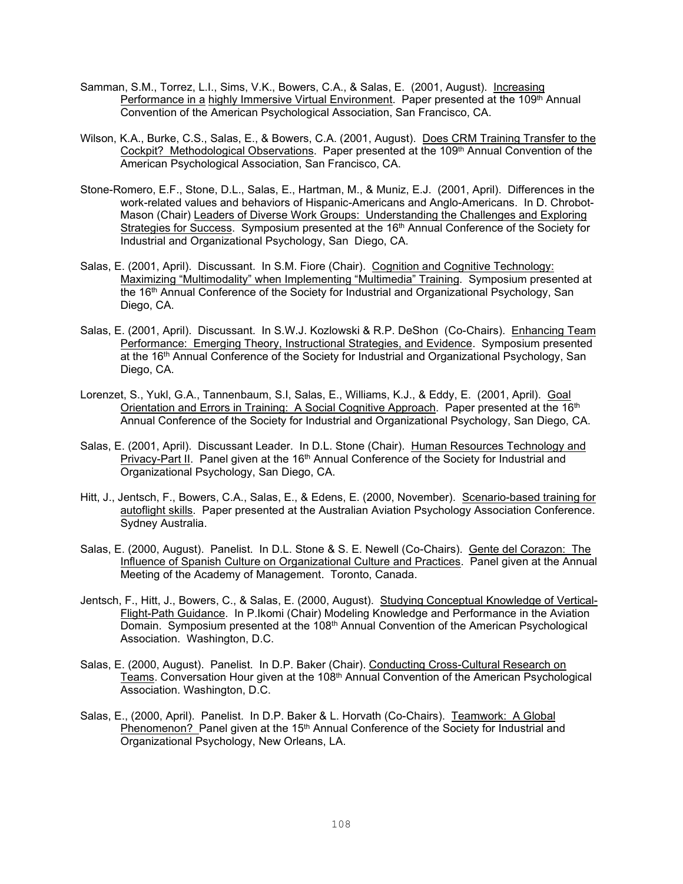- Samman, S.M., Torrez, L.I., Sims, V.K., Bowers, C.A., & Salas, E. (2001, August). Increasing Performance in a highly Immersive Virtual Environment. Paper presented at the 109<sup>th</sup> Annual Convention of the American Psychological Association, San Francisco, CA.
- Wilson, K.A., Burke, C.S., Salas, E., & Bowers, C.A. (2001, August). Does CRM Training Transfer to the Cockpit? Methodological Observations. Paper presented at the 109<sup>th</sup> Annual Convention of the American Psychological Association, San Francisco, CA.
- Stone-Romero, E.F., Stone, D.L., Salas, E., Hartman, M., & Muniz, E.J. (2001, April). Differences in the work-related values and behaviors of Hispanic-Americans and Anglo-Americans. In D. Chrobot-Mason (Chair) Leaders of Diverse Work Groups: Understanding the Challenges and Exploring Strategies for Success. Symposium presented at the 16<sup>th</sup> Annual Conference of the Society for Industrial and Organizational Psychology, San Diego, CA.
- Salas, E. (2001, April). Discussant. In S.M. Fiore (Chair). Cognition and Cognitive Technology: Maximizing "Multimodality" when Implementing "Multimedia" Training. Symposium presented at the 16<sup>th</sup> Annual Conference of the Society for Industrial and Organizational Psychology, San Diego, CA.
- Salas, E. (2001, April). Discussant. In S.W.J. Kozlowski & R.P. DeShon (Co-Chairs). Enhancing Team Performance: Emerging Theory, Instructional Strategies, and Evidence. Symposium presented at the 16<sup>th</sup> Annual Conference of the Society for Industrial and Organizational Psychology, San Diego, CA.
- Lorenzet, S., Yukl, G.A., Tannenbaum, S.I, Salas, E., Williams, K.J., & Eddy, E. (2001, April). Goal Orientation and Errors in Training: A Social Cognitive Approach. Paper presented at the 16<sup>th</sup> Annual Conference of the Society for Industrial and Organizational Psychology, San Diego, CA.
- Salas, E. (2001, April). Discussant Leader. In D.L. Stone (Chair). Human Resources Technology and Privacy-Part II. Panel given at the 16<sup>th</sup> Annual Conference of the Society for Industrial and Organizational Psychology, San Diego, CA.
- Hitt, J., Jentsch, F., Bowers, C.A., Salas, E., & Edens, E. (2000, November). Scenario-based training for autoflight skills. Paper presented at the Australian Aviation Psychology Association Conference. Sydney Australia.
- Salas, E. (2000, August). Panelist. In D.L. Stone & S. E. Newell (Co-Chairs). Gente del Corazon: The Influence of Spanish Culture on Organizational Culture and Practices. Panel given at the Annual Meeting of the Academy of Management. Toronto, Canada.
- Jentsch, F., Hitt, J., Bowers, C., & Salas, E. (2000, August). Studying Conceptual Knowledge of Vertical-Flight-Path Guidance. In P.Ikomi (Chair) Modeling Knowledge and Performance in the Aviation Domain. Symposium presented at the 108<sup>th</sup> Annual Convention of the American Psychological Association. Washington, D.C.
- Salas, E. (2000, August). Panelist. In D.P. Baker (Chair). Conducting Cross-Cultural Research on Teams. Conversation Hour given at the 108<sup>th</sup> Annual Convention of the American Psychological Association. Washington, D.C.
- Salas, E., (2000, April). Panelist. In D.P. Baker & L. Horvath (Co-Chairs). Teamwork: A Global Phenomenon? Panel given at the 15<sup>th</sup> Annual Conference of the Society for Industrial and Organizational Psychology, New Orleans, LA.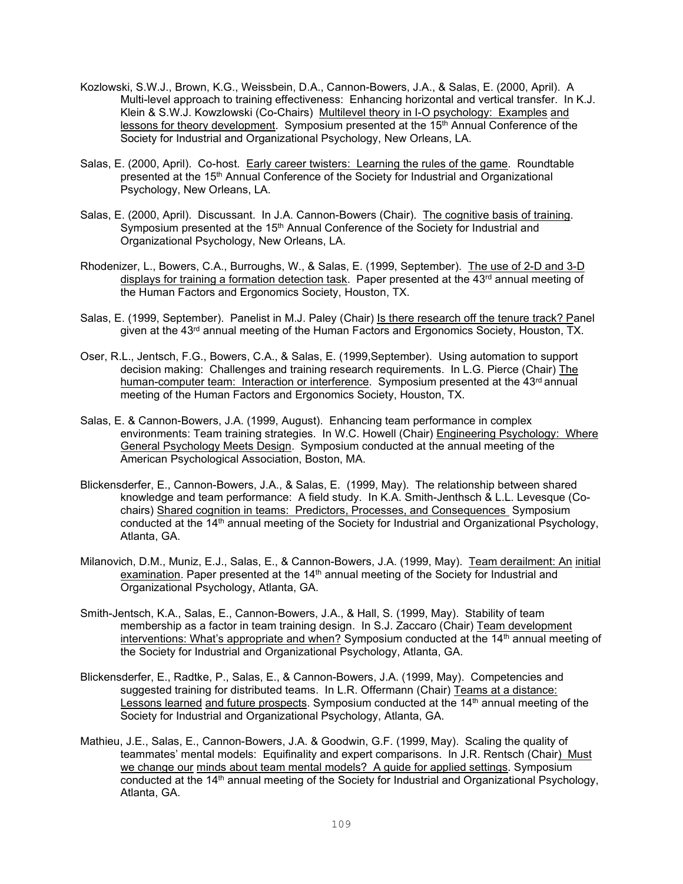- Kozlowski, S.W.J., Brown, K.G., Weissbein, D.A., Cannon-Bowers, J.A., & Salas, E. (2000, April). A Multi-level approach to training effectiveness: Enhancing horizontal and vertical transfer. In K.J. Klein & S.W.J. Kowzlowski (Co-Chairs) Multilevel theory in I-O psychology: Examples and lessons for theory development. Symposium presented at the 15<sup>th</sup> Annual Conference of the Society for Industrial and Organizational Psychology, New Orleans, LA.
- Salas, E. (2000, April). Co-host. Early career twisters: Learning the rules of the game. Roundtable presented at the 15<sup>th</sup> Annual Conference of the Society for Industrial and Organizational Psychology, New Orleans, LA.
- Salas, E. (2000, April). Discussant. In J.A. Cannon-Bowers (Chair). The cognitive basis of training. Symposium presented at the 15<sup>th</sup> Annual Conference of the Society for Industrial and Organizational Psychology, New Orleans, LA.
- Rhodenizer, L., Bowers, C.A., Burroughs, W., & Salas, E. (1999, September). The use of 2-D and 3-D displays for training a formation detection task. Paper presented at the  $43<sup>rd</sup>$  annual meeting of the Human Factors and Ergonomics Society, Houston, TX.
- Salas, E. (1999, September). Panelist in M.J. Paley (Chair) Is there research off the tenure track? Panel given at the 43<sup>rd</sup> annual meeting of the Human Factors and Ergonomics Society, Houston, TX.
- Oser, R.L., Jentsch, F.G., Bowers, C.A., & Salas, E. (1999,September). Using automation to support decision making: Challenges and training research requirements. In L.G. Pierce (Chair) The human-computer team: Interaction or interference. Symposium presented at the 43<sup>rd</sup> annual meeting of the Human Factors and Ergonomics Society, Houston, TX.
- Salas, E. & Cannon-Bowers, J.A. (1999, August). Enhancing team performance in complex environments: Team training strategies. In W.C. Howell (Chair) Engineering Psychology: Where General Psychology Meets Design. Symposium conducted at the annual meeting of the American Psychological Association, Boston, MA.
- Blickensderfer, E., Cannon-Bowers, J.A., & Salas, E. (1999, May). The relationship between shared knowledge and team performance: A field study. In K.A. Smith-Jenthsch & L.L. Levesque (Cochairs) Shared cognition in teams: Predictors, Processes, and Consequences Symposium conducted at the 14th annual meeting of the Society for Industrial and Organizational Psychology, Atlanta, GA.
- Milanovich, D.M., Muniz, E.J., Salas, E., & Cannon-Bowers, J.A. (1999, May). Team derailment: An initial examination. Paper presented at the  $14<sup>th</sup>$  annual meeting of the Society for Industrial and Organizational Psychology, Atlanta, GA.
- Smith-Jentsch, K.A., Salas, E., Cannon-Bowers, J.A., & Hall, S. (1999, May). Stability of team membership as a factor in team training design. In S.J. Zaccaro (Chair) Team development interventions: What's appropriate and when? Symposium conducted at the  $14<sup>th</sup>$  annual meeting of the Society for Industrial and Organizational Psychology, Atlanta, GA.
- Blickensderfer, E., Radtke, P., Salas, E., & Cannon-Bowers, J.A. (1999, May). Competencies and suggested training for distributed teams. In L.R. Offermann (Chair) Teams at a distance: Lessons learned and future prospects. Symposium conducted at the 14<sup>th</sup> annual meeting of the Society for Industrial and Organizational Psychology, Atlanta, GA.
- Mathieu, J.E., Salas, E., Cannon-Bowers, J.A. & Goodwin, G.F. (1999, May). Scaling the quality of teammates' mental models: Equifinality and expert comparisons. In J.R. Rentsch (Chair) Must we change our minds about team mental models? A guide for applied settings. Symposium conducted at the 14th annual meeting of the Society for Industrial and Organizational Psychology, Atlanta, GA.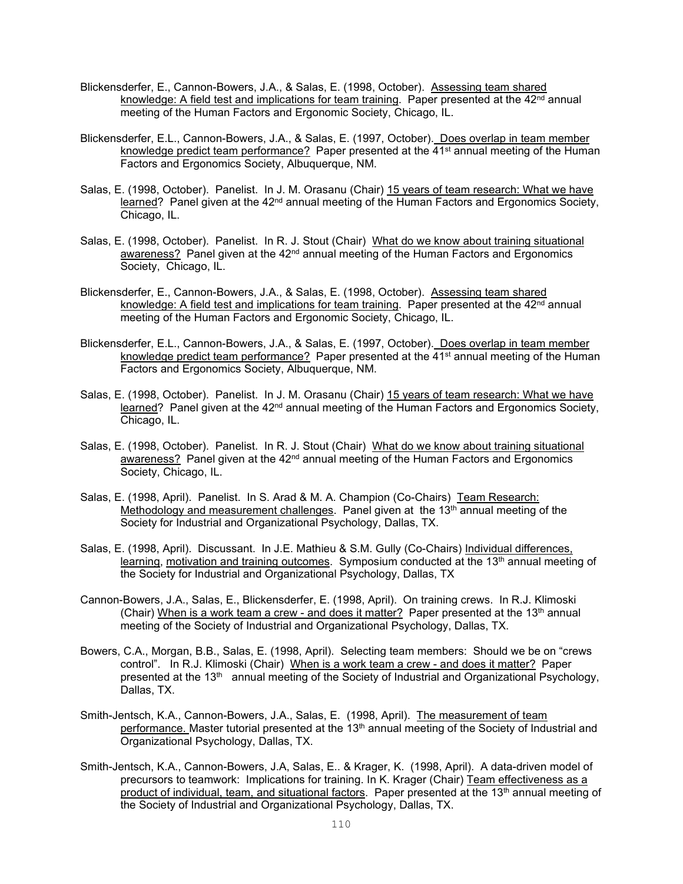- Blickensderfer, E., Cannon-Bowers, J.A., & Salas, E. (1998, October). Assessing team shared knowledge: A field test and implications for team training. Paper presented at the 42<sup>nd</sup> annual meeting of the Human Factors and Ergonomic Society, Chicago, IL.
- Blickensderfer, E.L., Cannon-Bowers, J.A., & Salas, E. (1997, October). Does overlap in team member knowledge predict team performance? Paper presented at the 41<sup>st</sup> annual meeting of the Human Factors and Ergonomics Society, Albuquerque, NM.
- Salas, E. (1998, October). Panelist. In J. M. Orasanu (Chair) 15 years of team research: What we have learned? Panel given at the 42<sup>nd</sup> annual meeting of the Human Factors and Ergonomics Society, Chicago, IL.
- Salas, E. (1998, October). Panelist. In R. J. Stout (Chair) What do we know about training situational awareness? Panel given at the  $42<sup>nd</sup>$  annual meeting of the Human Factors and Ergonomics Society, Chicago, IL.
- Blickensderfer, E., Cannon-Bowers, J.A., & Salas, E. (1998, October). Assessing team shared knowledge: A field test and implications for team training. Paper presented at the  $42<sup>nd</sup>$  annual meeting of the Human Factors and Ergonomic Society, Chicago, IL.
- Blickensderfer, E.L., Cannon-Bowers, J.A., & Salas, E. (1997, October). Does overlap in team member knowledge predict team performance? Paper presented at the 41<sup>st</sup> annual meeting of the Human Factors and Ergonomics Society, Albuquerque, NM.
- Salas, E. (1998, October). Panelist. In J. M. Orasanu (Chair) 15 years of team research: What we have learned? Panel given at the  $42<sup>nd</sup>$  annual meeting of the Human Factors and Ergonomics Society, Chicago, IL.
- Salas, E. (1998, October). Panelist. In R. J. Stout (Chair) What do we know about training situational awareness? Panel given at the 42<sup>nd</sup> annual meeting of the Human Factors and Ergonomics Society, Chicago, IL.
- Salas, E. (1998, April). Panelist. In S. Arad & M. A. Champion (Co-Chairs) Team Research: Methodology and measurement challenges. Panel given at the  $13<sup>th</sup>$  annual meeting of the Society for Industrial and Organizational Psychology, Dallas, TX.
- Salas, E. (1998, April). Discussant. In J.E. Mathieu & S.M. Gully (Co-Chairs) Individual differences, learning, motivation and training outcomes. Symposium conducted at the  $13<sup>th</sup>$  annual meeting of the Society for Industrial and Organizational Psychology, Dallas, TX
- Cannon-Bowers, J.A., Salas, E., Blickensderfer, E. (1998, April). On training crews. In R.J. Klimoski (Chair) When is a work team a crew - and does it matter? Paper presented at the  $13<sup>th</sup>$  annual meeting of the Society of Industrial and Organizational Psychology, Dallas, TX.
- Bowers, C.A., Morgan, B.B., Salas, E. (1998, April). Selecting team members: Should we be on "crews control". In R.J. Klimoski (Chair) When is a work team a crew - and does it matter? Paper presented at the 13<sup>th</sup> annual meeting of the Society of Industrial and Organizational Psychology, Dallas, TX.
- Smith-Jentsch, K.A., Cannon-Bowers, J.A., Salas, E. (1998, April). The measurement of team performance. Master tutorial presented at the 13<sup>th</sup> annual meeting of the Society of Industrial and Organizational Psychology, Dallas, TX.
- Smith-Jentsch, K.A., Cannon-Bowers, J.A, Salas, E.. & Krager, K. (1998, April). A data-driven model of precursors to teamwork: Implications for training. In K. Krager (Chair) Team effectiveness as a product of individual, team, and situational factors. Paper presented at the 13<sup>th</sup> annual meeting of the Society of Industrial and Organizational Psychology, Dallas, TX.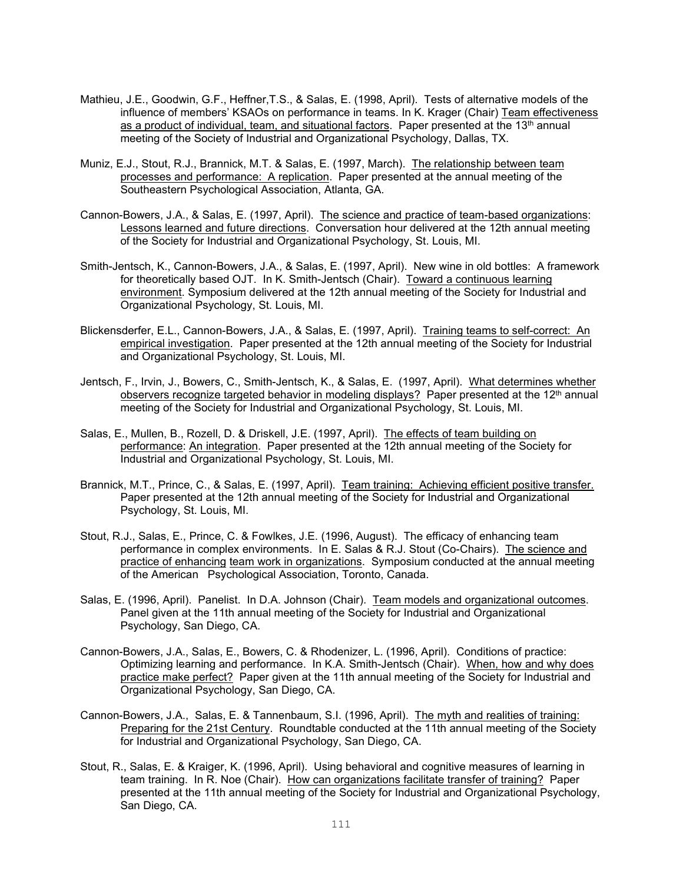- Mathieu, J.E., Goodwin, G.F., Heffner,T.S., & Salas, E. (1998, April). Tests of alternative models of the influence of members' KSAOs on performance in teams. In K. Krager (Chair) Team effectiveness as a product of individual, team, and situational factors. Paper presented at the 13<sup>th</sup> annual meeting of the Society of Industrial and Organizational Psychology, Dallas, TX.
- Muniz, E.J., Stout, R.J., Brannick, M.T. & Salas, E. (1997, March). The relationship between team processes and performance: A replication. Paper presented at the annual meeting of the Southeastern Psychological Association, Atlanta, GA.
- Cannon-Bowers, J.A., & Salas, E. (1997, April). The science and practice of team-based organizations: Lessons learned and future directions. Conversation hour delivered at the 12th annual meeting of the Society for Industrial and Organizational Psychology, St. Louis, MI.
- Smith-Jentsch, K., Cannon-Bowers, J.A., & Salas, E. (1997, April). New wine in old bottles: A framework for theoretically based OJT. In K. Smith-Jentsch (Chair). Toward a continuous learning environment. Symposium delivered at the 12th annual meeting of the Society for Industrial and Organizational Psychology, St. Louis, MI.
- Blickensderfer, E.L., Cannon-Bowers, J.A., & Salas, E. (1997, April). Training teams to self-correct: An empirical investigation. Paper presented at the 12th annual meeting of the Society for Industrial and Organizational Psychology, St. Louis, MI.
- Jentsch, F., Irvin, J., Bowers, C., Smith-Jentsch, K., & Salas, E. (1997, April). What determines whether observers recognize targeted behavior in modeling displays? Paper presented at the 12<sup>th</sup> annual meeting of the Society for Industrial and Organizational Psychology, St. Louis, MI.
- Salas, E., Mullen, B., Rozell, D. & Driskell, J.E. (1997, April). The effects of team building on performance: An integration. Paper presented at the 12th annual meeting of the Society for Industrial and Organizational Psychology, St. Louis, MI.
- Brannick, M.T., Prince, C., & Salas, E. (1997, April). Team training: Achieving efficient positive transfer. Paper presented at the 12th annual meeting of the Society for Industrial and Organizational Psychology, St. Louis, MI.
- Stout, R.J., Salas, E., Prince, C. & Fowlkes, J.E. (1996, August). The efficacy of enhancing team performance in complex environments. In E. Salas & R.J. Stout (Co-Chairs). The science and practice of enhancing team work in organizations. Symposium conducted at the annual meeting of the American Psychological Association, Toronto, Canada.
- Salas, E. (1996, April). Panelist. In D.A. Johnson (Chair). Team models and organizational outcomes. Panel given at the 11th annual meeting of the Society for Industrial and Organizational Psychology, San Diego, CA.
- Cannon-Bowers, J.A., Salas, E., Bowers, C. & Rhodenizer, L. (1996, April). Conditions of practice: Optimizing learning and performance. In K.A. Smith-Jentsch (Chair). When, how and why does practice make perfect? Paper given at the 11th annual meeting of the Society for Industrial and Organizational Psychology, San Diego, CA.
- Cannon-Bowers, J.A., Salas, E. & Tannenbaum, S.I. (1996, April). The myth and realities of training: Preparing for the 21st Century. Roundtable conducted at the 11th annual meeting of the Society for Industrial and Organizational Psychology, San Diego, CA.
- Stout, R., Salas, E. & Kraiger, K. (1996, April). Using behavioral and cognitive measures of learning in team training. In R. Noe (Chair). How can organizations facilitate transfer of training? Paper presented at the 11th annual meeting of the Society for Industrial and Organizational Psychology, San Diego, CA.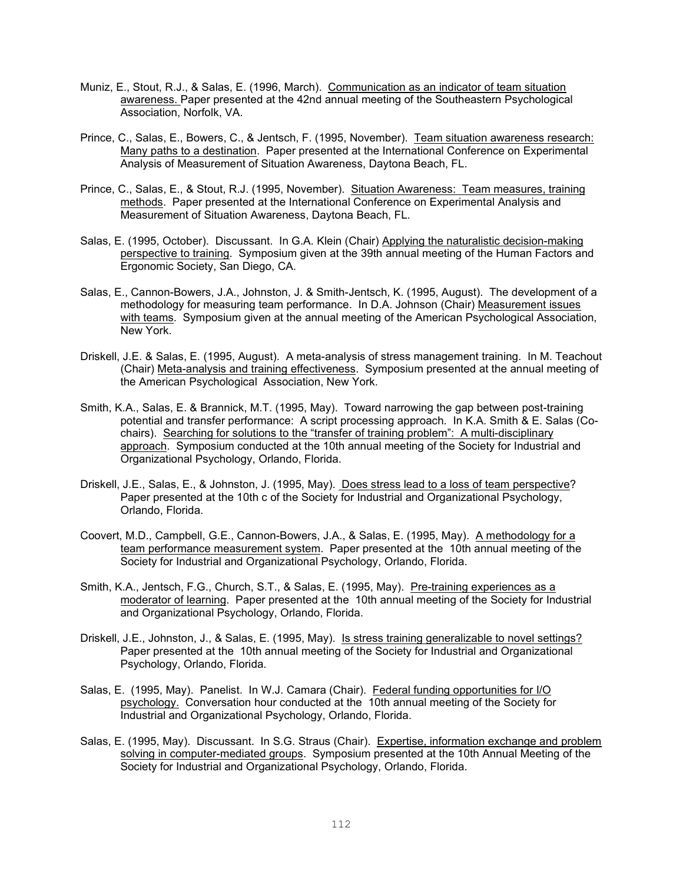- Muniz, E., Stout, R.J., & Salas, E. (1996, March). Communication as an indicator of team situation awareness. Paper presented at the 42nd annual meeting of the Southeastern Psychological Association, Norfolk, VA.
- Prince, C., Salas, E., Bowers, C., & Jentsch, F. (1995, November). Team situation awareness research: Many paths to a destination. Paper presented at the International Conference on Experimental Analysis of Measurement of Situation Awareness, Daytona Beach, FL.
- Prince, C., Salas, E., & Stout, R.J. (1995, November). Situation Awareness: Team measures, training methods. Paper presented at the International Conference on Experimental Analysis and Measurement of Situation Awareness, Daytona Beach, FL.
- Salas, E. (1995, October). Discussant. In G.A. Klein (Chair) Applying the naturalistic decision-making perspective to training. Symposium given at the 39th annual meeting of the Human Factors and Ergonomic Society, San Diego, CA.
- Salas, E., Cannon-Bowers, J.A., Johnston, J. & Smith-Jentsch, K. (1995, August). The development of a methodology for measuring team performance. In D.A. Johnson (Chair) Measurement issues with teams. Symposium given at the annual meeting of the American Psychological Association, New York.
- Driskell, J.E. & Salas, E. (1995, August). A meta-analysis of stress management training. In M. Teachout (Chair) Meta-analysis and training effectiveness. Symposium presented at the annual meeting of the American Psychological Association, New York.
- Smith, K.A., Salas, E. & Brannick, M.T. (1995, May). Toward narrowing the gap between post-training potential and transfer performance: A script processing approach. In K.A. Smith & E. Salas (Cochairs). Searching for solutions to the "transfer of training problem": A multi-disciplinary approach. Symposium conducted at the 10th annual meeting of the Society for Industrial and Organizational Psychology, Orlando, Florida.
- Driskell, J.E., Salas, E., & Johnston, J. (1995, May). Does stress lead to a loss of team perspective? Paper presented at the 10th c of the Society for Industrial and Organizational Psychology, Orlando, Florida.
- Coovert, M.D., Campbell, G.E., Cannon-Bowers, J.A., & Salas, E. (1995, May). A methodology for a team performance measurement system. Paper presented at the 10th annual meeting of the Society for Industrial and Organizational Psychology, Orlando, Florida.
- Smith, K.A., Jentsch, F.G., Church, S.T., & Salas, E. (1995, May). Pre-training experiences as a moderator of learning. Paper presented at the 10th annual meeting of the Society for Industrial and Organizational Psychology, Orlando, Florida.
- Driskell, J.E., Johnston, J., & Salas, E. (1995, May). Is stress training generalizable to novel settings? Paper presented at the 10th annual meeting of the Society for Industrial and Organizational Psychology, Orlando, Florida.
- Salas, E. (1995, May). Panelist. In W.J. Camara (Chair). Federal funding opportunities for I/O psychology. Conversation hour conducted at the 10th annual meeting of the Society for Industrial and Organizational Psychology, Orlando, Florida.
- Salas, E. (1995, May). Discussant. In S.G. Straus (Chair). Expertise, information exchange and problem solving in computer-mediated groups. Symposium presented at the 10th Annual Meeting of the Society for Industrial and Organizational Psychology, Orlando, Florida.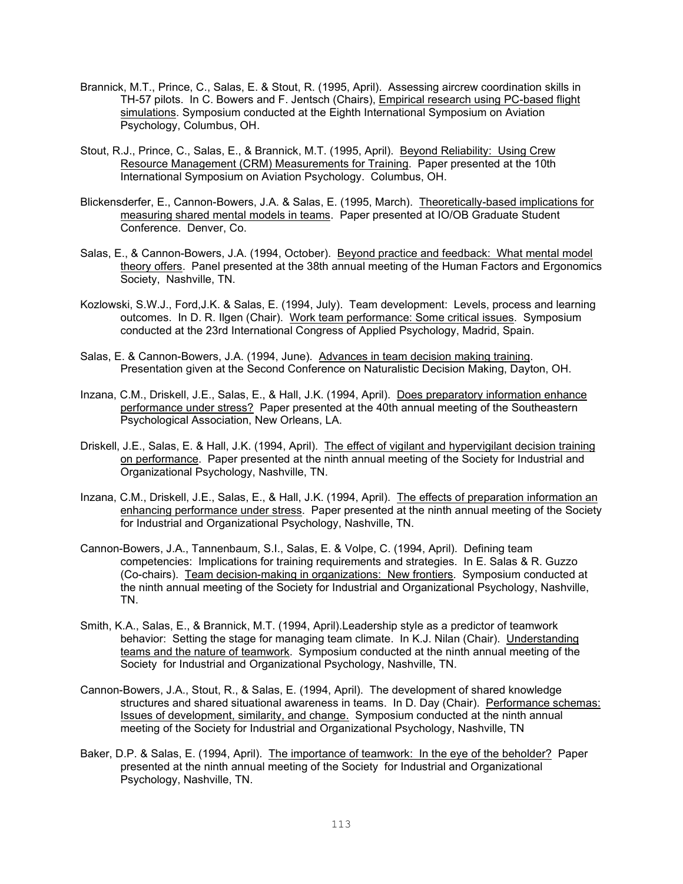- Brannick, M.T., Prince, C., Salas, E. & Stout, R. (1995, April). Assessing aircrew coordination skills in TH-57 pilots. In C. Bowers and F. Jentsch (Chairs), Empirical research using PC-based flight simulations. Symposium conducted at the Eighth International Symposium on Aviation Psychology, Columbus, OH.
- Stout, R.J., Prince, C., Salas, E., & Brannick, M.T. (1995, April). Beyond Reliability: Using Crew Resource Management (CRM) Measurements for Training. Paper presented at the 10th International Symposium on Aviation Psychology. Columbus, OH.
- Blickensderfer, E., Cannon-Bowers, J.A. & Salas, E. (1995, March). Theoretically-based implications for measuring shared mental models in teams. Paper presented at IO/OB Graduate Student Conference. Denver, Co.
- Salas, E., & Cannon-Bowers, J.A. (1994, October). Beyond practice and feedback: What mental model theory offers. Panel presented at the 38th annual meeting of the Human Factors and Ergonomics Society, Nashville, TN.
- Kozlowski, S.W.J., Ford,J.K. & Salas, E. (1994, July). Team development: Levels, process and learning outcomes. In D. R. Ilgen (Chair). Work team performance: Some critical issues. Symposium conducted at the 23rd International Congress of Applied Psychology, Madrid, Spain.
- Salas, E. & Cannon-Bowers, J.A. (1994, June). Advances in team decision making training. Presentation given at the Second Conference on Naturalistic Decision Making, Dayton, OH.
- Inzana, C.M., Driskell, J.E., Salas, E., & Hall, J.K. (1994, April). Does preparatory information enhance performance under stress? Paper presented at the 40th annual meeting of the Southeastern Psychological Association, New Orleans, LA.
- Driskell, J.E., Salas, E. & Hall, J.K. (1994, April). The effect of vigilant and hypervigilant decision training on performance. Paper presented at the ninth annual meeting of the Society for Industrial and Organizational Psychology, Nashville, TN.
- Inzana, C.M., Driskell, J.E., Salas, E., & Hall, J.K. (1994, April). The effects of preparation information an enhancing performance under stress. Paper presented at the ninth annual meeting of the Society for Industrial and Organizational Psychology, Nashville, TN.
- Cannon-Bowers, J.A., Tannenbaum, S.I., Salas, E. & Volpe, C. (1994, April). Defining team competencies: Implications for training requirements and strategies. In E. Salas & R. Guzzo (Co-chairs). Team decision-making in organizations: New frontiers. Symposium conducted at the ninth annual meeting of the Society for Industrial and Organizational Psychology, Nashville, TN.
- Smith, K.A., Salas, E., & Brannick, M.T. (1994, April).Leadership style as a predictor of teamwork behavior: Setting the stage for managing team climate. In K.J. Nilan (Chair). Understanding teams and the nature of teamwork. Symposium conducted at the ninth annual meeting of the Society for Industrial and Organizational Psychology, Nashville, TN.
- Cannon-Bowers, J.A., Stout, R., & Salas, E. (1994, April). The development of shared knowledge structures and shared situational awareness in teams. In D. Day (Chair). Performance schemas: Issues of development, similarity, and change. Symposium conducted at the ninth annual meeting of the Society for Industrial and Organizational Psychology, Nashville, TN
- Baker, D.P. & Salas, E. (1994, April). The importance of teamwork: In the eye of the beholder? Paper presented at the ninth annual meeting of the Society for Industrial and Organizational Psychology, Nashville, TN.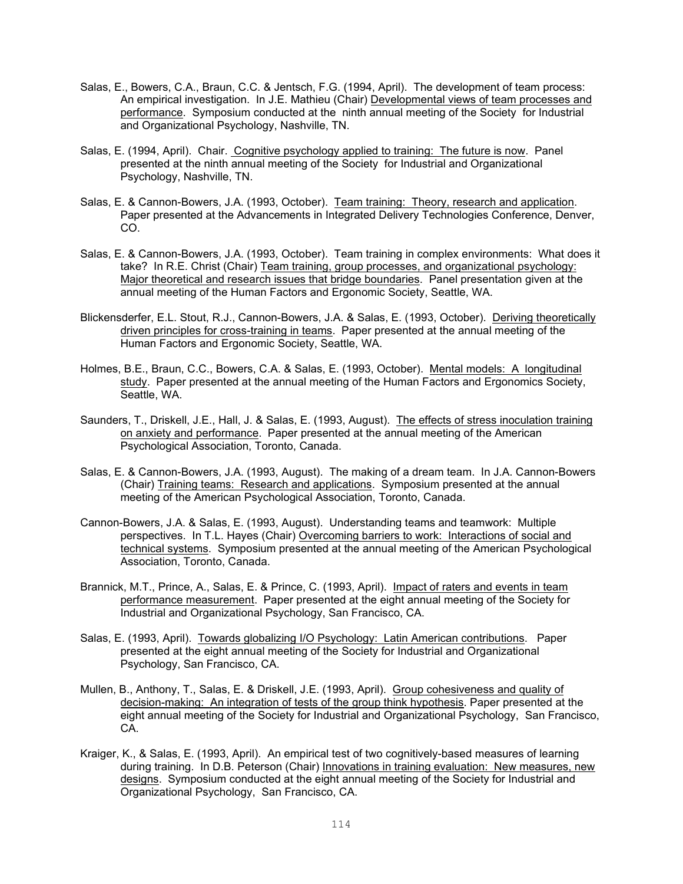- Salas, E., Bowers, C.A., Braun, C.C. & Jentsch, F.G. (1994, April). The development of team process: An empirical investigation. In J.E. Mathieu (Chair) Developmental views of team processes and performance. Symposium conducted at the ninth annual meeting of the Society for Industrial and Organizational Psychology, Nashville, TN.
- Salas, E. (1994, April). Chair. Cognitive psychology applied to training: The future is now. Panel presented at the ninth annual meeting of the Society for Industrial and Organizational Psychology, Nashville, TN.
- Salas, E. & Cannon-Bowers, J.A. (1993, October). Team training: Theory, research and application. Paper presented at the Advancements in Integrated Delivery Technologies Conference, Denver, CO.
- Salas, E. & Cannon-Bowers, J.A. (1993, October). Team training in complex environments: What does it take? In R.E. Christ (Chair) Team training, group processes, and organizational psychology: Major theoretical and research issues that bridge boundaries. Panel presentation given at the annual meeting of the Human Factors and Ergonomic Society, Seattle, WA.
- Blickensderfer, E.L. Stout, R.J., Cannon-Bowers, J.A. & Salas, E. (1993, October). Deriving theoretically driven principles for cross-training in teams. Paper presented at the annual meeting of the Human Factors and Ergonomic Society, Seattle, WA.
- Holmes, B.E., Braun, C.C., Bowers, C.A. & Salas, E. (1993, October). Mental models: A longitudinal study. Paper presented at the annual meeting of the Human Factors and Ergonomics Society, Seattle, WA.
- Saunders, T., Driskell, J.E., Hall, J. & Salas, E. (1993, August). The effects of stress inoculation training on anxiety and performance. Paper presented at the annual meeting of the American Psychological Association, Toronto, Canada.
- Salas, E. & Cannon-Bowers, J.A. (1993, August). The making of a dream team. In J.A. Cannon-Bowers (Chair) Training teams: Research and applications. Symposium presented at the annual meeting of the American Psychological Association, Toronto, Canada.
- Cannon-Bowers, J.A. & Salas, E. (1993, August). Understanding teams and teamwork: Multiple perspectives. In T.L. Hayes (Chair) Overcoming barriers to work: Interactions of social and technical systems. Symposium presented at the annual meeting of the American Psychological Association, Toronto, Canada.
- Brannick, M.T., Prince, A., Salas, E. & Prince, C. (1993, April). Impact of raters and events in team performance measurement. Paper presented at the eight annual meeting of the Society for Industrial and Organizational Psychology, San Francisco, CA.
- Salas, E. (1993, April). Towards globalizing I/O Psychology: Latin American contributions. Paper presented at the eight annual meeting of the Society for Industrial and Organizational Psychology, San Francisco, CA.
- Mullen, B., Anthony, T., Salas, E. & Driskell, J.E. (1993, April). Group cohesiveness and quality of decision-making: An integration of tests of the group think hypothesis. Paper presented at the eight annual meeting of the Society for Industrial and Organizational Psychology, San Francisco, CA.
- Kraiger, K., & Salas, E. (1993, April). An empirical test of two cognitively-based measures of learning during training. In D.B. Peterson (Chair) Innovations in training evaluation: New measures, new designs. Symposium conducted at the eight annual meeting of the Society for Industrial and Organizational Psychology, San Francisco, CA.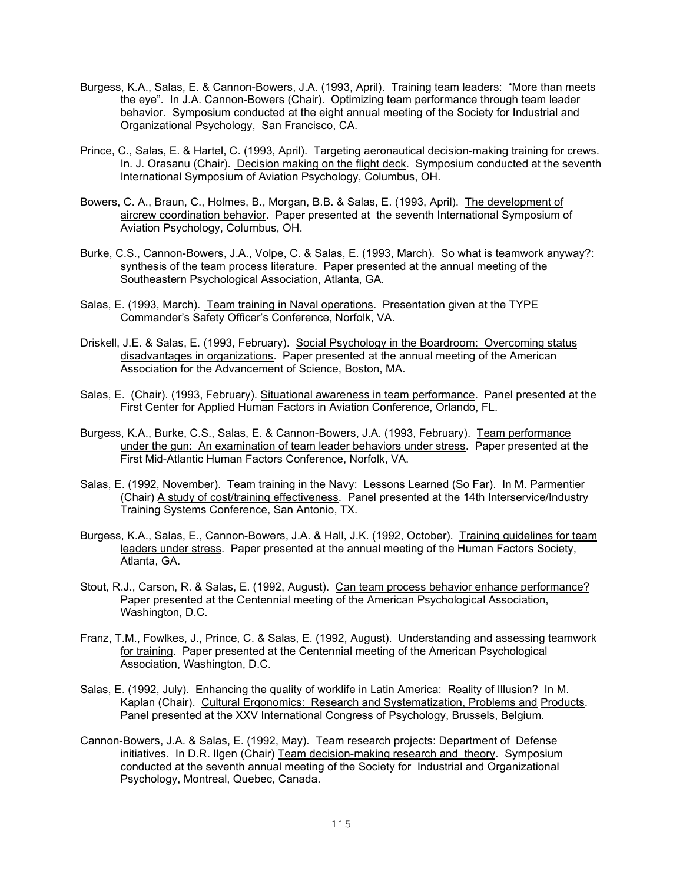- Burgess, K.A., Salas, E. & Cannon-Bowers, J.A. (1993, April). Training team leaders: "More than meets the eye". In J.A. Cannon-Bowers (Chair). Optimizing team performance through team leader behavior. Symposium conducted at the eight annual meeting of the Society for Industrial and Organizational Psychology, San Francisco, CA.
- Prince, C., Salas, E. & Hartel, C. (1993, April). Targeting aeronautical decision-making training for crews. In. J. Orasanu (Chair). Decision making on the flight deck. Symposium conducted at the seventh International Symposium of Aviation Psychology, Columbus, OH.
- Bowers, C. A., Braun, C., Holmes, B., Morgan, B.B. & Salas, E. (1993, April). The development of aircrew coordination behavior. Paper presented at the seventh International Symposium of Aviation Psychology, Columbus, OH.
- Burke, C.S., Cannon-Bowers, J.A., Volpe, C. & Salas, E. (1993, March). So what is teamwork anyway?: synthesis of the team process literature. Paper presented at the annual meeting of the Southeastern Psychological Association, Atlanta, GA.
- Salas, E. (1993, March). Team training in Naval operations. Presentation given at the TYPE Commander's Safety Officer's Conference, Norfolk, VA.
- Driskell, J.E. & Salas, E. (1993, February). Social Psychology in the Boardroom: Overcoming status disadvantages in organizations. Paper presented at the annual meeting of the American Association for the Advancement of Science, Boston, MA.
- Salas, E. (Chair). (1993, February). Situational awareness in team performance. Panel presented at the First Center for Applied Human Factors in Aviation Conference, Orlando, FL.
- Burgess, K.A., Burke, C.S., Salas, E. & Cannon-Bowers, J.A. (1993, February). Team performance under the gun: An examination of team leader behaviors under stress. Paper presented at the First Mid-Atlantic Human Factors Conference, Norfolk, VA.
- Salas, E. (1992, November). Team training in the Navy: Lessons Learned (So Far). In M. Parmentier (Chair) A study of cost/training effectiveness. Panel presented at the 14th Interservice/Industry Training Systems Conference, San Antonio, TX.
- Burgess, K.A., Salas, E., Cannon-Bowers, J.A. & Hall, J.K. (1992, October). Training guidelines for team leaders under stress. Paper presented at the annual meeting of the Human Factors Society, Atlanta, GA.
- Stout, R.J., Carson, R. & Salas, E. (1992, August). Can team process behavior enhance performance? Paper presented at the Centennial meeting of the American Psychological Association, Washington, D.C.
- Franz, T.M., Fowlkes, J., Prince, C. & Salas, E. (1992, August). Understanding and assessing teamwork for training. Paper presented at the Centennial meeting of the American Psychological Association, Washington, D.C.
- Salas, E. (1992, July). Enhancing the quality of worklife in Latin America: Reality of Illusion? In M. Kaplan (Chair). Cultural Ergonomics: Research and Systematization, Problems and Products. Panel presented at the XXV International Congress of Psychology, Brussels, Belgium.
- Cannon-Bowers, J.A. & Salas, E. (1992, May). Team research projects: Department of Defense initiatives. In D.R. Ilgen (Chair) Team decision-making research and theory. Symposium conducted at the seventh annual meeting of the Society for Industrial and Organizational Psychology, Montreal, Quebec, Canada.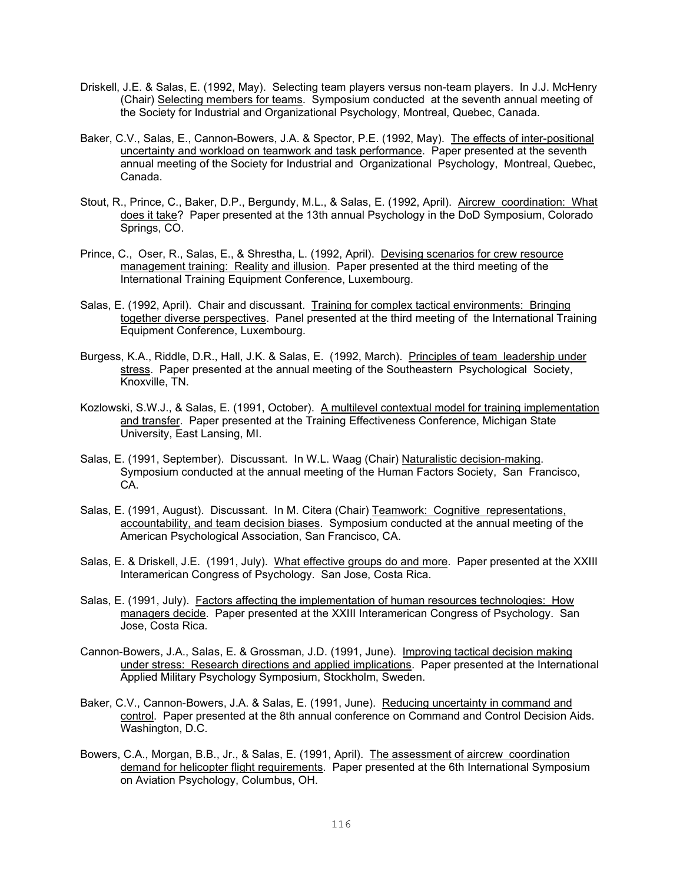- Driskell, J.E. & Salas, E. (1992, May). Selecting team players versus non-team players. In J.J. McHenry (Chair) Selecting members for teams. Symposium conducted at the seventh annual meeting of the Society for Industrial and Organizational Psychology, Montreal, Quebec, Canada.
- Baker, C.V., Salas, E., Cannon-Bowers, J.A. & Spector, P.E. (1992, May). The effects of inter-positional uncertainty and workload on teamwork and task performance. Paper presented at the seventh annual meeting of the Society for Industrial and Organizational Psychology, Montreal, Quebec, Canada.
- Stout, R., Prince, C., Baker, D.P., Bergundy, M.L., & Salas, E. (1992, April). Aircrew coordination: What does it take? Paper presented at the 13th annual Psychology in the DoD Symposium, Colorado Springs, CO.
- Prince, C., Oser, R., Salas, E., & Shrestha, L. (1992, April). Devising scenarios for crew resource management training: Reality and illusion. Paper presented at the third meeting of the International Training Equipment Conference, Luxembourg.
- Salas, E. (1992, April). Chair and discussant. Training for complex tactical environments: Bringing together diverse perspectives. Panel presented at the third meeting of the International Training Equipment Conference, Luxembourg.
- Burgess, K.A., Riddle, D.R., Hall, J.K. & Salas, E. (1992, March). Principles of team leadership under stress. Paper presented at the annual meeting of the Southeastern Psychological Society, Knoxville, TN.
- Kozlowski, S.W.J., & Salas, E. (1991, October). A multilevel contextual model for training implementation and transfer. Paper presented at the Training Effectiveness Conference, Michigan State University, East Lansing, MI.
- Salas, E. (1991, September). Discussant. In W.L. Waag (Chair) Naturalistic decision-making. Symposium conducted at the annual meeting of the Human Factors Society, San Francisco, CA.
- Salas, E. (1991, August). Discussant. In M. Citera (Chair) Teamwork: Cognitive representations, accountability, and team decision biases. Symposium conducted at the annual meeting of the American Psychological Association, San Francisco, CA.
- Salas, E. & Driskell, J.E. (1991, July). What effective groups do and more. Paper presented at the XXIII Interamerican Congress of Psychology. San Jose, Costa Rica.
- Salas, E. (1991, July). Factors affecting the implementation of human resources technologies: How managers decide. Paper presented at the XXIII Interamerican Congress of Psychology. San Jose, Costa Rica.
- Cannon-Bowers, J.A., Salas, E. & Grossman, J.D. (1991, June). Improving tactical decision making under stress: Research directions and applied implications. Paper presented at the International Applied Military Psychology Symposium, Stockholm, Sweden.
- Baker, C.V., Cannon-Bowers, J.A. & Salas, E. (1991, June). Reducing uncertainty in command and control. Paper presented at the 8th annual conference on Command and Control Decision Aids. Washington, D.C.
- Bowers, C.A., Morgan, B.B., Jr., & Salas, E. (1991, April). The assessment of aircrew coordination demand for helicopter flight requirements. Paper presented at the 6th International Symposium on Aviation Psychology, Columbus, OH.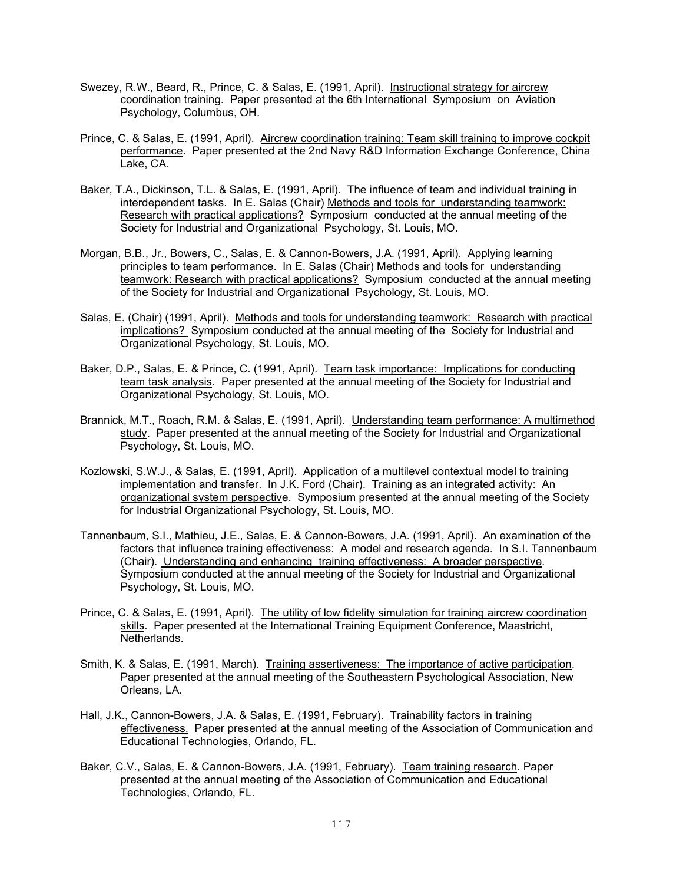- Swezey, R.W., Beard, R., Prince, C. & Salas, E. (1991, April). Instructional strategy for aircrew coordination training. Paper presented at the 6th International Symposium on Aviation Psychology, Columbus, OH.
- Prince, C. & Salas, E. (1991, April). Aircrew coordination training: Team skill training to improve cockpit performance. Paper presented at the 2nd Navy R&D Information Exchange Conference, China Lake, CA.
- Baker, T.A., Dickinson, T.L. & Salas, E. (1991, April). The influence of team and individual training in interdependent tasks. In E. Salas (Chair) Methods and tools for understanding teamwork: Research with practical applications? Symposium conducted at the annual meeting of the Society for Industrial and Organizational Psychology, St. Louis, MO.
- Morgan, B.B., Jr., Bowers, C., Salas, E. & Cannon-Bowers, J.A. (1991, April). Applying learning principles to team performance. In E. Salas (Chair) Methods and tools for understanding teamwork: Research with practical applications? Symposium conducted at the annual meeting of the Society for Industrial and Organizational Psychology, St. Louis, MO.
- Salas, E. (Chair) (1991, April). Methods and tools for understanding teamwork: Research with practical implications? Symposium conducted at the annual meeting of the Society for Industrial and Organizational Psychology, St. Louis, MO.
- Baker, D.P., Salas, E. & Prince, C. (1991, April). Team task importance: Implications for conducting team task analysis. Paper presented at the annual meeting of the Society for Industrial and Organizational Psychology, St. Louis, MO.
- Brannick, M.T., Roach, R.M. & Salas, E. (1991, April). Understanding team performance: A multimethod study. Paper presented at the annual meeting of the Society for Industrial and Organizational Psychology, St. Louis, MO.
- Kozlowski, S.W.J., & Salas, E. (1991, April). Application of a multilevel contextual model to training implementation and transfer. In J.K. Ford (Chair). Training as an integrated activity: An organizational system perspective. Symposium presented at the annual meeting of the Society for Industrial Organizational Psychology, St. Louis, MO.
- Tannenbaum, S.I., Mathieu, J.E., Salas, E. & Cannon-Bowers, J.A. (1991, April). An examination of the factors that influence training effectiveness: A model and research agenda. In S.I. Tannenbaum (Chair). Understanding and enhancing training effectiveness: A broader perspective. Symposium conducted at the annual meeting of the Society for Industrial and Organizational Psychology, St. Louis, MO.
- Prince, C. & Salas, E. (1991, April). The utility of low fidelity simulation for training aircrew coordination skills. Paper presented at the International Training Equipment Conference, Maastricht, Netherlands.
- Smith, K. & Salas, E. (1991, March). Training assertiveness: The importance of active participation. Paper presented at the annual meeting of the Southeastern Psychological Association, New Orleans, LA.
- Hall, J.K., Cannon-Bowers, J.A. & Salas, E. (1991, February). Trainability factors in training effectiveness. Paper presented at the annual meeting of the Association of Communication and Educational Technologies, Orlando, FL.
- Baker, C.V., Salas, E. & Cannon-Bowers, J.A. (1991, February). Team training research. Paper presented at the annual meeting of the Association of Communication and Educational Technologies, Orlando, FL.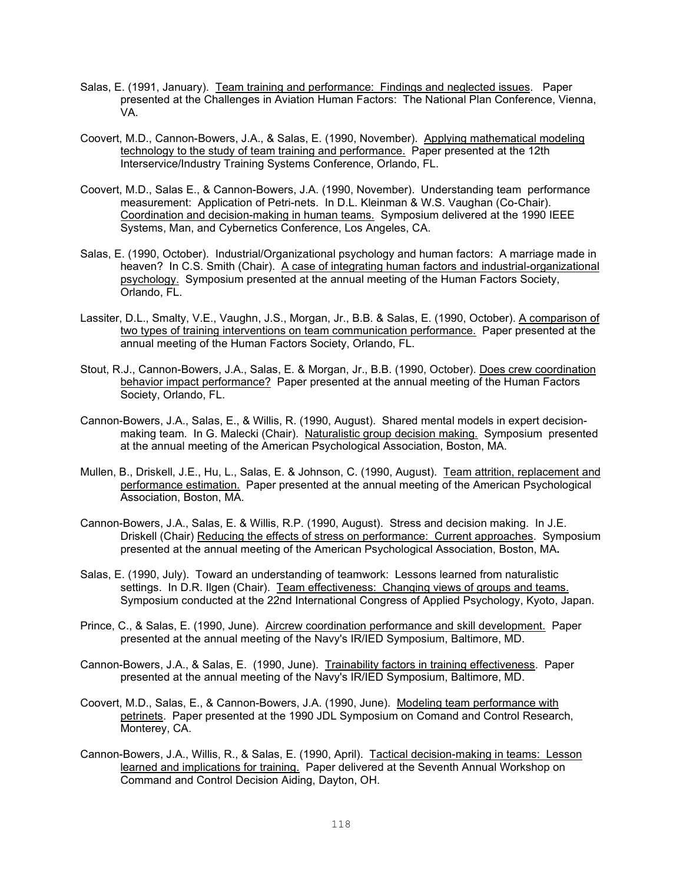- Salas, E. (1991, January). Team training and performance: Findings and neglected issues. Paper presented at the Challenges in Aviation Human Factors: The National Plan Conference, Vienna, VA.
- Coovert, M.D., Cannon-Bowers, J.A., & Salas, E. (1990, November). Applying mathematical modeling technology to the study of team training and performance. Paper presented at the 12th Interservice/Industry Training Systems Conference, Orlando, FL.
- Coovert, M.D., Salas E., & Cannon-Bowers, J.A. (1990, November). Understanding team performance measurement: Application of Petri-nets. In D.L. Kleinman & W.S. Vaughan (Co-Chair). Coordination and decision-making in human teams. Symposium delivered at the 1990 IEEE Systems, Man, and Cybernetics Conference, Los Angeles, CA.
- Salas, E. (1990, October). Industrial/Organizational psychology and human factors: A marriage made in heaven? In C.S. Smith (Chair). A case of integrating human factors and industrial-organizational psychology. Symposium presented at the annual meeting of the Human Factors Society, Orlando, FL.
- Lassiter, D.L., Smalty, V.E., Vaughn, J.S., Morgan, Jr., B.B. & Salas, E. (1990, October). A comparison of two types of training interventions on team communication performance. Paper presented at the annual meeting of the Human Factors Society, Orlando, FL.
- Stout, R.J., Cannon-Bowers, J.A., Salas, E. & Morgan, Jr., B.B. (1990, October). Does crew coordination behavior impact performance? Paper presented at the annual meeting of the Human Factors Society, Orlando, FL.
- Cannon-Bowers, J.A., Salas, E., & Willis, R. (1990, August). Shared mental models in expert decisionmaking team. In G. Malecki (Chair). Naturalistic group decision making.Symposium presented at the annual meeting of the American Psychological Association, Boston, MA.
- Mullen, B., Driskell, J.E., Hu, L., Salas, E. & Johnson, C. (1990, August).Team attrition, replacement and performance estimation. Paper presented at the annual meeting of the American Psychological Association, Boston, MA.
- Cannon-Bowers, J.A., Salas, E. & Willis, R.P. (1990, August). Stress and decision making. In J.E. Driskell (Chair) Reducing the effects of stress on performance: Current approaches. Symposium presented at the annual meeting of the American Psychological Association, Boston, MA**.**
- Salas, E. (1990, July). Toward an understanding of teamwork: Lessons learned from naturalistic settings. In D.R. Ilgen (Chair). Team effectiveness: Changing views of groups and teams. Symposium conducted at the 22nd International Congress of Applied Psychology, Kyoto, Japan.
- Prince, C., & Salas, E. (1990, June). Aircrew coordination performance and skill development.Paper presented at the annual meeting of the Navy's IR/IED Symposium, Baltimore, MD.
- Cannon-Bowers, J.A., & Salas, E. (1990, June). Trainability factors in training effectiveness. Paper presented at the annual meeting of the Navy's IR/IED Symposium, Baltimore, MD.
- Coovert, M.D., Salas, E., & Cannon-Bowers, J.A. (1990, June). Modeling team performance with petrinets. Paper presented at the 1990 JDL Symposium on Comand and Control Research, Monterey, CA.
- Cannon-Bowers, J.A., Willis, R., & Salas, E. (1990, April). Tactical decision-making in teams: Lesson learned and implications for training. Paper delivered at the Seventh Annual Workshop on Command and Control Decision Aiding, Dayton, OH.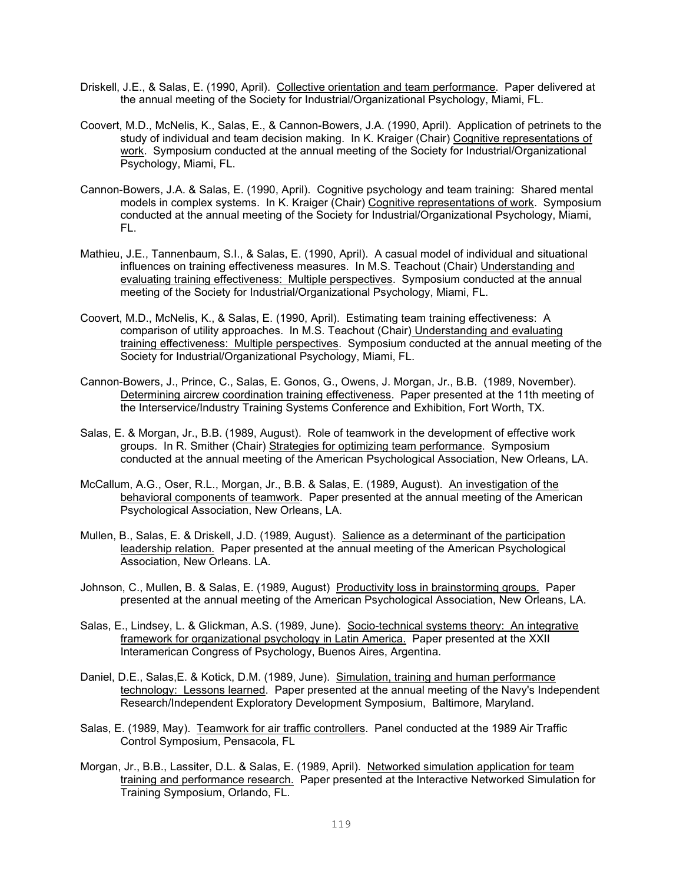- Driskell, J.E., & Salas, E. (1990, April). Collective orientation and team performance. Paper delivered at the annual meeting of the Society for Industrial/Organizational Psychology, Miami, FL.
- Coovert, M.D., McNelis, K., Salas, E., & Cannon-Bowers, J.A. (1990, April). Application of petrinets to the study of individual and team decision making. In K. Kraiger (Chair) Cognitive representations of work. Symposium conducted at the annual meeting of the Society for Industrial/Organizational Psychology, Miami, FL.
- Cannon-Bowers, J.A. & Salas, E. (1990, April). Cognitive psychology and team training: Shared mental models in complex systems. In K. Kraiger (Chair) Cognitive representations of work. Symposium conducted at the annual meeting of the Society for Industrial/Organizational Psychology, Miami, FL.
- Mathieu, J.E., Tannenbaum, S.I., & Salas, E. (1990, April). A casual model of individual and situational influences on training effectiveness measures. In M.S. Teachout (Chair) Understanding and evaluating training effectiveness: Multiple perspectives. Symposium conducted at the annual meeting of the Society for Industrial/Organizational Psychology, Miami, FL.
- Coovert, M.D., McNelis, K., & Salas, E. (1990, April). Estimating team training effectiveness: A comparison of utility approaches. In M.S. Teachout (Chair) Understanding and evaluating training effectiveness: Multiple perspectives. Symposium conducted at the annual meeting of the Society for Industrial/Organizational Psychology, Miami, FL.
- Cannon-Bowers, J., Prince, C., Salas, E. Gonos, G., Owens, J. Morgan, Jr., B.B. (1989, November). Determining aircrew coordination training effectiveness. Paper presented at the 11th meeting of the Interservice/Industry Training Systems Conference and Exhibition, Fort Worth, TX.
- Salas, E. & Morgan, Jr., B.B. (1989, August). Role of teamwork in the development of effective work groups. In R. Smither (Chair) Strategies for optimizing team performance. Symposium conducted at the annual meeting of the American Psychological Association, New Orleans, LA.
- McCallum, A.G., Oser, R.L., Morgan, Jr., B.B. & Salas, E. (1989, August). An investigation of the behavioral components of teamwork. Paper presented at the annual meeting of the American Psychological Association, New Orleans, LA.
- Mullen, B., Salas, E. & Driskell, J.D. (1989, August). Salience as a determinant of the participation leadership relation. Paper presented at the annual meeting of the American Psychological Association, New Orleans. LA.
- Johnson, C., Mullen, B. & Salas, E. (1989, August) Productivity loss in brainstorming groups. Paper presented at the annual meeting of the American Psychological Association, New Orleans, LA.
- Salas, E., Lindsey, L. & Glickman, A.S. (1989, June). Socio-technical systems theory: An integrative framework for organizational psychology in Latin America. Paper presented at the XXII Interamerican Congress of Psychology, Buenos Aires, Argentina.
- Daniel, D.E., Salas,E. & Kotick, D.M. (1989, June). Simulation, training and human performance technology: Lessons learned. Paper presented at the annual meeting of the Navy's Independent Research/Independent Exploratory Development Symposium, Baltimore, Maryland.
- Salas, E. (1989, May). Teamwork for air traffic controllers. Panel conducted at the 1989 Air Traffic Control Symposium, Pensacola, FL
- Morgan, Jr., B.B., Lassiter, D.L. & Salas, E. (1989, April). Networked simulation application for team training and performance research. Paper presented at the Interactive Networked Simulation for Training Symposium, Orlando, FL.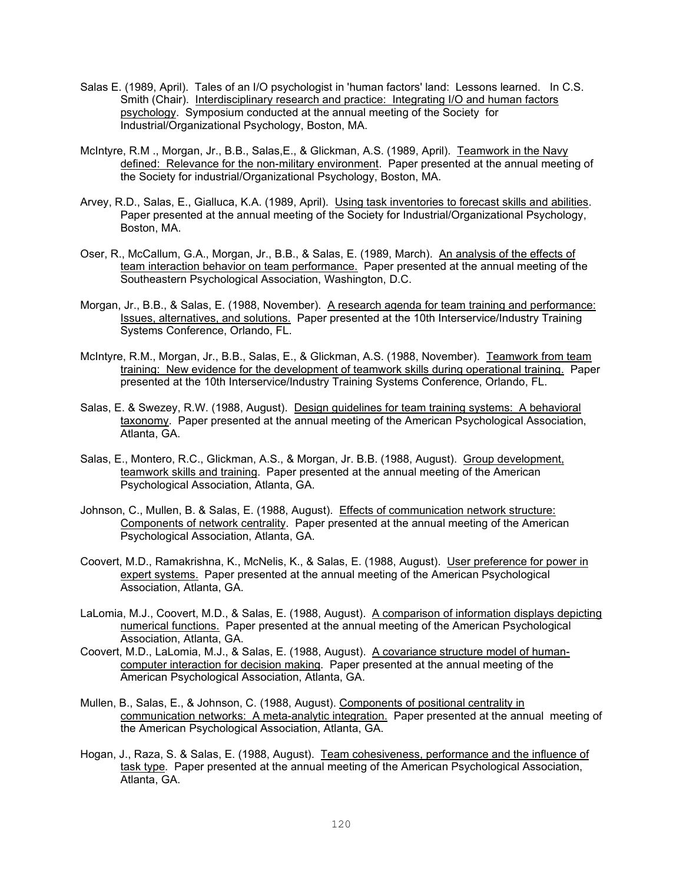- Salas E. (1989, April). Tales of an I/O psychologist in 'human factors' land: Lessons learned. In C.S. Smith (Chair). Interdisciplinary research and practice: Integrating I/O and human factors psychology. Symposium conducted at the annual meeting of the Society for Industrial/Organizational Psychology, Boston, MA.
- McIntyre, R.M., Morgan, Jr., B.B., Salas, E., & Glickman, A.S. (1989, April). Teamwork in the Navy defined: Relevance for the non-military environment. Paper presented at the annual meeting of the Society for industrial/Organizational Psychology, Boston, MA.
- Arvey, R.D., Salas, E., Gialluca, K.A. (1989, April). Using task inventories to forecast skills and abilities. Paper presented at the annual meeting of the Society for Industrial/Organizational Psychology, Boston, MA.
- Oser, R., McCallum, G.A., Morgan, Jr., B.B., & Salas, E. (1989, March). An analysis of the effects of team interaction behavior on team performance. Paper presented at the annual meeting of the Southeastern Psychological Association, Washington, D.C.
- Morgan, Jr., B.B., & Salas, E. (1988, November). A research agenda for team training and performance: Issues, alternatives, and solutions. Paper presented at the 10th Interservice/Industry Training Systems Conference, Orlando, FL.
- McIntyre, R.M., Morgan, Jr., B.B., Salas, E., & Glickman, A.S. (1988, November). Teamwork from team training: New evidence for the development of teamwork skills during operational training. Paper presented at the 10th Interservice/Industry Training Systems Conference, Orlando, FL.
- Salas, E. & Swezey, R.W. (1988, August). Design guidelines for team training systems: A behavioral taxonomy. Paper presented at the annual meeting of the American Psychological Association, Atlanta, GA.
- Salas, E., Montero, R.C., Glickman, A.S., & Morgan, Jr. B.B. (1988, August). Group development, teamwork skills and training. Paper presented at the annual meeting of the American Psychological Association, Atlanta, GA.
- Johnson, C., Mullen, B. & Salas, E. (1988, August). Effects of communication network structure: Components of network centrality. Paper presented at the annual meeting of the American Psychological Association, Atlanta, GA.
- Coovert, M.D., Ramakrishna, K., McNelis, K., & Salas, E. (1988, August). User preference for power in expert systems. Paper presented at the annual meeting of the American Psychological Association, Atlanta, GA.
- LaLomia, M.J., Coovert, M.D., & Salas, E. (1988, August). A comparison of information displays depicting numerical functions. Paper presented at the annual meeting of the American Psychological Association, Atlanta, GA.
- Coovert, M.D., LaLomia, M.J., & Salas, E. (1988, August). A covariance structure model of humancomputer interaction for decision making. Paper presented at the annual meeting of the American Psychological Association, Atlanta, GA.
- Mullen, B., Salas, E., & Johnson, C. (1988, August). Components of positional centrality in communication networks: A meta-analytic integration. Paper presented at the annual meeting of the American Psychological Association, Atlanta, GA.
- Hogan, J., Raza, S. & Salas, E. (1988, August). Team cohesiveness, performance and the influence of task type. Paper presented at the annual meeting of the American Psychological Association, Atlanta, GA.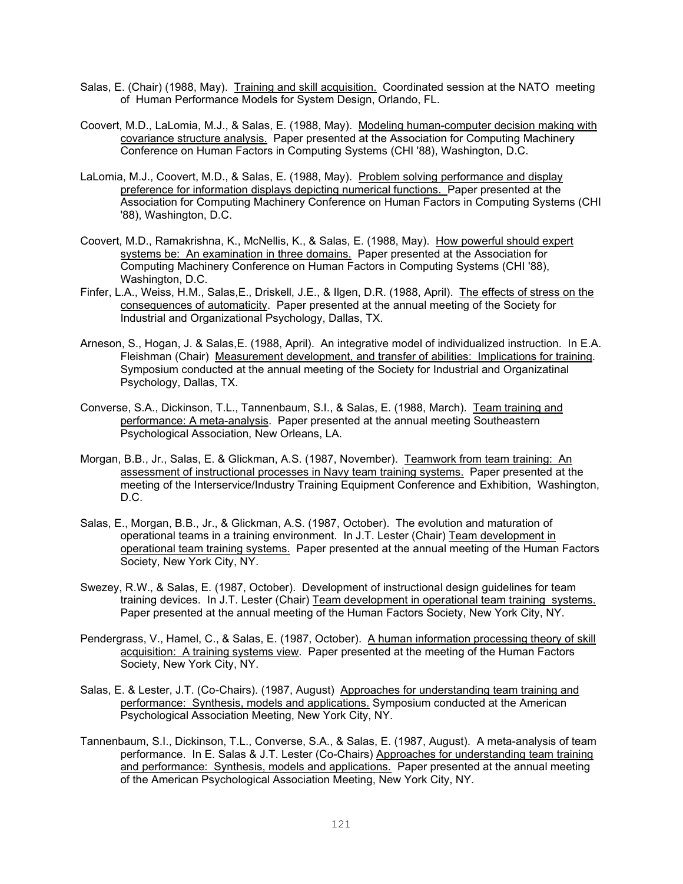- Salas, E. (Chair) (1988, May). Training and skill acquisition. Coordinated session at the NATO meeting of Human Performance Models for System Design, Orlando, FL.
- Coovert, M.D., LaLomia, M.J., & Salas, E. (1988, May). Modeling human-computer decision making with covariance structure analysis. Paper presented at the Association for Computing Machinery Conference on Human Factors in Computing Systems (CHI '88), Washington, D.C.
- LaLomia, M.J., Coovert, M.D., & Salas, E. (1988, May). Problem solving performance and display preference for information displays depicting numerical functions. Paper presented at the Association for Computing Machinery Conference on Human Factors in Computing Systems (CHI '88), Washington, D.C.
- Coovert, M.D., Ramakrishna, K., McNellis, K., & Salas, E. (1988, May). How powerful should expert systems be: An examination in three domains. Paper presented at the Association for Computing Machinery Conference on Human Factors in Computing Systems (CHI '88), Washington, D.C.
- Finfer, L.A., Weiss, H.M., Salas,E., Driskell, J.E., & Ilgen, D.R. (1988, April). The effects of stress on the consequences of automaticity. Paper presented at the annual meeting of the Society for Industrial and Organizational Psychology, Dallas, TX.
- Arneson, S., Hogan, J. & Salas,E. (1988, April). An integrative model of individualized instruction. In E.A. Fleishman (Chair) Measurement development, and transfer of abilities: Implications for training. Symposium conducted at the annual meeting of the Society for Industrial and Organizatinal Psychology, Dallas, TX.
- Converse, S.A., Dickinson, T.L., Tannenbaum, S.I., & Salas, E. (1988, March). Team training and performance: A meta-analysis. Paper presented at the annual meeting Southeastern Psychological Association, New Orleans, LA.
- Morgan, B.B., Jr., Salas, E. & Glickman, A.S. (1987, November). Teamwork from team training: An assessment of instructional processes in Navy team training systems. Paper presented at the meeting of the Interservice/Industry Training Equipment Conference and Exhibition, Washington, D.C.
- Salas, E., Morgan, B.B., Jr., & Glickman, A.S. (1987, October). The evolution and maturation of operational teams in a training environment. In J.T. Lester (Chair) Team development in operational team training systems. Paper presented at the annual meeting of the Human Factors Society, New York City, NY.
- Swezey, R.W., & Salas, E. (1987, October). Development of instructional design guidelines for team training devices. In J.T. Lester (Chair) Team development in operational team training systems. Paper presented at the annual meeting of the Human Factors Society, New York City, NY.
- Pendergrass, V., Hamel, C., & Salas, E. (1987, October). A human information processing theory of skill acquisition: A training systems view. Paper presented at the meeting of the Human Factors Society, New York City, NY.
- Salas, E. & Lester, J.T. (Co-Chairs). (1987, August) Approaches for understanding team training and performance: Synthesis, models and applications. Symposium conducted at the American Psychological Association Meeting, New York City, NY.
- Tannenbaum, S.I., Dickinson, T.L., Converse, S.A., & Salas, E. (1987, August). A meta-analysis of team performance. In E. Salas & J.T. Lester (Co-Chairs) Approaches for understanding team training and performance: Synthesis, models and applications. Paper presented at the annual meeting of the American Psychological Association Meeting, New York City, NY.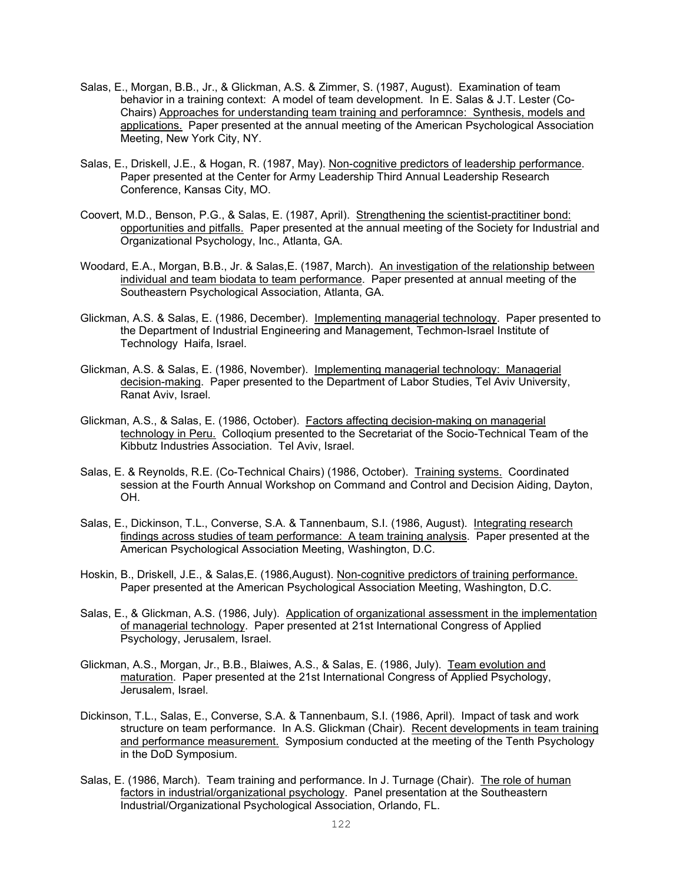- Salas, E., Morgan, B.B., Jr., & Glickman, A.S. & Zimmer, S. (1987, August). Examination of team behavior in a training context: A model of team development. In E. Salas & J.T. Lester (Co-Chairs) Approaches for understanding team training and perforamnce: Synthesis, models and applications. Paper presented at the annual meeting of the American Psychological Association Meeting, New York City, NY.
- Salas, E., Driskell, J.E., & Hogan, R. (1987, May). Non-cognitive predictors of leadership performance. Paper presented at the Center for Army Leadership Third Annual Leadership Research Conference, Kansas City, MO.
- Coovert, M.D., Benson, P.G., & Salas, E. (1987, April). Strengthening the scientist-practitiner bond: opportunities and pitfalls. Paper presented at the annual meeting of the Society for Industrial and Organizational Psychology, Inc., Atlanta, GA.
- Woodard, E.A., Morgan, B.B., Jr. & Salas, E. (1987, March). An investigation of the relationship between individual and team biodata to team performance. Paper presented at annual meeting of the Southeastern Psychological Association, Atlanta, GA.
- Glickman, A.S. & Salas, E. (1986, December). Implementing managerial technology. Paper presented to the Department of Industrial Engineering and Management, Techmon-Israel Institute of Technology Haifa, Israel.
- Glickman, A.S. & Salas, E. (1986, November). Implementing managerial technology: Managerial decision-making. Paper presented to the Department of Labor Studies, Tel Aviv University, Ranat Aviv, Israel.
- Glickman, A.S., & Salas, E. (1986, October). Factors affecting decision-making on managerial technology in Peru. Colloqium presented to the Secretariat of the Socio-Technical Team of the Kibbutz Industries Association. Tel Aviv, Israel.
- Salas, E. & Reynolds, R.E. (Co-Technical Chairs) (1986, October). Training systems. Coordinated session at the Fourth Annual Workshop on Command and Control and Decision Aiding, Dayton, OH.
- Salas, E., Dickinson, T.L., Converse, S.A. & Tannenbaum, S.I. (1986, August). Integrating research findings across studies of team performance: A team training analysis. Paper presented at the American Psychological Association Meeting, Washington, D.C.
- Hoskin, B., Driskell, J.E., & Salas,E. (1986,August). Non-cognitive predictors of training performance. Paper presented at the American Psychological Association Meeting, Washington, D.C.
- Salas, E., & Glickman, A.S. (1986, July). Application of organizational assessment in the implementation of managerial technology. Paper presented at 21st International Congress of Applied Psychology, Jerusalem, Israel.
- Glickman, A.S., Morgan, Jr., B.B., Blaiwes, A.S., & Salas, E. (1986, July). Team evolution and maturation. Paper presented at the 21st International Congress of Applied Psychology, Jerusalem, Israel.
- Dickinson, T.L., Salas, E., Converse, S.A. & Tannenbaum, S.I. (1986, April). Impact of task and work structure on team performance. In A.S. Glickman (Chair). Recent developments in team training and performance measurement. Symposium conducted at the meeting of the Tenth Psychology in the DoD Symposium.
- Salas, E. (1986, March). Team training and performance. In J. Turnage (Chair). The role of human factors in industrial/organizational psychology. Panel presentation at the Southeastern Industrial/Organizational Psychological Association, Orlando, FL.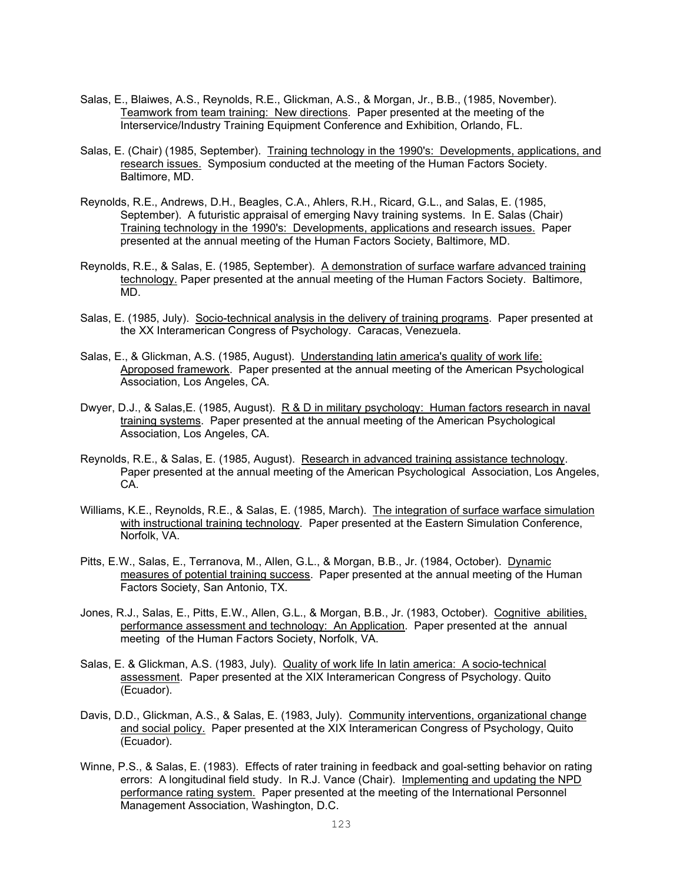- Salas, E., Blaiwes, A.S., Reynolds, R.E., Glickman, A.S., & Morgan, Jr., B.B., (1985, November). Teamwork from team training: New directions. Paper presented at the meeting of the Interservice/Industry Training Equipment Conference and Exhibition, Orlando, FL.
- Salas, E. (Chair) (1985, September). Training technology in the 1990's: Developments, applications, and research issues. Symposium conducted at the meeting of the Human Factors Society. Baltimore, MD.
- Reynolds, R.E., Andrews, D.H., Beagles, C.A., Ahlers, R.H., Ricard, G.L., and Salas, E. (1985, September). A futuristic appraisal of emerging Navy training systems. In E. Salas (Chair) Training technology in the 1990's: Developments, applications and research issues. Paper presented at the annual meeting of the Human Factors Society, Baltimore, MD.
- Reynolds, R.E., & Salas, E. (1985, September). A demonstration of surface warfare advanced training technology. Paper presented at the annual meeting of the Human Factors Society. Baltimore, MD.
- Salas, E. (1985, July). Socio-technical analysis in the delivery of training programs. Paper presented at the XX Interamerican Congress of Psychology. Caracas, Venezuela.
- Salas, E., & Glickman, A.S. (1985, August). Understanding latin america's quality of work life: Aproposed framework. Paper presented at the annual meeting of the American Psychological Association, Los Angeles, CA.
- Dwyer, D.J., & Salas,E. (1985, August). R & D in military psychology: Human factors research in naval training systems. Paper presented at the annual meeting of the American Psychological Association, Los Angeles, CA.
- Reynolds, R.E., & Salas, E. (1985, August). Research in advanced training assistance technology. Paper presented at the annual meeting of the American Psychological Association, Los Angeles, CA.
- Williams, K.E., Reynolds, R.E., & Salas, E. (1985, March). The integration of surface warface simulation with instructional training technology. Paper presented at the Eastern Simulation Conference, Norfolk, VA.
- Pitts, E.W., Salas, E., Terranova, M., Allen, G.L., & Morgan, B.B., Jr. (1984, October). Dynamic measures of potential training success. Paper presented at the annual meeting of the Human Factors Society, San Antonio, TX.
- Jones, R.J., Salas, E., Pitts, E.W., Allen, G.L., & Morgan, B.B., Jr. (1983, October). Cognitive abilities, performance assessment and technology: An Application. Paper presented at the annual meeting of the Human Factors Society, Norfolk, VA.
- Salas, E. & Glickman, A.S. (1983, July). Quality of work life In latin america: A socio-technical assessment. Paper presented at the XIX Interamerican Congress of Psychology. Quito (Ecuador).
- Davis, D.D., Glickman, A.S., & Salas, E. (1983, July). Community interventions, organizational change and social policy. Paper presented at the XIX Interamerican Congress of Psychology, Quito (Ecuador).
- Winne, P.S., & Salas, E. (1983). Effects of rater training in feedback and goal-setting behavior on rating errors: A longitudinal field study. In R.J. Vance (Chair). Implementing and updating the NPD performance rating system. Paper presented at the meeting of the International Personnel Management Association, Washington, D.C.